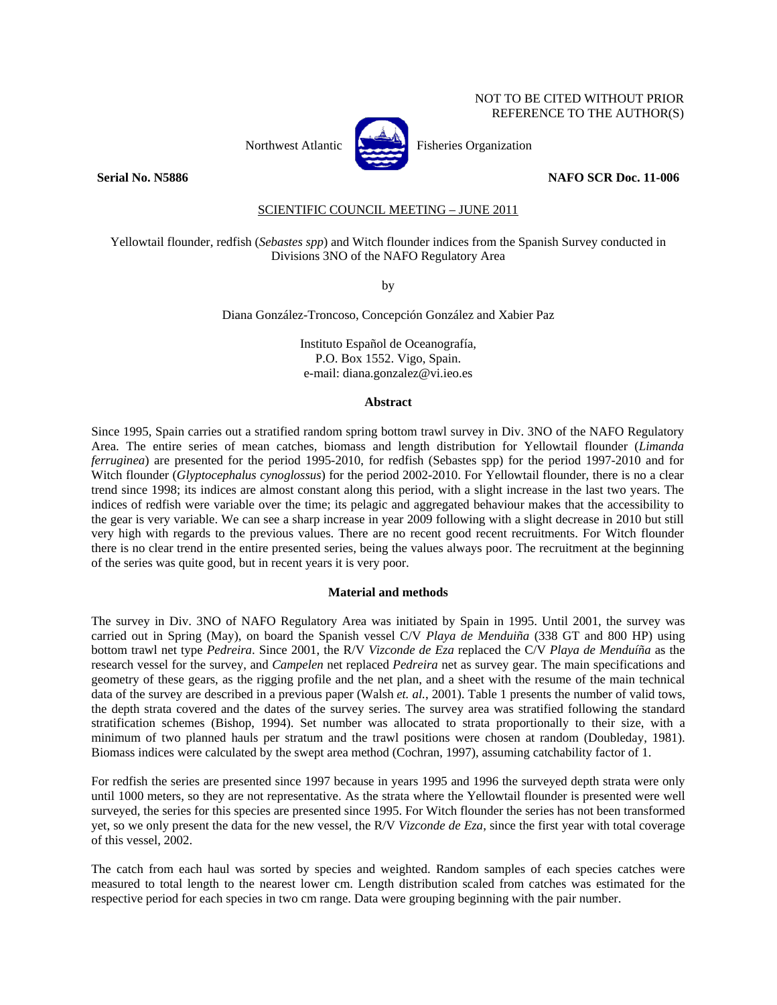# NOT TO BE CITED WITHOUT PRIOR REFERENCE TO THE AUTHOR(S)



Northwest Atlantic **Atlantic** Fisheries Organization

### **Serial No. N5886** NAFO SCR Doc. 11-006

# SCIENTIFIC COUNCIL MEETING – JUNE 2011

Yellowtail flounder, redfish (*Sebastes spp*) and Witch flounder indices from the Spanish Survey conducted in Divisions 3NO of the NAFO Regulatory Area

by

Diana González-Troncoso, Concepción González and Xabier Paz

Instituto Español de Oceanografía, P.O. Box 1552. Vigo, Spain. e-mail: diana.gonzalez@vi.ieo.es

#### **Abstract**

Since 1995, Spain carries out a stratified random spring bottom trawl survey in Div. 3NO of the NAFO Regulatory Area. The entire series of mean catches, biomass and length distribution for Yellowtail flounder (*Limanda ferruginea*) are presented for the period 1995-2010, for redfish (Sebastes spp) for the period 1997-2010 and for Witch flounder (*Glyptocephalus cynoglossus*) for the period 2002-2010. For Yellowtail flounder, there is no a clear trend since 1998; its indices are almost constant along this period, with a slight increase in the last two years. The indices of redfish were variable over the time; its pelagic and aggregated behaviour makes that the accessibility to the gear is very variable. We can see a sharp increase in year 2009 following with a slight decrease in 2010 but still very high with regards to the previous values. There are no recent good recent recruitments. For Witch flounder there is no clear trend in the entire presented series, being the values always poor. The recruitment at the beginning of the series was quite good, but in recent years it is very poor.

### **Material and methods**

The survey in Div. 3NO of NAFO Regulatory Area was initiated by Spain in 1995. Until 2001, the survey was carried out in Spring (May), on board the Spanish vessel C/V *Playa de Menduiña* (338 GT and 800 HP) using bottom trawl net type *Pedreira*. Since 2001, the R/V *Vizconde de Eza* replaced the C/V *Playa de Menduíña* as the research vessel for the survey, and *Campelen* net replaced *Pedreira* net as survey gear. The main specifications and geometry of these gears, as the rigging profile and the net plan, and a sheet with the resume of the main technical data of the survey are described in a previous paper (Walsh *et. al.*, 2001). Table 1 presents the number of valid tows, the depth strata covered and the dates of the survey series. The survey area was stratified following the standard stratification schemes (Bishop, 1994). Set number was allocated to strata proportionally to their size, with a minimum of two planned hauls per stratum and the trawl positions were chosen at random (Doubleday, 1981). Biomass indices were calculated by the swept area method (Cochran, 1997), assuming catchability factor of 1.

For redfish the series are presented since 1997 because in years 1995 and 1996 the surveyed depth strata were only until 1000 meters, so they are not representative. As the strata where the Yellowtail flounder is presented were well surveyed, the series for this species are presented since 1995. For Witch flounder the series has not been transformed yet, so we only present the data for the new vessel, the R/V *Vizconde de Eza*, since the first year with total coverage of this vessel, 2002.

The catch from each haul was sorted by species and weighted. Random samples of each species catches were measured to total length to the nearest lower cm. Length distribution scaled from catches was estimated for the respective period for each species in two cm range. Data were grouping beginning with the pair number.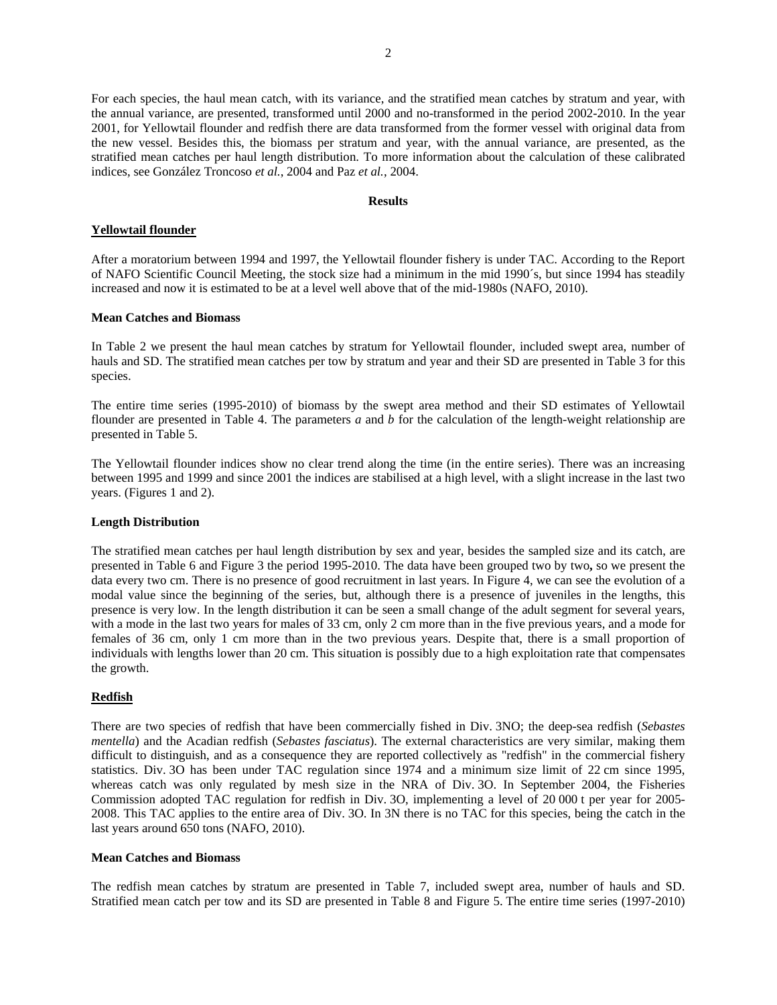For each species, the haul mean catch, with its variance, and the stratified mean catches by stratum and year, with the annual variance, are presented, transformed until 2000 and no-transformed in the period 2002-2010. In the year 2001, for Yellowtail flounder and redfish there are data transformed from the former vessel with original data from the new vessel. Besides this, the biomass per stratum and year, with the annual variance, are presented, as the stratified mean catches per haul length distribution. To more information about the calculation of these calibrated indices, see González Troncoso *et al.*, 2004 and Paz *et al.*, 2004.

## **Results**

# **Yellowtail flounder**

After a moratorium between 1994 and 1997, the Yellowtail flounder fishery is under TAC. According to the Report of NAFO Scientific Council Meeting, the stock size had a minimum in the mid 1990´s, but since 1994 has steadily increased and now it is estimated to be at a level well above that of the mid-1980s (NAFO, 2010).

### **Mean Catches and Biomass**

In Table 2 we present the haul mean catches by stratum for Yellowtail flounder, included swept area, number of hauls and SD. The stratified mean catches per tow by stratum and year and their SD are presented in Table 3 for this species.

The entire time series (1995-2010) of biomass by the swept area method and their SD estimates of Yellowtail flounder are presented in Table 4. The parameters *a* and *b* for the calculation of the length-weight relationship are presented in Table 5.

The Yellowtail flounder indices show no clear trend along the time (in the entire series). There was an increasing between 1995 and 1999 and since 2001 the indices are stabilised at a high level, with a slight increase in the last two years. (Figures 1 and 2).

## **Length Distribution**

The stratified mean catches per haul length distribution by sex and year, besides the sampled size and its catch, are presented in Table 6 and Figure 3 the period 1995-2010. The data have been grouped two by two**,** so we present the data every two cm. There is no presence of good recruitment in last years. In Figure 4, we can see the evolution of a modal value since the beginning of the series, but, although there is a presence of juveniles in the lengths, this presence is very low. In the length distribution it can be seen a small change of the adult segment for several years, with a mode in the last two years for males of 33 cm, only 2 cm more than in the five previous years, and a mode for females of 36 cm, only 1 cm more than in the two previous years. Despite that, there is a small proportion of individuals with lengths lower than 20 cm. This situation is possibly due to a high exploitation rate that compensates the growth.

### **Redfish**

There are two species of redfish that have been commercially fished in Div. 3NO; the deep-sea redfish (*Sebastes mentella*) and the Acadian redfish (*Sebastes fasciatus*). The external characteristics are very similar, making them difficult to distinguish, and as a consequence they are reported collectively as "redfish" in the commercial fishery statistics. Div. 3O has been under TAC regulation since 1974 and a minimum size limit of 22 cm since 1995, whereas catch was only regulated by mesh size in the NRA of Div. 3O. In September 2004, the Fisheries Commission adopted TAC regulation for redfish in Div. 3O, implementing a level of 20 000 t per year for 2005- 2008. This TAC applies to the entire area of Div. 3O. In 3N there is no TAC for this species, being the catch in the last years around 650 tons (NAFO, 2010).

# **Mean Catches and Biomass**

The redfish mean catches by stratum are presented in Table 7, included swept area, number of hauls and SD. Stratified mean catch per tow and its SD are presented in Table 8 and Figure 5. The entire time series (1997-2010)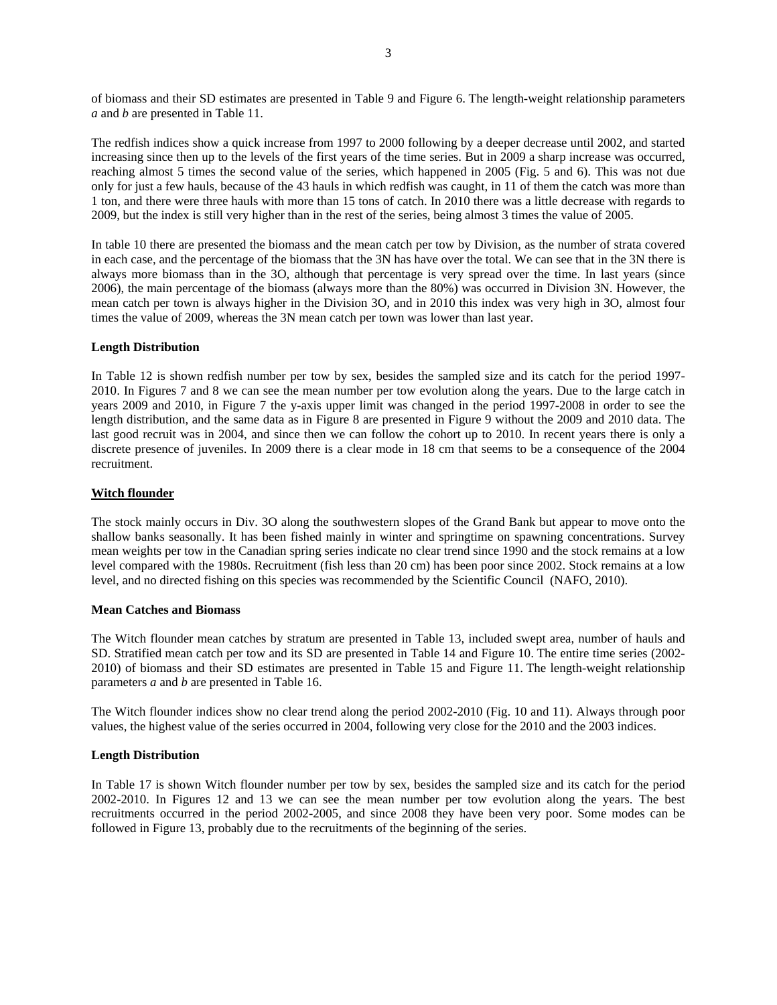of biomass and their SD estimates are presented in Table 9 and Figure 6. The length-weight relationship parameters *a* and *b* are presented in Table 11.

The redfish indices show a quick increase from 1997 to 2000 following by a deeper decrease until 2002, and started increasing since then up to the levels of the first years of the time series. But in 2009 a sharp increase was occurred, reaching almost 5 times the second value of the series, which happened in 2005 (Fig. 5 and 6). This was not due only for just a few hauls, because of the 43 hauls in which redfish was caught, in 11 of them the catch was more than 1 ton, and there were three hauls with more than 15 tons of catch. In 2010 there was a little decrease with regards to 2009, but the index is still very higher than in the rest of the series, being almost 3 times the value of 2005.

In table 10 there are presented the biomass and the mean catch per tow by Division, as the number of strata covered in each case, and the percentage of the biomass that the 3N has have over the total. We can see that in the 3N there is always more biomass than in the 3O, although that percentage is very spread over the time. In last years (since 2006), the main percentage of the biomass (always more than the 80%) was occurred in Division 3N. However, the mean catch per town is always higher in the Division 3O, and in 2010 this index was very high in 3O, almost four times the value of 2009, whereas the 3N mean catch per town was lower than last year.

### **Length Distribution**

In Table 12 is shown redfish number per tow by sex, besides the sampled size and its catch for the period 1997- 2010. In Figures 7 and 8 we can see the mean number per tow evolution along the years. Due to the large catch in years 2009 and 2010, in Figure 7 the y-axis upper limit was changed in the period 1997-2008 in order to see the length distribution, and the same data as in Figure 8 are presented in Figure 9 without the 2009 and 2010 data. The last good recruit was in 2004, and since then we can follow the cohort up to 2010. In recent years there is only a discrete presence of juveniles. In 2009 there is a clear mode in 18 cm that seems to be a consequence of the 2004 recruitment.

# **Witch flounder**

The stock mainly occurs in Div. 3O along the southwestern slopes of the Grand Bank but appear to move onto the shallow banks seasonally. It has been fished mainly in winter and springtime on spawning concentrations. Survey mean weights per tow in the Canadian spring series indicate no clear trend since 1990 and the stock remains at a low level compared with the 1980s. Recruitment (fish less than 20 cm) has been poor since 2002. Stock remains at a low level, and no directed fishing on this species was recommended by the Scientific Council (NAFO, 2010).

### **Mean Catches and Biomass**

The Witch flounder mean catches by stratum are presented in Table 13, included swept area, number of hauls and SD. Stratified mean catch per tow and its SD are presented in Table 14 and Figure 10. The entire time series (2002- 2010) of biomass and their SD estimates are presented in Table 15 and Figure 11. The length-weight relationship parameters *a* and *b* are presented in Table 16.

The Witch flounder indices show no clear trend along the period 2002-2010 (Fig. 10 and 11). Always through poor values, the highest value of the series occurred in 2004, following very close for the 2010 and the 2003 indices.

### **Length Distribution**

In Table 17 is shown Witch flounder number per tow by sex, besides the sampled size and its catch for the period 2002-2010. In Figures 12 and 13 we can see the mean number per tow evolution along the years. The best recruitments occurred in the period 2002-2005, and since 2008 they have been very poor. Some modes can be followed in Figure 13, probably due to the recruitments of the beginning of the series.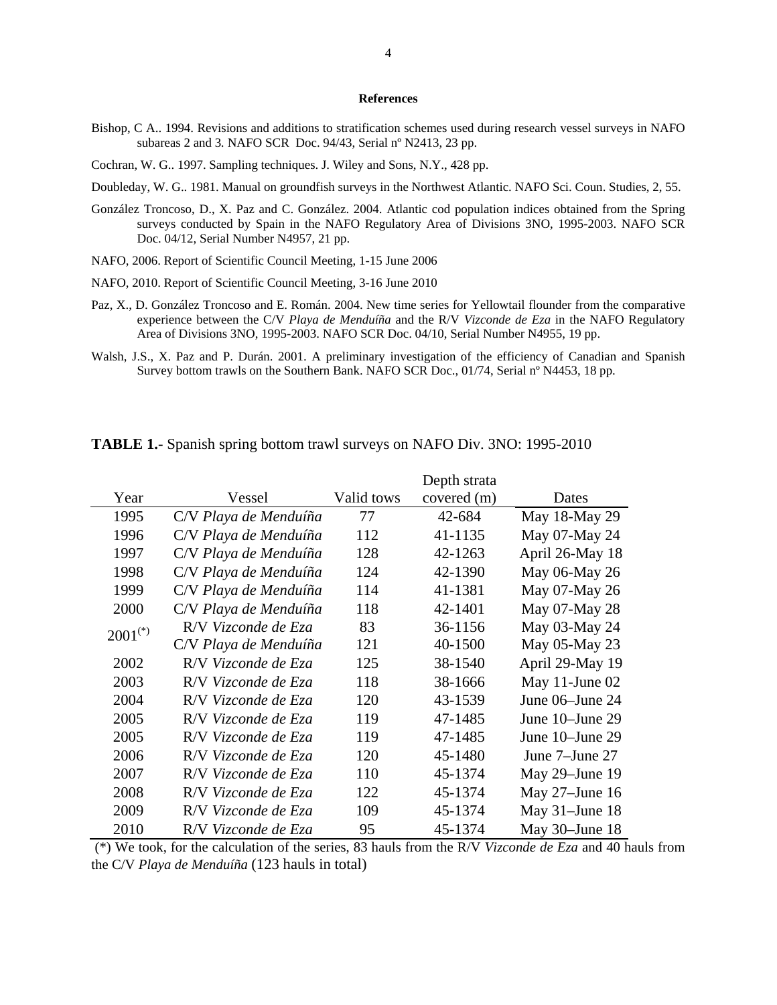#### **References**

Bishop, C A.. 1994. Revisions and additions to stratification schemes used during research vessel surveys in NAFO subareas 2 and 3*.* NAFO SCR Doc. 94/43, Serial nº N2413, 23 pp.

Cochran, W. G.. 1997. Sampling techniques. J. Wiley and Sons, N.Y., 428 pp.

- Doubleday, W. G.. 1981. Manual on groundfish surveys in the Northwest Atlantic. NAFO Sci. Coun. Studies, 2, 55.
- González Troncoso, D., X. Paz and C. González. 2004. Atlantic cod population indices obtained from the Spring surveys conducted by Spain in the NAFO Regulatory Area of Divisions 3NO, 1995-2003. NAFO SCR Doc. 04/12, Serial Number N4957, 21 pp.
- NAFO, 2006. Report of Scientific Council Meeting, 1-15 June 2006
- NAFO, 2010. Report of Scientific Council Meeting, 3-16 June 2010
- Paz, X., D. González Troncoso and E. Román. 2004. New time series for Yellowtail flounder from the comparative experience between the C/V *Playa de Menduíña* and the R/V *Vizconde de Eza* in the NAFO Regulatory Area of Divisions 3NO, 1995-2003. NAFO SCR Doc. 04/10, Serial Number N4955, 19 pp.
- Walsh, J.S., X. Paz and P. Durán. 2001. A preliminary investigation of the efficiency of Canadian and Spanish Survey bottom trawls on the Southern Bank. NAFO SCR Doc., 01/74, Serial nº N4453, 18 pp.

|                       |                       |            | Depth strata |                   |
|-----------------------|-----------------------|------------|--------------|-------------------|
| Year                  | Vessel                | Valid tows | covered (m)  | Dates             |
| 1995                  | C/V Playa de Menduíña | 77         | 42-684       | May 18-May 29     |
| 1996                  | C/V Playa de Menduíña | 112        | 41-1135      | May 07-May 24     |
| 1997                  | C/V Playa de Menduíña | 128        | 42-1263      | April 26-May 18   |
| 1998                  | C/V Playa de Menduíña | 124        | 42-1390      | May 06-May 26     |
| 1999                  | C/V Playa de Menduíña | 114        | 41-1381      | May 07-May 26     |
| 2000                  | C/V Playa de Menduíña | 118        | 42-1401      | May 07-May 28     |
| $2001$ <sup>(*)</sup> | R/V Vizconde de Eza   | 83         | 36-1156      | May 03-May 24     |
|                       | C/V Playa de Menduíña | 121        | 40-1500      | May 05-May 23     |
| 2002                  | R/V Vizconde de Eza   | 125        | 38-1540      | April 29-May 19   |
| 2003                  | R/V Vizconde de Eza   | 118        | 38-1666      | May 11-June 02    |
| 2004                  | R/V Vizconde de Eza   | 120        | 43-1539      | June 06–June 24   |
| 2005                  | R/V Vizconde de Eza   | 119        | 47-1485      | June 10–June 29   |
| 2005                  | R/V Vizconde de Eza   | 119        | 47-1485      | June 10–June 29   |
| 2006                  | R/V Vizconde de Eza   | 120        | 45-1480      | June 7-June 27    |
| 2007                  | R/V Vizconde de Eza   | 110        | 45-1374      | May 29-June 19    |
| 2008                  | R/V Vizconde de Eza   | 122        | 45-1374      | May 27-June 16    |
| 2009                  | R/V Vizconde de Eza   | 109        | 45-1374      | May $31$ -June 18 |
| 2010                  | R/V Vizconde de Eza   | 95         | 45-1374      | May $30$ -June 18 |

**TABLE 1.-** Spanish spring bottom trawl surveys on NAFO Div. 3NO: 1995-2010

 (\*) We took, for the calculation of the series, 83 hauls from the R/V *Vizconde de Eza* and 40 hauls from the C/V *Playa de Menduíña* (123 hauls in total)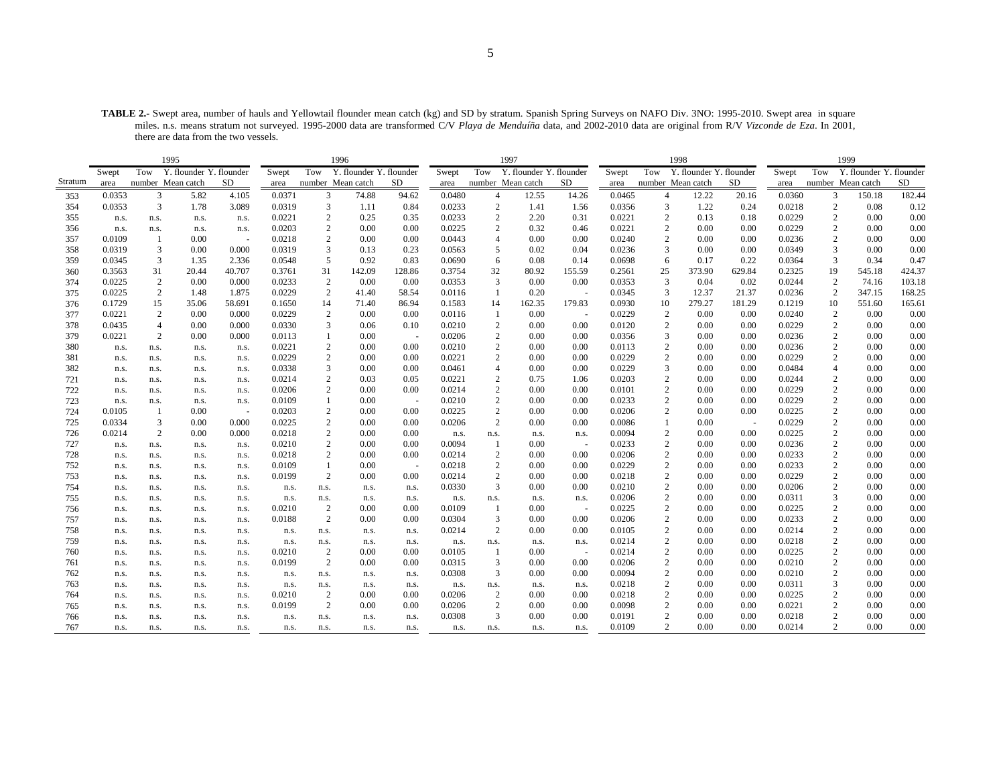**TABLE 2.-** Swept area, number of hauls and Yellowtail flounder mean catch (kg) and SD by stratum. Spanish Spring Surveys on NAFO Div. 3NO: 1995-2010. Swept area in square miles. n.s. means stratum not surveyed. 1995-2000 data are transformed C/V *Playa de Menduíña* data, and 2002-2010 data are original from R/V *Vizconde de Eza*. In 2001, there are data from the two vessels.

|         |        |                | 1995                    |        |        |                         | 1996                    |        |        |                  | 1997                    |                          |        |                  | 1998                    |        |        |                   | 1999          |          |
|---------|--------|----------------|-------------------------|--------|--------|-------------------------|-------------------------|--------|--------|------------------|-------------------------|--------------------------|--------|------------------|-------------------------|--------|--------|-------------------|---------------|----------|
|         | Swept  | Tow            | Y. flounder Y. flounder |        | Swept  | Tow                     | Y. flounder Y. flounder |        | Swept  | Tow              | Y. flounder Y. flounder |                          | Swept  | Tow              | Y. flounder Y. flounder |        | Swept  | Tow               | Y. flounder Y | flounder |
| Stratum | area   |                | number Mean catch       | SD     | area   | number Mean catch       |                         | SD.    | area   |                  | number Mean catch       | SD.                      | area   |                  | number Mean catch       | SD     | area   | number Mean catch |               | SD       |
| 353     | 0.0353 | 3              | 5.82                    | 4.105  | 0.0371 | 3                       | 74.88                   | 94.62  | 0.0480 | 4                | 12.55                   | 14.26                    | 0.0465 | $\overline{4}$   | 12.22                   | 20.16  | 0.0360 | 3                 | 150.18        | 182.44   |
| 354     | 0.0353 | 3              | 1.78                    | 3.089  | 0.0319 | 3                       | 1.11                    | 0.84   | 0.0233 | $\overline{c}$   | 1.41                    | 1.56                     | 0.0356 | 3                | 1.22                    | 0.24   | 0.0218 | $\overline{c}$    | 0.08          | 0.12     |
| 355     | n.s.   | n.s.           | n.s.                    | n.s.   | 0.0221 | $\overline{c}$          | 0.25                    | 0.35   | 0.0233 | $\mathbf{2}$     | 2.20                    | 0.31                     | 0.0221 | $\overline{2}$   | 0.13                    | 0.18   | 0.0229 | $\overline{c}$    | 0.00          | 0.00     |
| 356     | n.s.   | n.s.           | n.s.                    | n.s.   | 0.0203 | $\overline{c}$          | 0.00                    | 0.00   | 0.0225 | $\overline{c}$   | 0.32                    | 0.46                     | 0.0221 | $\overline{2}$   | 0.00                    | 0.00   | 0.0229 | $\overline{2}$    | 0.00          | 0.00     |
| 357     | 0.0109 | $\mathbf{1}$   | 0.00                    |        | 0.0218 | $\mathfrak{2}$          | 0.00                    | 0.00   | 0.0443 | 4                | 0.00                    | 0.00                     | 0.0240 | $\overline{2}$   | 0.00                    | 0.00   | 0.0236 | $\overline{2}$    | 0.00          | 0.00     |
| 358     | 0.0319 | 3              | 0.00                    | 0.000  | 0.0319 | 3                       | 0.13                    | 0.23   | 0.0563 | 5                | 0.02                    | 0.04                     | 0.0236 | 3                | 0.00                    | 0.00   | 0.0349 | 3                 | 0.00          | 0.00     |
| 359     | 0.0345 | 3              | 1.35                    | 2.336  | 0.0548 | 5                       | 0.92                    | 0.83   | 0.0690 | 6                | 0.08                    | 0.14                     | 0.0698 | 6                | 0.17                    | 0.22   | 0.0364 | 3                 | 0.34          | 0.47     |
| 360     | 0.3563 | 31             | 20.44                   | 40.707 | 0.3761 | 31                      | 142.09                  | 128.86 | 0.3754 | 32               | 80.92                   | 155.59                   | 0.2561 | 25               | 373.90                  | 629.84 | 0.2325 | 19                | 545.18        | 424.37   |
| 374     | 0.0225 | $\overline{c}$ | 0.00                    | 0.000  | 0.0233 | $\overline{c}$          | 0.00                    | 0.00   | 0.0353 | 3                | 0.00                    | 0.00                     | 0.0353 | 3                | 0.04                    | 0.02   | 0.0244 | 2                 | 74.16         | 103.18   |
| 375     | 0.0225 | 2              | 1.48                    | 1.875  | 0.0229 | 2                       | 41.40                   | 58.54  | 0.0116 | $\overline{1}$   | 0.20                    | ÷.                       | 0.0345 | 3                | 12.37                   | 21.37  | 0.0236 | $\overline{c}$    | 347.15        | 168.25   |
| 376     | 0.1729 | 15             | 35.06                   | 58.691 | 0.1650 | 14                      | 71.40                   | 86.94  | 0.1583 | 14               | 162.35                  | 179.83                   | 0.0930 | 10               | 279.27                  | 181.29 | 0.1219 | 10                | 551.60        | 165.61   |
| 377     | 0.0221 | $\mathbf{2}$   | 0.00                    | 0.000  | 0.0229 | $\overline{c}$          | 0.00                    | 0.00   | 0.0116 | $\mathbf{1}$     | 0.00                    | $\sim$                   | 0.0229 | 2                | 0.00                    | 0.00   | 0.0240 | $\overline{c}$    | 0.00          | 0.00     |
| 378     | 0.0435 | $\overline{4}$ | 0.00                    | 0.000  | 0.0330 | 3                       | 0.06                    | 0.10   | 0.0210 | 2                | 0.00                    | 0.00                     | 0.0120 | $\overline{2}$   | 0.00                    | 0.00   | 0.0229 | $\overline{c}$    | 0.00          | 0.00     |
| 379     | 0.0221 | $\mathbf{2}$   | 0.00                    | 0.000  | 0.0113 | 1                       | 0.00                    | ÷.     | 0.0206 | $\overline{c}$   | 0.00                    | 0.00                     | 0.0356 | 3                | 0.00                    | 0.00   | 0.0236 | $\overline{c}$    | 0.00          | 0.00     |
| 380     | n.s.   | n.s.           | n.s.                    | n.s.   | 0.0221 | $\overline{\mathbf{c}}$ | 0.00                    | 0.00   | 0.0210 | $\sqrt{2}$       | 0.00                    | 0.00                     | 0.0113 | $\overline{2}$   | 0.00                    | 0.00   | 0.0236 | $\overline{2}$    | 0.00          | 0.00     |
| 381     | n.s.   | n.s.           | n.s.                    | n.s.   | 0.0229 | $\mathfrak{2}$          | 0.00                    | 0.00   | 0.0221 | $\overline{c}$   | 0.00                    | 0.00                     | 0.0229 | $\overline{2}$   | 0.00                    | 0.00   | 0.0229 | $\overline{c}$    | 0.00          | 0.00     |
| 382     | n.s.   | n.s.           | n.s.                    | n.s.   | 0.0338 | 3                       | 0.00                    | 0.00   | 0.0461 | $\overline{4}$   | 0.00                    | 0.00                     | 0.0229 | 3                | 0.00                    | 0.00   | 0.0484 | 4                 | 0.00          | 0.00     |
| 721     | n.s.   | n.s.           | n.s.                    | n.s.   | 0.0214 | $\overline{\mathbf{c}}$ | 0.03                    | 0.05   | 0.0221 | $\overline{c}$   | 0.75                    | 1.06                     | 0.0203 | $\sqrt{2}$       | 0.00                    | 0.00   | 0.0244 | $\overline{2}$    | 0.00          | 0.00     |
| 722     | n.s.   | n.s.           | n.s.                    | n.s.   | 0.0206 | $\mathfrak{2}$          | 0.00                    | 0.00   | 0.0214 | 2                | 0.00                    | 0.00                     | 0.0101 | $\overline{2}$   | 0.00                    | 0.00   | 0.0229 | $\overline{2}$    | 0.00          | 0.00     |
| 723     | n.s.   | n.s.           | n.s.                    | n.s.   | 0.0109 |                         | 0.00                    | ÷.     | 0.0210 | $\boldsymbol{2}$ | 0.00                    | 0.00                     | 0.0233 | $\overline{2}$   | 0.00                    | 0.00   | 0.0229 | $\boldsymbol{2}$  | 0.00          | 0.00     |
| 724     | 0.0105 | -1             | 0.00                    | $\sim$ | 0.0203 | $\overline{\mathbf{c}}$ | 0.00                    | 0.00   | 0.0225 | $\overline{c}$   | 0.00                    | 0.00                     | 0.0206 | 2                | 0.00                    | 0.00   | 0.0225 | $\sqrt{2}$        | 0.00          | 0.00     |
| 725     | 0.0334 | 3              | 0.00                    | 0.000  | 0.0225 | $\mathbf{2}$            | 0.00                    | 0.00   | 0.0206 | $\overline{2}$   | 0.00                    | 0.00                     | 0.0086 |                  | 0.00                    |        | 0.0229 | $\overline{2}$    | 0.00          | 0.00     |
| 726     | 0.0214 | 2              | 0.00                    | 0.000  | 0.0218 | $\mathfrak{2}$          | 0.00                    | 0.00   | n.s.   | n.s.             | n.s.                    | n.s.                     | 0.0094 | $\overline{2}$   | 0.00                    | 0.00   | 0.0225 | $\overline{2}$    | 0.00          | 0.00     |
| 727     | n.s.   | n.s.           | n.s.                    | n.s.   | 0.0210 | 2                       | 0.00                    | 0.00   | 0.0094 | $\overline{1}$   | 0.00                    | $\sim$                   | 0.0233 | $\overline{c}$   | 0.00                    | 0.00   | 0.0236 | $\overline{2}$    | 0.00          | 0.00     |
| 728     | n.s.   | n.s.           | n.s.                    | n.s.   | 0.0218 | $\overline{c}$          | 0.00                    | 0.00   | 0.0214 | 2                | 0.00                    | 0.00                     | 0.0206 | $\overline{c}$   | 0.00                    | 0.00   | 0.0233 | $\overline{c}$    | 0.00          | 0.00     |
| 752     | n.s.   | n.s.           | n.s.                    | n.s.   | 0.0109 | 1                       | 0.00                    | $\sim$ | 0.0218 | $\overline{c}$   | 0.00                    | 0.00                     | 0.0229 | $\overline{2}$   | 0.00                    | 0.00   | 0.0233 | $\overline{c}$    | 0.00          | 0.00     |
| 753     | n.s.   | n.s.           | n.s.                    | n.s.   | 0.0199 | 2                       | 0.00                    | 0.00   | 0.0214 | 2                | 0.00                    | 0.00                     | 0.0218 | 2                | 0.00                    | 0.00   | 0.0229 | $\overline{2}$    | 0.00          | 0.00     |
| 754     | n.s.   | n.s.           | n.s.                    | n.s.   | n.s.   | n.s.                    | n.s.                    | n.s.   | 0.0330 | 3                | 0.00                    | 0.00                     | 0.0210 | $\overline{c}$   | 0.00                    | 0.00   | 0.0206 | 2                 | 0.00          | 0.00     |
| 755     | n.s.   | n.s.           | n.s.                    | n.s.   | n.s.   | n.s.                    | n.s.                    | n.s.   | n.s.   | n.s.             | n.s.                    | n.s.                     | 0.0206 | $\overline{c}$   | 0.00                    | 0.00   | 0.0311 | 3                 | 0.00          | 0.00     |
| 756     | n.s.   | n.s.           | n.s.                    | n.s.   | 0.0210 | $\overline{c}$          | 0.00                    | 0.00   | 0.0109 | -1               | 0.00                    | ÷.                       | 0.0225 | $\overline{2}$   | 0.00                    | 0.00   | 0.0225 | $\overline{2}$    | 0.00          | 0.00     |
| 757     | n.s.   | n.s.           | n.s.                    | n.s.   | 0.0188 | 2                       | 0.00                    | 0.00   | 0.0304 | 3                | 0.00                    | 0.00                     | 0.0206 | $\overline{2}$   | 0.00                    | 0.00   | 0.0233 | $\overline{c}$    | 0.00          | 0.00     |
| 758     | n.s.   | n.s.           | n.s.                    | n.s.   | n.s.   | n.s.                    | n.s.                    | n.s.   | 0.0214 | 2                | 0.00                    | 0.00                     | 0.0105 | 2                | 0.00                    | 0.00   | 0.0214 | $\overline{2}$    | 0.00          | 0.00     |
| 759     | n.s.   | n.s.           | n.s.                    | n.s.   | n.s.   | n.s.                    | n.s.                    | n.s.   | n.s.   | n.s.             | n.s.                    | n.s.                     | 0.0214 | $\overline{2}$   | 0.00                    | 0.00   | 0.0218 | $\overline{2}$    | 0.00          | 0.00     |
| 760     | n.s.   | n.s.           | n.s.                    | n.s.   | 0.0210 | $\overline{c}$          | 0.00                    | 0.00   | 0.0105 |                  | 0.00                    | $\overline{\phantom{a}}$ | 0.0214 | $\boldsymbol{2}$ | 0.00                    | 0.00   | 0.0225 | $\overline{2}$    | 0.00          | 0.00     |
| 761     | n.s.   | n.s.           | n.s.                    | n.s.   | 0.0199 | 2                       | 0.00                    | 0.00   | 0.0315 | 3                | 0.00                    | 0.00                     | 0.0206 | 2                | 0.00                    | 0.00   | 0.0210 | $\overline{2}$    | 0.00          | 0.00     |
| 762     | n.s.   | n.s.           | n.s.                    | n.s.   | n.s.   | n.s.                    | n.s.                    | n.s.   | 0.0308 | 3                | 0.00                    | 0.00                     | 0.0094 | $\overline{2}$   | 0.00                    | 0.00   | 0.0210 | $\overline{2}$    | 0.00          | 0.00     |
| 763     | n.s.   | n.s.           | n.s.                    | n.s.   | n.s.   | n.s.                    | n.s.                    | n.s.   | n.s.   | n.s.             | n.s.                    | n.s.                     | 0.0218 | $\overline{2}$   | 0.00                    | 0.00   | 0.0311 | 3                 | 0.00          | 0.00     |
| 764     | n.s.   | n.s.           | n.s.                    | n.s.   | 0.0210 | 2                       | 0.00                    | 0.00   | 0.0206 | 2                | 0.00                    | 0.00                     | 0.0218 | $\overline{2}$   | 0.00                    | 0.00   | 0.0225 | $\overline{2}$    | 0.00          | 0.00     |
| 765     | n.s.   | n.s.           | n.s.                    | n.s.   | 0.0199 | 2                       | 0.00                    | 0.00   | 0.0206 | 2                | 0.00                    | 0.00                     | 0.0098 | $\overline{c}$   | 0.00                    | 0.00   | 0.0221 | $\overline{c}$    | 0.00          | 0.00     |
| 766     | n.s.   | n.s.           | n.s.                    | n.s.   | n.s.   | n.s.                    | n.s.                    | n.s.   | 0.0308 | 3                | 0.00                    | 0.00                     | 0.0191 | $\overline{c}$   | 0.00                    | 0.00   | 0.0218 | $\overline{2}$    | 0.00          | 0.00     |
| 767     | n.s.   | n.s.           | n.s.                    | n.s.   | n.s.   | n.s.                    | n.s.                    | n.s.   | n.s.   | n.s.             | n.s.                    | n.s.                     | 0.0109 | $\overline{2}$   | 0.00                    | 0.00   | 0.0214 |                   | 0.00          | 0.00     |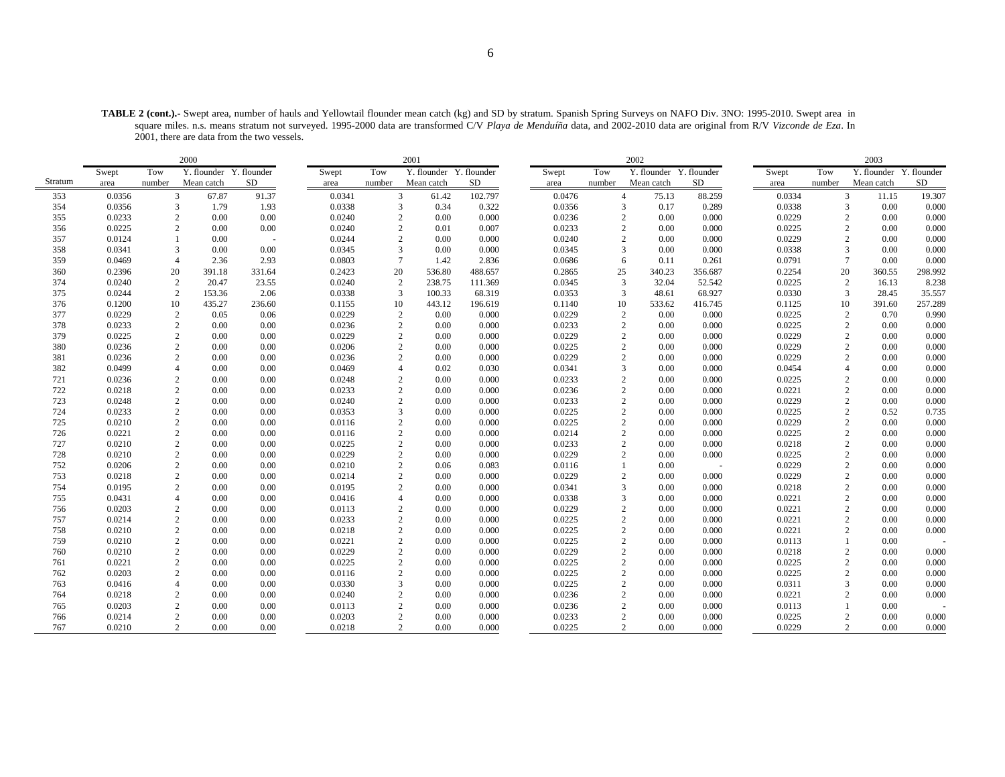**TABLE 2 (cont.).-** Swept area, number of hauls and Yellowtail flounder mean catch (kg) and SD by stratum. Spanish Spring Surveys on NAFO Div. 3NO: 1995-2010. Swept area in square miles. n.s. means stratum not surveyed. 1995-2000 data are transformed C/V *Playa de Menduíña* data, and 2002-2010 data are original from R/V *Vizconde de Eza*. In 2001, there are data from the two vessels.

|         |        |                | 2000                    |        |        |                | 2001                    |           |        |                | 2002                    |         |        |        | 2003                    |             |
|---------|--------|----------------|-------------------------|--------|--------|----------------|-------------------------|-----------|--------|----------------|-------------------------|---------|--------|--------|-------------------------|-------------|
|         | Swept  | Tow            | Y. flounder Y. flounder |        | Swept  | Tow            | Y. flounder Y. flounder |           | Swept  | Tow            | Y. flounder Y. flounder |         | Swept  | Tow    | Y. flounder             | Y. flounder |
| Stratum | area   | number         | Mean catch              | SD     | area   | number         | Mean catch              | <b>SD</b> | area   | number         | Mean catch              | SD      | area   | number | Mean catch              | SD          |
| 353     | 0.0356 | 3              | 67.87                   | 91.37  | 0.0341 | 3              | 61.42                   | 102.797   | 0.0476 | $\overline{4}$ | 75.13                   | 88.259  | 0.0334 |        | 3<br>11.15              | 19.307      |
| 354     | 0.0356 |                | 3<br>1.79               | 1.93   | 0.0338 | 3              | 0.34                    | 0.322     | 0.0356 | 3              | 0.17                    | 0.289   | 0.0338 |        | 3<br>0.00               | 0.000       |
| 355     | 0.0233 | $\overline{2}$ | 0.00                    | 0.00   | 0.0240 | 2              | 0.00                    | 0.000     | 0.0236 | $\overline{2}$ | 0.00                    | 0.000   | 0.0229 |        | $\overline{c}$<br>0.00  | 0.000       |
| 356     | 0.0225 | $\overline{c}$ | 0.00                    | 0.00   | 0.0240 | 2              | 0.01                    | 0.007     | 0.0233 | $\overline{2}$ | 0.00                    | 0.000   | 0.0225 |        | $\overline{c}$<br>0.00  | 0.000       |
| 357     | 0.0124 |                | 0.00                    |        | 0.0244 | $\overline{2}$ | 0.00                    | 0.000     | 0.0240 | 2              | 0.00                    | 0.000   | 0.0229 |        | 0.00<br>2               | 0.000       |
| 358     | 0.0341 | 3              | 0.00                    | 0.00   | 0.0345 | 3              | 0.00                    | 0.000     | 0.0345 | 3              | 0.00                    | 0.000   | 0.0338 |        | 3<br>0.00               | 0.000       |
| 359     | 0.0469 | $\overline{4}$ | 2.36                    | 2.93   | 0.0803 | $\overline{7}$ | 1.42                    | 2.836     | 0.0686 | 6              | 0.11                    | 0.261   | 0.0791 |        | $\overline{7}$<br>0.00  | 0.000       |
| 360     | 0.2396 | 20             | 391.18                  | 331.64 | 0.2423 | 20             | 536.80                  | 488.657   | 0.2865 | 25             | 340.23                  | 356.687 | 0.2254 | 20     | 360.55                  | 298.992     |
| 374     | 0.0240 | $\overline{c}$ | 20.47                   | 23.55  | 0.0240 | $\overline{c}$ | 238.75                  | 111.369   | 0.0345 | 3              | 32.04                   | 52.542  | 0.0225 |        | $\overline{2}$<br>16.13 | 8.238       |
| 375     | 0.0244 | 2              | 153.36                  | 2.06   | 0.0338 | $\overline{3}$ | 100.33                  | 68.319    | 0.0353 | 3              | 48.61                   | 68.927  | 0.0330 |        | 3<br>28.45              | 35.557      |
| 376     | 0.1200 | 10             | 435.27                  | 236.60 | 0.1155 | 10             | 443.12                  | 196.619   | 0.1140 | 10             | 533.62                  | 416.745 | 0.1125 |        | 10<br>391.60            | 257.289     |
| 377     | 0.0229 | $\overline{c}$ | 0.05                    | 0.06   | 0.0229 | $\overline{2}$ | 0.00                    | 0.000     | 0.0229 | $\overline{2}$ | 0.00                    | 0.000   | 0.0225 |        | $\sqrt{2}$<br>0.70      | 0.990       |
| 378     | 0.0233 | $\mathbf{2}$   | 0.00                    | 0.00   | 0.0236 | $\overline{2}$ | 0.00                    | 0.000     | 0.0233 |                | 0.00                    | 0.000   | 0.0225 |        | $\overline{c}$<br>0.00  | 0.000       |
| 379     | 0.0225 | $\overline{c}$ | 0.00                    | 0.00   | 0.0229 | 2              | 0.00                    | 0.000     | 0.0229 | $\overline{2}$ | 0.00                    | 0.000   | 0.0229 |        | $\overline{c}$<br>0.00  | 0.000       |
| 380     | 0.0236 | $\overline{c}$ | 0.00                    | 0.00   | 0.0206 | $\overline{c}$ | 0.00                    | 0.000     | 0.0225 | $\overline{2}$ | 0.00                    | 0.000   | 0.0229 |        | $\sqrt{2}$<br>0.00      | 0.000       |
| 381     | 0.0236 | $\overline{c}$ | 0.00                    | 0.00   | 0.0236 | $\overline{2}$ | 0.00                    | 0.000     | 0.0229 |                | 0.00                    | 0.000   | 0.0229 |        | $\overline{c}$<br>0.00  | 0.000       |
| 382     | 0.0499 | $\overline{4}$ | 0.00                    | 0.00   | 0.0469 | $\overline{4}$ | 0.02                    | 0.030     | 0.0341 | 3              | 0.00                    | 0.000   | 0.0454 |        | $\overline{4}$<br>0.00  | 0.000       |
| 721     | 0.0236 | $\overline{c}$ | 0.00                    | 0.00   | 0.0248 | $\overline{2}$ | 0.00                    | 0.000     | 0.0233 |                | 0.00                    | 0.000   | 0.0225 |        | $\overline{c}$<br>0.00  | 0.000       |
| 722     | 0.0218 | $\overline{c}$ | 0.00                    | 0.00   | 0.0233 | $\overline{2}$ | 0.00                    | 0.000     | 0.0236 | $\mathcal{D}$  | 0.00                    | 0.000   | 0.0221 |        | $\overline{c}$<br>0.00  | 0.000       |
| 723     | 0.0248 | $\overline{c}$ | 0.00                    | 0.00   | 0.0240 | $\overline{2}$ | 0.00                    | 0.000     | 0.0233 | $\overline{2}$ | 0.00                    | 0.000   | 0.0229 |        | $\overline{c}$<br>0.00  | 0.000       |
| 724     | 0.0233 | $\overline{c}$ | 0.00                    | 0.00   | 0.0353 | $\overline{3}$ | 0.00                    | 0.000     | 0.0225 |                | 0.00                    | 0.000   | 0.0225 |        | $\mathbf{2}$<br>0.52    | 0.735       |
| 725     | 0.0210 | 2              | 0.00                    | 0.00   | 0.0116 | 2              | 0.00                    | 0.000     | 0.0225 | $\mathcal{D}$  | 0.00                    | 0.000   | 0.0229 |        | $\overline{c}$<br>0.00  | 0.000       |
| 726     | 0.0221 | $\overline{c}$ | 0.00                    | 0.00   | 0.0116 | $\overline{2}$ | 0.00                    | 0.000     | 0.0214 |                | 0.00                    | 0.000   | 0.0225 |        | $\mathbf{2}$<br>0.00    | 0.000       |
| 727     | 0.0210 | $\overline{c}$ | 0.00                    | 0.00   | 0.0225 | $\overline{c}$ | 0.00                    | 0.000     | 0.0233 |                | 0.00                    | 0.000   | 0.0218 |        | $\overline{c}$<br>0.00  | 0.000       |
| 728     | 0.0210 | $\overline{c}$ | 0.00                    | 0.00   | 0.0229 | $\overline{2}$ | 0.00                    | 0.000     | 0.0229 | $\mathcal{D}$  | 0.00                    | 0.000   | 0.0225 |        | $\overline{c}$<br>0.00  | 0.000       |
| 752     | 0.0206 | $\mathfrak{2}$ | 0.00                    | 0.00   | 0.0210 | $\overline{2}$ | 0.06                    | 0.083     | 0.0116 |                | 0.00                    | $\sim$  | 0.0229 |        | $\overline{c}$<br>0.00  | 0.000       |
| 753     | 0.0218 | $\overline{c}$ | 0.00                    | 0.00   | 0.0214 | $\overline{c}$ | 0.00                    | 0.000     | 0.0229 |                | 0.00                    | 0.000   | 0.0229 |        | $\sqrt{2}$<br>0.00      | 0.000       |
| 754     | 0.0195 | $\overline{c}$ | 0.00                    | 0.00   | 0.0195 | $\overline{c}$ | 0.00                    | 0.000     | 0.0341 |                | 0.00                    | 0.000   | 0.0218 |        | $\overline{c}$<br>0.00  | 0.000       |
| 755     | 0.0431 | $\overline{4}$ | 0.00                    | 0.00   | 0.0416 | $\overline{4}$ | 0.00                    | 0.000     | 0.0338 |                | 0.00                    | 0.000   | 0.0221 |        | $\overline{c}$<br>0.00  | 0.000       |
| 756     | 0.0203 | $\overline{c}$ | 0.00                    | 0.00   | 0.0113 | $\overline{2}$ | 0.00                    | 0.000     | 0.0229 |                | 0.00                    | 0.000   | 0.0221 |        | $\overline{c}$<br>0.00  | 0.000       |
| 757     | 0.0214 | 2              | 0.00                    | 0.00   | 0.0233 | $\overline{2}$ | 0.00                    | 0.000     | 0.0225 | $\overline{2}$ | 0.00                    | 0.000   | 0.0221 |        | 2<br>0.00               | 0.000       |
| 758     | 0.0210 | $\overline{c}$ | 0.00                    | 0.00   | 0.0218 | $\overline{2}$ | 0.00                    | 0.000     | 0.0225 | $\overline{2}$ | 0.00                    | 0.000   | 0.0221 |        | $\overline{c}$<br>0.00  | 0.000       |
| 759     | 0.0210 | $\mathfrak{2}$ | 0.00                    | 0.00   | 0.0221 | $\overline{2}$ | 0.00                    | 0.000     | 0.0225 | $\overline{2}$ | 0.00                    | 0.000   | 0.0113 |        | 0.00                    |             |
| 760     | 0.0210 | $\overline{c}$ | 0.00                    | 0.00   | 0.0229 | $\overline{2}$ | 0.00                    | 0.000     | 0.0229 | $\overline{2}$ | 0.00                    | 0.000   | 0.0218 |        | $\mathbf{2}$<br>0.00    | 0.000       |
| 761     | 0.0221 | $\mathbf{2}$   | 0.00                    | 0.00   | 0.0225 | $\overline{2}$ | 0.00                    | 0.000     | 0.0225 | $\overline{2}$ | 0.00                    | 0.000   | 0.0225 |        | $\mathbf{2}$<br>0.00    | 0.000       |
| 762     | 0.0203 | $\overline{c}$ | 0.00                    | 0.00   | 0.0116 | $\overline{2}$ | 0.00                    | 0.000     | 0.0225 | $\overline{2}$ | 0.00                    | 0.000   | 0.0225 |        | 0.00<br>$\overline{c}$  | 0.000       |
| 763     | 0.0416 | $\overline{4}$ | 0.00                    | 0.00   | 0.0330 | $\mathcal{E}$  | 0.00                    | 0.000     | 0.0225 | $\overline{2}$ | 0.00                    | 0.000   | 0.0311 |        | 3<br>0.00               | 0.000       |
| 764     | 0.0218 | $\overline{c}$ | 0.00                    | 0.00   | 0.0240 | $\overline{c}$ | 0.00                    | 0.000     | 0.0236 | $\overline{2}$ | 0.00                    | 0.000   | 0.0221 |        | 2<br>0.00               | 0.000       |
| 765     | 0.0203 | $\overline{c}$ | 0.00                    | 0.00   | 0.0113 | $\overline{2}$ | 0.00                    | 0.000     | 0.0236 | $\overline{2}$ | 0.00                    | 0.000   | 0.0113 |        | 0.00                    |             |
| 766     | 0.0214 | $\overline{c}$ | 0.00                    | 0.00   | 0.0203 | $\overline{2}$ | 0.00                    | 0.000     | 0.0233 |                | 0.00                    | 0.000   | 0.0225 |        | $\sqrt{2}$<br>0.00      | 0.000       |
| 767     | 0.0210 |                | $\overline{2}$<br>0.00  | 0.00   | 0.0218 | $\overline{2}$ | 0.00                    | 0.000     | 0.0225 | 2              | 0.00                    | 0.000   | 0.0229 |        | 2<br>0.00               | 0.000       |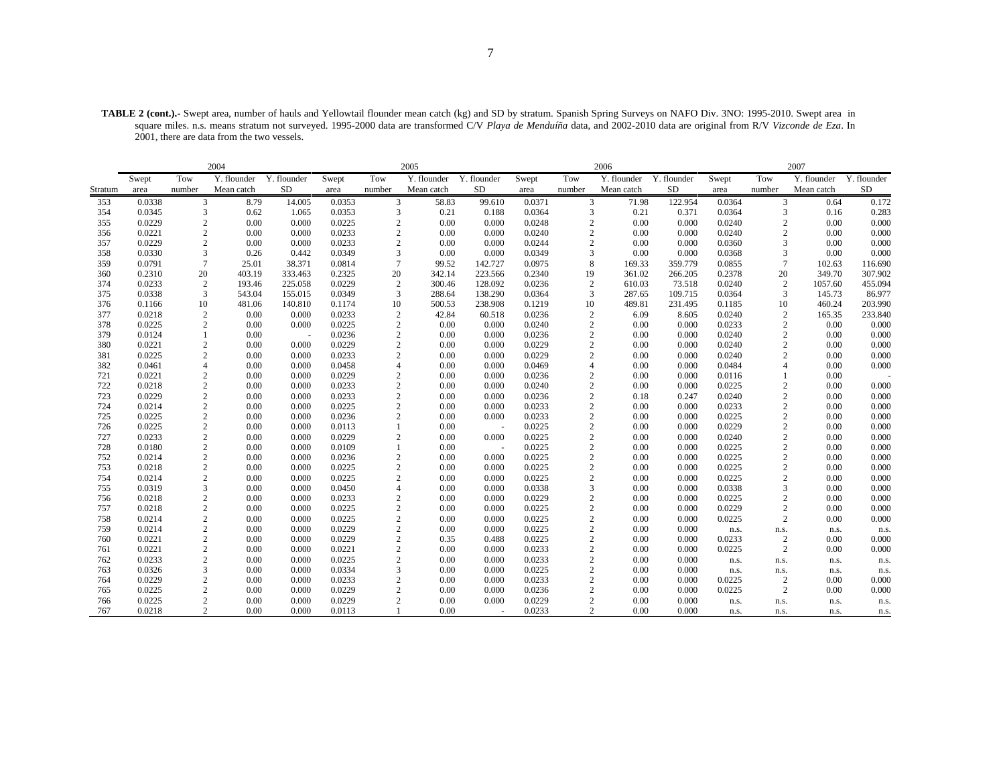**TABLE 2 (cont.).-** Swept area, number of hauls and Yellowtail flounder mean catch (kg) and SD by stratum. Spanish Spring Surveys on NAFO Div. 3NO: 1995-2010. Swept area in square miles. n.s. means stratum not surveyed. 1995-2000 data are transformed C/V *Playa de Menduíña* data, and 2002-2010 data are original from R/V *Vizconde de Eza*. In 2001, there are data from the two vessels.

|            |                  |                                  | 2004         |                |                  |                | 2005         |                 |                  |                                  | 2006         |                |                  |                                  | 2007         |                |
|------------|------------------|----------------------------------|--------------|----------------|------------------|----------------|--------------|-----------------|------------------|----------------------------------|--------------|----------------|------------------|----------------------------------|--------------|----------------|
|            | Swept            | Tow                              | Y. flounder  | Y. flounder    | Swept            | Tow            | Y. flounder  | Y. flounder     | Swept            | Tow                              | Y. flounder  | Y. flounder    | Swept            | Tow                              | Y. flounder  | Y. flounder    |
| Stratum    | area             | number                           | Mean catch   | <b>SD</b>      | area             | number         | Mean catch   | <b>SD</b>       | area             | number                           | Mean catch   | <b>SD</b>      | area             | number                           | Mean catch   | <b>SD</b>      |
| 353        | 0.0338           | 3                                | 8.79         | 14.005         | 0.0353           | 3              | 58.83        | 99.610          | 0.0371           | 3                                | 71.98        | 122.954        | 0.0364           | 3                                | 0.64         | 0.172          |
| 354        | 0.0345           | 3                                | 0.62         | 1.065          | 0.0353           | 3              | 0.21         | 0.188           | 0.0364           | 3                                | 0.21         | 0.371          | 0.0364           | 3                                | 0.16         | 0.283          |
| 355        | 0.0229           | $\overline{c}$                   | 0.00         | 0.000          | 0.0225           | $\overline{c}$ | 0.00         | 0.000           | 0.0248           | $\overline{2}$                   | 0.00         | 0.000          | 0.0240           | $\overline{c}$                   | 0.00         | 0.000          |
| 356        | 0.0221           | $\overline{2}$                   | 0.00         | 0.000          | 0.0233           | $\overline{2}$ | 0.00         | 0.000           | 0.0240           | $\overline{2}$                   | 0.00         | 0.000          | 0.0240           | $\overline{c}$                   | 0.00         | 0.000          |
| 357        | 0.0229           | $\overline{c}$                   | 0.00         | 0.000          | 0.0233           | $\overline{2}$ | 0.00         | 0.000           | 0.0244           | $\overline{2}$                   | 0.00         | 0.000          | 0.0360           | 3                                | 0.00         | 0.000          |
| 358        | 0.0330           | 3                                | 0.26         | 0.442          | 0.0349           | 3              | 0.00         | 0.000           | 0.0349           | 3                                | 0.00         | 0.000          | 0.0368           | 3                                | 0.00         | 0.000          |
| 359        | 0.0791           | 7                                | 25.01        | 38.371         | 0.0814           | $\overline{7}$ | 99.52        | 142.727         | 0.0975           | 8                                | 169.33       | 359.779        | 0.0855           | $\overline{7}$                   | 102.63       | 116.690        |
| 360        | 0.2310           | 20                               | 403.19       | 333.463        | 0.2325           | 20             | 342.14       | 223.566         | 0.2340           | 19                               | 361.02       | 266.205        | 0.2378           | 20                               | 349.70       | 307.902        |
| 374        | 0.0233           | $\overline{2}$                   | 193.46       | 225.058        | 0.0229           | $\overline{2}$ | 300.46       | 128.092         | 0.0236           | $\overline{2}$                   | 610.03       | 73.518         | 0.0240           | $\overline{c}$                   | 1057.60      | 455.094        |
| 375        | 0.0338           | 3                                | 543.04       | 155.015        | 0.0349           | 3              | 288.64       | 138.290         | 0.0364           | 3                                | 287.65       | 109.715        | 0.0364           | 3                                | 145.73       | 86.977         |
| 376        | 0.1166           | 10                               | 481.06       | 140.810        | 0.1174           | 10             | 500.53       | 238.908         | 0.1219           | 10                               | 489.81       | 231.495        | 0.1185           | 10                               | 460.24       | 203.990        |
| 377        | 0.0218           | $\overline{2}$                   | 0.00         | 0.000          | 0.0233           | $\overline{2}$ | 42.84        | 60.518          | 0.0236           | $\overline{2}$                   | 6.09         | 8.605          | 0.0240           | $\overline{c}$                   | 165.35       | 233.840        |
| 378        | 0.0225           | $\overline{c}$                   | 0.00         | 0.000          | 0.0225           | $\overline{2}$ | 0.00         | 0.000           | 0.0240           | $\overline{2}$                   | 0.00         | 0.000          | 0.0233           | $\overline{2}$                   | 0.00         | 0.000          |
| 379        | 0.0124           |                                  | 0.00         | $\sim$         | 0.0236           | $\overline{c}$ | 0.00         | 0.000           | 0.0236           | $\overline{2}$                   | 0.00         | 0.000          | 0.0240           | $\overline{c}$                   | 0.00         | 0.000          |
| 380        | 0.0221           | $\overline{2}$                   | 0.00         | 0.000          | 0.0229           | $\overline{c}$ | 0.00         | 0.000           | 0.0229           | $\overline{2}$                   | 0.00         | 0.000          | 0.0240           | $\overline{2}$                   | 0.00         | 0.000          |
| 381        | 0.0225           | $\mathfrak{D}$                   | 0.00         | 0.000          | 0.0233           | $\overline{c}$ | 0.00         | 0.000           | 0.0229           | $\overline{2}$                   | 0.00         | 0.000          | 0.0240           | $\overline{2}$                   | 0.00         | 0.000          |
| 382        | 0.0461           | 4                                | 0.00         | 0.000          | 0.0458           | $\overline{A}$ | 0.00         | 0.000           | 0.0469           | $\overline{\mathcal{L}}$         | 0.00         | 0.000          | 0.0484           | $\overline{A}$                   | 0.00         | 0.000          |
| 721        | 0.0221           | $\overline{2}$                   | 0.00         | 0.000          | 0.0229           | $\overline{c}$ | 0.00         | 0.000           | 0.0236           | $\overline{2}$                   | 0.00         | 0.000          | 0.0116           |                                  | 0.00         |                |
| 722        | 0.0218           | $\overline{c}$                   | 0.00         | 0.000          | 0.0233           | $\overline{c}$ | 0.00         | 0.000           | 0.0240           | $\overline{2}$                   | 0.00         | 0.000          | 0.0225           | $\overline{2}$                   | 0.00         | 0.000          |
| 723        | 0.0229           | $\overline{2}$                   | 0.00         | 0.000          | 0.0233           | $\overline{2}$ | 0.00         | 0.000           | 0.0236           | $\overline{2}$                   | 0.18         | 0.247          | 0.0240           | $\overline{2}$                   | 0.00         | 0.000          |
| 724        | 0.0214           | $\overline{2}$                   | 0.00         | 0.000          | 0.0225           | $\overline{2}$ | 0.00         | 0.000           | 0.0233           | $\overline{2}$<br>$\overline{2}$ | 0.00         | 0.000          | 0.0233           | $\overline{2}$                   | 0.00         | 0.000          |
| 725        | 0.0225<br>0.0225 | $\overline{2}$                   | 0.00         | 0.000<br>0.000 | 0.0236           | $\overline{2}$ | 0.00         | 0.000           | 0.0233<br>0.0225 | $\overline{2}$                   | 0.00         | 0.000<br>0.000 | 0.0225           | $\overline{2}$                   | 0.00<br>0.00 | 0.000<br>0.000 |
| 726<br>727 | 0.0233           | $\overline{2}$<br>$\overline{2}$ | 0.00<br>0.00 | 0.000          | 0.0113<br>0.0229 | $\overline{2}$ | 0.00<br>0.00 | 0.000           | 0.0225           | $\overline{2}$                   | 0.00<br>0.00 | 0.000          | 0.0229<br>0.0240 | $\overline{2}$<br>$\overline{2}$ | 0.00         | 0.000          |
| 728        | 0.0180           | $\overline{c}$                   | 0.00         | 0.000          | 0.0109           |                | 0.00         |                 | 0.0225           | $\overline{2}$                   | 0.00         | 0.000          | 0.0225           | $\overline{c}$                   | 0.00         | 0.000          |
| 752        | 0.0214           | $\overline{2}$                   | 0.00         | 0.000          | 0.0236           | $\overline{2}$ | 0.00         | $\sim$<br>0.000 | 0.0225           | $\sqrt{2}$                       | 0.00         | 0.000          | 0.0225           | $\overline{c}$                   | 0.00         | 0.000          |
| 753        | 0.0218           | $\overline{c}$                   | 0.00         | 0.000          | 0.0225           | $\overline{2}$ | 0.00         | 0.000           | 0.0225           | $\overline{2}$                   | 0.00         | 0.000          | 0.0225           | $\overline{2}$                   | 0.00         | 0.000          |
| 754        | 0.0214           | $\overline{2}$                   | 0.00         | 0.000          | 0.0225           | $\overline{c}$ | 0.00         | 0.000           | 0.0225           | $\overline{2}$                   | 0.00         | 0.000          | 0.0225           | $\overline{2}$                   | 0.00         | 0.000          |
| 755        | 0.0319           | 3                                | 0.00         | 0.000          | 0.0450           | $\overline{4}$ | 0.00         | 0.000           | 0.0338           | 3                                | 0.00         | 0.000          | 0.0338           | 3                                | 0.00         | 0.000          |
| 756        | 0.0218           | $\overline{c}$                   | 0.00         | 0.000          | 0.0233           | $\overline{2}$ | 0.00         | 0.000           | 0.0229           | $\overline{2}$                   | 0.00         | 0.000          | 0.0225           | $\overline{2}$                   | 0.00         | 0.000          |
| 757        | 0.0218           | $\overline{c}$                   | 0.00         | 0.000          | 0.0225           | $\overline{c}$ | 0.00         | 0.000           | 0.0225           | $\overline{2}$                   | 0.00         | 0.000          | 0.0229           | $\overline{c}$                   | 0.00         | 0.000          |
| 758        | 0.0214           | $\overline{2}$                   | 0.00         | 0.000          | 0.0225           | $\overline{2}$ | 0.00         | 0.000           | 0.0225           | $\overline{2}$                   | 0.00         | 0.000          | 0.0225           | $\overline{2}$                   | 0.00         | 0.000          |
| 759        | 0.0214           | $\overline{2}$                   | 0.00         | 0.000          | 0.0229           | $\overline{2}$ | 0.00         | 0.000           | 0.0225           | $\overline{2}$                   | 0.00         | 0.000          | n.s.             | n.s.                             | n.s.         | n.s.           |
| 760        | 0.0221           | $\overline{2}$                   | 0.00         | 0.000          | 0.0229           | $\overline{2}$ | 0.35         | 0.488           | 0.0225           | $\overline{2}$                   | 0.00         | 0.000          | 0.0233           | $\overline{2}$                   | 0.00         | 0.000          |
| 761        | 0.0221           | $\overline{2}$                   | 0.00         | 0.000          | 0.0221           | $\overline{2}$ | 0.00         | 0.000           | 0.0233           | $\overline{2}$                   | 0.00         | 0.000          | 0.0225           | $\overline{2}$                   | 0.00         | 0.000          |
| 762        | 0.0233           | $\overline{2}$                   | 0.00         | 0.000          | 0.0225           | $\overline{c}$ | 0.00         | 0.000           | 0.0233           | $\overline{2}$                   | 0.00         | 0.000          | n.s.             | n.s.                             | n.s.         | n.s.           |
| 763        | 0.0326           | 3                                | 0.00         | 0.000          | 0.0334           | 3              | 0.00         | 0.000           | 0.0225           | $\overline{2}$                   | 0.00         | 0.000          | n.s.             | n.s.                             | n.s.         | n.s.           |
| 764        | 0.0229           | $\overline{2}$                   | 0.00         | 0.000          | 0.0233           | $\overline{2}$ | 0.00         | 0.000           | 0.0233           | $\overline{2}$                   | 0.00         | 0.000          | 0.0225           | $\overline{2}$                   | 0.00         | 0.000          |
| 765        | 0.0225           | $\overline{c}$                   | 0.00         | 0.000          | 0.0229           | $\overline{2}$ | 0.00         | 0.000           | 0.0236           | $\overline{2}$                   | 0.00         | 0.000          | 0.0225           | $\overline{2}$                   | 0.00         | 0.000          |
| 766        | 0.0225           | $\overline{2}$                   | 0.00         | 0.000          | 0.0229           | $\overline{c}$ | 0.00         | 0.000           | 0.0229           | $\overline{2}$                   | 0.00         | 0.000          | n.s.             | n.s.                             | n.s.         | n.s.           |
| 767        | 0.0218           | $\overline{c}$                   | 0.00         | 0.000          | 0.0113           |                | 0.00         | ÷.              | 0.0233           | 2                                | 0.00         | 0.000          | n.s.             | n.s.                             | n.s.         | n.s.           |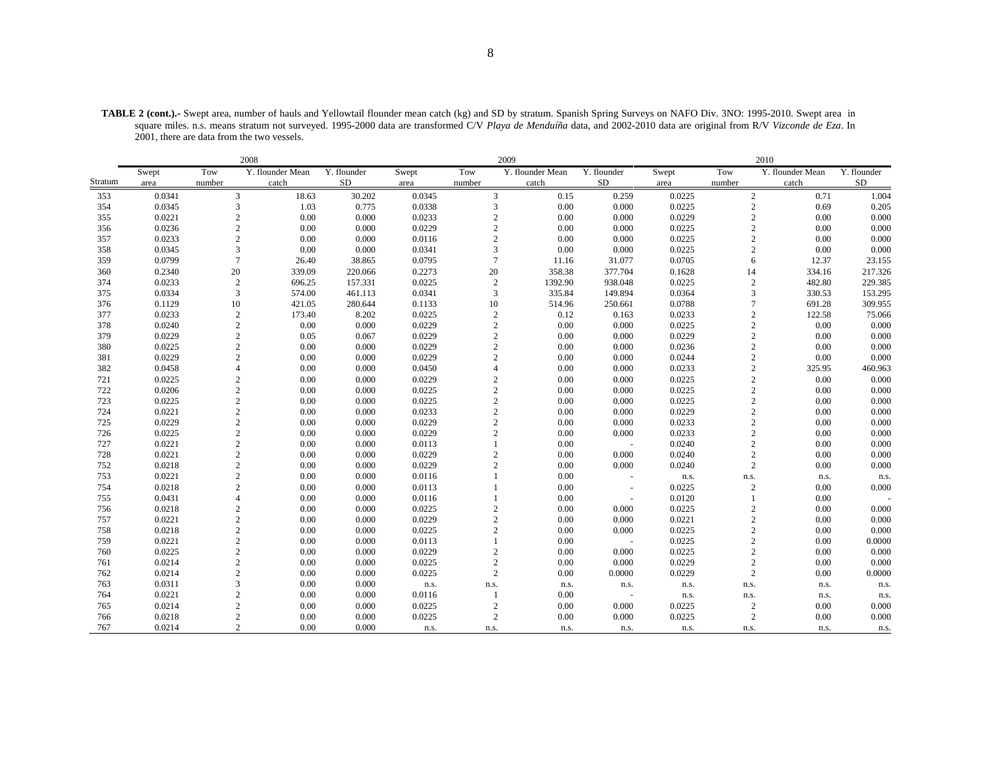**TABLE 2 (cont.).-** Swept area, number of hauls and Yellowtail flounder mean catch (kg) and SD by stratum. Spanish Spring Surveys on NAFO Div. 3NO: 1995-2010. Swept area in square miles. n.s. means stratum not surveyed. 1995-2000 data are transformed C/V *Playa de Menduíña* data, and 2002-2010 data are original from R/V *Vizconde de Eza*. In 2001, there are data from the two vessels.

|         |        |                  | 2008             |             |        |                | 2009             |             |        |                | 2010             |             |
|---------|--------|------------------|------------------|-------------|--------|----------------|------------------|-------------|--------|----------------|------------------|-------------|
|         | Swept  | Tow              | Y. flounder Mean | Y. flounder | Swept  | Tow            | Y. flounder Mean | Y. flounder | Swept  | Tow            | Y. flounder Mean | Y. flounder |
| Stratum | area   | number           | catch            | <b>SD</b>   | area   | number         | catch            | <b>SD</b>   | area   | number         | catch            | <b>SD</b>   |
| 353     | 0.0341 | 3                | 18.63            | 30.202      | 0.0345 | 3              | 0.15             | 0.259       | 0.0225 | $\sqrt{2}$     | 0.71             | 1.004       |
| 354     | 0.0345 | 3                | 1.03             | 0.775       | 0.0338 | 3              | 0.00             | 0.000       | 0.0225 | $\sqrt{2}$     | 0.69             | 0.205       |
| 355     | 0.0221 | $\mathbf{2}$     | 0.00             | 0.000       | 0.0233 | $\sqrt{2}$     | 0.00             | 0.000       | 0.0229 | $\sqrt{2}$     | 0.00             | 0.000       |
| 356     | 0.0236 | $\sqrt{2}$       | 0.00             | 0.000       | 0.0229 | $\sqrt{2}$     | 0.00             | 0.000       | 0.0225 | $\overline{2}$ | 0.00             | 0.000       |
| 357     | 0.0233 | $\mathbf{2}$     | 0.00             | 0.000       | 0.0116 | $\overline{c}$ | 0.00             | 0.000       | 0.0225 | $\overline{2}$ | 0.00             | 0.000       |
| 358     | 0.0345 | 3                | 0.00             | 0.000       | 0.0341 | 3              | 0.00             | 0.000       | 0.0225 | $\sqrt{2}$     | 0.00             | 0.000       |
| 359     | 0.0799 | $\tau$           | 26.40            | 38.865      | 0.0795 | $\overline{7}$ | 11.16            | 31.077      | 0.0705 | 6              | 12.37            | 23.155      |
| 360     | 0.2340 | $20\,$           | 339.09           | 220.066     | 0.2273 | 20             | 358.38           | 377.704     | 0.1628 | 14             | 334.16           | 217.326     |
| 374     | 0.0233 | $\sqrt{2}$       | 696.25           | 157.331     | 0.0225 | $\overline{2}$ | 1392.90          | 938.048     | 0.0225 | $\sqrt{2}$     | 482.80           | 229.385     |
| 375     | 0.0334 | 3                | 574.00           | 461.113     | 0.0341 | $\overline{3}$ | 335.84           | 149.894     | 0.0364 | 3              | 330.53           | 153.295     |
| 376     | 0.1129 | 10               | 421.05           | 280.644     | 0.1133 | 10             | 514.96           | 250.661     | 0.0788 | $\overline{7}$ | 691.28           | 309.955     |
| 377     | 0.0233 | $\overline{c}$   | 173.40           | 8.202       | 0.0225 | $\overline{c}$ | 0.12             | 0.163       | 0.0233 | $\sqrt{2}$     | 122.58           | 75.066      |
| 378     | 0.0240 | $\sqrt{2}$       | 0.00             | 0.000       | 0.0229 | $\sqrt{2}$     | 0.00             | 0.000       | 0.0225 | $\overline{c}$ | 0.00             | 0.000       |
| 379     | 0.0229 | $\sqrt{2}$       | 0.05             | 0.067       | 0.0229 | $\sqrt{2}$     | 0.00             | 0.000       | 0.0229 | $\overline{c}$ | 0.00             | 0.000       |
| 380     | 0.0225 | $\sqrt{2}$       | 0.00             | 0.000       | 0.0229 | $\overline{2}$ | 0.00             | 0.000       | 0.0236 | $\overline{c}$ | 0.00             | 0.000       |
| 381     | 0.0229 | $\overline{c}$   | 0.00             | 0.000       | 0.0229 | $\overline{c}$ | 0.00             | 0.000       | 0.0244 | $\overline{c}$ | 0.00             | 0.000       |
| 382     | 0.0458 | $\overline{4}$   | 0.00             | 0.000       | 0.0450 | $\overline{4}$ | 0.00             | 0.000       | 0.0233 | $\sqrt{2}$     | 325.95           | 460.963     |
| 721     | 0.0225 | $\mathbf{2}$     | 0.00             | 0.000       | 0.0229 | $\overline{2}$ | 0.00             | 0.000       | 0.0225 | $\overline{c}$ | 0.00             | 0.000       |
| 722     | 0.0206 | $\mathbf{2}$     | 0.00             | 0.000       | 0.0225 | $\sqrt{2}$     | 0.00             | 0.000       | 0.0225 | $\overline{c}$ | 0.00             | 0.000       |
| 723     | 0.0225 | $\mathbf{2}$     | 0.00             | 0.000       | 0.0225 | $\overline{2}$ | 0.00             | 0.000       | 0.0225 | $\sqrt{2}$     | 0.00             | 0.000       |
| 724     | 0.0221 | $\sqrt{2}$       | 0.00             | 0.000       | 0.0233 | $\sqrt{2}$     | 0.00             | 0.000       | 0.0229 | $\overline{2}$ | 0.00             | 0.000       |
| 725     | 0.0229 | $\sqrt{2}$       | 0.00             | 0.000       | 0.0229 | $\sqrt{2}$     | 0.00             | 0.000       | 0.0233 | $\sqrt{2}$     | 0.00             | 0.000       |
| 726     | 0.0225 | $\sqrt{2}$       | 0.00             | 0.000       | 0.0229 | $\overline{2}$ | 0.00             | 0.000       | 0.0233 | $\overline{c}$ | 0.00             | 0.000       |
| 727     | 0.0221 | $\mathbf{2}$     | 0.00             | 0.000       | 0.0113 | $\overline{1}$ | 0.00             |             | 0.0240 | $\sqrt{2}$     | 0.00             | 0.000       |
| 728     | 0.0221 | $\sqrt{2}$       | 0.00             | 0.000       | 0.0229 | $\sqrt{2}$     | 0.00             | 0.000       | 0.0240 | $\overline{2}$ | 0.00             | 0.000       |
| 752     | 0.0218 | $\sqrt{2}$       | 0.00             | 0.000       | 0.0229 | $\overline{2}$ | 0.00             | 0.000       | 0.0240 | $\overline{c}$ | 0.00             | 0.000       |
| 753     | 0.0221 | $\mathbf{2}$     | 0.00             | 0.000       | 0.0116 | $\mathbf{1}$   | 0.00             | $\sim$      | n.s.   | n.s.           | n.s.             | n.s.        |
| 754     | 0.0218 | $\mathbf{2}$     | 0.00             | 0.000       | 0.0113 |                | 0.00             |             | 0.0225 | $\overline{c}$ | 0.00             | 0.000       |
| 755     | 0.0431 | $\overline{4}$   | 0.00             | 0.000       | 0.0116 | $\overline{1}$ | 0.00             |             | 0.0120 | $\mathbf{1}$   | 0.00             |             |
| 756     | 0.0218 | $\mathbf{2}$     | 0.00             | 0.000       | 0.0225 | $\overline{c}$ | 0.00             | 0.000       | 0.0225 | $\sqrt{2}$     | 0.00             | 0.000       |
| 757     | 0.0221 | $\overline{c}$   | 0.00             | 0.000       | 0.0229 | $\overline{2}$ | 0.00             | 0.000       | 0.0221 | $\sqrt{2}$     | 0.00             | 0.000       |
| 758     | 0.0218 | $\sqrt{2}$       | 0.00             | 0.000       | 0.0225 | $\sqrt{2}$     | 0.00             | 0.000       | 0.0225 | $\sqrt{2}$     | 0.00             | 0.000       |
| 759     | 0.0221 | $\sqrt{2}$       | 0.00             | 0.000       | 0.0113 | $\mathbf{1}$   | 0.00             |             | 0.0225 | $\overline{2}$ | 0.00             | 0.0000      |
| 760     | 0.0225 | $\sqrt{2}$       | 0.00             | 0.000       | 0.0229 | $\overline{2}$ | 0.00             | 0.000       | 0.0225 | $\sqrt{2}$     | 0.00             | 0.000       |
| 761     | 0.0214 | $\sqrt{2}$       | 0.00             | 0.000       | 0.0225 | $\sqrt{2}$     | 0.00             | 0.000       | 0.0229 | $\sqrt{2}$     | 0.00             | 0.000       |
| 762     | 0.0214 | $\sqrt{2}$       | 0.00             | 0.000       | 0.0225 | $\overline{c}$ | 0.00             | 0.0000      | 0.0229 | $\sqrt{2}$     | 0.00             | 0.0000      |
| 763     | 0.0311 | 3                | 0.00             | 0.000       | n.s.   | n.s.           | n.s.             | n.s.        | n.s.   | n.s.           | n.s.             | n.s.        |
| 764     | 0.0221 | $\mathbf{2}$     | 0.00             | 0.000       | 0.0116 | -1             | 0.00             |             | n.s.   | n.s.           | n.s.             | n.s.        |
| 765     | 0.0214 | $\mathbf{2}$     | 0.00             | 0.000       | 0.0225 | $\overline{2}$ | 0.00             | 0.000       | 0.0225 | $\sqrt{2}$     | 0.00             | 0.000       |
| 766     | 0.0218 | $\boldsymbol{2}$ | 0.00             | 0.000       | 0.0225 | 2              | 0.00             | 0.000       | 0.0225 | $\overline{2}$ | 0.00             | 0.000       |
| 767     | 0.0214 | $\overline{2}$   | 0.00             | 0.000       | n.s.   | n.s.           | n.s.             | n.s.        | n.s.   | n.s.           | n.s.             | n.s.        |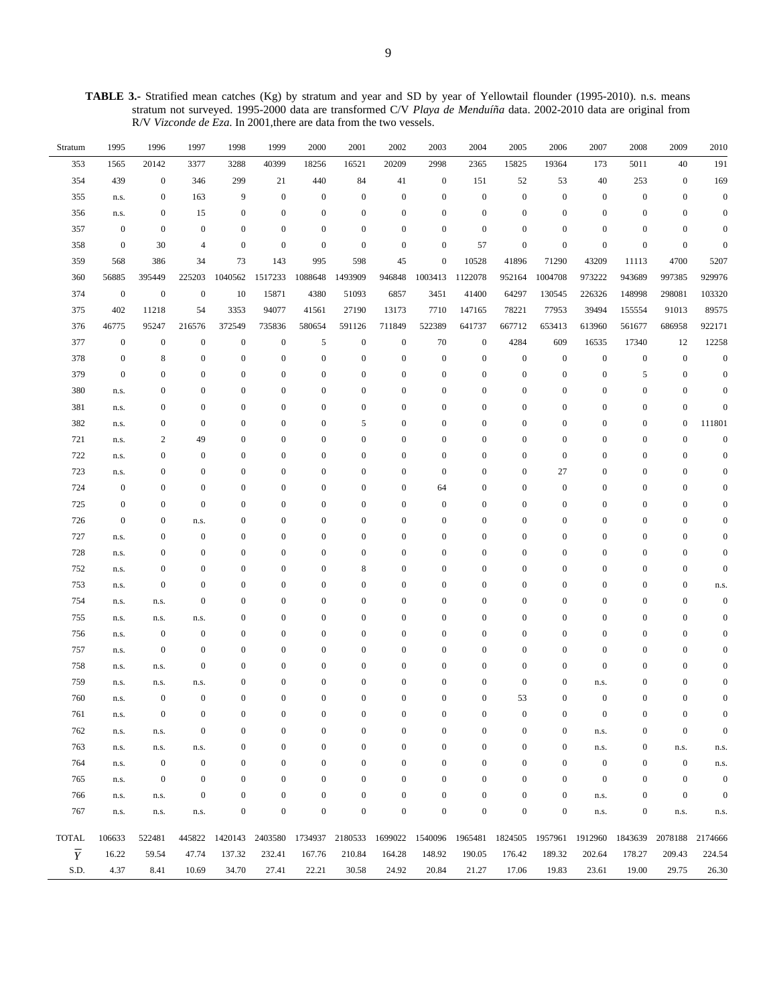**TABLE 3.-** Stratified mean catches (Kg) by stratum and year and SD by year of Yellowtail flounder (1995-2010). n.s. means stratum not surveyed. 1995-2000 data are transformed C/V *Playa de Menduíña* data. 2002-2010 data are original from R/V *Vizconde de Eza*. In 2001,there are data from the two vessels.

| Stratum                   | 1995             | 1996             | 1997             | 1998             | 1999             | 2000             | 2001             | 2002             | 2003             | 2004             | 2005             | 2006             | 2007             | 2008             | 2009             | 2010             |
|---------------------------|------------------|------------------|------------------|------------------|------------------|------------------|------------------|------------------|------------------|------------------|------------------|------------------|------------------|------------------|------------------|------------------|
| 353                       | 1565             | 20142            | 3377             | 3288             | 40399            | 18256            | 16521            | 20209            | 2998             | 2365             | 15825            | 19364            | 173              | 5011             | 40               | 191              |
| 354                       | 439              | $\boldsymbol{0}$ | 346              | 299              | 21               | 440              | 84               | 41               | $\mathbf{0}$     | 151              | 52               | 53               | 40               | 253              | $\boldsymbol{0}$ | 169              |
| 355                       | n.s.             | $\boldsymbol{0}$ | 163              | 9                | $\boldsymbol{0}$ | $\boldsymbol{0}$ | $\mathbf{0}$     | $\boldsymbol{0}$ | $\mathbf{0}$     | $\mathbf{0}$     | $\boldsymbol{0}$ | $\boldsymbol{0}$ | $\mathbf{0}$     | $\boldsymbol{0}$ | $\bf{0}$         | $\boldsymbol{0}$ |
| 356                       | n.s.             | $\boldsymbol{0}$ | 15               | $\mathbf{0}$     | $\boldsymbol{0}$ | $\boldsymbol{0}$ | $\boldsymbol{0}$ | $\boldsymbol{0}$ | $\mathbf{0}$     | $\mathbf{0}$     | $\mathbf{0}$     | $\boldsymbol{0}$ | $\boldsymbol{0}$ | $\mathbf{0}$     | $\boldsymbol{0}$ | $\boldsymbol{0}$ |
| 357                       | $\boldsymbol{0}$ | $\boldsymbol{0}$ | $\boldsymbol{0}$ | $\mathbf{0}$     | $\boldsymbol{0}$ | $\boldsymbol{0}$ | $\boldsymbol{0}$ | $\bf{0}$         | $\boldsymbol{0}$ | $\boldsymbol{0}$ | $\mathbf{0}$     | $\mathbf{0}$     | $\boldsymbol{0}$ | $\boldsymbol{0}$ | $\bf{0}$         | $\boldsymbol{0}$ |
| 358                       | $\boldsymbol{0}$ | 30               | $\overline{4}$   | $\mathbf{0}$     | $\boldsymbol{0}$ | $\boldsymbol{0}$ | $\boldsymbol{0}$ | $\boldsymbol{0}$ | $\mathbf{0}$     | 57               | $\boldsymbol{0}$ | $\boldsymbol{0}$ | $\mathbf{0}$     | $\mathbf{0}$     | $\boldsymbol{0}$ | $\overline{0}$   |
| 359                       | 568              | 386              | 34               | 73               | 143              | 995              | 598              | 45               | $\mathbf{0}$     | 10528            | 41896            | 71290            | 43209            | 11113            | 4700             | 5207             |
| 360                       | 56885            | 395449           | 225203           | 1040562          | 1517233          | 1088648          | 1493909          | 946848           | 1003413          | 1122078          | 952164           | 1004708          | 973222           | 943689           | 997385           | 929976           |
| 374                       | $\boldsymbol{0}$ | $\boldsymbol{0}$ | $\boldsymbol{0}$ | 10               | 15871            | 4380             | 51093            | 6857             | 3451             | 41400            | 64297            | 130545           | 226326           | 148998           | 298081           | 103320           |
| 375                       | 402              | 11218            | 54               | 3353             | 94077            | 41561            | 27190            | 13173            | 7710             | 147165           | 78221            | 77953            | 39494            | 155554           | 91013            | 89575            |
| 376                       | 46775            | 95247            | 216576           | 372549           | 735836           | 580654           | 591126           | 711849           | 522389           | 641737           | 667712           | 653413           | 613960           | 561677           | 686958           | 922171           |
| 377                       | $\boldsymbol{0}$ | $\boldsymbol{0}$ | $\boldsymbol{0}$ | $\boldsymbol{0}$ | $\boldsymbol{0}$ | 5                | $\boldsymbol{0}$ | $\boldsymbol{0}$ | 70               | $\boldsymbol{0}$ | 4284             | 609              | 16535            | 17340            | 12               | 12258            |
| 378                       | $\boldsymbol{0}$ | 8                | $\boldsymbol{0}$ | $\mathbf{0}$     | $\boldsymbol{0}$ | $\boldsymbol{0}$ | $\boldsymbol{0}$ | $\boldsymbol{0}$ | $\mathbf{0}$     | $\boldsymbol{0}$ | $\boldsymbol{0}$ | $\boldsymbol{0}$ | $\boldsymbol{0}$ | $\boldsymbol{0}$ | $\boldsymbol{0}$ | $\boldsymbol{0}$ |
| 379                       | $\boldsymbol{0}$ | $\boldsymbol{0}$ | $\boldsymbol{0}$ | $\mathbf{0}$     | $\mathbf{0}$     | $\boldsymbol{0}$ | $\boldsymbol{0}$ | $\boldsymbol{0}$ | $\boldsymbol{0}$ | $\boldsymbol{0}$ | $\mathbf{0}$     | $\boldsymbol{0}$ | $\boldsymbol{0}$ | 5                | $\boldsymbol{0}$ | $\boldsymbol{0}$ |
| 380                       | n.s.             | 0                | $\boldsymbol{0}$ | $\mathbf{0}$     | $\boldsymbol{0}$ | $\boldsymbol{0}$ | $\mathbf{0}$     | $\boldsymbol{0}$ | $\mathbf{0}$     | 0                | $\mathbf{0}$     | $\mathbf{0}$     | $\boldsymbol{0}$ | $\boldsymbol{0}$ | $\boldsymbol{0}$ | $\mathbf{0}$     |
| 381                       | n.s.             | 0                | $\bf{0}$         | $\mathbf{0}$     | $\boldsymbol{0}$ | $\boldsymbol{0}$ | $\mathbf{0}$     | $\boldsymbol{0}$ | $\boldsymbol{0}$ | $\boldsymbol{0}$ | $\boldsymbol{0}$ | $\boldsymbol{0}$ | $\boldsymbol{0}$ | $\boldsymbol{0}$ | $\boldsymbol{0}$ | $\mathbf{0}$     |
| 382                       | n.s.             | $\boldsymbol{0}$ | $\bf{0}$         | $\mathbf{0}$     | $\boldsymbol{0}$ | $\boldsymbol{0}$ | 5                | $\boldsymbol{0}$ | $\boldsymbol{0}$ | $\boldsymbol{0}$ | $\bf{0}$         | $\mathbf{0}$     | $\boldsymbol{0}$ | $\boldsymbol{0}$ | $\bf{0}$         | 111801           |
| 721                       | n.s.             | 2                | 49               | $\mathbf{0}$     | $\mathbf{0}$     | $\boldsymbol{0}$ | $\boldsymbol{0}$ | $\boldsymbol{0}$ | $\boldsymbol{0}$ | $\mathbf{0}$     | $\bf{0}$         | $\mathbf{0}$     | $\boldsymbol{0}$ | $\boldsymbol{0}$ | $\boldsymbol{0}$ | $\mathbf{0}$     |
| 722                       | n.s.             | $\mathbf{0}$     | $\boldsymbol{0}$ | $\mathbf{0}$     | $\boldsymbol{0}$ | $\boldsymbol{0}$ | $\mathbf{0}$     | $\boldsymbol{0}$ | $\mathbf{0}$     | $\boldsymbol{0}$ | $\bf{0}$         | $\boldsymbol{0}$ | $\boldsymbol{0}$ | $\boldsymbol{0}$ | $\bf{0}$         | $\mathbf{0}$     |
| 723                       | n.s.             | 0                | $\boldsymbol{0}$ | $\mathbf{0}$     | $\boldsymbol{0}$ | $\boldsymbol{0}$ | $\boldsymbol{0}$ | $\boldsymbol{0}$ | $\mathbf{0}$     | $\boldsymbol{0}$ | $\mathbf{0}$     | 27               | $\boldsymbol{0}$ | $\boldsymbol{0}$ | $\boldsymbol{0}$ | $\boldsymbol{0}$ |
| 724                       | $\boldsymbol{0}$ | 0                | $\boldsymbol{0}$ | $\mathbf{0}$     | $\boldsymbol{0}$ | $\boldsymbol{0}$ | $\boldsymbol{0}$ | $\boldsymbol{0}$ | 64               | $\boldsymbol{0}$ | $\mathbf{0}$     | $\boldsymbol{0}$ | $\boldsymbol{0}$ | $\boldsymbol{0}$ | $\bf{0}$         | $\boldsymbol{0}$ |
| 725                       | $\boldsymbol{0}$ | $\boldsymbol{0}$ | $\boldsymbol{0}$ | $\mathbf{0}$     | $\boldsymbol{0}$ | $\boldsymbol{0}$ | $\boldsymbol{0}$ | $\boldsymbol{0}$ | $\mathbf{0}$     | $\boldsymbol{0}$ | $\mathbf{0}$     | $\boldsymbol{0}$ | $\boldsymbol{0}$ | $\mathbf{0}$     | $\boldsymbol{0}$ | $\boldsymbol{0}$ |
| 726                       | $\boldsymbol{0}$ | 0                | n.s.             | $\mathbf{0}$     | $\mathbf{0}$     | $\boldsymbol{0}$ | $\mathbf{0}$     | $\boldsymbol{0}$ | $\boldsymbol{0}$ | $\boldsymbol{0}$ | $\bf{0}$         | $\boldsymbol{0}$ | $\boldsymbol{0}$ | $\boldsymbol{0}$ | $\boldsymbol{0}$ | $\mathbf{0}$     |
| 727                       | n.s.             | $\boldsymbol{0}$ | $\mathbf{0}$     | $\mathbf{0}$     | $\boldsymbol{0}$ | $\boldsymbol{0}$ | $\boldsymbol{0}$ | $\boldsymbol{0}$ | $\boldsymbol{0}$ | $\boldsymbol{0}$ | $\boldsymbol{0}$ | $\mathbf{0}$     | $\boldsymbol{0}$ | $\boldsymbol{0}$ | $\boldsymbol{0}$ | $\mathbf{0}$     |
| 728                       | n.s.             | $\boldsymbol{0}$ | $\bf{0}$         | $\mathbf{0}$     | $\boldsymbol{0}$ | $\boldsymbol{0}$ | $\boldsymbol{0}$ | $\bf{0}$         | $\boldsymbol{0}$ | $\boldsymbol{0}$ | $\bf{0}$         | $\mathbf{0}$     | $\boldsymbol{0}$ | $\boldsymbol{0}$ | $\boldsymbol{0}$ | $\boldsymbol{0}$ |
| 752                       | n.s.             | $\boldsymbol{0}$ | $\boldsymbol{0}$ | $\mathbf{0}$     | $\mathbf{0}$     | $\boldsymbol{0}$ | 8                | $\boldsymbol{0}$ | $\boldsymbol{0}$ | $\boldsymbol{0}$ | $\bf{0}$         | $\mathbf{0}$     | $\boldsymbol{0}$ | $\boldsymbol{0}$ | $\boldsymbol{0}$ | $\boldsymbol{0}$ |
| 753                       | n.s.             | $\mathbf{0}$     | $\boldsymbol{0}$ | $\mathbf{0}$     | $\boldsymbol{0}$ | $\boldsymbol{0}$ | $\mathbf{0}$     | $\boldsymbol{0}$ | $\mathbf{0}$     | 0                | $\bf{0}$         | $\mathbf{0}$     | $\boldsymbol{0}$ | $\boldsymbol{0}$ | $\bf{0}$         | n.s.             |
| 754                       | n.s.             | n.s.             | $\boldsymbol{0}$ | $\mathbf{0}$     | $\boldsymbol{0}$ | $\boldsymbol{0}$ | $\boldsymbol{0}$ | $\boldsymbol{0}$ | $\boldsymbol{0}$ | $\boldsymbol{0}$ | $\mathbf{0}$     | $\boldsymbol{0}$ | $\boldsymbol{0}$ | $\boldsymbol{0}$ | $\boldsymbol{0}$ | $\mathbf{0}$     |
| 755                       | n.s.             | n.s.             | n.s.             | $\mathbf{0}$     | $\boldsymbol{0}$ | $\boldsymbol{0}$ | $\boldsymbol{0}$ | $\boldsymbol{0}$ | $\boldsymbol{0}$ | 0                | $\mathbf{0}$     | $\mathbf{0}$     | $\boldsymbol{0}$ | $\boldsymbol{0}$ | $\bf{0}$         | $\boldsymbol{0}$ |
| 756                       | n.s.             | $\boldsymbol{0}$ | $\boldsymbol{0}$ | $\mathbf{0}$     | $\mathbf{0}$     | $\boldsymbol{0}$ | $\boldsymbol{0}$ | $\boldsymbol{0}$ | $\boldsymbol{0}$ | $\boldsymbol{0}$ | $\mathbf{0}$     | $\boldsymbol{0}$ | $\boldsymbol{0}$ | $\mathbf{0}$     | $\boldsymbol{0}$ | $\mathbf{0}$     |
| 757                       | n.s.             | $\boldsymbol{0}$ | $\boldsymbol{0}$ | $\mathbf{0}$     | $\mathbf{0}$     | $\boldsymbol{0}$ | $\mathbf{0}$     | $\boldsymbol{0}$ | $\boldsymbol{0}$ | 0                | $\boldsymbol{0}$ | $\mathbf{0}$     | $\boldsymbol{0}$ | $\boldsymbol{0}$ | $\boldsymbol{0}$ | $\Omega$         |
| 758                       | n.s.             | n.s.             | $\boldsymbol{0}$ | $\mathbf{0}$     | $\boldsymbol{0}$ | $\boldsymbol{0}$ | $\boldsymbol{0}$ | $\boldsymbol{0}$ | $\boldsymbol{0}$ | 0                | $\boldsymbol{0}$ | $\boldsymbol{0}$ | $\boldsymbol{0}$ | $\boldsymbol{0}$ | $\boldsymbol{0}$ | $\mathbf{0}$     |
| 759                       | n.s.             | n.s.             | n.s.             | $\boldsymbol{0}$ | $\boldsymbol{0}$ | $\boldsymbol{0}$ | $\boldsymbol{0}$ | $\boldsymbol{0}$ | $\boldsymbol{0}$ | 0                | $\boldsymbol{0}$ | $\boldsymbol{0}$ | n.s.             | $\boldsymbol{0}$ | $\boldsymbol{0}$ | $\mathbf{0}$     |
| 760                       | n.s.             | $\boldsymbol{0}$ | $\mathbf{0}$     | $\mathbf{0}$     | $\boldsymbol{0}$ | $\boldsymbol{0}$ | $\boldsymbol{0}$ | $\boldsymbol{0}$ | $\boldsymbol{0}$ | $\boldsymbol{0}$ | 53               | $\boldsymbol{0}$ | $\boldsymbol{0}$ | $\boldsymbol{0}$ | $\boldsymbol{0}$ | $\boldsymbol{0}$ |
| 761                       | n.s.             | 0                | $\boldsymbol{0}$ | $\boldsymbol{0}$ | $\boldsymbol{0}$ | $\boldsymbol{0}$ | $\mathbf{0}$     | $\boldsymbol{0}$ | 0                | 0                | $\bf{0}$         | $\mathbf{0}$     | $\boldsymbol{0}$ | $\boldsymbol{0}$ | $\boldsymbol{0}$ | $\Omega$         |
| 762                       | n.s.             | n.s.             | $\mathbf{0}$     | $\mathbf{0}$     | $\boldsymbol{0}$ | $\boldsymbol{0}$ | $\mathbf{0}$     | $\mathbf{0}$     | $\boldsymbol{0}$ | $\boldsymbol{0}$ | $\mathbf{0}$     | $\boldsymbol{0}$ | n.s.             | $\boldsymbol{0}$ | $\bf{0}$         | $\mathbf{0}$     |
| 763                       | n.s.             | n.s.             | n.s.             | $\mathbf{0}$     | $\boldsymbol{0}$ | $\boldsymbol{0}$ | $\mathbf{0}$     | $\boldsymbol{0}$ | $\mathbf{0}$     | $\boldsymbol{0}$ | $\mathbf{0}$     | $\boldsymbol{0}$ | n.s.             | $\boldsymbol{0}$ | n.s.             | n.s.             |
| 764                       | n.s.             | $\boldsymbol{0}$ | $\boldsymbol{0}$ | $\mathbf{0}$     | $\boldsymbol{0}$ | $\boldsymbol{0}$ | $\boldsymbol{0}$ | $\boldsymbol{0}$ | $\boldsymbol{0}$ | $\boldsymbol{0}$ | $\mathbf{0}$     | $\boldsymbol{0}$ | $\mathbf{0}$     | $\boldsymbol{0}$ | $\boldsymbol{0}$ | n.s.             |
| 765                       | n.s.             | $\boldsymbol{0}$ | $\mathbf{0}$     | $\mathbf{0}$     | $\bf{0}$         | $\boldsymbol{0}$ | 0                | $\boldsymbol{0}$ | $\boldsymbol{0}$ | 0                | $\bf{0}$         | $\boldsymbol{0}$ | $\mathbf{0}$     | $\boldsymbol{0}$ | $\boldsymbol{0}$ | $\mathbf{0}$     |
| 766                       | n.s.             | n.s.             | $\boldsymbol{0}$ | $\mathbf{0}$     | $\boldsymbol{0}$ | $\boldsymbol{0}$ | $\mathbf{0}$     | $\boldsymbol{0}$ | $\mathbf{0}$     | $\boldsymbol{0}$ | $\bf{0}$         | $\boldsymbol{0}$ | n.s.             | $\boldsymbol{0}$ | $\boldsymbol{0}$ | $\Omega$         |
| 767                       | n.s.             | n.s.             | n.s.             | $\mathbf{0}$     | $\boldsymbol{0}$ | $\boldsymbol{0}$ | $\mathbf{0}$     | $\boldsymbol{0}$ | $\mathbf{0}$     | $\boldsymbol{0}$ | $\mathbf{0}$     | $\mathbf{0}$     | n.s.             | $\boldsymbol{0}$ | n.s.             | n.s.             |
| <b>TOTAL</b>              | 106633           | 522481           | 445822           | 1420143          | 2403580          | 1734937          | 2180533          | 1699022          | 1540096          |                  | 1965481 1824505  | 1957961          | 1912960          | 1843639          | 2078188          | 2174666          |
| $\overline{\overline{Y}}$ | 16.22            | 59.54            | 47.74            | 137.32           | 232.41           | 167.76           | 210.84           | 164.28           | 148.92           | 190.05           | 176.42           | 189.32           | 202.64           | 178.27           | 209.43           | 224.54           |
| S.D.                      | 4.37             | 8.41             | 10.69            | 34.70            | 27.41            | 22.21            | 30.58            | 24.92            | 20.84            | 21.27            | 17.06            | 19.83            | 23.61            | 19.00            | 29.75            | 26.30            |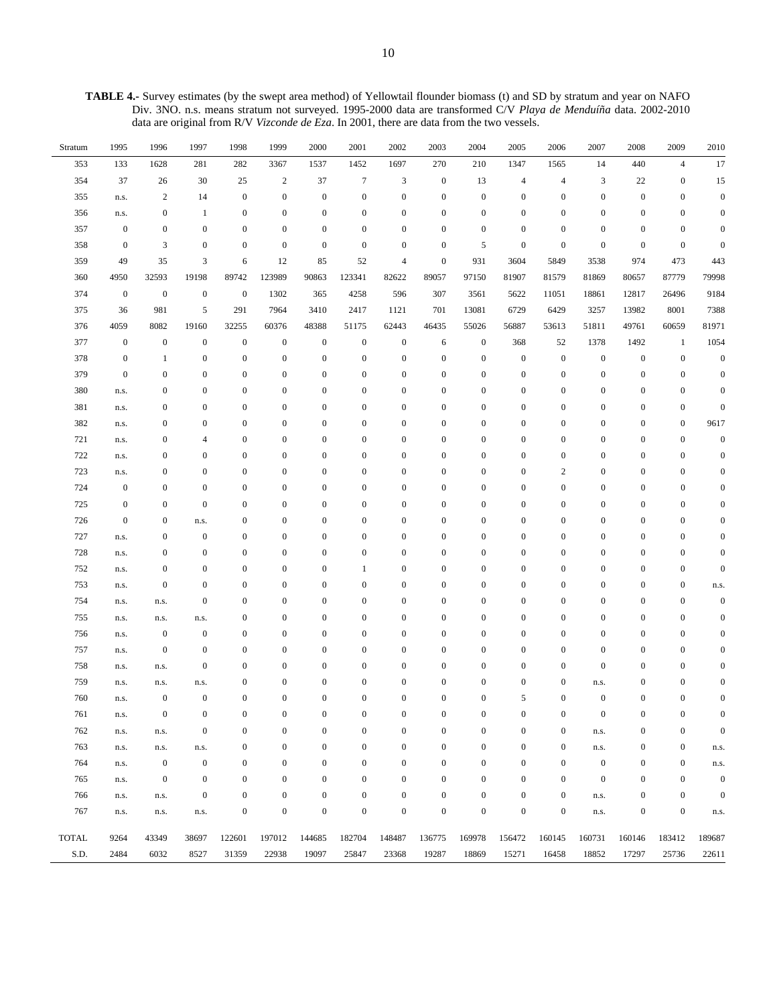**TABLE 4.-** Survey estimates (by the swept area method) of Yellowtail flounder biomass (t) and SD by stratum and year on NAFO Div. 3NO. n.s. means stratum not surveyed. 1995-2000 data are transformed C/V *Playa de Menduíña* data. 2002-2010 data are original from R/V *Vizconde de Eza*. In 2001, there are data from the two vessels.

| Stratum      | 1995             | 1996             | 1997             | 1998             | 1999             | 2000             | 2001             | 2002             | 2003             | 2004             | 2005             | 2006                    | 2007             | 2008             | 2009             | 2010             |
|--------------|------------------|------------------|------------------|------------------|------------------|------------------|------------------|------------------|------------------|------------------|------------------|-------------------------|------------------|------------------|------------------|------------------|
| 353          | 133              | 1628             | 281              | 282              | 3367             | 1537             | 1452             | 1697             | 270              | 210              | 1347             | 1565                    | 14               | 440              | $\overline{4}$   | 17               |
| 354          | 37               | 26               | 30               | 25               | $\overline{c}$   | 37               | $\boldsymbol{7}$ | 3                | $\boldsymbol{0}$ | 13               | $\overline{4}$   | 4                       | 3                | 22               | $\boldsymbol{0}$ | 15               |
| 355          | n.s.             | $\boldsymbol{2}$ | 14               | $\mathbf{0}$     | $\boldsymbol{0}$ | $\boldsymbol{0}$ | $\boldsymbol{0}$ | $\boldsymbol{0}$ | $\boldsymbol{0}$ | $\boldsymbol{0}$ | $\boldsymbol{0}$ | $\boldsymbol{0}$        | $\boldsymbol{0}$ | $\mathbf{0}$     | $\boldsymbol{0}$ | $\boldsymbol{0}$ |
| 356          | n.s.             | $\boldsymbol{0}$ | -1               | $\mathbf{0}$     | $\mathbf{0}$     | $\boldsymbol{0}$ | $\boldsymbol{0}$ | $\boldsymbol{0}$ | $\mathbf{0}$     | $\boldsymbol{0}$ | $\boldsymbol{0}$ | $\mathbf{0}$            | $\boldsymbol{0}$ | $\boldsymbol{0}$ | $\boldsymbol{0}$ | $\boldsymbol{0}$ |
| 357          | $\boldsymbol{0}$ | $\boldsymbol{0}$ | $\mathbf{0}$     | $\mathbf{0}$     | $\mathbf{0}$     | $\boldsymbol{0}$ | $\mathbf{0}$     | $\boldsymbol{0}$ | $\boldsymbol{0}$ | $\boldsymbol{0}$ | $\mathbf{0}$     | $\mathbf{0}$            | $\boldsymbol{0}$ | $\boldsymbol{0}$ | $\boldsymbol{0}$ | $\boldsymbol{0}$ |
| 358          | $\boldsymbol{0}$ | 3                | $\mathbf{0}$     | $\mathbf{0}$     | $\boldsymbol{0}$ | $\boldsymbol{0}$ | $\boldsymbol{0}$ | $\boldsymbol{0}$ | $\boldsymbol{0}$ | $\sqrt{5}$       | $\boldsymbol{0}$ | $\boldsymbol{0}$        | $\boldsymbol{0}$ | $\boldsymbol{0}$ | $\boldsymbol{0}$ | $\mathbf{0}$     |
| 359          | 49               | 35               | 3                | 6                | 12               | 85               | 52               | $\overline{4}$   | $\boldsymbol{0}$ | 931              | 3604             | 5849                    | 3538             | 974              | 473              | 443              |
| 360          | 4950             | 32593            | 19198            | 89742            | 123989           | 90863            | 123341           | 82622            | 89057            | 97150            | 81907            | 81579                   | 81869            | 80657            | 87779            | 79998            |
| 374          | $\boldsymbol{0}$ | $\boldsymbol{0}$ | $\boldsymbol{0}$ | $\boldsymbol{0}$ | 1302             | 365              | 4258             | 596              | 307              | 3561             | 5622             | 11051                   | 18861            | 12817            | 26496            | 9184             |
| 375          | 36               | 981              | $\sqrt{5}$       | 291              | 7964             | 3410             | 2417             | 1121             | 701              | 13081            | 6729             | 6429                    | 3257             | 13982            | 8001             | 7388             |
| 376          | 4059             | 8082             | 19160            | 32255            | 60376            | 48388            | 51175            | 62443            | 46435            | 55026            | 56887            | 53613                   | 51811            | 49761            | 60659            | 81971            |
| 377          | $\boldsymbol{0}$ | $\boldsymbol{0}$ | $\mathbf{0}$     | $\boldsymbol{0}$ | $\boldsymbol{0}$ | $\boldsymbol{0}$ | $\boldsymbol{0}$ | $\boldsymbol{0}$ | 6                | $\mathbf{0}$     | 368              | 52                      | 1378             | 1492             | 1                | 1054             |
| 378          | $\boldsymbol{0}$ | 1                | $\boldsymbol{0}$ | $\boldsymbol{0}$ | $\boldsymbol{0}$ | $\boldsymbol{0}$ | $\boldsymbol{0}$ | $\boldsymbol{0}$ | $\boldsymbol{0}$ | $\boldsymbol{0}$ | $\boldsymbol{0}$ | $\boldsymbol{0}$        | $\boldsymbol{0}$ | $\boldsymbol{0}$ | $\boldsymbol{0}$ | $\boldsymbol{0}$ |
| 379          | $\boldsymbol{0}$ | $\boldsymbol{0}$ | $\mathbf{0}$     | $\boldsymbol{0}$ | $\boldsymbol{0}$ | $\boldsymbol{0}$ | $\boldsymbol{0}$ | $\boldsymbol{0}$ | $\boldsymbol{0}$ | $\boldsymbol{0}$ | $\mathbf{0}$     | $\boldsymbol{0}$        | $\boldsymbol{0}$ | $\boldsymbol{0}$ | $\boldsymbol{0}$ | $\boldsymbol{0}$ |
| 380          | n.s.             | $\boldsymbol{0}$ | $\boldsymbol{0}$ | $\mathbf{0}$     | $\boldsymbol{0}$ | $\boldsymbol{0}$ | $\mathbf{0}$     | $\boldsymbol{0}$ | $\boldsymbol{0}$ | $\boldsymbol{0}$ | $\boldsymbol{0}$ | $\boldsymbol{0}$        | $\boldsymbol{0}$ | $\boldsymbol{0}$ | $\boldsymbol{0}$ | $\boldsymbol{0}$ |
| 381          | n.s.             | $\boldsymbol{0}$ | $\mathbf{0}$     | $\mathbf{0}$     | $\boldsymbol{0}$ | $\boldsymbol{0}$ | $\boldsymbol{0}$ | $\boldsymbol{0}$ | $\boldsymbol{0}$ | $\boldsymbol{0}$ | $\boldsymbol{0}$ | $\boldsymbol{0}$        | $\boldsymbol{0}$ | $\boldsymbol{0}$ | $\boldsymbol{0}$ | $\overline{0}$   |
| 382          | n.s.             | $\boldsymbol{0}$ | $\boldsymbol{0}$ | $\mathbf{0}$     | $\mathbf{0}$     | $\boldsymbol{0}$ | $\mathbf{0}$     | $\boldsymbol{0}$ | $\boldsymbol{0}$ | $\boldsymbol{0}$ | $\boldsymbol{0}$ | $\boldsymbol{0}$        | $\boldsymbol{0}$ | $\mathbf{0}$     | $\boldsymbol{0}$ | 9617             |
| 721          | n.s.             | 0                | 4                | $\mathbf{0}$     | $\mathbf{0}$     | $\boldsymbol{0}$ | $\boldsymbol{0}$ | $\boldsymbol{0}$ | $\boldsymbol{0}$ | $\boldsymbol{0}$ | $\boldsymbol{0}$ | $\boldsymbol{0}$        | $\boldsymbol{0}$ | $\boldsymbol{0}$ | $\boldsymbol{0}$ | $\mathbf{0}$     |
| 722          | n.s.             | 0                | $\boldsymbol{0}$ | $\mathbf{0}$     | $\mathbf{0}$     | $\boldsymbol{0}$ | $\mathbf{0}$     | $\boldsymbol{0}$ | $\boldsymbol{0}$ | $\boldsymbol{0}$ | $\boldsymbol{0}$ | $\mathbf{0}$            | $\boldsymbol{0}$ | $\boldsymbol{0}$ | $\boldsymbol{0}$ | $\boldsymbol{0}$ |
| 723          | n.s.             | 0                | $\mathbf{0}$     | $\mathbf{0}$     | $\mathbf{0}$     | $\boldsymbol{0}$ | $\boldsymbol{0}$ | $\boldsymbol{0}$ | $\boldsymbol{0}$ | $\boldsymbol{0}$ | $\boldsymbol{0}$ | $\overline{\mathbf{c}}$ | $\boldsymbol{0}$ | $\boldsymbol{0}$ | $\boldsymbol{0}$ | $\mathbf{0}$     |
| 724          | $\boldsymbol{0}$ | $\boldsymbol{0}$ | $\mathbf{0}$     | $\mathbf{0}$     | $\mathbf{0}$     | $\boldsymbol{0}$ | $\mathbf{0}$     | $\boldsymbol{0}$ | $\boldsymbol{0}$ | $\boldsymbol{0}$ | $\boldsymbol{0}$ | $\boldsymbol{0}$        | $\boldsymbol{0}$ | $\boldsymbol{0}$ | $\boldsymbol{0}$ | $\boldsymbol{0}$ |
| 725          | $\boldsymbol{0}$ | $\boldsymbol{0}$ | $\mathbf{0}$     | $\mathbf{0}$     | $\boldsymbol{0}$ | $\boldsymbol{0}$ | $\boldsymbol{0}$ | $\boldsymbol{0}$ | $\boldsymbol{0}$ | $\boldsymbol{0}$ | $\mathbf{0}$     | $\boldsymbol{0}$        | $\boldsymbol{0}$ | $\boldsymbol{0}$ | $\boldsymbol{0}$ | $\boldsymbol{0}$ |
| 726          | $\boldsymbol{0}$ | $\boldsymbol{0}$ | n.s.             | $\mathbf{0}$     | $\boldsymbol{0}$ | $\boldsymbol{0}$ | $\mathbf{0}$     | $\boldsymbol{0}$ | $\boldsymbol{0}$ | $\boldsymbol{0}$ | $\mathbf{0}$     | $\boldsymbol{0}$        | $\boldsymbol{0}$ | $\boldsymbol{0}$ | $\boldsymbol{0}$ | $\boldsymbol{0}$ |
| 727          | n.s.             | $\boldsymbol{0}$ | $\mathbf{0}$     | $\mathbf{0}$     | $\boldsymbol{0}$ | $\boldsymbol{0}$ | $\boldsymbol{0}$ | $\boldsymbol{0}$ | $\boldsymbol{0}$ | $\boldsymbol{0}$ | $\boldsymbol{0}$ | $\boldsymbol{0}$        | $\boldsymbol{0}$ | $\boldsymbol{0}$ | $\boldsymbol{0}$ | $\mathbf{0}$     |
| 728          | n.s.             | $\boldsymbol{0}$ | $\mathbf{0}$     | $\mathbf{0}$     | $\boldsymbol{0}$ | $\boldsymbol{0}$ | $\mathbf{0}$     | $\boldsymbol{0}$ | $\boldsymbol{0}$ | $\boldsymbol{0}$ | $\boldsymbol{0}$ | $\boldsymbol{0}$        | $\boldsymbol{0}$ | $\boldsymbol{0}$ | $\boldsymbol{0}$ | $\boldsymbol{0}$ |
| 752          | n.s.             | $\boldsymbol{0}$ | $\mathbf{0}$     | $\mathbf{0}$     | $\boldsymbol{0}$ | $\boldsymbol{0}$ | $\mathbf{1}$     | $\boldsymbol{0}$ | $\boldsymbol{0}$ | $\boldsymbol{0}$ | $\boldsymbol{0}$ | $\boldsymbol{0}$        | $\boldsymbol{0}$ | $\boldsymbol{0}$ | $\boldsymbol{0}$ | $\boldsymbol{0}$ |
| 753          | n.s.             | $\boldsymbol{0}$ | $\mathbf{0}$     | $\mathbf{0}$     | $\mathbf{0}$     | $\boldsymbol{0}$ | $\mathbf{0}$     | $\boldsymbol{0}$ | $\boldsymbol{0}$ | $\boldsymbol{0}$ | $\boldsymbol{0}$ | $\boldsymbol{0}$        | $\boldsymbol{0}$ | $\boldsymbol{0}$ | $\boldsymbol{0}$ | n.s.             |
| 754          | n.s.             | n.s.             | $\mathbf{0}$     | $\mathbf{0}$     | $\mathbf{0}$     | $\boldsymbol{0}$ | $\boldsymbol{0}$ | $\boldsymbol{0}$ | $\boldsymbol{0}$ | $\boldsymbol{0}$ | $\boldsymbol{0}$ | $\boldsymbol{0}$        | $\boldsymbol{0}$ | $\boldsymbol{0}$ | $\boldsymbol{0}$ | $\mathbf{0}$     |
| 755          | n.s.             | n.s.             | n.s.             | $\boldsymbol{0}$ | $\boldsymbol{0}$ | $\boldsymbol{0}$ | $\mathbf{0}$     | $\boldsymbol{0}$ | $\boldsymbol{0}$ | $\boldsymbol{0}$ | $\boldsymbol{0}$ | $\boldsymbol{0}$        | $\boldsymbol{0}$ | $\boldsymbol{0}$ | $\boldsymbol{0}$ | $\boldsymbol{0}$ |
| 756          | n.s.             | $\boldsymbol{0}$ | $\mathbf{0}$     | $\mathbf{0}$     | $\boldsymbol{0}$ | $\boldsymbol{0}$ | $\boldsymbol{0}$ | $\boldsymbol{0}$ | $\boldsymbol{0}$ | $\boldsymbol{0}$ | $\boldsymbol{0}$ | $\boldsymbol{0}$        | $\boldsymbol{0}$ | $\boldsymbol{0}$ | $\boldsymbol{0}$ | $\boldsymbol{0}$ |
| 757          | n.s.             | $\boldsymbol{0}$ | $\mathbf{0}$     | $\mathbf{0}$     | $\boldsymbol{0}$ | $\boldsymbol{0}$ | $\mathbf{0}$     | $\boldsymbol{0}$ | $\boldsymbol{0}$ | $\boldsymbol{0}$ | $\boldsymbol{0}$ | $\boldsymbol{0}$        | $\boldsymbol{0}$ | $\boldsymbol{0}$ | $\boldsymbol{0}$ | $\boldsymbol{0}$ |
| 758          | n.s.             | n.s.             | $\mathbf{0}$     | $\mathbf{0}$     | $\boldsymbol{0}$ | $\boldsymbol{0}$ | $\bf{0}$         | $\boldsymbol{0}$ | $\boldsymbol{0}$ | $\boldsymbol{0}$ | $\boldsymbol{0}$ | $\boldsymbol{0}$        | $\boldsymbol{0}$ | $\boldsymbol{0}$ | $\boldsymbol{0}$ | $\mathbf{0}$     |
| 759          | n.s.             | n.s.             | n.s.             | $\boldsymbol{0}$ | $\boldsymbol{0}$ | $\boldsymbol{0}$ | $\boldsymbol{0}$ | $\boldsymbol{0}$ | $\boldsymbol{0}$ | $\boldsymbol{0}$ | $\boldsymbol{0}$ | $\boldsymbol{0}$        | n.s.             | $\boldsymbol{0}$ | $\boldsymbol{0}$ | $\boldsymbol{0}$ |
| 760          | n.s.             | $\boldsymbol{0}$ | $\mathbf{0}$     | $\boldsymbol{0}$ | $\boldsymbol{0}$ | $\boldsymbol{0}$ | $\boldsymbol{0}$ | $\boldsymbol{0}$ | $\boldsymbol{0}$ | $\boldsymbol{0}$ | $\sqrt{5}$       | $\boldsymbol{0}$        | $\boldsymbol{0}$ | $\boldsymbol{0}$ | $\boldsymbol{0}$ | $\mathbf{0}$     |
| 761          | n.s.             | $\boldsymbol{0}$ | $\mathbf{0}$     | $\boldsymbol{0}$ | $\boldsymbol{0}$ | $\mathbf{0}$     | $\mathbf{0}$     | 0                | $\boldsymbol{0}$ | $\mathbf{0}$     | $\boldsymbol{0}$ | $\mathbf{0}$            | $\boldsymbol{0}$ | $\boldsymbol{0}$ | $\Omega$         |                  |
| 762          | n.s.             | n.s.             | $\mathbf{0}$     | $\mathbf{0}$     | $\boldsymbol{0}$ | $\boldsymbol{0}$ | $\mathbf{0}$     | $\mathbf{0}$     | $\boldsymbol{0}$ | $\mathbf{0}$     | $\overline{0}$   | $\mathbf{0}$            | n.s.             | $\boldsymbol{0}$ | $\mathbf{0}$     | $\Omega$         |
| 763          | n.s.             | n.s.             | n.s.             | $\mathbf{0}$     | $\mathbf{0}$     | $\boldsymbol{0}$ | $\mathbf{0}$     | $\boldsymbol{0}$ | $\boldsymbol{0}$ | $\boldsymbol{0}$ | $\mathbf{0}$     | $\mathbf{0}$            | n.s.             | $\boldsymbol{0}$ | $\boldsymbol{0}$ | n.s.             |
| 764          | n.s.             | $\boldsymbol{0}$ | $\mathbf{0}$     | $\mathbf{0}$     | $\mathbf{0}$     | $\boldsymbol{0}$ | $\mathbf{0}$     | $\boldsymbol{0}$ | $\boldsymbol{0}$ | $\boldsymbol{0}$ | $\mathbf{0}$     | $\mathbf{0}$            | $\mathbf{0}$     | $\mathbf{0}$     | $\boldsymbol{0}$ | n.s.             |
| 765          | n.s.             | $\boldsymbol{0}$ | $\mathbf{0}$     | $\mathbf{0}$     | $\mathbf{0}$     | $\boldsymbol{0}$ | $\mathbf{0}$     | $\boldsymbol{0}$ | $\boldsymbol{0}$ | $\boldsymbol{0}$ | $\mathbf{0}$     | $\mathbf{0}$            | $\mathbf{0}$     | $\boldsymbol{0}$ | $\boldsymbol{0}$ | $\mathbf{0}$     |
| 766          | n.s.             | n.s.             | $\mathbf{0}$     | $\mathbf{0}$     | $\mathbf{0}$     | $\boldsymbol{0}$ | $\mathbf{0}$     | $\boldsymbol{0}$ | $\boldsymbol{0}$ | $\boldsymbol{0}$ | $\boldsymbol{0}$ | $\boldsymbol{0}$        | n.s.             | $\boldsymbol{0}$ | $\boldsymbol{0}$ | $\Omega$         |
| 767          | n.s.             | n.s.             | n.s.             | $\mathbf{0}$     | $\boldsymbol{0}$ | $\boldsymbol{0}$ | $\boldsymbol{0}$ | $\boldsymbol{0}$ | $\boldsymbol{0}$ | $\boldsymbol{0}$ | $\boldsymbol{0}$ | $\boldsymbol{0}$        | n.s.             | $\boldsymbol{0}$ | $\boldsymbol{0}$ | n.s.             |
|              |                  |                  |                  |                  |                  |                  |                  |                  |                  |                  |                  |                         |                  |                  |                  |                  |
| <b>TOTAL</b> | 9264             | 43349            | 38697            | 122601           | 197012           | 144685           | 182704           | 148487           | 136775           | 169978           | 156472           | 160145                  | 160731           | 160146           | 183412           | 189687           |
| S.D.         | 2484             | 6032             | 8527             | 31359            | 22938            | 19097            | 25847            | 23368            | 19287            | 18869            | 15271            | 16458                   | 18852            | 17297            | 25736            | 22611            |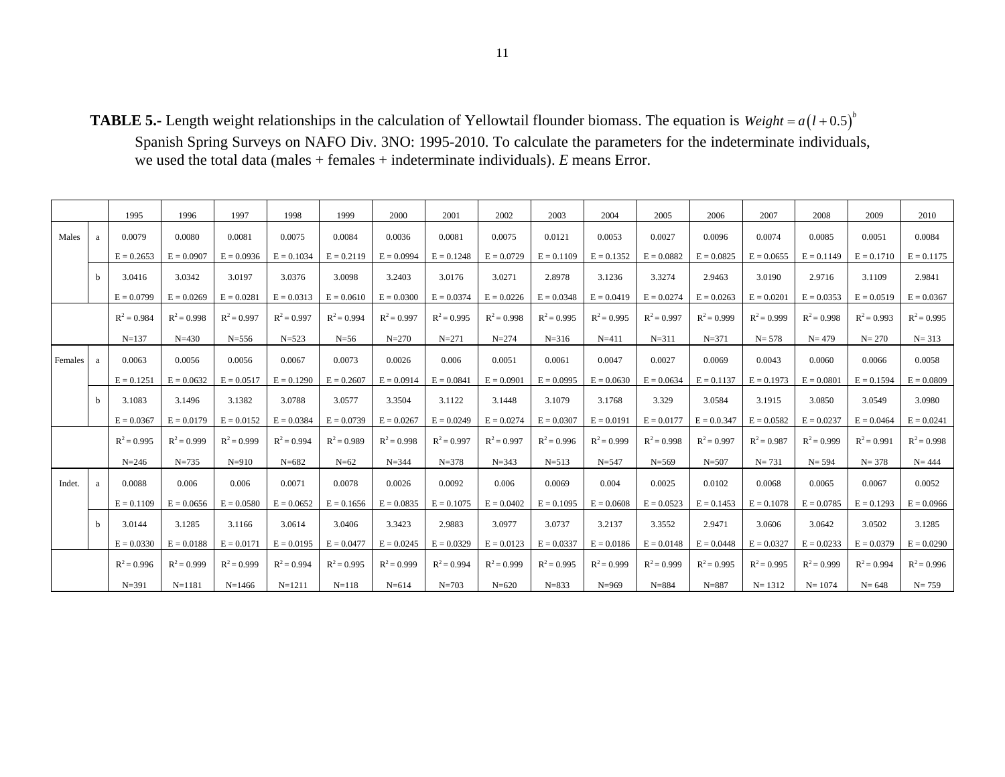**TABLE 5.-** Length weight relationships in the calculation of Yellowtail flounder biomass. The equation is  $Weight = a(l + 0.5)^{b}$ 

Spanish Spring Surveys on NAFO Div. 3NO: 1995-2010. To calculate the parameters for the indeterminate individuals, we used the total data (males + females + indeterminate individuals). *E* means Error.

|         |             | 1995          | 1996          | 1997          | 1998          | 1999          | 2000          | 2001          | 2002          | 2003          | 2004          | 2005          | 2006          | 2007          | 2008          | 2009          | 2010          |
|---------|-------------|---------------|---------------|---------------|---------------|---------------|---------------|---------------|---------------|---------------|---------------|---------------|---------------|---------------|---------------|---------------|---------------|
| Males   | a           | 0.0079        | 0.0080        | 0.0081        | 0.0075        | 0.0084        | 0.0036        | 0.0081        | 0.0075        | 0.0121        | 0.0053        | 0.0027        | 0.0096        | 0.0074        | 0.0085        | 0.0051        | 0.0084        |
|         |             | $E = 0.2653$  | $E = 0.0907$  | $E = 0.0936$  | $E = 0.1034$  | $E = 0.2119$  | $E = 0.0994$  | $E = 0.1248$  | $E = 0.0729$  | $E = 0.1109$  | $E = 0.1352$  | $E = 0.0882$  | $E = 0.0825$  | $E = 0.0655$  | $E = 0.1149$  | $E = 0.1710$  | $E = 0.1175$  |
|         | $\mathbf b$ | 3.0416        | 3.0342        | 3.0197        | 3.0376        | 3.0098        | 3.2403        | 3.0176        | 3.0271        | 2.8978        | 3.1236        | 3.3274        | 2.9463        | 3.0190        | 2.9716        | 3.1109        | 2.9841        |
|         |             | $E = 0.0799$  | $E = 0.0269$  | $E = 0.0281$  | $E = 0.0313$  | $E = 0.0610$  | $E = 0.0300$  | $E = 0.0374$  | $E = 0.0226$  | $E = 0.0348$  | $E = 0.0419$  | $E = 0.0274$  | $E = 0.0263$  | $E = 0.0201$  | $E = 0.0353$  | $E = 0.0519$  | $E = 0.0367$  |
|         |             | $R^2 = 0.984$ | $R^2 = 0.998$ | $R^2 = 0.997$ | $R^2 = 0.997$ | $R^2 = 0.994$ | $R^2 = 0.997$ | $R^2 = 0.995$ | $R^2 = 0.998$ | $R^2 = 0.995$ | $R^2 = 0.995$ | $R^2 = 0.997$ | $R^2 = 0.999$ | $R^2 = 0.999$ | $R^2 = 0.998$ | $R^2 = 0.993$ | $R^2 = 0.995$ |
|         |             | $N = 137$     | $N = 430$     | $N = 556$     | $N = 523$     | $N=56$        | $N = 270$     | $N = 271$     | $N = 274$     | $N = 316$     | $N = 411$     | $N = 311$     | $N = 371$     | $N = 578$     | $N = 479$     | $N = 270$     | $N = 313$     |
| Females | a           | 0.0063        | 0.0056        | 0.0056        | 0.0067        | 0.0073        | 0.0026        | 0.006         | 0.0051        | 0.0061        | 0.0047        | 0.0027        | 0.0069        | 0.0043        | 0.0060        | 0.0066        | 0.0058        |
|         |             | $E = 0.1251$  | $E = 0.0632$  | $E = 0.0517$  | $E = 0.1290$  | $E = 0.2607$  | $E = 0.0914$  | $E = 0.0841$  | $E = 0.0901$  | $E = 0.0995$  | $E = 0.0630$  | $E = 0.0634$  | $E = 0.1137$  | $E = 0.1973$  | $E = 0.0801$  | $E = 0.1594$  | $E = 0.0809$  |
|         | $\mathbf b$ | 3.1083        | 3.1496        | 3.1382        | 3.0788        | 3.0577        | 3.3504        | 3.1122        | 3.1448        | 3.1079        | 3.1768        | 3.329         | 3.0584        | 3.1915        | 3.0850        | 3.0549        | 3.0980        |
|         |             | $E = 0.0367$  | $E = 0.0179$  | $E = 0.0152$  | $E = 0.0384$  | $E = 0.0739$  | $E = 0.0267$  | $E = 0.0249$  | $E = 0.0274$  | $E = 0.0307$  | $E = 0.0191$  | $E = 0.0177$  | $E = 0.0347$  | $E = 0.0582$  | $E = 0.0237$  | $E = 0.0464$  | $E = 0.0241$  |
|         |             | $R^2 = 0.995$ | $R^2 = 0.999$ | $R^2 = 0.999$ | $R^2 = 0.994$ | $R^2 = 0.989$ | $R^2 = 0.998$ | $R^2 = 0.997$ | $R^2 = 0.997$ | $R^2 = 0.996$ | $R^2 = 0.999$ | $R^2 = 0.998$ | $R^2 = 0.997$ | $R^2 = 0.987$ | $R^2 = 0.999$ | $R^2 = 0.991$ | $R^2 = 0.998$ |
|         |             | $N = 246$     | $N = 735$     | $N = 910$     | $N = 682$     | $N=62$        | $N = 344$     | $N = 378$     | $N = 343$     | $N = 513$     | $N = 547$     | $N = 569$     | $N = 507$     | $N = 731$     | $N = 594$     | $N = 378$     | $N = 444$     |
| Indet.  | a           | 0.0088        | 0.006         | 0.006         | 0.0071        | 0.0078        | 0.0026        | 0.0092        | 0.006         | 0.0069        | 0.004         | 0.0025        | 0.0102        | 0.0068        | 0.0065        | 0.0067        | 0.0052        |
|         |             | $E = 0.1109$  | $E = 0.0656$  | $E = 0.0580$  | $E = 0.0652$  | $E = 0.1656$  | $E = 0.0835$  | $E = 0.1075$  | $E = 0.0402$  | $E = 0.1095$  | $E = 0.0608$  | $E = 0.0523$  | $E = 0.1453$  | $E = 0.1078$  | $E = 0.0785$  | $E = 0.1293$  | $E = 0.0966$  |
|         | b           | 3.0144        | 3.1285        | 3.1166        | 3.0614        | 3.0406        | 3.3423        | 2.9883        | 3.0977        | 3.0737        | 3.2137        | 3.3552        | 2.9471        | 3.0606        | 3.0642        | 3.0502        | 3.1285        |
|         |             | $E = 0.0330$  | $E = 0.0188$  | $E = 0.0171$  | $E = 0.0195$  | $E = 0.0477$  | $E = 0.0245$  | $E = 0.0329$  | $E = 0.0123$  | $E = 0.0337$  | $E = 0.0186$  | $E = 0.0148$  | $E = 0.0448$  | $E = 0.0327$  | $E = 0.0233$  | $E = 0.0379$  | $E = 0.0290$  |
|         |             | $R^2 = 0.996$ | $R^2 = 0.999$ | $R^2 = 0.999$ | $R^2 = 0.994$ | $R^2 = 0.995$ | $R^2 = 0.999$ | $R^2 = 0.994$ | $R^2 = 0.999$ | $R^2 = 0.995$ | $R^2 = 0.999$ | $R^2 = 0.999$ | $R^2 = 0.995$ | $R^2 = 0.995$ | $R^2 = 0.999$ | $R^2 = 0.994$ | $R^2 = 0.996$ |
|         |             | $N = 391$     | $N = 1181$    | $N=1466$      | $N=1211$      | $N = 118$     | $N = 614$     | $N = 703$     | $N = 620$     | $N = 833$     | $N = 969$     | $N = 884$     | $N = 887$     | $N = 1312$    | $N = 1074$    | $N = 648$     | $N = 759$     |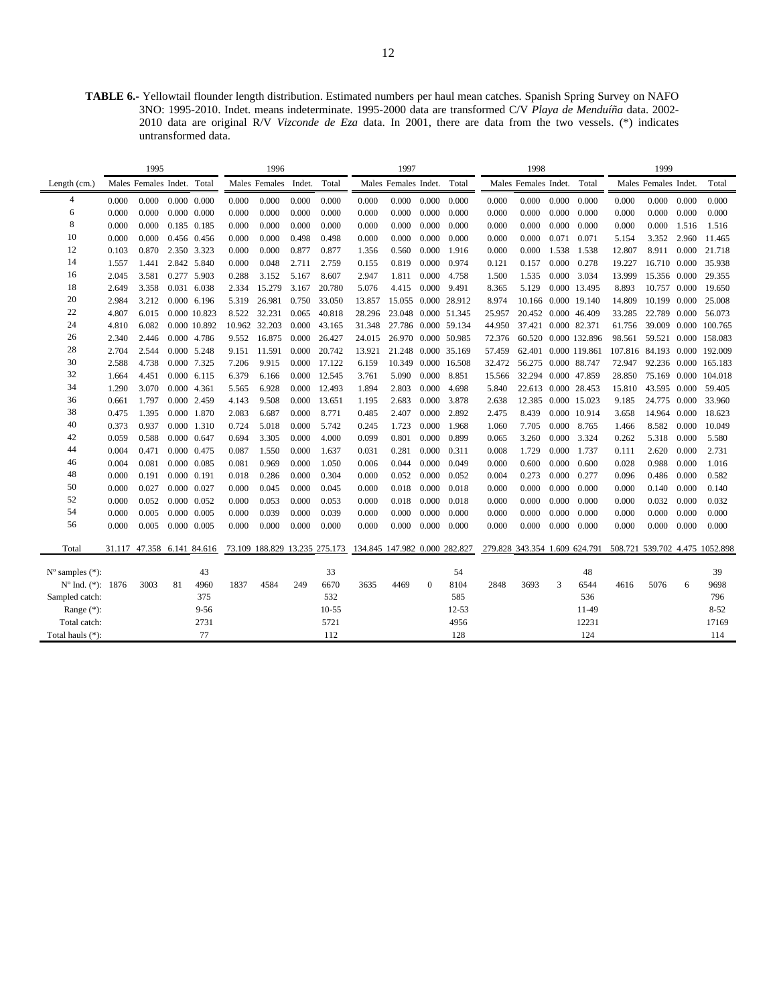**TABLE 6.-** Yellowtail flounder length distribution. Estimated numbers per haul mean catches. Spanish Spring Survey on NAFO 3NO: 1995-2010. Indet. means indeterminate. 1995-2000 data are transformed C/V *Playa de Menduíña* data. 2002- 2010 data are original R/V *Vizconde de Eza* data. In 2001, there are data from the two vessels. (\*) indicates untransformed data.

|                                                  |        | 1995                 |    |                     |       | 1996          |        |                               |                               | 1997                 |          |              |        | 1998                 |       |                      |        | 1999                 |       |                                                              |
|--------------------------------------------------|--------|----------------------|----|---------------------|-------|---------------|--------|-------------------------------|-------------------------------|----------------------|----------|--------------|--------|----------------------|-------|----------------------|--------|----------------------|-------|--------------------------------------------------------------|
| Length $(cm.)$                                   |        | Males Females Indet. |    | Total               |       | Males Females | Indet. | Total                         |                               | Males Females Indet. |          | Total        |        | Males Females Indet. |       | Total                |        | Males Females Indet. |       | Total                                                        |
| 4                                                | 0.000  | 0.000                |    | $0.000 \quad 0.000$ | 0.000 | 0.000         | 0.000  | 0.000                         | 0.000                         | 0.000                | 0.000    | 0.000        | 0.000  | 0.000                | 0.000 | 0.000                | 0.000  | 0.000                | 0.000 | 0.000                                                        |
| 6                                                | 0.000  | 0.000                |    | $0.000 \quad 0.000$ | 0.000 | 0.000         | 0.000  | 0.000                         | 0.000                         | 0.000                | 0.000    | 0.000        | 0.000  | 0.000                | 0.000 | 0.000                | 0.000  | 0.000                | 0.000 | 0.000                                                        |
| 8                                                | 0.000  | 0.000                |    | 0.185 0.185         | 0.000 | 0.000         | 0.000  | 0.000                         | 0.000                         | 0.000                | 0.000    | 0.000        | 0.000  | 0.000                | 0.000 | 0.000                | 0.000  | 0.000                | 1.516 | 1.516                                                        |
| 10                                               | 0.000  | 0.000                |    | 0.456 0.456         | 0.000 | 0.000         | 0.498  | 0.498                         | 0.000                         | 0.000                | 0.000    | 0.000        | 0.000  | 0.000                | 0.071 | 0.071                | 5.154  | 3.352                | 2.960 | 11.465                                                       |
| 12                                               | 0.103  | 0.870                |    | 2.350 3.323         | 0.000 | 0.000         | 0.877  | 0.877                         | 1.356                         | 0.560                | 0.000    | 1.916        | 0.000  | 0.000                | 1.538 | 1.538                | 12.807 | 8.911                | 0.000 | 21.718                                                       |
| 14                                               | 1.557  | 1.441                |    | 2.842 5.840         | 0.000 | 0.048         | 2.711  | 2.759                         | 0.155                         | 0.819                | 0.000    | 0.974        | 0.121  | 0.157                | 0.000 | 0.278                | 19.227 | 16.710 0.000         |       | 35.938                                                       |
| 16                                               | 2.045  | 3.581                |    | 0.277 5.903         | 0.288 | 3.152         | 5.167  | 8.607                         | 2.947                         | 1.811                | 0.000    | 4.758        | 1.500  | 1.535                |       | 0.000 3.034          | 13.999 | 15.356 0.000         |       | 29.355                                                       |
| 18                                               | 2.649  | 3.358                |    | 0.031 6.038         | 2.334 | 15.279        | 3.167  | 20.780                        | 5.076                         | 4.415                | 0.000    | 9.491        | 8.365  | 5.129                |       | 0.000 13.495         | 8.893  | 10.757 0.000         |       | 19.650                                                       |
| 20                                               | 2.984  | 3.212                |    | 0.000 6.196         | 5.319 | 26.981        | 0.750  | 33.050                        | 13.857                        | 15.055 0.000 28.912  |          |              | 8.974  | 10.166 0.000 19.140  |       |                      | 14.809 | 10.199 0.000         |       | 25,008                                                       |
| 22                                               | 4.807  | 6.015                |    | 0.000 10.823        | 8.522 | 32.231        | 0.065  | 40.818                        | 28.296                        | 23.048 0.000 51.345  |          |              | 25.957 | 20.452 0.000 46.409  |       |                      | 33.285 | 22.789 0.000         |       | 56.073                                                       |
| 24                                               | 4.810  | 6.082                |    | 0.000 10.892        |       | 10.962 32.203 | 0.000  | 43.165                        | 31.348                        | 27.786 0.000 59.134  |          |              | 44.950 | 37.421 0.000 82.371  |       |                      | 61.756 |                      |       | 39.009 0.000 100.765                                         |
| 26                                               | 2.340  | 2.446                |    | 0.000 4.786         | 9.552 | 16.875        | 0.000  | 26.427                        | 24.015                        | 26.970               |          | 0.000 50.985 | 72.376 |                      |       | 60.520 0.000 132.896 | 98.561 |                      |       | 59.521 0.000 158.083                                         |
| 28                                               | 2.704  | 2.544                |    | 0.000 5.248         | 9.151 | 11.591        | 0.000  | 20.742                        | 13.921                        | 21.248               |          | 0.000 35.169 | 57.459 |                      |       | 62.401 0.000 119.861 |        |                      |       | 107.816 84.193 0.000 192.009                                 |
| 30                                               | 2.588  | 4.738                |    | 0.000 7.325         | 7.206 | 9.915         | 0.000  | 17.122                        | 6.159                         | 10.349               |          | 0.000 16.508 | 32.472 | 56.275 0.000 88.747  |       |                      | 72.947 |                      |       | 92.236 0.000 165.183                                         |
| 32                                               | 1.664  | 4.451                |    | $0.000$ 6.115       | 6.379 | 6.166         | 0.000  | 12.545                        | 3.761                         | 5.090                | 0.000    | 8.851        | 15.566 | 32.294 0.000 47.859  |       |                      | 28.850 | 75.169               |       | 0.000 104.018                                                |
| 34                                               | 1.290  | 3.070                |    | 0.000 4.361         | 5.565 | 6.928         | 0.000  | 12.493                        | 1.894                         | 2.803                | 0.000    | 4.698        | 5.840  | 22.613 0.000 28.453  |       |                      | 15.810 | 43.595 0.000         |       | 59.405                                                       |
| 36                                               | 0.661  | 1.797                |    | 0.000 2.459         | 4.143 | 9.508         | 0.000  | 13.651                        | 1.195                         | 2.683                | 0.000    | 3.878        | 2.638  |                      |       | 12.385 0.000 15.023  | 9.185  | 24.775               | 0.000 | 33.960                                                       |
| 38                                               | 0.475  | 1.395                |    | 0.000 1.870         | 2.083 | 6.687         | 0.000  | 8.771                         | 0.485                         | 2.407                | 0.000    | 2.892        | 2.475  | 8.439                |       | 0.000 10.914         | 3.658  | 14.964 0.000         |       | 18.623                                                       |
| 40                                               | 0.373  | 0.937                |    | 0.000 1.310         | 0.724 | 5.018         | 0.000  | 5.742                         | 0.245                         | 1.723                | 0.000    | 1.968        | 1.060  | 7.705                | 0.000 | 8.765                | 1.466  | 8.582                | 0.000 | 10.049                                                       |
| 42                                               | 0.059  | 0.588                |    | 0.000 0.647         | 0.694 | 3.305         | 0.000  | 4.000                         | 0.099                         | 0.801                | 0.000    | 0.899        | 0.065  | 3.260                | 0.000 | 3.324                | 0.262  | 5.318                | 0.000 | 5.580                                                        |
| 44                                               | 0.004  | 0.471                |    | 0.000 0.475         | 0.087 | 1.550         | 0.000  | 1.637                         | 0.031                         | 0.281                | 0.000    | 0.311        | 0.008  | 1.729                | 0.000 | 1.737                | 0.111  | 2.620                | 0.000 | 2.731                                                        |
| 46                                               | 0.004  | 0.081                |    | 0.000 0.085         | 0.081 | 0.969         | 0.000  | 1.050                         | 0.006                         | 0.044                | 0.000    | 0.049        | 0.000  | 0.600                | 0.000 | 0.600                | 0.028  | 0.988                | 0.000 | 1.016                                                        |
| 48                                               | 0.000  | 0.191                |    | $0.000$ $0.191$     | 0.018 | 0.286         | 0.000  | 0.304                         | 0.000                         | 0.052                | 0.000    | 0.052        | 0.004  | 0.273                | 0.000 | 0.277                | 0.096  | 0.486                | 0.000 | 0.582                                                        |
| 50                                               | 0.000  | 0.027                |    | 0.000 0.027         | 0.000 | 0.045         | 0.000  | 0.045                         | 0.000                         | 0.018                | 0.000    | 0.018        | 0.000  | 0.000                | 0.000 | 0.000                | 0.000  | 0.140                | 0.000 | 0.140                                                        |
| 52                                               | 0.000  | 0.052                |    | 0.000 0.052         | 0.000 | 0.053         | 0.000  | 0.053                         | 0.000                         | 0.018                | 0.000    | 0.018        | 0.000  | 0.000                | 0.000 | 0.000                | 0.000  | 0.032                | 0.000 | 0.032                                                        |
| 54                                               | 0.000  | 0.005                |    | 0.000 0.005         | 0.000 | 0.039         | 0.000  | 0.039                         | 0.000                         | 0.000                | 0.000    | 0.000        | 0.000  | 0.000                | 0.000 | 0.000                | 0.000  | 0.000                | 0.000 | 0.000                                                        |
| 56                                               | 0.000  | 0.005                |    | 0.000 0.005         | 0.000 | 0.000         | 0.000  | 0.000                         | 0.000                         | 0.000                | 0.000    | 0.000        | 0.000  | 0.000                | 0.000 | 0.000                | 0.000  | 0.000                | 0.000 | 0.000                                                        |
| Total                                            | 31.117 | 47.358 6.141 84.616  |    |                     |       |               |        | 73.109 188.829 13.235 275.173 | 134.845 147.982 0.000 282.827 |                      |          |              |        |                      |       |                      |        |                      |       | 279.828 343.354 1.609 624.791 508.721 539.702 4.475 1052.898 |
|                                                  |        |                      |    | 43                  |       |               |        | 33                            |                               |                      |          |              |        |                      |       | 48                   |        |                      |       | 39                                                           |
| $N^{\circ}$ samples $(*)$ :<br>Nº Ind. (*): 1876 |        | 3003                 | 81 | 4960                | 1837  | 4584          | 249    | 6670                          | 3635                          | 4469                 | $\Omega$ | 54<br>8104   | 2848   | 3693                 | 3     | 6544                 | 4616   | 5076                 | 6     | 9698                                                         |
| Sampled catch:                                   |        |                      |    | 375                 |       |               |        | 532                           |                               |                      |          | 585          |        |                      |       | 536                  |        |                      |       | 796                                                          |
| Range $(*)$ :                                    |        |                      |    | $9 - 56$            |       |               |        | $10 - 55$                     |                               |                      |          | $12 - 53$    |        |                      |       | 11-49                |        |                      |       | $8 - 52$                                                     |
| Total catch:                                     |        |                      |    | 2731                |       |               |        | 5721                          |                               |                      |          | 4956         |        |                      |       | 12231                |        |                      |       | 17169                                                        |
| Total hauls (*):                                 |        |                      |    | 77                  |       |               |        | 112                           |                               |                      |          | 128          |        |                      |       | 124                  |        |                      |       | 114                                                          |
|                                                  |        |                      |    |                     |       |               |        |                               |                               |                      |          |              |        |                      |       |                      |        |                      |       |                                                              |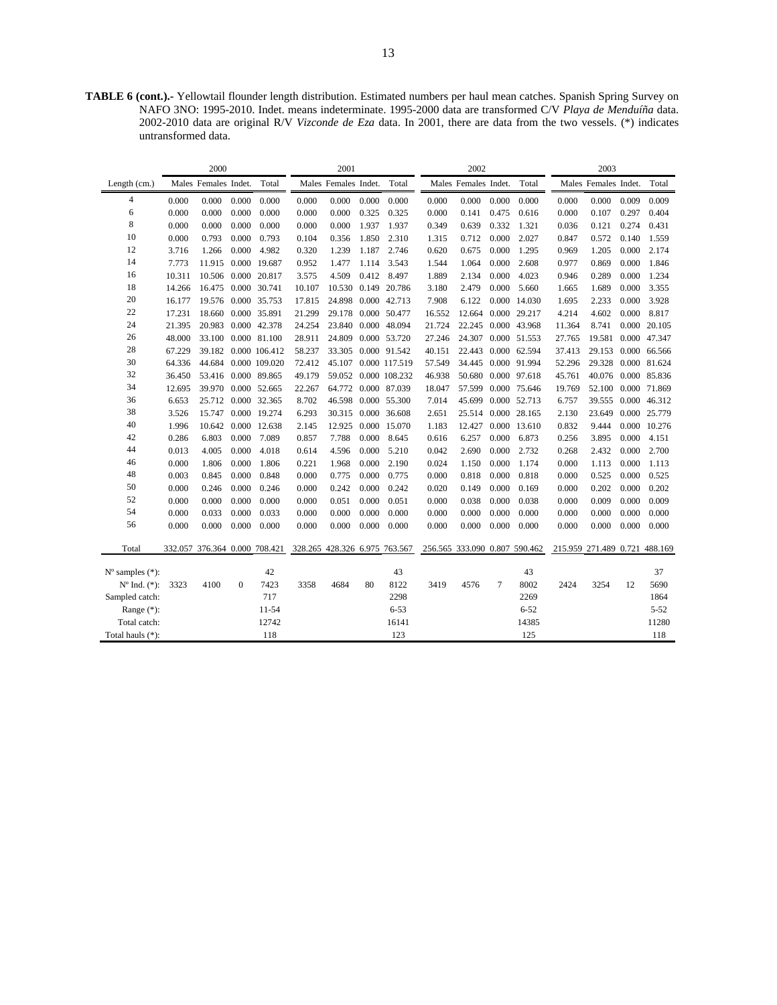**TABLE 6 (cont.).-** Yellowtail flounder length distribution. Estimated numbers per haul mean catches. Spanish Spring Survey on NAFO 3NO: 1995-2010. Indet. means indeterminate. 1995-2000 data are transformed C/V *Playa de Menduíña* data. 2002-2010 data are original R/V *Vizconde de Eza* data. In 2001, there are data from the two vessels. (\*) indicates untransformed data.

| Males Females Indet.<br>Total<br>Males Females Indet.<br>Total<br>Males Females Indet.<br>Total<br>Males Females Indet.<br>Total<br>Length (cm.)<br>$\overline{4}$<br>0.009<br>0.000<br>0.000<br>0.000<br>0.000<br>0.000<br>0.000<br>0.000<br>0.000<br>0.000<br>0.000<br>0.000<br>0.000<br>0.000<br>0.009<br>0.000<br>6<br>0.000<br>0.000<br>0.000<br>0.000<br>0.000<br>0.000<br>0.325<br>0.325<br>0.000<br>0.141<br>0.475<br>0.616<br>0.000<br>0.107<br>0.297<br>0.404<br>8<br>0.000<br>0.000<br>0.000<br>0.000<br>0.000<br>0.000<br>1.937<br>1.937<br>0.639<br>0.332<br>0.121<br>0.274<br>0.431<br>0.349<br>1.321<br>0.036<br>10<br>0.000<br>0.140<br>0.000<br>0.793<br>0.000<br>0.793<br>0.104<br>0.356<br>1.850<br>2.310<br>0.712<br>2.027<br>0.847<br>0.572<br>1.559<br>1.315<br>12<br>0.000<br>4.982<br>1.239<br>1.187<br>2.746<br>0.675<br>0.000<br>1.205<br>0.000<br>2.174<br>3.716<br>1.266<br>0.320<br>0.620<br>1.295<br>0.969<br>14<br>0.000 19.687<br>0.000<br>0.000<br>1.846<br>7.773<br>11.915<br>0.952<br>1.477<br>1.114<br>3.543<br>1.064<br>2.608<br>0.977<br>0.869<br>1.544<br>16<br>10.311<br>10.506 0.000 20.817<br>4.509<br>0.412<br>8.497<br>0.000<br>4.023<br>0.289<br>0.000<br>1.234<br>3.575<br>1.889<br>2.134<br>0.946<br>18<br>14.266<br>0.000 30.741<br>10.530 0.149 20.786<br>2.479<br>0.000<br>5.660<br>1.689<br>3.355<br>16.475<br>10.107<br>3.180<br>1.665<br>0.000<br>20<br>24.898 0.000 42.713<br>3.928<br>16.177<br>19.576<br>0.000 35.753<br>17.815<br>7.908<br>6.122<br>0.000 14.030<br>2.233<br>0.000<br>1.695<br>22<br>17.231<br>18.660<br>0.000 35.891<br>21.299<br>29.178<br>0.000 50.477<br>12.664<br>0.000 29.217<br>4.602<br>0.000<br>8.817<br>16.552<br>4.214<br>24<br>21.395<br>20.983<br>0.000 42.378<br>24.254<br>23.840 0.000 48.094<br>21.724<br>22.245<br>0.000 43.968<br>11.364<br>8.741<br>0.000 20.105<br>26<br>48.000<br>33.100 0.000 81.100<br>28.911<br>24.809<br>0.000 53.720<br>24.307<br>0.000 51.553<br>19.581 0.000 47.347<br>27.246<br>27.765<br>28<br>58.237<br>33.305 0.000 91.542<br>22.443<br>0.000 62.594<br>29.153 0.000 66.566<br>67.229<br>39.182 0.000 106.412<br>40.151<br>37.413<br>30<br>72.412<br>45.107 0.000 117.519<br>57.549<br>34.445<br>0.000 91.994<br>52.296<br>29.328 0.000 81.624<br>64.336<br>44.684<br>0.000 109.020<br>32<br>53.416 0.000 89.865<br>59.052 0.000 108.232<br>46.938<br>50.680<br>0.000 97.618<br>45.761<br>40.076 0.000 85.836<br>36.450<br>49.179<br>34<br>12.695<br>39.970<br>0.000 52.665<br>22.267<br>64.772 0.000 87.039<br>18.047<br>57.599<br>0.000 75.646<br>19.769<br>52.100 0.000 71.869<br>36<br>6.653<br>25.712<br>0.000 32.365<br>8.702<br>46.598 0.000 55.300<br>7.014<br>45.699<br>0.000 52.713<br>6.757<br>39.555 0.000 46.312<br>38<br>25.514 0.000 28.165<br>0.000 25.779<br>3.526<br>15.747<br>0.000 19.274<br>6.293<br>30.315 0.000 36.608<br>2.651<br>2.130<br>23.649<br>40<br>1.996<br>10.642 0.000 12.638<br>0.000 15.070<br>0.000 13.610<br>0.832<br>9.444<br>0.000 10.276<br>2.145<br>12.925<br>1.183<br>12.427<br>42<br>0.000<br>7.788<br>0.000<br>0.000<br>0.000<br>0.286<br>6.803<br>7.089<br>0.857<br>8.645<br>6.257<br>6.873<br>3.895<br>4.151<br>0.616<br>0.256<br>44<br>0.013<br>0.000<br>4.018<br>4.596<br>0.000<br>5.210<br>2.690<br>0.000<br>2.732<br>2.432<br>0.000<br>2.700<br>4.005<br>0.614<br>0.042<br>0.268<br>46<br>0.000<br>0.000<br>1.806<br>2.190<br>0.000<br>1.174<br>0.000<br>1.806<br>0.221<br>1.968<br>0.000<br>0.024<br>1.150<br>0.000<br>1.113<br>1.113<br>48<br>0.003<br>0.000<br>0.000<br>0.775<br>0.000<br>0.818<br>0.000<br>0.845<br>0.848<br>0.000<br>0.775<br>0.000<br>0.818<br>0.000<br>0.525<br>0.525<br>50<br>0.000<br>0.246<br>0.000<br>0.242<br>0.000<br>0.242<br>0.149<br>0.000<br>0.169<br>0.202<br>0.000<br>0.202<br>0.246<br>0.000<br>0.020<br>0.000<br>52<br>0.000<br>0.000<br>0.000<br>0.000<br>0.000<br>0.051<br>0.000<br>0.051<br>0.038<br>0.000<br>0.038<br>0.000<br>0.009<br>0.000<br>0.009<br>0.000<br>54<br>0.000<br>0.033<br>0.000<br>0.033<br>0.000<br>0.000<br>0.000<br>0.000<br>0.000<br>0.000<br>0.000<br>0.000<br>0.000<br>0.000<br>0.000<br>0.000<br>56<br>0.000<br>0.000<br>0.000<br>0.000<br>0.000<br>0.000<br>0.000<br>0.000<br>0.000<br>0.000<br>0.000<br>0.000<br>0.000<br>0.000<br>0.000<br>0.000<br>328.265 428.326 6.975 763.567<br>Total<br>332.057 376.364 0.000 708.421<br>256.565 333.090 0.807 590.462<br>215.959 271.489 0.721 488.169<br>42<br>43<br>43<br>37<br>$N^{\circ}$ samples $(*)$ :<br>7423<br>4684<br>8122<br>$\overline{7}$<br>8002<br>$N^{\circ}$ Ind. $(*)$ :<br>3323<br>4100<br>$\mathbf{0}$<br>3358<br>80<br>3419<br>4576<br>2424<br>3254<br>12<br>5690<br>717<br>Sampled catch:<br>2298<br>2269<br>1864<br>$11 - 54$<br>$6 - 53$<br>Range $(*)$ :<br>$6 - 52$<br>$5 - 52$<br>12742<br>16141<br>14385<br>11280<br>Total catch:<br>118<br>123<br>125<br>118<br>Total hauls (*): |  | 2000 |  | 2001 |  | 2002 |  | 2003 |  |
|-------------------------------------------------------------------------------------------------------------------------------------------------------------------------------------------------------------------------------------------------------------------------------------------------------------------------------------------------------------------------------------------------------------------------------------------------------------------------------------------------------------------------------------------------------------------------------------------------------------------------------------------------------------------------------------------------------------------------------------------------------------------------------------------------------------------------------------------------------------------------------------------------------------------------------------------------------------------------------------------------------------------------------------------------------------------------------------------------------------------------------------------------------------------------------------------------------------------------------------------------------------------------------------------------------------------------------------------------------------------------------------------------------------------------------------------------------------------------------------------------------------------------------------------------------------------------------------------------------------------------------------------------------------------------------------------------------------------------------------------------------------------------------------------------------------------------------------------------------------------------------------------------------------------------------------------------------------------------------------------------------------------------------------------------------------------------------------------------------------------------------------------------------------------------------------------------------------------------------------------------------------------------------------------------------------------------------------------------------------------------------------------------------------------------------------------------------------------------------------------------------------------------------------------------------------------------------------------------------------------------------------------------------------------------------------------------------------------------------------------------------------------------------------------------------------------------------------------------------------------------------------------------------------------------------------------------------------------------------------------------------------------------------------------------------------------------------------------------------------------------------------------------------------------------------------------------------------------------------------------------------------------------------------------------------------------------------------------------------------------------------------------------------------------------------------------------------------------------------------------------------------------------------------------------------------------------------------------------------------------------------------------------------------------------------------------------------------------------------------------------------------------------------------------------------------------------------------------------------------------------------------------------------------------------------------------------------------------------------------------------------------------------------------------------------------------------------------------------------------------------------------------------------------------------------------------------------------------------------------------------------------------------------------------------------------------------------------------------------------------------------------------------------------------------------------------------------------------------------------------------------------------------------------------------------------------------------------------------------------------------------------------------------------------------------------------------------------------------------------------------------------------------------------------------------------------------------------------------------------------------------------------------------|--|------|--|------|--|------|--|------|--|
|                                                                                                                                                                                                                                                                                                                                                                                                                                                                                                                                                                                                                                                                                                                                                                                                                                                                                                                                                                                                                                                                                                                                                                                                                                                                                                                                                                                                                                                                                                                                                                                                                                                                                                                                                                                                                                                                                                                                                                                                                                                                                                                                                                                                                                                                                                                                                                                                                                                                                                                                                                                                                                                                                                                                                                                                                                                                                                                                                                                                                                                                                                                                                                                                                                                                                                                                                                                                                                                                                                                                                                                                                                                                                                                                                                                                                                                                                                                                                                                                                                                                                                                                                                                                                                                                                                                                                                                                                                                                                                                                                                                                                                                                                                                                                                                                                                                                                                       |  |      |  |      |  |      |  |      |  |
|                                                                                                                                                                                                                                                                                                                                                                                                                                                                                                                                                                                                                                                                                                                                                                                                                                                                                                                                                                                                                                                                                                                                                                                                                                                                                                                                                                                                                                                                                                                                                                                                                                                                                                                                                                                                                                                                                                                                                                                                                                                                                                                                                                                                                                                                                                                                                                                                                                                                                                                                                                                                                                                                                                                                                                                                                                                                                                                                                                                                                                                                                                                                                                                                                                                                                                                                                                                                                                                                                                                                                                                                                                                                                                                                                                                                                                                                                                                                                                                                                                                                                                                                                                                                                                                                                                                                                                                                                                                                                                                                                                                                                                                                                                                                                                                                                                                                                                       |  |      |  |      |  |      |  |      |  |
|                                                                                                                                                                                                                                                                                                                                                                                                                                                                                                                                                                                                                                                                                                                                                                                                                                                                                                                                                                                                                                                                                                                                                                                                                                                                                                                                                                                                                                                                                                                                                                                                                                                                                                                                                                                                                                                                                                                                                                                                                                                                                                                                                                                                                                                                                                                                                                                                                                                                                                                                                                                                                                                                                                                                                                                                                                                                                                                                                                                                                                                                                                                                                                                                                                                                                                                                                                                                                                                                                                                                                                                                                                                                                                                                                                                                                                                                                                                                                                                                                                                                                                                                                                                                                                                                                                                                                                                                                                                                                                                                                                                                                                                                                                                                                                                                                                                                                                       |  |      |  |      |  |      |  |      |  |
|                                                                                                                                                                                                                                                                                                                                                                                                                                                                                                                                                                                                                                                                                                                                                                                                                                                                                                                                                                                                                                                                                                                                                                                                                                                                                                                                                                                                                                                                                                                                                                                                                                                                                                                                                                                                                                                                                                                                                                                                                                                                                                                                                                                                                                                                                                                                                                                                                                                                                                                                                                                                                                                                                                                                                                                                                                                                                                                                                                                                                                                                                                                                                                                                                                                                                                                                                                                                                                                                                                                                                                                                                                                                                                                                                                                                                                                                                                                                                                                                                                                                                                                                                                                                                                                                                                                                                                                                                                                                                                                                                                                                                                                                                                                                                                                                                                                                                                       |  |      |  |      |  |      |  |      |  |
|                                                                                                                                                                                                                                                                                                                                                                                                                                                                                                                                                                                                                                                                                                                                                                                                                                                                                                                                                                                                                                                                                                                                                                                                                                                                                                                                                                                                                                                                                                                                                                                                                                                                                                                                                                                                                                                                                                                                                                                                                                                                                                                                                                                                                                                                                                                                                                                                                                                                                                                                                                                                                                                                                                                                                                                                                                                                                                                                                                                                                                                                                                                                                                                                                                                                                                                                                                                                                                                                                                                                                                                                                                                                                                                                                                                                                                                                                                                                                                                                                                                                                                                                                                                                                                                                                                                                                                                                                                                                                                                                                                                                                                                                                                                                                                                                                                                                                                       |  |      |  |      |  |      |  |      |  |
|                                                                                                                                                                                                                                                                                                                                                                                                                                                                                                                                                                                                                                                                                                                                                                                                                                                                                                                                                                                                                                                                                                                                                                                                                                                                                                                                                                                                                                                                                                                                                                                                                                                                                                                                                                                                                                                                                                                                                                                                                                                                                                                                                                                                                                                                                                                                                                                                                                                                                                                                                                                                                                                                                                                                                                                                                                                                                                                                                                                                                                                                                                                                                                                                                                                                                                                                                                                                                                                                                                                                                                                                                                                                                                                                                                                                                                                                                                                                                                                                                                                                                                                                                                                                                                                                                                                                                                                                                                                                                                                                                                                                                                                                                                                                                                                                                                                                                                       |  |      |  |      |  |      |  |      |  |
|                                                                                                                                                                                                                                                                                                                                                                                                                                                                                                                                                                                                                                                                                                                                                                                                                                                                                                                                                                                                                                                                                                                                                                                                                                                                                                                                                                                                                                                                                                                                                                                                                                                                                                                                                                                                                                                                                                                                                                                                                                                                                                                                                                                                                                                                                                                                                                                                                                                                                                                                                                                                                                                                                                                                                                                                                                                                                                                                                                                                                                                                                                                                                                                                                                                                                                                                                                                                                                                                                                                                                                                                                                                                                                                                                                                                                                                                                                                                                                                                                                                                                                                                                                                                                                                                                                                                                                                                                                                                                                                                                                                                                                                                                                                                                                                                                                                                                                       |  |      |  |      |  |      |  |      |  |
|                                                                                                                                                                                                                                                                                                                                                                                                                                                                                                                                                                                                                                                                                                                                                                                                                                                                                                                                                                                                                                                                                                                                                                                                                                                                                                                                                                                                                                                                                                                                                                                                                                                                                                                                                                                                                                                                                                                                                                                                                                                                                                                                                                                                                                                                                                                                                                                                                                                                                                                                                                                                                                                                                                                                                                                                                                                                                                                                                                                                                                                                                                                                                                                                                                                                                                                                                                                                                                                                                                                                                                                                                                                                                                                                                                                                                                                                                                                                                                                                                                                                                                                                                                                                                                                                                                                                                                                                                                                                                                                                                                                                                                                                                                                                                                                                                                                                                                       |  |      |  |      |  |      |  |      |  |
|                                                                                                                                                                                                                                                                                                                                                                                                                                                                                                                                                                                                                                                                                                                                                                                                                                                                                                                                                                                                                                                                                                                                                                                                                                                                                                                                                                                                                                                                                                                                                                                                                                                                                                                                                                                                                                                                                                                                                                                                                                                                                                                                                                                                                                                                                                                                                                                                                                                                                                                                                                                                                                                                                                                                                                                                                                                                                                                                                                                                                                                                                                                                                                                                                                                                                                                                                                                                                                                                                                                                                                                                                                                                                                                                                                                                                                                                                                                                                                                                                                                                                                                                                                                                                                                                                                                                                                                                                                                                                                                                                                                                                                                                                                                                                                                                                                                                                                       |  |      |  |      |  |      |  |      |  |
|                                                                                                                                                                                                                                                                                                                                                                                                                                                                                                                                                                                                                                                                                                                                                                                                                                                                                                                                                                                                                                                                                                                                                                                                                                                                                                                                                                                                                                                                                                                                                                                                                                                                                                                                                                                                                                                                                                                                                                                                                                                                                                                                                                                                                                                                                                                                                                                                                                                                                                                                                                                                                                                                                                                                                                                                                                                                                                                                                                                                                                                                                                                                                                                                                                                                                                                                                                                                                                                                                                                                                                                                                                                                                                                                                                                                                                                                                                                                                                                                                                                                                                                                                                                                                                                                                                                                                                                                                                                                                                                                                                                                                                                                                                                                                                                                                                                                                                       |  |      |  |      |  |      |  |      |  |
|                                                                                                                                                                                                                                                                                                                                                                                                                                                                                                                                                                                                                                                                                                                                                                                                                                                                                                                                                                                                                                                                                                                                                                                                                                                                                                                                                                                                                                                                                                                                                                                                                                                                                                                                                                                                                                                                                                                                                                                                                                                                                                                                                                                                                                                                                                                                                                                                                                                                                                                                                                                                                                                                                                                                                                                                                                                                                                                                                                                                                                                                                                                                                                                                                                                                                                                                                                                                                                                                                                                                                                                                                                                                                                                                                                                                                                                                                                                                                                                                                                                                                                                                                                                                                                                                                                                                                                                                                                                                                                                                                                                                                                                                                                                                                                                                                                                                                                       |  |      |  |      |  |      |  |      |  |
|                                                                                                                                                                                                                                                                                                                                                                                                                                                                                                                                                                                                                                                                                                                                                                                                                                                                                                                                                                                                                                                                                                                                                                                                                                                                                                                                                                                                                                                                                                                                                                                                                                                                                                                                                                                                                                                                                                                                                                                                                                                                                                                                                                                                                                                                                                                                                                                                                                                                                                                                                                                                                                                                                                                                                                                                                                                                                                                                                                                                                                                                                                                                                                                                                                                                                                                                                                                                                                                                                                                                                                                                                                                                                                                                                                                                                                                                                                                                                                                                                                                                                                                                                                                                                                                                                                                                                                                                                                                                                                                                                                                                                                                                                                                                                                                                                                                                                                       |  |      |  |      |  |      |  |      |  |
|                                                                                                                                                                                                                                                                                                                                                                                                                                                                                                                                                                                                                                                                                                                                                                                                                                                                                                                                                                                                                                                                                                                                                                                                                                                                                                                                                                                                                                                                                                                                                                                                                                                                                                                                                                                                                                                                                                                                                                                                                                                                                                                                                                                                                                                                                                                                                                                                                                                                                                                                                                                                                                                                                                                                                                                                                                                                                                                                                                                                                                                                                                                                                                                                                                                                                                                                                                                                                                                                                                                                                                                                                                                                                                                                                                                                                                                                                                                                                                                                                                                                                                                                                                                                                                                                                                                                                                                                                                                                                                                                                                                                                                                                                                                                                                                                                                                                                                       |  |      |  |      |  |      |  |      |  |
|                                                                                                                                                                                                                                                                                                                                                                                                                                                                                                                                                                                                                                                                                                                                                                                                                                                                                                                                                                                                                                                                                                                                                                                                                                                                                                                                                                                                                                                                                                                                                                                                                                                                                                                                                                                                                                                                                                                                                                                                                                                                                                                                                                                                                                                                                                                                                                                                                                                                                                                                                                                                                                                                                                                                                                                                                                                                                                                                                                                                                                                                                                                                                                                                                                                                                                                                                                                                                                                                                                                                                                                                                                                                                                                                                                                                                                                                                                                                                                                                                                                                                                                                                                                                                                                                                                                                                                                                                                                                                                                                                                                                                                                                                                                                                                                                                                                                                                       |  |      |  |      |  |      |  |      |  |
|                                                                                                                                                                                                                                                                                                                                                                                                                                                                                                                                                                                                                                                                                                                                                                                                                                                                                                                                                                                                                                                                                                                                                                                                                                                                                                                                                                                                                                                                                                                                                                                                                                                                                                                                                                                                                                                                                                                                                                                                                                                                                                                                                                                                                                                                                                                                                                                                                                                                                                                                                                                                                                                                                                                                                                                                                                                                                                                                                                                                                                                                                                                                                                                                                                                                                                                                                                                                                                                                                                                                                                                                                                                                                                                                                                                                                                                                                                                                                                                                                                                                                                                                                                                                                                                                                                                                                                                                                                                                                                                                                                                                                                                                                                                                                                                                                                                                                                       |  |      |  |      |  |      |  |      |  |
|                                                                                                                                                                                                                                                                                                                                                                                                                                                                                                                                                                                                                                                                                                                                                                                                                                                                                                                                                                                                                                                                                                                                                                                                                                                                                                                                                                                                                                                                                                                                                                                                                                                                                                                                                                                                                                                                                                                                                                                                                                                                                                                                                                                                                                                                                                                                                                                                                                                                                                                                                                                                                                                                                                                                                                                                                                                                                                                                                                                                                                                                                                                                                                                                                                                                                                                                                                                                                                                                                                                                                                                                                                                                                                                                                                                                                                                                                                                                                                                                                                                                                                                                                                                                                                                                                                                                                                                                                                                                                                                                                                                                                                                                                                                                                                                                                                                                                                       |  |      |  |      |  |      |  |      |  |
|                                                                                                                                                                                                                                                                                                                                                                                                                                                                                                                                                                                                                                                                                                                                                                                                                                                                                                                                                                                                                                                                                                                                                                                                                                                                                                                                                                                                                                                                                                                                                                                                                                                                                                                                                                                                                                                                                                                                                                                                                                                                                                                                                                                                                                                                                                                                                                                                                                                                                                                                                                                                                                                                                                                                                                                                                                                                                                                                                                                                                                                                                                                                                                                                                                                                                                                                                                                                                                                                                                                                                                                                                                                                                                                                                                                                                                                                                                                                                                                                                                                                                                                                                                                                                                                                                                                                                                                                                                                                                                                                                                                                                                                                                                                                                                                                                                                                                                       |  |      |  |      |  |      |  |      |  |
|                                                                                                                                                                                                                                                                                                                                                                                                                                                                                                                                                                                                                                                                                                                                                                                                                                                                                                                                                                                                                                                                                                                                                                                                                                                                                                                                                                                                                                                                                                                                                                                                                                                                                                                                                                                                                                                                                                                                                                                                                                                                                                                                                                                                                                                                                                                                                                                                                                                                                                                                                                                                                                                                                                                                                                                                                                                                                                                                                                                                                                                                                                                                                                                                                                                                                                                                                                                                                                                                                                                                                                                                                                                                                                                                                                                                                                                                                                                                                                                                                                                                                                                                                                                                                                                                                                                                                                                                                                                                                                                                                                                                                                                                                                                                                                                                                                                                                                       |  |      |  |      |  |      |  |      |  |
|                                                                                                                                                                                                                                                                                                                                                                                                                                                                                                                                                                                                                                                                                                                                                                                                                                                                                                                                                                                                                                                                                                                                                                                                                                                                                                                                                                                                                                                                                                                                                                                                                                                                                                                                                                                                                                                                                                                                                                                                                                                                                                                                                                                                                                                                                                                                                                                                                                                                                                                                                                                                                                                                                                                                                                                                                                                                                                                                                                                                                                                                                                                                                                                                                                                                                                                                                                                                                                                                                                                                                                                                                                                                                                                                                                                                                                                                                                                                                                                                                                                                                                                                                                                                                                                                                                                                                                                                                                                                                                                                                                                                                                                                                                                                                                                                                                                                                                       |  |      |  |      |  |      |  |      |  |
|                                                                                                                                                                                                                                                                                                                                                                                                                                                                                                                                                                                                                                                                                                                                                                                                                                                                                                                                                                                                                                                                                                                                                                                                                                                                                                                                                                                                                                                                                                                                                                                                                                                                                                                                                                                                                                                                                                                                                                                                                                                                                                                                                                                                                                                                                                                                                                                                                                                                                                                                                                                                                                                                                                                                                                                                                                                                                                                                                                                                                                                                                                                                                                                                                                                                                                                                                                                                                                                                                                                                                                                                                                                                                                                                                                                                                                                                                                                                                                                                                                                                                                                                                                                                                                                                                                                                                                                                                                                                                                                                                                                                                                                                                                                                                                                                                                                                                                       |  |      |  |      |  |      |  |      |  |
|                                                                                                                                                                                                                                                                                                                                                                                                                                                                                                                                                                                                                                                                                                                                                                                                                                                                                                                                                                                                                                                                                                                                                                                                                                                                                                                                                                                                                                                                                                                                                                                                                                                                                                                                                                                                                                                                                                                                                                                                                                                                                                                                                                                                                                                                                                                                                                                                                                                                                                                                                                                                                                                                                                                                                                                                                                                                                                                                                                                                                                                                                                                                                                                                                                                                                                                                                                                                                                                                                                                                                                                                                                                                                                                                                                                                                                                                                                                                                                                                                                                                                                                                                                                                                                                                                                                                                                                                                                                                                                                                                                                                                                                                                                                                                                                                                                                                                                       |  |      |  |      |  |      |  |      |  |
|                                                                                                                                                                                                                                                                                                                                                                                                                                                                                                                                                                                                                                                                                                                                                                                                                                                                                                                                                                                                                                                                                                                                                                                                                                                                                                                                                                                                                                                                                                                                                                                                                                                                                                                                                                                                                                                                                                                                                                                                                                                                                                                                                                                                                                                                                                                                                                                                                                                                                                                                                                                                                                                                                                                                                                                                                                                                                                                                                                                                                                                                                                                                                                                                                                                                                                                                                                                                                                                                                                                                                                                                                                                                                                                                                                                                                                                                                                                                                                                                                                                                                                                                                                                                                                                                                                                                                                                                                                                                                                                                                                                                                                                                                                                                                                                                                                                                                                       |  |      |  |      |  |      |  |      |  |
|                                                                                                                                                                                                                                                                                                                                                                                                                                                                                                                                                                                                                                                                                                                                                                                                                                                                                                                                                                                                                                                                                                                                                                                                                                                                                                                                                                                                                                                                                                                                                                                                                                                                                                                                                                                                                                                                                                                                                                                                                                                                                                                                                                                                                                                                                                                                                                                                                                                                                                                                                                                                                                                                                                                                                                                                                                                                                                                                                                                                                                                                                                                                                                                                                                                                                                                                                                                                                                                                                                                                                                                                                                                                                                                                                                                                                                                                                                                                                                                                                                                                                                                                                                                                                                                                                                                                                                                                                                                                                                                                                                                                                                                                                                                                                                                                                                                                                                       |  |      |  |      |  |      |  |      |  |
|                                                                                                                                                                                                                                                                                                                                                                                                                                                                                                                                                                                                                                                                                                                                                                                                                                                                                                                                                                                                                                                                                                                                                                                                                                                                                                                                                                                                                                                                                                                                                                                                                                                                                                                                                                                                                                                                                                                                                                                                                                                                                                                                                                                                                                                                                                                                                                                                                                                                                                                                                                                                                                                                                                                                                                                                                                                                                                                                                                                                                                                                                                                                                                                                                                                                                                                                                                                                                                                                                                                                                                                                                                                                                                                                                                                                                                                                                                                                                                                                                                                                                                                                                                                                                                                                                                                                                                                                                                                                                                                                                                                                                                                                                                                                                                                                                                                                                                       |  |      |  |      |  |      |  |      |  |
|                                                                                                                                                                                                                                                                                                                                                                                                                                                                                                                                                                                                                                                                                                                                                                                                                                                                                                                                                                                                                                                                                                                                                                                                                                                                                                                                                                                                                                                                                                                                                                                                                                                                                                                                                                                                                                                                                                                                                                                                                                                                                                                                                                                                                                                                                                                                                                                                                                                                                                                                                                                                                                                                                                                                                                                                                                                                                                                                                                                                                                                                                                                                                                                                                                                                                                                                                                                                                                                                                                                                                                                                                                                                                                                                                                                                                                                                                                                                                                                                                                                                                                                                                                                                                                                                                                                                                                                                                                                                                                                                                                                                                                                                                                                                                                                                                                                                                                       |  |      |  |      |  |      |  |      |  |
|                                                                                                                                                                                                                                                                                                                                                                                                                                                                                                                                                                                                                                                                                                                                                                                                                                                                                                                                                                                                                                                                                                                                                                                                                                                                                                                                                                                                                                                                                                                                                                                                                                                                                                                                                                                                                                                                                                                                                                                                                                                                                                                                                                                                                                                                                                                                                                                                                                                                                                                                                                                                                                                                                                                                                                                                                                                                                                                                                                                                                                                                                                                                                                                                                                                                                                                                                                                                                                                                                                                                                                                                                                                                                                                                                                                                                                                                                                                                                                                                                                                                                                                                                                                                                                                                                                                                                                                                                                                                                                                                                                                                                                                                                                                                                                                                                                                                                                       |  |      |  |      |  |      |  |      |  |
|                                                                                                                                                                                                                                                                                                                                                                                                                                                                                                                                                                                                                                                                                                                                                                                                                                                                                                                                                                                                                                                                                                                                                                                                                                                                                                                                                                                                                                                                                                                                                                                                                                                                                                                                                                                                                                                                                                                                                                                                                                                                                                                                                                                                                                                                                                                                                                                                                                                                                                                                                                                                                                                                                                                                                                                                                                                                                                                                                                                                                                                                                                                                                                                                                                                                                                                                                                                                                                                                                                                                                                                                                                                                                                                                                                                                                                                                                                                                                                                                                                                                                                                                                                                                                                                                                                                                                                                                                                                                                                                                                                                                                                                                                                                                                                                                                                                                                                       |  |      |  |      |  |      |  |      |  |
|                                                                                                                                                                                                                                                                                                                                                                                                                                                                                                                                                                                                                                                                                                                                                                                                                                                                                                                                                                                                                                                                                                                                                                                                                                                                                                                                                                                                                                                                                                                                                                                                                                                                                                                                                                                                                                                                                                                                                                                                                                                                                                                                                                                                                                                                                                                                                                                                                                                                                                                                                                                                                                                                                                                                                                                                                                                                                                                                                                                                                                                                                                                                                                                                                                                                                                                                                                                                                                                                                                                                                                                                                                                                                                                                                                                                                                                                                                                                                                                                                                                                                                                                                                                                                                                                                                                                                                                                                                                                                                                                                                                                                                                                                                                                                                                                                                                                                                       |  |      |  |      |  |      |  |      |  |
|                                                                                                                                                                                                                                                                                                                                                                                                                                                                                                                                                                                                                                                                                                                                                                                                                                                                                                                                                                                                                                                                                                                                                                                                                                                                                                                                                                                                                                                                                                                                                                                                                                                                                                                                                                                                                                                                                                                                                                                                                                                                                                                                                                                                                                                                                                                                                                                                                                                                                                                                                                                                                                                                                                                                                                                                                                                                                                                                                                                                                                                                                                                                                                                                                                                                                                                                                                                                                                                                                                                                                                                                                                                                                                                                                                                                                                                                                                                                                                                                                                                                                                                                                                                                                                                                                                                                                                                                                                                                                                                                                                                                                                                                                                                                                                                                                                                                                                       |  |      |  |      |  |      |  |      |  |
|                                                                                                                                                                                                                                                                                                                                                                                                                                                                                                                                                                                                                                                                                                                                                                                                                                                                                                                                                                                                                                                                                                                                                                                                                                                                                                                                                                                                                                                                                                                                                                                                                                                                                                                                                                                                                                                                                                                                                                                                                                                                                                                                                                                                                                                                                                                                                                                                                                                                                                                                                                                                                                                                                                                                                                                                                                                                                                                                                                                                                                                                                                                                                                                                                                                                                                                                                                                                                                                                                                                                                                                                                                                                                                                                                                                                                                                                                                                                                                                                                                                                                                                                                                                                                                                                                                                                                                                                                                                                                                                                                                                                                                                                                                                                                                                                                                                                                                       |  |      |  |      |  |      |  |      |  |
|                                                                                                                                                                                                                                                                                                                                                                                                                                                                                                                                                                                                                                                                                                                                                                                                                                                                                                                                                                                                                                                                                                                                                                                                                                                                                                                                                                                                                                                                                                                                                                                                                                                                                                                                                                                                                                                                                                                                                                                                                                                                                                                                                                                                                                                                                                                                                                                                                                                                                                                                                                                                                                                                                                                                                                                                                                                                                                                                                                                                                                                                                                                                                                                                                                                                                                                                                                                                                                                                                                                                                                                                                                                                                                                                                                                                                                                                                                                                                                                                                                                                                                                                                                                                                                                                                                                                                                                                                                                                                                                                                                                                                                                                                                                                                                                                                                                                                                       |  |      |  |      |  |      |  |      |  |
|                                                                                                                                                                                                                                                                                                                                                                                                                                                                                                                                                                                                                                                                                                                                                                                                                                                                                                                                                                                                                                                                                                                                                                                                                                                                                                                                                                                                                                                                                                                                                                                                                                                                                                                                                                                                                                                                                                                                                                                                                                                                                                                                                                                                                                                                                                                                                                                                                                                                                                                                                                                                                                                                                                                                                                                                                                                                                                                                                                                                                                                                                                                                                                                                                                                                                                                                                                                                                                                                                                                                                                                                                                                                                                                                                                                                                                                                                                                                                                                                                                                                                                                                                                                                                                                                                                                                                                                                                                                                                                                                                                                                                                                                                                                                                                                                                                                                                                       |  |      |  |      |  |      |  |      |  |
|                                                                                                                                                                                                                                                                                                                                                                                                                                                                                                                                                                                                                                                                                                                                                                                                                                                                                                                                                                                                                                                                                                                                                                                                                                                                                                                                                                                                                                                                                                                                                                                                                                                                                                                                                                                                                                                                                                                                                                                                                                                                                                                                                                                                                                                                                                                                                                                                                                                                                                                                                                                                                                                                                                                                                                                                                                                                                                                                                                                                                                                                                                                                                                                                                                                                                                                                                                                                                                                                                                                                                                                                                                                                                                                                                                                                                                                                                                                                                                                                                                                                                                                                                                                                                                                                                                                                                                                                                                                                                                                                                                                                                                                                                                                                                                                                                                                                                                       |  |      |  |      |  |      |  |      |  |
|                                                                                                                                                                                                                                                                                                                                                                                                                                                                                                                                                                                                                                                                                                                                                                                                                                                                                                                                                                                                                                                                                                                                                                                                                                                                                                                                                                                                                                                                                                                                                                                                                                                                                                                                                                                                                                                                                                                                                                                                                                                                                                                                                                                                                                                                                                                                                                                                                                                                                                                                                                                                                                                                                                                                                                                                                                                                                                                                                                                                                                                                                                                                                                                                                                                                                                                                                                                                                                                                                                                                                                                                                                                                                                                                                                                                                                                                                                                                                                                                                                                                                                                                                                                                                                                                                                                                                                                                                                                                                                                                                                                                                                                                                                                                                                                                                                                                                                       |  |      |  |      |  |      |  |      |  |
|                                                                                                                                                                                                                                                                                                                                                                                                                                                                                                                                                                                                                                                                                                                                                                                                                                                                                                                                                                                                                                                                                                                                                                                                                                                                                                                                                                                                                                                                                                                                                                                                                                                                                                                                                                                                                                                                                                                                                                                                                                                                                                                                                                                                                                                                                                                                                                                                                                                                                                                                                                                                                                                                                                                                                                                                                                                                                                                                                                                                                                                                                                                                                                                                                                                                                                                                                                                                                                                                                                                                                                                                                                                                                                                                                                                                                                                                                                                                                                                                                                                                                                                                                                                                                                                                                                                                                                                                                                                                                                                                                                                                                                                                                                                                                                                                                                                                                                       |  |      |  |      |  |      |  |      |  |
|                                                                                                                                                                                                                                                                                                                                                                                                                                                                                                                                                                                                                                                                                                                                                                                                                                                                                                                                                                                                                                                                                                                                                                                                                                                                                                                                                                                                                                                                                                                                                                                                                                                                                                                                                                                                                                                                                                                                                                                                                                                                                                                                                                                                                                                                                                                                                                                                                                                                                                                                                                                                                                                                                                                                                                                                                                                                                                                                                                                                                                                                                                                                                                                                                                                                                                                                                                                                                                                                                                                                                                                                                                                                                                                                                                                                                                                                                                                                                                                                                                                                                                                                                                                                                                                                                                                                                                                                                                                                                                                                                                                                                                                                                                                                                                                                                                                                                                       |  |      |  |      |  |      |  |      |  |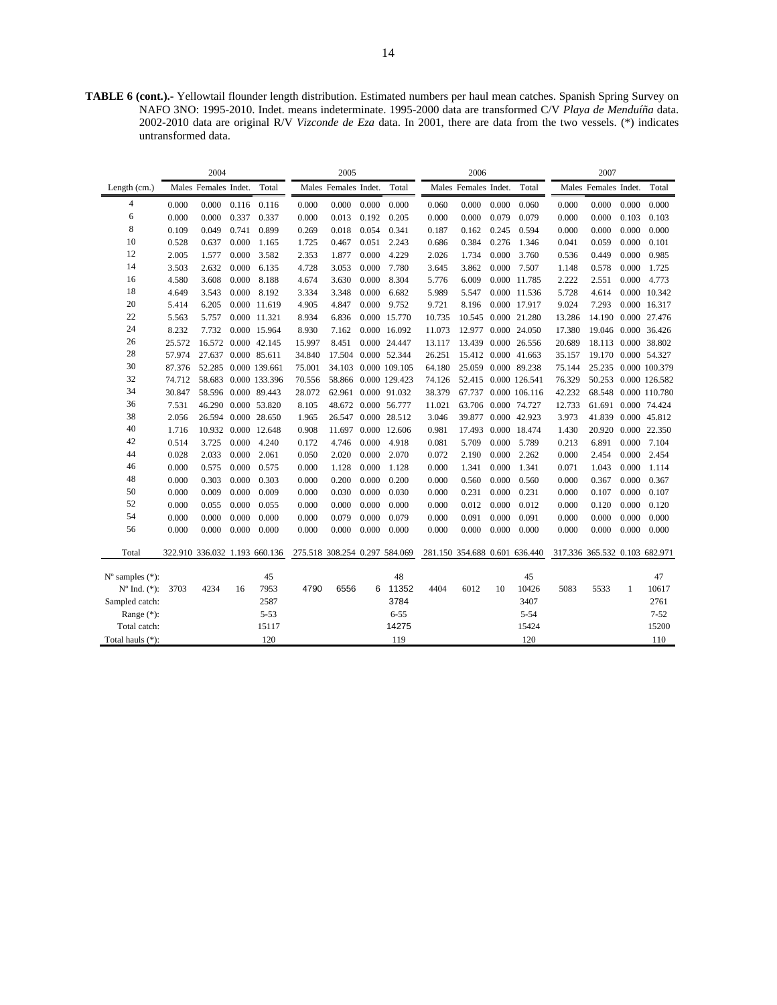**TABLE 6 (cont.).-** Yellowtail flounder length distribution. Estimated numbers per haul mean catches. Spanish Spring Survey on NAFO 3NO: 1995-2010. Indet. means indeterminate. 1995-2000 data are transformed C/V *Playa de Menduíña* data. 2002-2010 data are original R/V *Vizconde de Eza* data. In 2001, there are data from the two vessels. (\*) indicates untransformed data.

|                             |        | 2004                 |       |                               |                               | 2005                 |       |                      |        | 2006                          |       |               |                               | 2007                 |       |                       |
|-----------------------------|--------|----------------------|-------|-------------------------------|-------------------------------|----------------------|-------|----------------------|--------|-------------------------------|-------|---------------|-------------------------------|----------------------|-------|-----------------------|
| Length (cm.)                |        | Males Females Indet. |       | Total                         |                               | Males Females Indet. |       | Total                |        | Males Females Indet.          |       | Total         |                               | Males Females Indet. |       | Total                 |
| 4                           | 0.000  | 0.000                | 0.116 | 0.116                         | 0.000                         | 0.000                | 0.000 | 0.000                | 0.060  | 0.000                         | 0.000 | 0.060         | 0.000                         | 0.000                | 0.000 | 0.000                 |
| 6                           | 0.000  | 0.000                | 0.337 | 0.337                         | 0.000                         | 0.013                | 0.192 | 0.205                | 0.000  | 0.000                         | 0.079 | 0.079         | 0.000                         | 0.000                | 0.103 | 0.103                 |
| 8                           | 0.109  | 0.049                | 0.741 | 0.899                         | 0.269                         | 0.018                | 0.054 | 0.341                | 0.187  | 0.162                         | 0.245 | 0.594         | 0.000                         | 0.000                | 0.000 | 0.000                 |
| 10                          | 0.528  | 0.637                | 0.000 | 1.165                         | 1.725                         | 0.467                | 0.051 | 2.243                | 0.686  | 0.384                         | 0.276 | 1.346         | 0.041                         | 0.059                | 0.000 | 0.101                 |
| 12                          | 2.005  | 1.577                | 0.000 | 3.582                         | 2.353                         | 1.877                | 0.000 | 4.229                | 2.026  | 1.734                         | 0.000 | 3.760         | 0.536                         | 0.449                | 0.000 | 0.985                 |
| 14                          | 3.503  | 2.632                | 0.000 | 6.135                         | 4.728                         | 3.053                | 0.000 | 7.780                | 3.645  | 3.862                         | 0.000 | 7.507         | 1.148                         | 0.578                | 0.000 | 1.725                 |
| 16                          | 4.580  | 3.608                | 0.000 | 8.188                         | 4.674                         | 3.630                | 0.000 | 8.304                | 5.776  | 6.009                         |       | 0.000 11.785  | 2.222                         | 2.551                | 0.000 | 4.773                 |
| 18                          | 4.649  | 3.543                | 0.000 | 8.192                         | 3.334                         | 3.348                | 0.000 | 6.682                | 5.989  | 5.547                         |       | 0.000 11.536  | 5.728                         | 4.614                |       | 0.000 10.342          |
| 20                          | 5.414  | 6.205                |       | 0.000 11.619                  | 4.905                         | 4.847                | 0.000 | 9.752                | 9.721  | 8.196                         |       | 0.000 17.917  | 9.024                         | 7.293                |       | 0.000 16.317          |
| 22                          | 5.563  | 5.757                |       | 0.000 11.321                  | 8.934                         | 6.836                |       | 0.000 15.770         | 10.735 | 10.545                        |       | 0.000 21.280  | 13.286                        |                      |       | 14.190 0.000 27.476   |
| 24                          | 8.232  | 7.732                |       | 0.000 15.964                  | 8.930                         | 7.162                |       | 0.000 16.092         | 11.073 | 12.977                        |       | 0.000 24.050  | 17.380                        |                      |       | 19.046  0.000  36.426 |
| 26                          | 25.572 | 16.572               |       | 0.000 42.145                  | 15.997                        | 8.451                |       | 0.000 24.447         | 13.117 | 13.439                        |       | 0.000 26.556  | 20.689                        |                      |       | 18.113 0.000 38.802   |
| 28                          | 57.974 | 27.637               |       | 0.000 85.611                  | 34.840                        | 17.504               |       | 0.000 52.344         | 26.251 | 15.412                        |       | 0.000 41.663  | 35.157                        | 19.170 0.000 54.327  |       |                       |
| 30                          | 87.376 | 52.285               |       | 0.000 139.661                 | 75.001                        |                      |       | 34.103 0.000 109.105 | 64.180 | 25.059                        |       | 0.000 89.238  | 75.144                        |                      |       | 25.235 0.000 100.379  |
| 32                          | 74.712 | 58.683               |       | 0.000 133.396                 | 70.556                        | 58.866               |       | 0.000 129.423        | 74.126 | 52.415                        |       | 0.000 126.541 | 76.329                        |                      |       | 50.253 0.000 126.582  |
| 34                          | 30.847 | 58.596               |       | 0.000 89.443                  | 28.072                        |                      |       | 62.961 0.000 91.032  | 38.379 | 67.737                        |       | 0.000 106.116 | 42.232                        |                      |       | 68.548 0.000 110.780  |
| 36                          | 7.531  | 46.290               |       | 0.000 53.820                  | 8.105                         | 48.672 0.000 56.777  |       |                      | 11.021 | 63.706                        |       | 0.000 74.727  | 12.733                        |                      |       | 61.691 0.000 74.424   |
| 38                          | 2.056  | 26.594               |       | 0.000 28.650                  | 1.965                         |                      |       | 26.547 0.000 28.512  | 3.046  | 39.877                        |       | 0.000 42.923  | 3.973                         |                      |       | 41.839 0.000 45.812   |
| 40                          | 1.716  | 10.932               | 0.000 | 12.648                        | 0.908                         | 11.697               |       | 0.000 12.606         | 0.981  | 17.493                        |       | 0.000 18.474  | 1.430                         | 20.920               |       | 0.000 22.350          |
| 42                          | 0.514  | 3.725                | 0.000 | 4.240                         | 0.172                         | 4.746                | 0.000 | 4.918                | 0.081  | 5.709                         | 0.000 | 5.789         | 0.213                         | 6.891                | 0.000 | 7.104                 |
| 44                          | 0.028  | 2.033                | 0.000 | 2.061                         | 0.050                         | 2.020                | 0.000 | 2.070                | 0.072  | 2.190                         | 0.000 | 2.262         | 0.000                         | 2.454                | 0.000 | 2.454                 |
| 46                          | 0.000  | 0.575                | 0.000 | 0.575                         | 0.000                         | 1.128                | 0.000 | 1.128                | 0.000  | 1.341                         | 0.000 | 1.341         | 0.071                         | 1.043                | 0.000 | 1.114                 |
| 48                          | 0.000  | 0.303                | 0.000 | 0.303                         | 0.000                         | 0.200                | 0.000 | 0.200                | 0.000  | 0.560                         | 0.000 | 0.560         | 0.000                         | 0.367                | 0.000 | 0.367                 |
| 50                          | 0.000  | 0.009                | 0.000 | 0.009                         | 0.000                         | 0.030                | 0.000 | 0.030                | 0.000  | 0.231                         | 0.000 | 0.231         | 0.000                         | 0.107                | 0.000 | 0.107                 |
| 52                          | 0.000  | 0.055                | 0.000 | 0.055                         | 0.000                         | 0.000                | 0.000 | 0.000                | 0.000  | 0.012                         | 0.000 | 0.012         | 0.000                         | 0.120                | 0.000 | 0.120                 |
| 54                          | 0.000  | 0.000                | 0.000 | 0.000                         | 0.000                         | 0.079                | 0.000 | 0.079                | 0.000  | 0.091                         | 0.000 | 0.091         | 0.000                         | 0.000                | 0.000 | 0.000                 |
| 56                          | 0.000  | 0.000                | 0.000 | 0.000                         | 0.000                         | 0.000                | 0.000 | 0.000                | 0.000  | 0.000                         | 0.000 | 0.000         | 0.000                         | 0.000                | 0.000 | 0.000                 |
| Total                       |        |                      |       | 322.910 336.032 1.193 660.136 | 275.518 308.254 0.297 584.069 |                      |       |                      |        | 281.150 354.688 0.601 636.440 |       |               | 317.336 365.532 0.103 682.971 |                      |       |                       |
|                             |        |                      |       |                               |                               |                      |       |                      |        |                               |       |               |                               |                      |       |                       |
| $N^{\circ}$ samples $(*)$ : |        |                      |       | 45                            |                               |                      |       | 48                   |        |                               |       | 45            |                               |                      |       | 47                    |
| $N^{\circ}$ Ind. $(*)$ :    | 3703   | 4234                 | 16    | 7953                          | 4790                          | 6556                 | 6     | 11352                | 4404   | 6012                          | 10    | 10426         | 5083                          | 5533                 | 1     | 10617                 |
| Sampled catch:              |        |                      |       | 2587                          |                               |                      |       | 3784                 |        |                               |       | 3407          |                               |                      |       | 2761                  |
| Range $(*)$ :               |        |                      |       | $5 - 53$                      |                               |                      |       | $6 - 55$             |        |                               |       | $5 - 54$      |                               |                      |       | $7 - 52$              |
| Total catch:                |        |                      |       | 15117                         |                               |                      |       | 14275                |        |                               |       | 15424         |                               |                      |       | 15200                 |
| Total hauls (*):            |        |                      |       | 120                           |                               |                      |       | 119                  |        |                               |       | 120           |                               |                      |       | 110                   |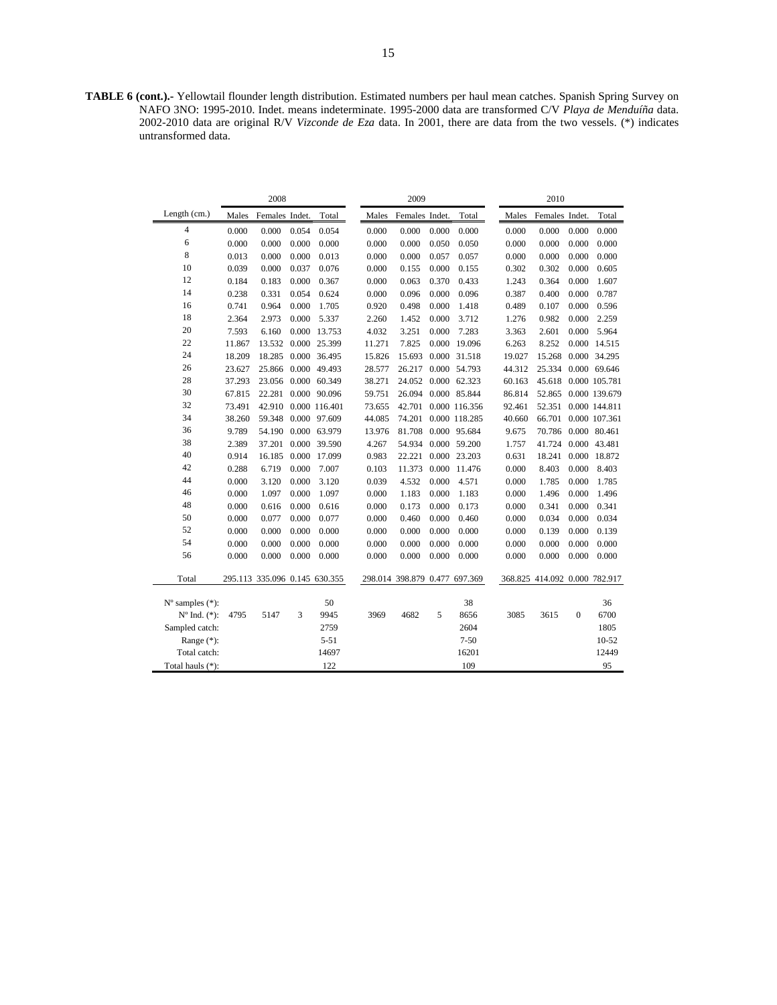**TABLE 6 (cont.).-** Yellowtail flounder length distribution. Estimated numbers per haul mean catches. Spanish Spring Survey on NAFO 3NO: 1995-2010. Indet. means indeterminate. 1995-2000 data are transformed C/V *Playa de Menduíña* data. 2002-2010 data are original R/V *Vizconde de Eza* data. In 2001, there are data from the two vessels. (\*) indicates untransformed data.

|                             |        | 2008                          |       |                     |        | 2009                  |       |               |        | 2010                          |              |               |
|-----------------------------|--------|-------------------------------|-------|---------------------|--------|-----------------------|-------|---------------|--------|-------------------------------|--------------|---------------|
| Length (cm.)                | Males  | Females Indet.                |       | Total               | Males  | Females Indet.        |       | Total         | Males  | Females Indet.                |              | Total         |
| 4                           | 0.000  | 0.000                         | 0.054 | 0.054               | 0.000  | 0.000                 | 0.000 | 0.000         | 0.000  | 0.000                         | 0.000        | 0.000         |
| 6                           | 0.000  | 0.000                         | 0.000 | 0.000               | 0.000  | 0.000                 | 0.050 | 0.050         | 0.000  | 0.000                         | 0.000        | 0.000         |
| 8                           | 0.013  | 0.000                         | 0.000 | 0.013               | 0.000  | 0.000                 | 0.057 | 0.057         | 0.000  | 0.000                         | 0.000        | 0.000         |
| 10                          | 0.039  | 0.000                         | 0.037 | 0.076               | 0.000  | 0.155                 | 0.000 | 0.155         | 0.302  | 0.302                         | 0.000        | 0.605         |
| 12                          | 0.184  | 0.183                         | 0.000 | 0.367               | 0.000  | 0.063                 | 0.370 | 0.433         | 1.243  | 0.364                         | 0.000        | 1.607         |
| 14                          | 0.238  | 0.331                         | 0.054 | 0.624               | 0.000  | 0.096                 | 0.000 | 0.096         | 0.387  | 0.400                         | 0.000        | 0.787         |
| 16                          | 0.741  | 0.964                         | 0.000 | 1.705               | 0.920  | 0.498                 | 0.000 | 1.418         | 0.489  | 0.107                         | 0.000        | 0.596         |
| 18                          | 2.364  | 2.973                         | 0.000 | 5.337               | 2.260  | 1.452                 | 0.000 | 3.712         | 1.276  | 0.982                         | 0.000        | 2.259         |
| 20                          | 7.593  | 6.160                         | 0.000 | 13.753              | 4.032  | 3.251                 | 0.000 | 7.283         | 3.363  | 2.601                         | 0.000        | 5.964         |
| 22                          | 11.867 | 13.532                        |       | 0.000 25.399        | 11.271 | 7.825                 | 0.000 | 19.096        | 6.263  | 8.252                         | 0.000        | 14.515        |
| 24                          | 18.209 |                               |       | 18.285 0.000 36.495 | 15.826 | 15.693                |       | 0.000 31.518  | 19.027 | 15.268                        |              | 0.000 34.295  |
| 26                          | 23.627 | 25.866 0.000                  |       | 49.493              | 28.577 | 26.217                |       | 0.000 54.793  | 44.312 | 25.334                        |              | 0.000 69.646  |
| 28                          | 37.293 | 23.056                        |       | 0.000 60.349        | 38.271 | 24.052                |       | 0.000 62.323  | 60.163 | 45.618                        |              | 0.000 105.781 |
| 30                          | 67.815 | 22.281                        |       | 0.000 90.096        | 59.751 | 26.094                |       | 0.000 85.844  | 86.814 | 52.865                        |              | 0.000 139.679 |
| 32                          | 73.491 | 42.910                        |       | 0.000 116.401       | 73.655 | 42.701                |       | 0.000 116.356 | 92.461 | 52.351                        |              | 0.000 144.811 |
| 34                          | 38.260 | 59.348                        |       | 0.000 97.609        | 44.085 | 74.201                |       | 0.000 118.285 | 40.660 | 66.701                        |              | 0.000 107.361 |
| 36                          | 9.789  | 54.190                        |       | 0.000 63.979        | 13.976 | 81.708                |       | 0.000 95.684  | 9.675  | 70.786                        |              | 0.000 80.461  |
| 38                          | 2.389  | 37.201                        |       | 0.000 39.590        | 4.267  | 54.934                |       | 0.000 59.200  | 1.757  | 41.724                        |              | 0.000 43.481  |
| 40                          | 0.914  | 16.185                        |       | 0.000 17.099        | 0.983  | 22.221                |       | 0.000 23.203  | 0.631  | 18.241                        | 0.000        | 18.872        |
| 42                          | 0.288  | 6.719                         | 0.000 | 7.007               | 0.103  | 11.373                |       | 0.000 11.476  | 0.000  | 8.403                         | 0.000        | 8.403         |
| 44                          | 0.000  | 3.120                         | 0.000 | 3.120               | 0.039  | 4.532                 | 0.000 | 4.571         | 0.000  | 1.785                         | 0.000        | 1.785         |
| 46                          | 0.000  | 1.097                         | 0.000 | 1.097               | 0.000  | 1.183                 | 0.000 | 1.183         | 0.000  | 1.496                         | 0.000        | 1.496         |
| 48                          | 0.000  | 0.616                         | 0.000 | 0.616               | 0.000  | 0.173                 | 0.000 | 0.173         | 0.000  | 0.341                         | 0.000        | 0.341         |
| 50                          | 0.000  | 0.077                         | 0.000 | 0.077               | 0.000  | 0.460                 | 0.000 | 0.460         | 0.000  | 0.034                         | 0.000        | 0.034         |
| 52                          | 0.000  | 0.000                         | 0.000 | 0.000               | 0.000  | 0.000                 | 0.000 | 0.000         | 0.000  | 0.139                         | 0.000        | 0.139         |
| 54                          | 0.000  | 0.000                         | 0.000 | 0.000               | 0.000  | 0.000                 | 0.000 | 0.000         | 0.000  | 0.000                         | 0.000        | 0.000         |
| 56                          | 0.000  | 0.000                         | 0.000 | 0.000               | 0.000  | 0.000                 | 0.000 | 0.000         | 0.000  | 0.000                         | 0.000        | 0.000         |
| Total                       |        | 295.113 335.096 0.145 630.355 |       |                     |        | 298.014 398.879 0.477 |       | 697.369       |        | 368.825 414.092 0.000 782.917 |              |               |
|                             |        |                               |       |                     |        |                       |       |               |        |                               |              |               |
| $N^{\circ}$ samples $(*)$ : |        |                               |       | 50                  |        |                       |       | 38            |        |                               |              | 36            |
| $N^{o}$ Ind. $(*)$ :        | 4795   | 5147                          | 3     | 9945                | 3969   | 4682                  | 5     | 8656          | 3085   | 3615                          | $\mathbf{0}$ | 6700          |
| Sampled catch:              |        |                               |       | 2759                |        |                       |       | 2604          |        |                               |              | 1805          |
| Range $(*)$ :               |        |                               |       | $5 - 51$            |        |                       |       | $7 - 50$      |        |                               |              | $10 - 52$     |
| Total catch:                |        |                               |       | 14697               |        |                       |       | 16201         |        |                               |              | 12449         |
| Total hauls (*):            |        |                               |       | 122                 |        |                       |       | 109           |        |                               |              | 95            |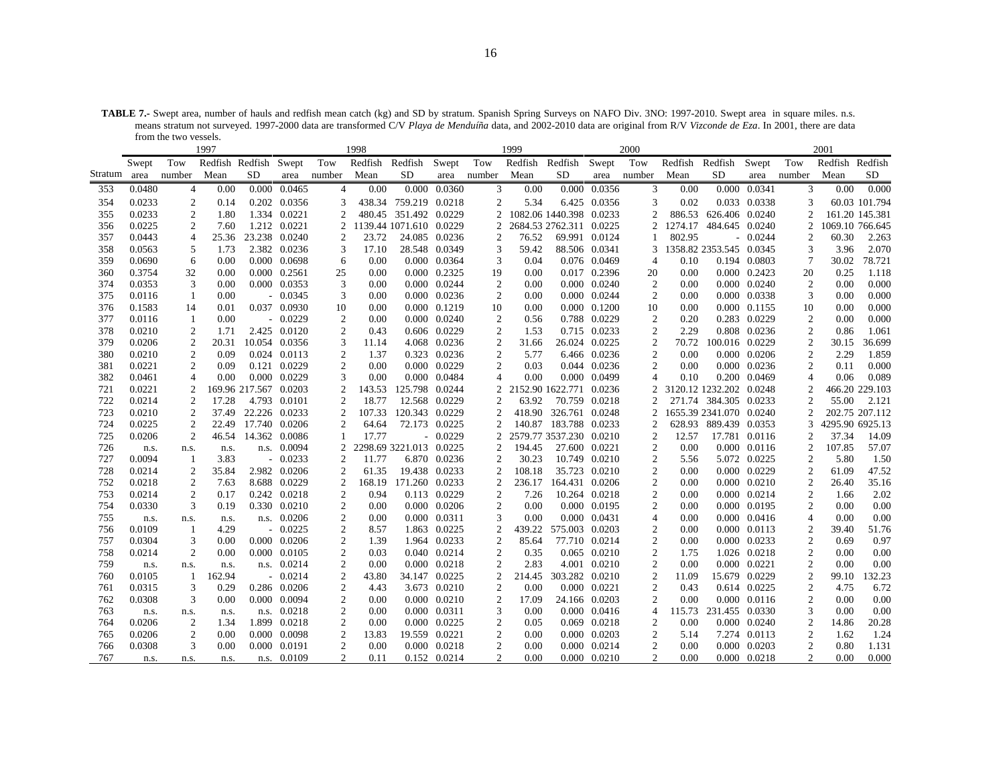**TABLE 7.-** Swept area, number of hauls and redfish mean catch (kg) and SD by stratum. Spanish Spring Surveys on NAFO Div. 3NO: 1997-2010. Swept area in square miles. n.s. means stratum not surveyed. 1997-2000 data are transformed C/V *Playa de Menduíña* data, and 2002-2010 data are original from R/V *Vizconde de Eza*. In 2001, there are data from the two vessels.

|            |                  |                      | 1997                  |                       |                           |                     | 1998           |                         |                               |                     | 1999            |                         |                                | 2000           |              |                         |                              |                             | 2001            |                 |
|------------|------------------|----------------------|-----------------------|-----------------------|---------------------------|---------------------|----------------|-------------------------|-------------------------------|---------------------|-----------------|-------------------------|--------------------------------|----------------|--------------|-------------------------|------------------------------|-----------------------------|-----------------|-----------------|
|            | Swept            | Tow                  | Redfish Redfish Swept |                       |                           | Tow                 | Redfish        | Redfish                 | Swept                         | Tow                 | Redfish         | Redfish                 | Swept                          | Tow            | Redfish      | Redfish                 | Swept                        | Tow                         | Redfish Redfish |                 |
| Stratum    | area             | number               | Mean                  | SD.                   | area                      | number              | Mean           | SD.                     | area                          | number              | Mean            | SD.                     | area                           | number         | Mean         | SD.                     | area                         | number                      | Mean            | SD.             |
| 353        | 0.0480           | $\overline{4}$       | 0.00                  |                       | 0.000 0.0465              | $\overline{4}$      | 0.00           |                         | 0.000 0.0360                  | 3                   | 0.00            |                         | 0.000 0.0356                   | 3              | 0.00         |                         | 0.000 0.0341                 | 3                           | 0.00            | 0.000           |
| 354        | 0.0233           | $\overline{2}$       | 0.14                  |                       | 0.202 0.0356              | 3                   |                | 438.34 759.219 0.0218   |                               | $\overline{2}$      | 5.34            |                         | 6.425 0.0356                   | 3              | 0.02         |                         | 0.033 0.0338                 | 3                           |                 | 60.03 101.794   |
| 355        | 0.0233           | $\overline{2}$       | 1.80                  |                       | 1.334 0.0221              | $\overline{c}$      | 480.45         | 351.492 0.0229          |                               | $\overline{2}$      |                 | 1082.06 1440.398 0.0233 |                                | 2              | 886.53       | 626.406 0.0240          |                              | $\overline{c}$              |                 | 161.20 145.381  |
| 356        | 0.0225           | 2                    | 7.60                  |                       | 1.212 0.0221              | 2                   |                | 1139.44 1071.610 0.0229 |                               | 2                   |                 | 2684.53 2762.311 0.0225 |                                | 2              | 1274.17      | 484.645 0.0240          |                              | 2                           |                 | 1069.10 766.645 |
| 357        | 0.0443           | $\overline{4}$       | 25.36                 |                       | 23.238 0.0240             | $\overline{2}$      | 23.72          |                         | 24.085 0.0236                 | 2                   | 76.52           |                         | 69.991 0.0124                  |                | 802.95       |                         | $-0.0244$                    | 2                           | 60.30           | 2.263           |
| 358        | 0.0563           | 5                    | 1.73                  |                       | 2.382 0.0236              | 3                   | 17.10          |                         | 28.548 0.0349                 | 3                   | 59.42           |                         | 88.506 0.0341                  | 3              |              | 1358.82 2353.545 0.0345 |                              | 3                           | 3.96            | 2.070           |
| 359        | 0.0690           | 6                    | 0.00                  |                       | 0.000 0.0698              | 6                   | 0.00           |                         | 0.000 0.0364                  | 3                   | 0.04            |                         | 0.076 0.0469                   | $\overline{4}$ | 0.10         |                         | 0.194 0.0803                 | $\tau$                      | 30.02           | 78.721          |
| 360        | 0.3754           | 32                   | 0.00                  |                       | 0.000 0.2561              | 25                  | 0.00           |                         | 0.000 0.2325                  | 19                  | 0.00            |                         | 0.017 0.2396                   | 20             | 0.00         |                         | 0.000 0.2423                 | 20                          | 0.25            | 1.118           |
| 374        | 0.0353           | 3                    | 0.00                  |                       | 0.000 0.0353              | 3                   | 0.00           |                         | 0.000 0.0244                  | 2                   | 0.00            |                         | 0.000 0.0240                   | 2              | 0.00         |                         | $0.000 \quad 0.0240$         | 2                           | 0.00            | 0.000           |
| 375        | 0.0116           | -1                   | 0.00                  |                       | $-0.0345$                 | 3                   | 0.00           |                         | $0.000 \quad 0.0236$          | $\overline{c}$      | 0.00            |                         | 0.000 0.0244                   | 2              | 0.00         |                         | 0.000 0.0338                 | 3                           | 0.00            | 0.000           |
| 376        | 0.1583           | 14                   | 0.01                  |                       | 0.037 0.0930              | 10                  | 0.00           |                         | 0.000 0.1219                  | 10                  | 0.00            |                         | 0.000 0.1200                   | 10             | 0.00         |                         | 0.000 0.1155                 | 10                          | 0.00            | 0.000           |
| 377        | 0.0116           | -1                   | 0.00                  |                       | $-0.0229$                 | 2                   | 0.00           |                         | $0.000 \quad 0.0240$          | 2                   | 0.56            |                         | 0.788 0.0229                   | 2              | 0.20         |                         | 0.283 0.0229                 | $\overline{c}$              | 0.00            | 0.000           |
| 378        | 0.0210           | $\overline{2}$       | 1.71                  |                       | 2.425 0.0120              | $\overline{c}$      | 0.43           |                         | 0.606 0.0229                  | 2                   | 1.53            |                         | 0.715 0.0233                   | 2              | 2.29         |                         | 0.808 0.0236                 | $\overline{2}$              | 0.86            | 1.061           |
| 379        | 0.0206           | $\overline{2}$       | 20.31                 |                       | 10.054 0.0356             | 3                   | 11.14          |                         | 4.068 0.0236                  | $\overline{2}$      | 31.66           |                         | 26.024 0.0225                  | 2              | 70.72        | 100.016 0.0229          |                              | $\overline{c}$              | 30.15           | 36.699          |
| 380        | 0.0210           | $\overline{2}$       | 0.09                  |                       | 0.024 0.0113              | 2                   | 1.37           |                         | 0.323 0.0236                  | $\mathfrak{2}$      | 5.77            |                         | 6.466 0.0236                   | 2              | 0.00         |                         | 0.000 0.0206                 | 2                           | 2.29            | 1.859           |
| 381        | 0.0221           | 2                    | 0.09                  |                       | 0.121 0.0229              | $\overline{c}$      | 0.00           |                         | 0.000 0.0229                  | 2                   | 0.03            |                         | 0.044 0.0236                   | 2              | 0.00         |                         | 0.000 0.0236                 | 2                           | 0.11            | 0.000           |
| 382        | 0.0461           | $\overline{4}$       | 0.00                  |                       | 0.000 0.0229              | 3                   | 0.00           |                         | 0.000 0.0484                  | $\overline{4}$      | 0.00            |                         | 0.000 0.0499                   | $\overline{4}$ | 0.10         |                         | 0.200 0.0469                 | $\overline{4}$              | 0.06            | 0.089           |
| 721        | 0.0221           | $\mathcal{P}$        |                       | 169.96 217.567 0.0203 |                           | $\mathcal{D}$       | 143.53         | 125.798 0.0244          |                               | 2                   |                 | 2152.90 1622.771 0.0236 |                                | 2              |              | 3120.12 1232.202 0.0248 |                              |                             |                 | 466.20 229.103  |
| 722        | 0.0214           | $\overline{2}$       | 17.28                 |                       | 4.793 0.0101              | $\overline{2}$      | 18.77          |                         | 12.568 0.0229                 | 2                   | 63.92           |                         | 70.759 0.0218                  | 2              |              | 271.74 384.305 0.0233   |                              | 2                           | 55.00           | 2.121           |
| 723        | 0.0210           | $\overline{2}$       | 37.49                 |                       | 22.226 0.0233             | $\overline{c}$      | 107.33         | 120.343 0.0229          |                               | $\overline{c}$      | 418.90          | 326.761 0.0248          |                                | 2              |              | 1655.39 2341.070 0.0240 |                              |                             |                 | 202.75 207.112  |
| 724        | 0.0225           | $\overline{2}$       | 22.49                 |                       | 17.740 0.0206             | $\mathcal{D}$       | 64.64          |                         | 72.173 0.0225                 | 2                   |                 | 140.87 183.788 0.0233   |                                | 2              |              | 628.93 889.439 0.0353   |                              |                             |                 | 4295.90 6925.13 |
| 725        | 0.0206           | $\overline{2}$       | 46.54                 |                       | 14.362 0.0086             |                     | 17.77          |                         | $-0.0229$                     | $\overline{c}$      |                 | 2579.77 3537.230 0.0210 |                                | $\overline{c}$ | 12.57        |                         | 17.781 0.0116                |                             | 37.34<br>107.85 | 14.09           |
| 726        | n.s.             | n.s.                 | n.s.                  |                       | n.s. 0.0094               | 2                   |                | 2298.69 3221.013 0.0225 |                               | 2<br>$\overline{c}$ | 194.45          |                         | 27.600 0.0221                  | 2              | 0.00         |                         | 0.000 0.0116                 | 2                           | 5.80            | 57.07           |
| 727<br>728 | 0.0094<br>0.0214 | -1<br>$\overline{2}$ | 3.83<br>35.84         |                       | $-0.0233$<br>2.982 0.0206 | $\overline{2}$<br>2 | 11.77<br>61.35 |                         | 6.870 0.0236<br>19.438 0.0233 | $\mathfrak{2}$      | 30.23<br>108.18 |                         | 10.749 0.0210<br>35.723 0.0210 | 2<br>2         | 5.56<br>0.00 |                         | 5.072 0.0225<br>0.000 0.0229 | 2<br>$\mathfrak{2}$         | 61.09           | 1.50<br>47.52   |
| 752        | 0.0218           | 2                    | 7.63                  |                       | 8.688 0.0229              | 2                   | 168.19         | 171.260 0.0233          |                               | $\overline{c}$      | 236.17          | 164.431 0.0206          |                                | 2              | 0.00         |                         | 0.000 0.0210                 | 2                           | 26.40           | 35.16           |
| 753        | 0.0214           | $\overline{c}$       | 0.17                  |                       | 0.242 0.0218              | 2                   | 0.94           |                         | 0.113 0.0229                  | 2                   | 7.26            |                         | 10.264 0.0218                  | 2              | 0.00         |                         | 0.000 0.0214                 | 2                           | 1.66            | 2.02            |
| 754        | 0.0330           | 3                    | 0.19                  |                       | 0.330 0.0210              | 2                   | 0.00           |                         | 0.000 0.0206                  | 2                   | 0.00            |                         | 0.000 0.0195                   | 2              | 0.00         |                         | 0.000 0.0195                 | 2                           | 0.00            | 0.00            |
| 755        | n.s.             | n.s.                 | n.s.                  |                       | n.s. 0.0206               | $\overline{2}$      | 0.00           |                         | 0.000 0.0311                  | 3                   | 0.00            |                         | 0.000 0.0431                   | $\overline{4}$ | 0.00         |                         | 0.000 0.0416                 | $\overline{4}$              | 0.00            | 0.00            |
| 756        | 0.0109           | -1                   | 4.29                  |                       | $-0.0225$                 | $\mathfrak{2}$      | 8.57           |                         | 1.863 0.0225                  | 2                   | 439.22          | 575.003 0.0203          |                                | 2              | 0.00         |                         | 0.000 0.0113                 | 2                           | 39.40           | 51.76           |
| 757        | 0.0304           | 3                    | 0.00                  |                       | 0.000 0.0206              | 2                   | 1.39           |                         | 1.964 0.0233                  | 2                   | 85.64           |                         | 77.710 0.0214                  | 2              | 0.00         |                         | 0.000 0.0233                 | 2                           | 0.69            | 0.97            |
| 758        | 0.0214           | $\overline{2}$       | 0.00                  |                       | 0.000 0.0105              | $\overline{2}$      | 0.03           |                         | 0.040 0.0214                  | $\overline{2}$      | 0.35            |                         | 0.065 0.0210                   | $\overline{c}$ | 1.75         |                         | 1.026 0.0218                 | $\overline{c}$              | 0.00            | 0.00            |
| 759        | n.s.             | n.s.                 | n.s.                  |                       | n.s. 0.0214               | $\overline{c}$      | 0.00           |                         | 0.000 0.0218                  | $\overline{c}$      | 2.83            |                         | 4.001 0.0210                   | 2              | 0.00         |                         | 0.000 0.0221                 | 2                           | 0.00            | 0.00            |
| 760        | 0.0105           | -1                   | 162.94                |                       | $-0.0214$                 | $\overline{c}$      | 43.80          |                         | 34.147 0.0225                 | $\overline{c}$      | 214.45          | 303.282 0.0210          |                                | 2              | 11.09        |                         | 15.679 0.0229                | 2                           | 99.10           | 132.23          |
| 761        | 0.0315           | 3                    | 0.29                  |                       | 0.286 0.0206              | $\overline{2}$      | 4.43           |                         | 3.673 0.0210                  | $\overline{c}$      | 0.00            |                         | 0.000 0.0221                   | $\overline{c}$ | 0.43         |                         | 0.614 0.0225                 | $\overline{2}$              | 4.75            | 6.72            |
| 762        | 0.0308           | 3                    | 0.00                  |                       | 0.000 0.0094              | 2                   | 0.00           |                         | 0.000 0.0210                  | 2                   | 17.09           |                         | 24.166 0.0203                  | 2              | 0.00         |                         | 0.000 0.0116                 | 2                           | 0.00            | 0.00            |
| 763        | n.s.             | n.s.                 | n.s.                  |                       | n.s. 0.0218               | $\overline{c}$      | 0.00           |                         | 0.000 0.0311                  | 3                   | 0.00            |                         | 0.000 0.0416                   | 4              | 115.73       | 231.455 0.0330          |                              | 3                           | 0.00            | 0.00            |
| 764        | 0.0206           | 2                    | 1.34                  |                       | 1.899 0.0218              | $\overline{2}$      | 0.00           |                         | 0.000 0.0225                  | 2                   | 0.05            |                         | 0.069 0.0218                   | 2              | 0.00         |                         | 0.000 0.0240                 | 2                           | 14.86           | 20.28           |
| 765        | 0.0206           | $\overline{2}$       | 0.00                  |                       | 0.000 0.0098              | $\overline{2}$      | 13.83          |                         | 19.559 0.0221                 | $\overline{c}$      | 0.00            |                         | 0.000 0.0203                   | 2              | 5.14         |                         | 7.274 0.0113                 | $\overline{2}$              | 1.62            | 1.24            |
| 766        | 0.0308           | 3                    | 0.00                  |                       | 0.000 0.0191              | $\overline{2}$      | 0.00           |                         | $0.000 \quad 0.0218$          | $\overline{c}$      | 0.00            |                         | 0.000 0.0214                   | 2              | 0.00         |                         | 0.000 0.0203                 | 2                           | 0.80            | 1.131           |
| 767        | n.s.             | n.s.                 | n.s.                  |                       | n.s. 0.0109               | 2                   | 0.11           |                         | 0.152 0.0214                  | $\mathfrak{D}$      | 0.00            |                         | 0.000 0.0210                   |                | 0.00         |                         | 0.000 0.0218                 | $\mathcal{D}_{\mathcal{L}}$ | 0.00            | 0.000           |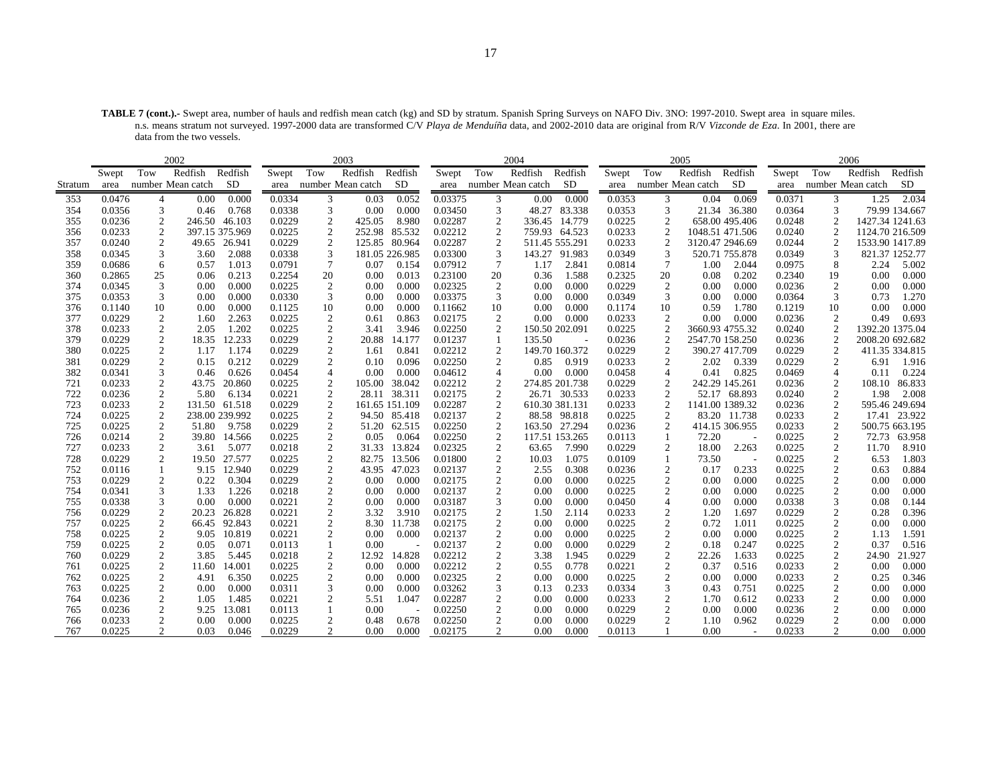**TABLE 7 (cont.).-** Swept area, number of hauls and redfish mean catch (kg) and SD by stratum. Spanish Spring Surveys on NAFO Div. 3NO: 1997-2010. Swept area in square miles. n.s. means stratum not surveyed. 1997-2000 data are transformed C/V *Playa de Menduíña* data, and 2002-2010 data are original from R/V *Vizconde de Eza*. In 2001, there are data from the two vessels.

|            |                  | 2002              |                                |                  | 2003                             |                |                |                    |                     | 2004              |                |                  |                  | 2005                   |                |                  |                   | 2006                   |                 |
|------------|------------------|-------------------|--------------------------------|------------------|----------------------------------|----------------|----------------|--------------------|---------------------|-------------------|----------------|------------------|------------------|------------------------|----------------|------------------|-------------------|------------------------|-----------------|
|            | Swept            | Tow               | Redfish<br>Redfish             | Swept            | Tow                              | Redfish        | Redfish        | Swept              | Tow                 | Redfish           | Redfish        | Swept            | Tow              | Redfish                | Redfish        | Swept            | Tow               | Redfish                | Redfish         |
| Stratum    | area             | number Mean catch | <b>SD</b>                      |                  | area number Mean catch           |                | <b>SD</b>      | area               |                     | number Mean catch | SD             |                  |                  | area number Mean catch | <b>SD</b>      |                  |                   | area number Mean catch | SD              |
| 353        | 0.0476           | 4                 | 0.000<br>0.00                  | 0.0334           | 3                                | 0.03           | 0.052          | 0.03375            | 3                   | 0.00              | 0.000          | 0.0353           | 3                | 0.04                   | 0.069          | 0.0371           | 3                 | 1.25                   | 2.034           |
| 354        | 0.0356           | 3                 | 0.768<br>0.46                  | 0.0338           | 3                                | 0.00           | 0.000          | 0.03450            | 3                   | 48.27             | 83.338         | 0.0353           | 3                |                        | 21.34 36.380   | 0.0364           | 3                 |                        | 79.99 134.667   |
| 355        | 0.0236           | 2                 | 246.50 46.103                  | 0.0229           | $\overline{c}$                   | 425.05         | 8.980          | 0.02287            | $\boldsymbol{2}$    | 336.45            | 14.779         | 0.0225           | 2                |                        | 658.00 495.406 | 0.0248           | 2                 |                        | 1427.34 1241.63 |
| 356        | 0.0233           | $\mathfrak{2}$    | 397.15 375.969                 | 0.0225           | $\overline{2}$                   | 252.98 85.532  |                | 0.02212            | $\mathfrak{2}$      |                   | 759.93 64.523  | 0.0233           | $\mathfrak{2}$   | 1048.51 471.506        |                | 0.0240           | 2                 |                        | 1124.70 216.509 |
| 357        | 0.0240           | $\overline{c}$    | 49.65<br>26.941                | 0.0229           | $\overline{2}$                   | 125.85         | 80.964         | 0.02287            | $\boldsymbol{2}$    |                   | 511.45 555.291 | 0.0233           | $\overline{c}$   | 3120.47 2946.69        |                | 0.0244           | 2                 |                        | 1533.90 1417.89 |
| 358        | 0.0345           | 3                 | 2.088<br>3.60                  | 0.0338           | 3                                | 181.05 226.985 |                | 0.03300            | 3                   |                   | 143.27 91.983  | 0.0349           | 3                |                        | 520.71 755.878 | 0.0349           | 3                 |                        | 821.37 1252.77  |
| 359        | 0.0686           | 6                 | 1.013<br>0.57                  | 0.0791           | $\overline{7}$                   | 0.07           | 0.154          | 0.07912            | $\tau$              | 1.17              | 2.841          | 0.0814           | 7                | 1.00                   | 2.044          | 0.0975           | 8                 | 2.24                   | 5.002           |
| 360        | 0.2865           | 25                | 0.06<br>0.213                  | 0.2254           | 20                               | 0.00           | 0.013          | 0.23100            | 20                  | 0.36              | 1.588          | 0.2325           | 20               | 0.08                   | 0.202          | 0.2340           | 19                | 0.00                   | 0.000           |
| 374        | 0.0345           | 3                 | 0.00<br>0.000                  | 0.0225           | $\overline{2}$                   | 0.00           | 0.000          | 0.02325            | $\overline{c}$      | 0.00              | 0.000          | 0.0229           | 2                | 0.00                   | 0.000          | 0.0236           | 2                 | 0.00                   | 0.000           |
| 375        | 0.0353           | 3                 | 0.000<br>0.00                  | 0.0330           | 3                                | 0.00           | 0.000          | 0.03375            | 3                   | 0.00              | 0.000          | 0.0349           | 3                | 0.00                   | 0.000          | 0.0364           | 3                 | 0.73                   | 1.270           |
| 376        | 0.1140           | 10                | 0.00<br>0.000                  | 0.1125           | 10                               | 0.00           | 0.000          | 0.11662            | 10                  | 0.00              | 0.000          | 0.1174           | 10               | 0.59                   | 1.780          | 0.1219           | 10                | $0.00\,$               | 0.000           |
| 377        | 0.0229           | 2                 | 1.60<br>2.263                  | 0.0225           | $\overline{c}$                   | 0.61           | 0.863          | 0.02175            | 2                   | 0.00              | 0.000          | 0.0233           | 2                | 0.00                   | 0.000          | 0.0236           | 2                 | 0.49                   | 0.693           |
| 378        | 0.0233           | $\mathfrak{2}$    | 1.202<br>2.05                  | 0.0225           | $\overline{2}$                   | 3.41           | 3.946          | 0.02250            | $\overline{c}$      |                   | 150.50 202.091 | 0.0225           | $\overline{c}$   | 3660.93 4755.32        |                | 0.0240           | 2                 |                        | 1392.20 1375.04 |
| 379        | 0.0229           | 2                 | 18.35<br>12.233                | 0.0229           | $\overline{2}$                   | 20.88          | 14.177         | 0.01237            | 1                   | 135.50            |                | 0.0236           | $\boldsymbol{2}$ | 2547.70 158.250        |                | 0.0236           | $\boldsymbol{2}$  |                        | 2008.20 692.682 |
| 380        | 0.0225           | 2                 | 1.174<br>1.17                  | 0.0229           | $\overline{c}$                   | 1.61           | 0.841          | 0.02212            | $\mathfrak{2}$      |                   | 149.70 160.372 | 0.0229           | 2                |                        | 390.27 417.709 | 0.0229           | 2                 |                        | 411.35 334.815  |
| 381        | 0.0229           | $\overline{2}$    | 0.212<br>0.15                  | 0.0229           | $\overline{c}$                   | 0.10           | 0.096          | 0.02250            | $\overline{c}$      | 0.85              | 0.919          | 0.0233           | $\mathfrak{2}$   | 2.02                   | 0.339          | 0.0229           | $\overline{2}$    | 6.91                   | 1.916           |
| 382        | 0.0341           | 3                 | 0.46<br>0.626                  | 0.0454           | $\overline{4}$                   | 0.00           | 0.000          | 0.04612            | $\overline{4}$      | 0.00              | 0.000          | 0.0458           | 4                | 0.41                   | 0.825          | 0.0469           | $\overline{A}$    | 0.11                   | 0.224           |
| 721        | 0.0233           | $\overline{2}$    | 20.860<br>43.75                | 0.0225           | $\overline{2}$                   | 105.00         | 38.042         | 0.02212            | $\mathfrak{2}$      |                   | 274.85 201.738 | 0.0229           | 2                |                        | 242.29 145.261 | 0.0236           | 2                 | 108.10                 | 86.833          |
| 722        | 0.0236           | $\mathfrak{2}$    | 5.80<br>6.134                  | 0.0221           | $\overline{2}$                   |                | 28.11 38.311   | 0.02175            | $\mathfrak{2}$      |                   | 26.71 30.533   | 0.0233           | $\mathfrak{2}$   |                        | 52.17 68.893   | 0.0240           | $\mathbf{2}$      | 1.98                   | 2.008           |
| 723        | 0.0233           | $\overline{c}$    | 131.50 61.518                  | 0.0229           | $\overline{c}$                   | 161.65 151.109 |                | 0.02287            | $\overline{c}$      |                   | 610.30 381.131 | 0.0233           | $\mathfrak{2}$   | 1141.00 1389.32        |                | 0.0236           | 2                 |                        | 595.46 249.694  |
| 724        | 0.0225           | 2                 | 238.00 239.992                 | 0.0225           | $\overline{2}$                   |                | 94.50 85.418   | 0.02137            | $\mathfrak{2}$      |                   | 88.58 98.818   | 0.0225           | 2                |                        | 83.20 11.738   | 0.0233           | 2                 |                        | 17.41 23.922    |
| 725        | 0.0225           | $\mathfrak{2}$    | 51.80<br>9.758                 | 0.0229           | $\overline{2}$                   |                | 51.20 62.515   | 0.02250            | $\mathfrak{2}$      |                   | 163.50 27.294  | 0.0236           | $\mathfrak{2}$   |                        | 414.15 306.955 | 0.0233           | 2                 |                        | 500.75 663.195  |
| 726        | 0.0214           | $\overline{c}$    | 39.80 14.566                   | 0.0225           | $\overline{2}$                   | 0.05           | 0.064          | 0.02250            | $\overline{c}$      |                   | 117.51 153.265 | 0.0113           | 1                | 72.20                  |                | 0.0225           | 2                 | 72.73                  | 63.958          |
| 727        | 0.0233           | 2                 | 5.077<br>3.61                  | 0.0218           | $\overline{2}$                   |                | 31.33 13.824   | 0.02325            | $\mathfrak{2}$      | 63.65             | 7.990          | 0.0229           | 2                | 18.00                  | 2.263          | 0.0225           | 2                 | 11.70                  | 8.910           |
| 728        | 0.0229           | $\mathfrak{2}$    | 19.50 27.577                   | 0.0225           | $\overline{2}$                   |                | 82.75 13.506   | 0.01800            | $\mathfrak{2}$      | 10.03             | 1.075          | 0.0109           | $\mathbf{1}$     | 73.50                  |                | 0.0225           | $\mathbf{2}$      | 6.53                   | 1.803           |
| 752        | 0.0116           | $\mathbf{1}$      | 9.15<br>12.940                 | 0.0229           | $\overline{2}$                   | 43.95          | 47.023         | 0.02137            | $\mathfrak{2}$      | 2.55              | 0.308          | 0.0236           | 2                | 0.17                   | 0.233          | 0.0225           | $\overline{2}$    | 0.63                   | 0.884           |
| 753        | 0.0229           | 2                 | 0.22<br>0.304                  | 0.0229           | $\overline{c}$                   | 0.00           | 0.000          | 0.02175            | $\mathfrak{2}$      | 0.00              | 0.000          | 0.0225           | $\boldsymbol{2}$ | 0.00                   | 0.000          | 0.0225           | $\boldsymbol{2}$  | 0.00                   | 0.000           |
| 754<br>755 | 0.0341<br>0.0338 | 3<br>3            | 1.226<br>1.33<br>0.000<br>0.00 | 0.0218<br>0.0221 | $\overline{c}$<br>$\overline{c}$ | 0.00<br>0.00   | 0.000<br>0.000 | 0.02137<br>0.03187 | $\overline{c}$<br>3 | 0.00<br>0.00      | 0.000<br>0.000 | 0.0225<br>0.0450 | $\boldsymbol{2}$ | 0.00<br>0.00           | 0.000<br>0.000 | 0.0225<br>0.0338 | $\mathbf{2}$<br>3 | 0.00<br>0.08           | 0.000<br>0.144  |
| 756        | 0.0229           | 2                 | 26.828<br>20.23                | 0.0221           | $\overline{2}$                   | 3.32           | 3.910          | 0.02175            | $\overline{c}$      | 1.50              | 2.114          | 0.0233           | 4<br>2           | 1.20                   | 1.697          | 0.0229           | 2                 | 0.28                   | 0.396           |
| 757        | 0.0225           | $\mathfrak{2}$    | 66.45 92.843                   | 0.0221           | $\overline{c}$                   | 8.30           | 11.738         | 0.02175            | $\overline{2}$      | 0.00              | 0.000          | 0.0225           | $\mathfrak{2}$   | 0.72                   | 1.011          | 0.0225           | $\mathbf{2}$      | 0.00                   | 0.000           |
| 758        | 0.0225           | 2                 | 9.05<br>10.819                 | 0.0221           | $\overline{2}$                   | 0.00           | 0.000          | 0.02137            | $\mathfrak{2}$      | 0.00              | 0.000          | 0.0225           | $\boldsymbol{2}$ | 0.00                   | 0.000          | 0.0225           | 2                 | 1.13                   | 1.591           |
| 759        | 0.0225           | 2                 | 0.05<br>0.071                  | 0.0113           | $\overline{1}$                   | 0.00           |                | 0.02137            | $\mathfrak{2}$      | 0.00              | 0.000          | 0.0229           | $\mathfrak{2}$   | 0.18                   | 0.247          | 0.0225           | 2                 | 0.37                   | 0.516           |
| 760        | 0.0229           | $\mathfrak{2}$    | 5.445<br>3.85                  | 0.0218           | $\overline{2}$                   | 12.92          | 14.828         | 0.02212            | $\mathfrak{2}$      | 3.38              | 1.945          | 0.0229           | $\mathfrak{2}$   | 22.26                  | 1.633          | 0.0225           | 2                 | 24.90                  | 21.927          |
| 761        | 0.0225           | 2                 | 11.60<br>14.001                | 0.0225           | $\overline{2}$                   | 0.00           | 0.000          | 0.02212            | $\mathfrak{2}$      | 0.55              | 0.778          | 0.0221           | $\boldsymbol{2}$ | 0.37                   | 0.516          | 0.0233           | 2                 | 0.00                   | 0.000           |
| 762        | 0.0225           | 2                 | 4.91<br>6.350                  | 0.0225           | $\overline{2}$                   | 0.00           | 0.000          | 0.02325            | $\mathfrak{2}$      | 0.00              | 0.000          | 0.0225           | 2                | 0.00                   | 0.000          | 0.0233           | 2                 | 0.25                   | 0.346           |
| 763        | 0.0225           | $\mathfrak{2}$    | 0.000<br>0.00                  | 0.0311           | 3                                | 0.00           | 0.000          | 0.03262            | 3                   | 0.13              | 0.233          | 0.0334           | 3                | 0.43                   | 0.751          | 0.0225           | $\mathbf{2}$      | 0.00                   | 0.000           |
| 764        | 0.0236           | $\boldsymbol{2}$  | 1.05<br>1.485                  | 0.0221           | $\overline{2}$                   | 5.51           | 1.047          | 0.02287            | $\mathfrak{2}$      | 0.00              | 0.000          | 0.0233           | $\boldsymbol{2}$ | 1.70                   | 0.612          | 0.0233           | $\overline{2}$    | 0.00                   | 0.000           |
| 765        | 0.0236           | 2                 | 13.081<br>9.25                 | 0.0113           |                                  | 0.00           |                | 0.02250            | $\overline{c}$      | 0.00              | 0.000          | 0.0229           | $\boldsymbol{2}$ | 0.00                   | 0.000          | 0.0236           | 2                 | 0.00                   | 0.000           |
| 766        | 0.0233           | $\overline{2}$    | 0.000<br>0.00                  | 0.0225           | $\overline{2}$                   | 0.48           | 0.678          | 0.02250            | $\overline{c}$      | 0.00              | 0.000          | 0.0229           | $\overline{c}$   | 1.10                   | 0.962          | 0.0229           | 2                 | 0.00                   | 0.000           |
| 767        | 0.0225           | $\mathcal{D}$     | 0.03<br>0.046                  | 0.0229           | $\overline{2}$                   | 0.00           | 0.000          | 0.02175            | 2                   | 0.00              | 0.000          | 0.0113           |                  | 0.00                   |                | 0.0233           | 2                 | 0.00                   | 0.000           |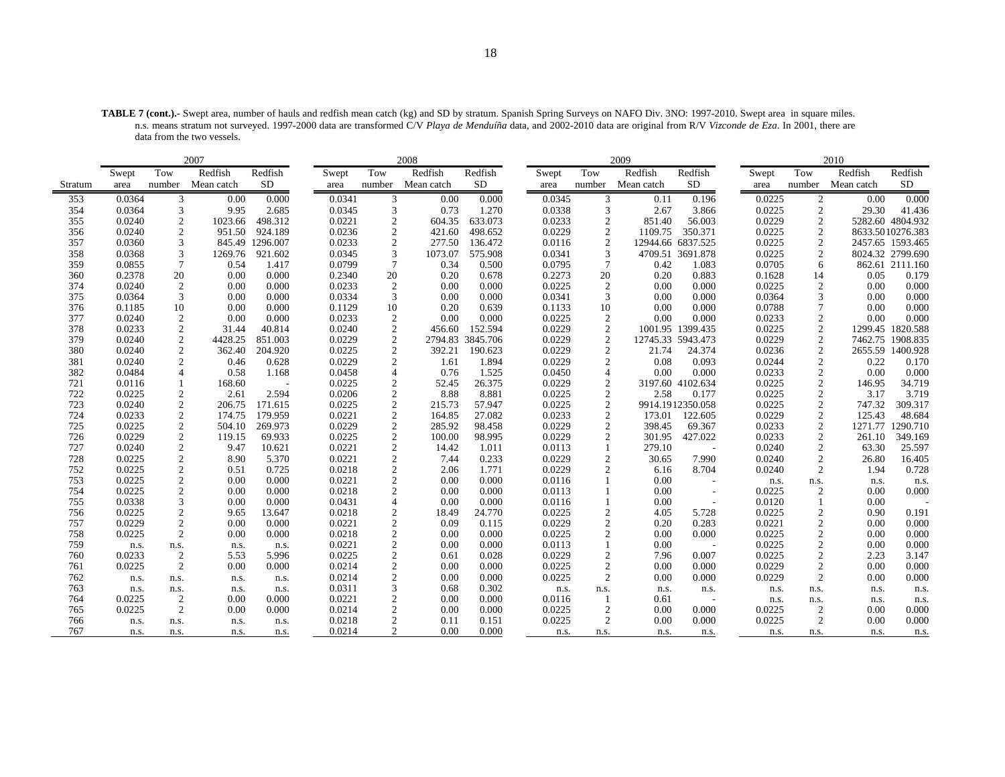**TABLE 7 (cont.).-** Swept area, number of hauls and redfish mean catch (kg) and SD by stratum. Spanish Spring Surveys on NAFO Div. 3NO: 1997-2010. Swept area in square miles. n.s. means stratum not surveyed. 1997-2000 data are transformed C/V *Playa de Menduíña* data, and 2002-2010 data are original from R/V *Vizconde de Eza*. In 2001, there are data from the two vessels.

|            |                |                                  | 2007         |               |                  |                                  | 2008         |                |                |                 | 2009         |                                   |                |                     | 2010         |                  |
|------------|----------------|----------------------------------|--------------|---------------|------------------|----------------------------------|--------------|----------------|----------------|-----------------|--------------|-----------------------------------|----------------|---------------------|--------------|------------------|
|            | Swept          | Tow                              | Redfish      | Redfish       | Swept            | Tow                              | Redfish      | Redfish        | Swept          | Tow             | Redfish      | Redfish                           | Swept          | Tow                 | Redfish      | Redfish          |
| Stratum    | area           | number                           | Mean catch   | <b>SD</b>     | area             | number                           | Mean catch   | <b>SD</b>      | area           | number          | Mean catch   | SD                                | area           | number              | Mean catch   | SD               |
| 353        | 0.0364         | 3                                | 0.00         | 0.000         | 0.0341           | 3                                | 0.00         | 0.000          | 0.0345         | 3               | 0.11         | 0.196                             | 0.0225         | 2                   | 0.00         | 0.000            |
| 354        | 0.0364         | 3                                | 9.95         | 2.685         | 0.0345           | 3                                | 0.73         | 1.270          | 0.0338         | 3               | 2.67         | 3.866                             | 0.0225         | $\overline{2}$      | 29.30        | 41.436           |
| 355        | 0.0240         | 2                                | 1023.66      | 498.312       | 0.0221           | $\overline{2}$                   | 604.35       | 633.073        | 0.0233         | 2               | 851.40       | 56.003                            | 0.0229         | 2                   |              | 5282.60 4804.932 |
| 356        | 0.0240         | $\overline{2}$                   | 951.50       | 924.189       | 0.0236           | $\overline{2}$                   | 421.60       | 498.652        | 0.0229         | 2               | 1109.75      | 350.371                           | 0.0225         | 2                   |              | 8633.5010276.383 |
| 357        | 0.0360         | 3                                | 845.49       | 1296.007      | 0.0233           | $\overline{2}$                   | 277.50       | 136.472        | 0.0116         | 2               |              | 12944.66 6837.525                 | 0.0225         | 2                   |              | 2457.65 1593.465 |
| 358        | 0.0368         | $\overline{3}$                   | 1269.76      | 921.602       | 0.0345           | $\overline{3}$                   | 1073.07      | 575.908        | 0.0341         | 3               |              | 4709.51 3691.878                  | 0.0225         | 2                   |              | 8024.32 2799.690 |
| 359        | 0.0855         | $\tau$                           | 0.54         | 1.417         | 0.0799           | $\overline{7}$                   | 0.34         | 0.500          | 0.0795         | $7\phantom{.0}$ | 0.42         | 1.083                             | 0.0705         | 6                   |              | 862.61 2111.160  |
| 360        | 0.2378         | 20                               | 0.00         | 0.000         | 0.2340           | 20                               | 0.20         | 0.678          | 0.2273         | 20              | 0.20         | 0.883                             | 0.1628         | 14                  | 0.05         | 0.179            |
| 374        | 0.0240         | $\overline{2}$                   | 0.00         | 0.000         | 0.0233           | $\overline{2}$                   | 0.00         | 0.000          | 0.0225         | $\overline{2}$  | 0.00         | 0.000                             | 0.0225         | $\overline{2}$      | 0.00         | 0.000            |
| 375        | 0.0364         | 3                                | 0.00         | 0.000         | 0.0334           | 3                                | 0.00         | 0.000          | 0.0341         | 3               | 0.00         | 0.000                             | 0.0364         | 3                   | 0.00         | 0.000            |
| 376        | 0.1185         | 10                               | 0.00         | 0.000         | 0.1129           | 10                               | 0.20         | 0.639          | 0.1133         | 10              | 0.00         | 0.000                             | 0.0788         | $\overline{7}$      | 0.00         | 0.000            |
| 377        | 0.0240         | $\overline{2}$                   | 0.00         | 0.000         | 0.0233           | $\overline{c}$                   | 0.00         | 0.000          | 0.0225         | $\overline{c}$  | 0.00         | 0.000                             | 0.0233         | $\sqrt{2}$          | 0.00         | 0.000            |
| 378        | 0.0233         | $\overline{2}$                   | 31.44        | 40.814        | 0.0240           | $\overline{2}$                   | 456.60       | 152.594        | 0.0229         | 2               |              | 1001.95 1399.435                  | 0.0225         | 2                   |              | 1299.45 1820.588 |
| 379        | 0.0240         | $\overline{c}$                   | 4428.25      | 851.003       | 0.0229           | $\overline{c}$                   | 2794.83      | 3845.706       | 0.0229         | $\overline{c}$  |              | 12745.33 5943.473                 | 0.0229         | $\overline{2}$      | 7462.75      | 1908.835         |
| 380        | 0.0240         | 2                                | 362.40       | 204.920       | 0.0225           | $\overline{2}$                   | 392.21       | 190.623        | 0.0229         | 2               | 21.74        | 24.374                            | 0.0236         | 2                   |              | 2655.59 1400.928 |
| 381        | 0.0240         | $\overline{2}$                   | 0.46         | 0.628         | 0.0229           | $\overline{2}$                   | 1.61         | 1.894          | 0.0229         | $\overline{2}$  | 0.08         | 0.093                             | 0.0244         | 2                   | 0.22         | 0.170            |
| 382        | 0.0484         | $\overline{4}$                   | 0.58         | 1.168         | 0.0458           | $\overline{4}$                   | 0.76         | 1.525          | 0.0450         | $\overline{4}$  | 0.00         | 0.000                             | 0.0233         | 2                   | 0.00         | 0.000            |
| 721        | 0.0116         | 1                                | 168.60       |               | 0.0225           | $\overline{2}$                   | 52.45        | 26.375         | 0.0229         | $\overline{2}$  |              | 3197.60 4102.634                  | 0.0225         | 2                   | 146.95       | 34.719           |
| 722        | 0.0225         | $\overline{2}$                   | 2.61         | 2.594         | 0.0206           | $\overline{2}$                   | 8.88         | 8.881          | 0.0225         | 2               | 2.58         | 0.177                             | 0.0225         | $\overline{2}$      | 3.17         | 3.719            |
| 723        | 0.0240         | $\overline{2}$                   | 206.75       | 171.615       | 0.0225           | $\overline{2}$                   | 215.73       | 57.947         | 0.0225         | 2               |              | 9914.1912350.058                  | 0.0225         | 2                   | 747.32       | 309.317          |
| 724        | 0.0233         | $\overline{2}$                   | 174.75       | 179.959       | 0.0221           | $\overline{2}$                   | 164.85       | 27.082         | 0.0233         | 2               | 173.01       | 122.605                           | 0.0229         | 2                   | 125.43       | 48.684           |
| 725        | 0.0225         | $\overline{2}$                   | 504.10       | 269.973       | 0.0229           | $\overline{2}$                   | 285.92       | 98.458         | 0.0229         | $\overline{2}$  | 398.45       | 69.367                            | 0.0233         | $\sqrt{2}$          | 1271.77      | 1290.710         |
| 726        | 0.0229         | $\overline{2}$                   | 119.15       | 69.933        | 0.0225           | $\overline{2}$                   | 100.00       | 98.995         | 0.0229         | $\overline{2}$  | 301.95       | 427.022                           | 0.0233         | $\overline{2}$      | 261.10       | 349.169          |
| 727        | 0.0240         | $\overline{2}$                   | 9.47         | 10.621        | 0.0221           | $\overline{2}$                   | 14.42        | 1.011          | 0.0113         |                 | 279.10       | $\overline{\phantom{a}}$          | 0.0240         | $\overline{2}$      | 63.30        | 25.597           |
| 728        | 0.0225         | $\overline{2}$                   | 8.90         | 5.370         | 0.0221           | $\overline{2}$                   | 7.44         | 0.233          | 0.0229         | $\overline{2}$  | 30.65        | 7.990                             | 0.0240         | 2                   | 26.80        | 16.405           |
| 752        | 0.0225         | $\sqrt{2}$                       | 0.51         | 0.725         | 0.0218           | $\sqrt{2}$                       | 2.06         | 1.771          | 0.0229         | $\overline{c}$  | 6.16         | 8.704                             | 0.0240         | 2                   | 1.94         | 0.728            |
| 753        | 0.0225         | $\overline{2}$                   | 0.00         | 0.000         | 0.0221           | $\overline{2}$                   | 0.00         | 0.000          | 0.0116         |                 | 0.00         | $\overline{a}$                    | n.s.           | n.s.                | n.s.         | n.s.             |
| 754        | 0.0225         | $\overline{2}$                   | 0.00         | 0.000         | 0.0218           | $\overline{2}$                   | 0.00         | 0.000          | 0.0113         |                 | 0.00         | $\overline{\phantom{a}}$          | 0.0225         | 2                   | 0.00         | 0.000            |
| 755        | 0.0338         | 3                                | 0.00         | 0.000         | 0.0431           | $\overline{4}$                   | 0.00         | 0.000          | 0.0116         |                 | 0.00         |                                   | 0.0120         | $\mathbf{1}$        | 0.00         |                  |
| 756        | 0.0225         | $\overline{2}$                   | 9.65         | 13.647        | 0.0218           | $\overline{2}$                   | 18.49        | 24.770         | 0.0225         | $\overline{2}$  | 4.05         | 5.728                             | 0.0225         | $\overline{2}$      | 0.90         | 0.191            |
| 757        | 0.0229         | $\overline{2}$                   | 0.00         | 0.000         | 0.0221           | $\overline{2}$<br>$\overline{2}$ | 0.09         | 0.115          | 0.0229         | $\overline{2}$  | 0.20         | 0.283                             | 0.0221         | $\overline{c}$      | 0.00         | 0.000            |
| 758        | 0.0225         | $\overline{2}$                   | 0.00         | 0.000         | 0.0218           |                                  | 0.00         | 0.000          | 0.0225         | $\overline{2}$  | 0.00         | 0.000                             | 0.0225         | $\overline{c}$      | 0.00         | 0.000            |
| 759        | n.s.           | n.s.                             | n.s.         | n.s.          | 0.0221           | $\overline{2}$                   | 0.00         | 0.000          | 0.0113         |                 | 0.00         |                                   | 0.0225         | $\overline{2}$      | 0.00         | 0.000            |
| 760        | 0.0233         | $\overline{2}$                   | 5.53         | 5.996         | 0.0225           | $\overline{2}$                   | 0.61         | 0.028          | 0.0229         | $\overline{2}$  | 7.96         | 0.007                             | 0.0225         | $\overline{2}$      | 2.23         | 3.147            |
| 761        | 0.0225         | $\overline{2}$                   | 0.00         | 0.000         | 0.0214           | $\overline{c}$<br>$\overline{2}$ | 0.00         | 0.000          | 0.0225         | $\overline{c}$  | 0.00         | 0.000                             | 0.0229         | $\overline{c}$<br>2 | 0.00         | 0.000            |
| 762        | n.s.           | n.s.                             | n.s.         | n.s.          | 0.0214           |                                  | 0.00         | 0.000          | 0.0225         | $\overline{2}$  | 0.00         | 0.000                             | 0.0229         |                     | 0.00         | 0.000            |
| 763<br>764 | n.s.<br>0.0225 | n.s.                             | n.s.<br>0.00 | n.s.<br>0.000 | 0.0311<br>0.0221 | 3<br>$\overline{2}$              | 0.68<br>0.00 | 0.302<br>0.000 | n.s.<br>0.0116 | n.s.<br>-1      | n.s.<br>0.61 | n.s.                              | n.s.           | n.s.                | n.s.         | n.s.             |
| 765        | 0.0225         | $\overline{2}$<br>$\overline{2}$ | 0.00         | 0.000         | 0.0214           | $\overline{2}$                   | 0.00         | 0.000          | 0.0225         | $\overline{2}$  | 0.00         | $\overline{\phantom{a}}$<br>0.000 | n.s.<br>0.0225 | n.s.<br>2           | n.s.<br>0.00 | n.s.<br>0.000    |
| 766        |                |                                  |              |               | 0.0218           | $\overline{2}$                   | 0.11         | 0.151          | 0.0225         | $\overline{2}$  | 0.00         | 0.000                             | 0.0225         | $\overline{2}$      | 0.00         | 0.000            |
|            | n.s.           | n.s.                             | n.s.         | n.s.          |                  |                                  |              |                |                |                 |              |                                   |                |                     |              |                  |
| 767        | n.s.           | n.s.                             | n.s.         | n.s.          | 0.0214           | $\overline{2}$                   | 0.00         | 0.000          | n.s.           | n.s.            | n.s.         | n.s.                              | n.s.           | n.s.                | n.s.         | n.s.             |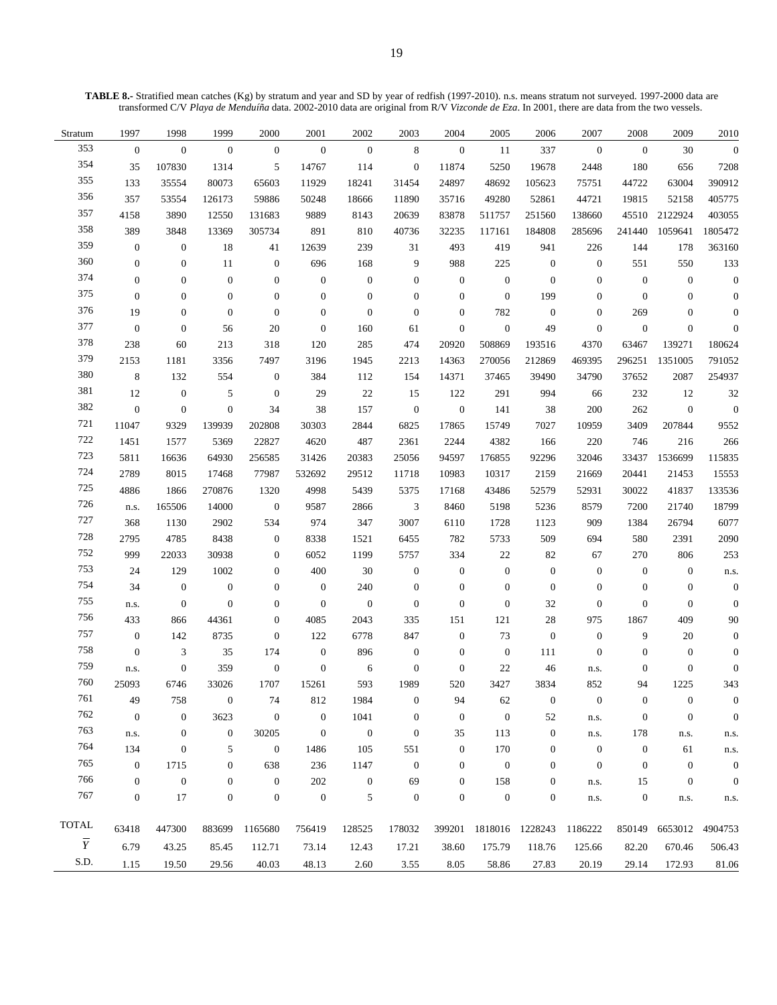**TABLE 8.-** Stratified mean catches (Kg) by stratum and year and SD by year of redfish (1997-2010). n.s. means stratum not surveyed. 1997-2000 data are transformed C/V *Playa de Menduíña* data. 2002-2010 data are original from R/V *Vizconde de Eza*. In 2001, there are data from the two vessels.

| Stratum        | 1997             | 1998             | 1999             | 2000             | 2001             | 2002             | 2003             | 2004             | 2005             | 2006             | 2007             | 2008             | 2009             | 2010             |
|----------------|------------------|------------------|------------------|------------------|------------------|------------------|------------------|------------------|------------------|------------------|------------------|------------------|------------------|------------------|
| 353            | $\mathbf{0}$     | $\boldsymbol{0}$ | $\mathbf{0}$     | $\boldsymbol{0}$ | $\mathbf{0}$     | $\boldsymbol{0}$ | $\,8\,$          | $\boldsymbol{0}$ | 11               | 337              | $\boldsymbol{0}$ | $\boldsymbol{0}$ | 30               | $\overline{0}$   |
| 354            | 35               | 107830           | 1314             | 5                | 14767            | 114              | $\mathbf{0}$     | 11874            | 5250             | 19678            | 2448             | 180              | 656              | 7208             |
| 355            | 133              | 35554            | 80073            | 65603            | 11929            | 18241            | 31454            | 24897            | 48692            | 105623           | 75751            | 44722            | 63004            | 390912           |
| 356            | 357              | 53554            | 126173           | 59886            | 50248            | 18666            | 11890            | 35716            | 49280            | 52861            | 44721            | 19815            | 52158            | 405775           |
| 357            | 4158             | 3890             | 12550            | 131683           | 9889             | 8143             | 20639            | 83878            | 511757           | 251560           | 138660           | 45510            | 2122924          | 403055           |
| 358            | 389              | 3848             | 13369            | 305734           | 891              | 810              | 40736            | 32235            | 117161           | 184808           | 285696           | 241440           | 1059641          | 1805472          |
| 359            | $\boldsymbol{0}$ | $\boldsymbol{0}$ | 18               | 41               | 12639            | 239              | 31               | 493              | 419              | 941              | 226              | 144              | 178              | 363160           |
| 360            | $\boldsymbol{0}$ | $\boldsymbol{0}$ | 11               | $\boldsymbol{0}$ | 696              | 168              | 9                | 988              | 225              | $\boldsymbol{0}$ | $\boldsymbol{0}$ | 551              | 550              | 133              |
| 374            | $\boldsymbol{0}$ | $\boldsymbol{0}$ | $\boldsymbol{0}$ | $\boldsymbol{0}$ | $\boldsymbol{0}$ | $\boldsymbol{0}$ | $\boldsymbol{0}$ | $\boldsymbol{0}$ | $\boldsymbol{0}$ | $\boldsymbol{0}$ | $\boldsymbol{0}$ | $\boldsymbol{0}$ | $\mathbf{0}$     | $\boldsymbol{0}$ |
| 375            | $\boldsymbol{0}$ | $\boldsymbol{0}$ | $\boldsymbol{0}$ | $\boldsymbol{0}$ | $\boldsymbol{0}$ | $\boldsymbol{0}$ | $\boldsymbol{0}$ | $\boldsymbol{0}$ | $\boldsymbol{0}$ | 199              | $\boldsymbol{0}$ | $\boldsymbol{0}$ | $\mathbf{0}$     | $\boldsymbol{0}$ |
| 376            | 19               | $\boldsymbol{0}$ | $\boldsymbol{0}$ | $\boldsymbol{0}$ | $\boldsymbol{0}$ | $\boldsymbol{0}$ | $\mathbf{0}$     | $\boldsymbol{0}$ | 782              | $\boldsymbol{0}$ | $\boldsymbol{0}$ | 269              | $\mathbf{0}$     | $\boldsymbol{0}$ |
| 377            | $\boldsymbol{0}$ | $\boldsymbol{0}$ | 56               | 20               | $\boldsymbol{0}$ | 160              | 61               | $\boldsymbol{0}$ | $\boldsymbol{0}$ | 49               | $\boldsymbol{0}$ | $\boldsymbol{0}$ | $\boldsymbol{0}$ | $\mathbf{0}$     |
| 378            | 238              | 60               | 213              | 318              | 120              | 285              | 474              | 20920            | 508869           | 193516           | 4370             | 63467            | 139271           | 180624           |
| 379            | 2153             | 1181             | 3356             | 7497             | 3196             | 1945             | 2213             | 14363            | 270056           | 212869           | 469395           | 296251           | 1351005          | 791052           |
| 380            | $\,$ 8 $\,$      | 132              | 554              | $\boldsymbol{0}$ | 384              | 112              | 154              | 14371            | 37465            | 39490            | 34790            | 37652            | 2087             | 254937           |
| 381            | 12               | $\boldsymbol{0}$ | 5                | $\boldsymbol{0}$ | 29               | 22               | 15               | 122              | 291              | 994              | 66               | 232              | 12               | 32               |
| 382            | $\boldsymbol{0}$ | $\boldsymbol{0}$ | $\boldsymbol{0}$ | 34               | 38               | 157              | $\boldsymbol{0}$ | $\boldsymbol{0}$ | 141              | 38               | 200              | 262              | $\boldsymbol{0}$ | $\mathbf{0}$     |
| 721            | 11047            | 9329             | 139939           | 202808           | 30303            | 2844             | 6825             | 17865            | 15749            | 7027             | 10959            | 3409             | 207844           | 9552             |
| $722\,$        | 1451             | 1577             | 5369             | 22827            | 4620             | 487              | 2361             | 2244             | 4382             | 166              | 220              | 746              | 216              | 266              |
| 723            | 5811             | 16636            | 64930            | 256585           | 31426            | 20383            | 25056            | 94597            | 176855           | 92296            | 32046            | 33437            | 1536699          | 115835           |
| 724            | 2789             | 8015             | 17468            | 77987            | 532692           | 29512            | 11718            | 10983            | 10317            | 2159             | 21669            | 20441            | 21453            | 15553            |
| 725            | 4886             | 1866             | 270876           | 1320             | 4998             | 5439             | 5375             | 17168            | 43486            | 52579            | 52931            | 30022            | 41837            | 133536           |
| 726            | n.s.             | 165506           | 14000            | $\boldsymbol{0}$ | 9587             | 2866             | $\mathfrak{Z}$   | 8460             | 5198             | 5236             | 8579             | 7200             | 21740            | 18799            |
| 727            | 368              | 1130             | 2902             | 534              | 974              | 347              | 3007             | 6110             | 1728             | 1123             | 909              | 1384             | 26794            | 6077             |
| 728            | 2795             | 4785             | 8438             | $\boldsymbol{0}$ | 8338             | 1521             | 6455             | 782              | 5733             | 509              | 694              | 580              | 2391             | 2090             |
| 752            | 999              | 22033            | 30938            | $\boldsymbol{0}$ | 6052             | 1199             | 5757             | 334              | $22\,$           | 82               | 67               | 270              | 806              | 253              |
| 753            | 24               | 129              | 1002             | $\boldsymbol{0}$ | 400              | $30\,$           | $\boldsymbol{0}$ | $\boldsymbol{0}$ | $\boldsymbol{0}$ | $\boldsymbol{0}$ | $\boldsymbol{0}$ | $\boldsymbol{0}$ | $\boldsymbol{0}$ | n.s.             |
| 754            | 34               | $\boldsymbol{0}$ | $\boldsymbol{0}$ | $\boldsymbol{0}$ | $\boldsymbol{0}$ | 240              | $\boldsymbol{0}$ | $\boldsymbol{0}$ | $\boldsymbol{0}$ | $\boldsymbol{0}$ | $\boldsymbol{0}$ | $\boldsymbol{0}$ | $\boldsymbol{0}$ | $\boldsymbol{0}$ |
| 755            | n.s.             | $\boldsymbol{0}$ | $\boldsymbol{0}$ | $\boldsymbol{0}$ | $\boldsymbol{0}$ | $\boldsymbol{0}$ | $\boldsymbol{0}$ | $\boldsymbol{0}$ | $\boldsymbol{0}$ | 32               | $\boldsymbol{0}$ | $\boldsymbol{0}$ | $\boldsymbol{0}$ | $\mathbf{0}$     |
| 756            | 433              | 866              | 44361            | $\boldsymbol{0}$ | 4085             | 2043             | 335              | 151              | 121              | $28\,$           | 975              | 1867             | 409              | 90               |
| 757            | $\boldsymbol{0}$ | 142              | 8735             | $\boldsymbol{0}$ | 122              | 6778             | 847              | $\boldsymbol{0}$ | $73\,$           | $\boldsymbol{0}$ | $\boldsymbol{0}$ | 9                | $20\,$           | $\boldsymbol{0}$ |
| 758            | $\boldsymbol{0}$ | $\mathfrak{Z}$   | 35               | 174              | $\boldsymbol{0}$ | 896              | $\boldsymbol{0}$ | $\boldsymbol{0}$ | $\boldsymbol{0}$ | 111              | $\boldsymbol{0}$ | $\boldsymbol{0}$ | $\boldsymbol{0}$ | $\mathbf{0}$     |
| 759            | n.s.             | $\boldsymbol{0}$ | 359              | $\boldsymbol{0}$ | $\boldsymbol{0}$ | 6                | $\boldsymbol{0}$ | $\boldsymbol{0}$ | 22               | $46\,$           | n.s.             | $\boldsymbol{0}$ | $\boldsymbol{0}$ | $\boldsymbol{0}$ |
| 760            | 25093            | 6746             | 33026            | 1707             | 15261            | 593              | 1989             | 520              | 3427             | 3834             | 852              | 94               | 1225             | 343              |
| 761            | 49               | 758              | $\boldsymbol{0}$ | 74               | 812              | 1984             | $\boldsymbol{0}$ | 94               | 62               | $\mathbf{0}$     | $\boldsymbol{0}$ | $\boldsymbol{0}$ | $\mathbf{0}$     | $\mathbf{0}$     |
| 762            | $\overline{0}$   | $\boldsymbol{0}$ | 3623             | $\mathbf{0}$     | $\mathbf{0}$     | 1041             | $\mathbf{0}$     | $\boldsymbol{0}$ | $\boldsymbol{0}$ | 52               | n.s.             | $\mathbf{0}$     | $\boldsymbol{0}$ | $\Omega$         |
| 763            | n.s.             | $\boldsymbol{0}$ | $\boldsymbol{0}$ | 30205            | $\boldsymbol{0}$ | $\bf{0}$         | $\boldsymbol{0}$ | 35               | 113              | $\boldsymbol{0}$ | n.s.             | 178              | n.s.             | n.s.             |
| 764            | 134              | $\boldsymbol{0}$ | 5                | $\boldsymbol{0}$ | 1486             | 105              | 551              | $\boldsymbol{0}$ | 170              | 0                | $\boldsymbol{0}$ | $\boldsymbol{0}$ | 61               | n.s.             |
| 765            | $\mathbf{0}$     | 1715             | 0                | 638              | 236              | 1147             | $\boldsymbol{0}$ | $\boldsymbol{0}$ | $\mathbf{0}$     | 0                | $\boldsymbol{0}$ | $\boldsymbol{0}$ | $\boldsymbol{0}$ | $\overline{0}$   |
| 766            | $\boldsymbol{0}$ | $\boldsymbol{0}$ | $\boldsymbol{0}$ | $\boldsymbol{0}$ | 202              | $\boldsymbol{0}$ | 69               | 0                | 158              | 0                | n.s.             | 15               | $\boldsymbol{0}$ | $\theta$         |
| 767            | $\mathbf{0}$     | 17               | $\boldsymbol{0}$ | $\boldsymbol{0}$ | $\mathbf{0}$     | 5                | $\boldsymbol{0}$ | $\boldsymbol{0}$ | $\boldsymbol{0}$ | 0                |                  | $\boldsymbol{0}$ |                  |                  |
|                |                  |                  |                  |                  |                  |                  |                  |                  |                  |                  | n.s.             |                  | n.s.             | n.s.             |
| <b>TOTAL</b>   | 63418            | 447300           | 883699           | 1165680          | 756419           | 128525           | 178032           | 399201           |                  | 1818016 1228243  | 1186222          | 850149           | 6653012          | 4904753          |
| $\overline{Y}$ |                  |                  |                  |                  |                  |                  |                  |                  |                  |                  |                  |                  |                  |                  |
| S.D.           | 6.79             | 43.25            | 85.45            | 112.71           | 73.14            | 12.43            | 17.21            | 38.60            | 175.79           | 118.76           | 125.66           | 82.20            | 670.46           | 506.43           |
|                | 1.15             | 19.50            | 29.56            | 40.03            | 48.13            | 2.60             | 3.55             | 8.05             | 58.86            | 27.83            | 20.19            | 29.14            | 172.93           | 81.06            |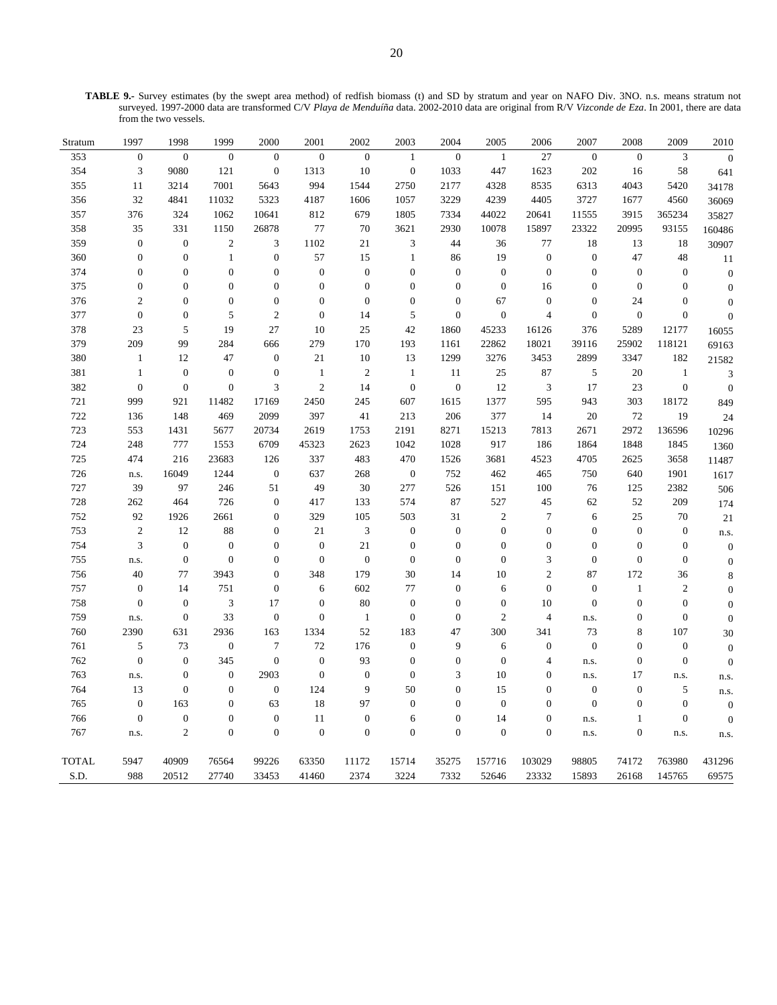**TABLE 9.-** Survey estimates (by the swept area method) of redfish biomass (t) and SD by stratum and year on NAFO Div. 3NO. n.s. means stratum not surveyed. 1997-2000 data are transformed C/V *Playa de Menduíña* data. 2002-2010 data are original from R/V *Vizconde de Eza*. In 2001, there are data from the two vessels.

| Stratum      | 1997             | 1998             | 1999             | 2000             | 2001             | 2002             | 2003             | 2004             | 2005             | 2006             | 2007             | 2008             | 2009             | 2010             |
|--------------|------------------|------------------|------------------|------------------|------------------|------------------|------------------|------------------|------------------|------------------|------------------|------------------|------------------|------------------|
| 353          | $\overline{0}$   | $\overline{0}$   | $\overline{0}$   | $\boldsymbol{0}$ | $\overline{0}$   | $\boldsymbol{0}$ | $\mathbf{1}$     | $\boldsymbol{0}$ | $\mathbf{1}$     | 27               | $\boldsymbol{0}$ | $\boldsymbol{0}$ | 3                | $\overline{0}$   |
| 354          | 3                | 9080             | 121              | $\boldsymbol{0}$ | 1313             | 10               | $\boldsymbol{0}$ | 1033             | 447              | 1623             | 202              | 16               | 58               | 641              |
| 355          | 11               | 3214             | 7001             | 5643             | 994              | 1544             | 2750             | 2177             | 4328             | 8535             | 6313             | 4043             | 5420             | 34178            |
| 356          | 32               | 4841             | 11032            | 5323             | 4187             | 1606             | 1057             | 3229             | 4239             | 4405             | 3727             | 1677             | 4560             | 36069            |
| 357          | 376              | 324              | 1062             | 10641            | 812              | 679              | 1805             | 7334             | 44022            | 20641            | 11555            | 3915             | 365234           | 35827            |
| 358          | 35               | 331              | 1150             | 26878            | 77               | 70               | 3621             | 2930             | 10078            | 15897            | 23322            | 20995            | 93155            | 160486           |
| 359          | $\overline{0}$   | $\mathbf{0}$     | $\mathfrak{2}$   | 3                | 1102             | 21               | 3                | 44               | 36               | 77               | 18               | 13               | 18               | 30907            |
| 360          | $\boldsymbol{0}$ | $\boldsymbol{0}$ | $\mathbf{1}$     | $\boldsymbol{0}$ | 57               | 15               | $\mathbf{1}$     | 86               | 19               | $\boldsymbol{0}$ | $\boldsymbol{0}$ | 47               | 48               | 11               |
| 374          | $\overline{0}$   | $\boldsymbol{0}$ | $\overline{0}$   | $\mathbf{0}$     | $\boldsymbol{0}$ | $\boldsymbol{0}$ | $\overline{0}$   | $\boldsymbol{0}$ | $\overline{0}$   | $\boldsymbol{0}$ | $\overline{0}$   | $\boldsymbol{0}$ | $\mathbf{0}$     | $\boldsymbol{0}$ |
| 375          | $\mathbf{0}$     | $\boldsymbol{0}$ | $\boldsymbol{0}$ | $\boldsymbol{0}$ | $\boldsymbol{0}$ | $\mathbf{0}$     | $\boldsymbol{0}$ | $\boldsymbol{0}$ | $\boldsymbol{0}$ | 16               | $\Omega$         | $\boldsymbol{0}$ | $\Omega$         | $\mathbf{0}$     |
| 376          | $\overline{c}$   | $\boldsymbol{0}$ | $\mathbf{0}$     | $\boldsymbol{0}$ | $\mathbf{0}$     | $\boldsymbol{0}$ | $\overline{0}$   | $\boldsymbol{0}$ | 67               | $\boldsymbol{0}$ | $\mathbf{0}$     | 24               | $\boldsymbol{0}$ | $\overline{0}$   |
| 377          | $\mathbf{0}$     | $\boldsymbol{0}$ | 5                | $\overline{c}$   | $\overline{0}$   | 14               | 5                | $\boldsymbol{0}$ | $\boldsymbol{0}$ | $\overline{4}$   | $\overline{0}$   | $\boldsymbol{0}$ | $\boldsymbol{0}$ | $\boldsymbol{0}$ |
| 378          | 23               | 5                | 19               | 27               | 10               | 25               | 42               | 1860             | 45233            | 16126            | 376              | 5289             | 12177            | 16055            |
| 379          | 209              | 99               | 284              | 666              | 279              | 170              | 193              | 1161             | 22862            | 18021            | 39116            | 25902            | 118121           | 69163            |
| 380          | $\mathbf{1}$     | 12               | 47               | $\boldsymbol{0}$ | 21               | 10               | 13               | 1299             | 3276             | 3453             | 2899             | 3347             | 182              | 21582            |
| 381          | 1                | $\boldsymbol{0}$ | $\boldsymbol{0}$ | $\mathbf{0}$     | $\mathbf{1}$     | $\overline{c}$   | $\mathbf{1}$     | 11               | 25               | 87               | 5                | 20               | $\mathbf{1}$     | $\mathfrak{Z}$   |
| 382          | $\overline{0}$   | $\boldsymbol{0}$ | $\boldsymbol{0}$ | 3                | $\sqrt{2}$       | 14               | $\boldsymbol{0}$ | $\boldsymbol{0}$ | 12               | $\mathfrak{Z}$   | 17               | 23               | $\boldsymbol{0}$ | $\boldsymbol{0}$ |
| 721          | 999              | 921              | 11482            | 17169            | 2450             | 245              | 607              | 1615             | 1377             | 595              | 943              | 303              | 18172            | 849              |
| 722          | 136              | 148              | 469              | 2099             | 397              | 41               | 213              | 206              | 377              | 14               | 20               | 72               | 19               | 24               |
| 723          | 553              | 1431             | 5677             | 20734            | 2619             | 1753             | 2191             | 8271             | 15213            | 7813             | 2671             | 2972             | 136596           | 10296            |
| 724          | 248              | 777              | 1553             | 6709             | 45323            | 2623             | 1042             | 1028             | 917              | 186              | 1864             | 1848             | 1845             | 1360             |
| 725          | 474              | 216              | 23683            | 126              | 337              | 483              | 470              | 1526             | 3681             | 4523             | 4705             | 2625             | 3658             | 11487            |
| 726          | n.s.             | 16049            | 1244             | $\boldsymbol{0}$ | 637              | 268              | $\boldsymbol{0}$ | 752              | 462              | 465              | 750              | 640              | 1901             | 1617             |
| 727          | 39               | 97               | 246              | 51               | 49               | 30               | 277              | 526              | 151              | 100              | 76               | 125              | 2382             | 506              |
| 728          | 262              | 464              | 726              | $\boldsymbol{0}$ | 417              | 133              | 574              | 87               | 527              | 45               | 62               | 52               | 209              | 174              |
| 752          | 92               | 1926             | 2661             | $\overline{0}$   | 329              | 105              | 503              | 31               | $\mathfrak{2}$   | 7                | 6                | 25               | 70               | 21               |
| 753          | $\overline{c}$   | 12               | 88               | $\boldsymbol{0}$ | 21               | 3                | $\mathbf{0}$     | $\boldsymbol{0}$ | $\boldsymbol{0}$ | $\boldsymbol{0}$ | $\overline{0}$   | $\boldsymbol{0}$ | $\mathbf{0}$     | n.s.             |
| 754          | $\mathfrak z$    | $\boldsymbol{0}$ | $\boldsymbol{0}$ | $\boldsymbol{0}$ | $\mathbf{0}$     | 21               | $\overline{0}$   | $\boldsymbol{0}$ | $\overline{0}$   | $\boldsymbol{0}$ | $\overline{0}$   | $\boldsymbol{0}$ | $\mathbf{0}$     | $\boldsymbol{0}$ |
| 755          | n.s.             | $\boldsymbol{0}$ | $\overline{0}$   | $\overline{0}$   | $\mathbf{0}$     | $\boldsymbol{0}$ | $\overline{0}$   | $\boldsymbol{0}$ | $\overline{0}$   | 3                | $\overline{0}$   | $\boldsymbol{0}$ | $\mathbf{0}$     | $\boldsymbol{0}$ |
| 756          | 40               | 77               | 3943             | $\boldsymbol{0}$ | 348              | 179              | 30               | 14               | 10               | $\mathbf{2}$     | 87               | 172              | 36               | $\,$ 8 $\,$      |
| 757          | $\mathbf{0}$     | 14               | 751              | $\boldsymbol{0}$ | 6                | 602              | 77               | $\boldsymbol{0}$ | 6                | $\boldsymbol{0}$ | $\boldsymbol{0}$ | $\mathbf{1}$     | $\overline{c}$   | $\mathbf{0}$     |
| 758          | $\overline{0}$   | $\mathbf{0}$     | 3                | 17               | $\overline{0}$   | 80               | $\overline{0}$   | $\boldsymbol{0}$ | $\overline{0}$   | 10               | $\mathbf{0}$     | $\boldsymbol{0}$ | $\mathbf{0}$     | $\overline{0}$   |
| 759          | n.s.             | $\boldsymbol{0}$ | 33               | $\boldsymbol{0}$ | $\mathbf{0}$     | $\mathbf{1}$     | $\boldsymbol{0}$ | $\boldsymbol{0}$ | $\overline{c}$   | $\overline{4}$   | n.s.             | $\boldsymbol{0}$ | $\boldsymbol{0}$ | $\boldsymbol{0}$ |
| 760          | 2390             | 631              | 2936             | 163              | 1334             | 52               | 183              | 47               | 300              | 341              | 73               | $\,$ 8 $\,$      | 107              | 30               |
| 761          | 5                | 73               | $\boldsymbol{0}$ | $\tau$           | 72               | 176              | $\boldsymbol{0}$ | 9                | 6                | $\boldsymbol{0}$ | $\boldsymbol{0}$ | $\boldsymbol{0}$ | $\boldsymbol{0}$ | $\mathbf{0}$     |
| 762          | $\overline{0}$   | $\overline{0}$   | 345              | $\mathbf{0}$     | $\overline{0}$   | 93               | $\overline{0}$   | $\boldsymbol{0}$ | $\overline{0}$   | $\overline{4}$   | n.s.             | $\boldsymbol{0}$ | $\mathbf{0}$     | $\boldsymbol{0}$ |
| 763          | n.s.             | $\boldsymbol{0}$ | $\boldsymbol{0}$ | 2903             | $\mathbf{0}$     | $\mathbf{0}$     | $\overline{0}$   | 3                | 10               | $\boldsymbol{0}$ | n.s.             | 17               | n.s.             | n.s.             |
| 764          | 13               | $\boldsymbol{0}$ | $\boldsymbol{0}$ | $\boldsymbol{0}$ | 124              | 9                | 50               | $\boldsymbol{0}$ | 15               | $\boldsymbol{0}$ | $\boldsymbol{0}$ | $\boldsymbol{0}$ | 5                | n.s.             |
| 765          | $\overline{0}$   | 163              | $\theta$         | 63               | 18               | 97               | $\theta$         | $\overline{0}$   | $\overline{0}$   | $\overline{0}$   | $\Omega$         | $\mathbf{0}$     | $\overline{0}$   | $\boldsymbol{0}$ |
| 766          | $\boldsymbol{0}$ | $\boldsymbol{0}$ | $\boldsymbol{0}$ | $\boldsymbol{0}$ | 11               | $\boldsymbol{0}$ | 6                | $\boldsymbol{0}$ | 14               | $\boldsymbol{0}$ | n.s.             | $\mathbf{1}$     | $\mathbf{0}$     | $\overline{0}$   |
| 767          | n.s.             | $\overline{c}$   | $\mathbf{0}$     | $\boldsymbol{0}$ | $\boldsymbol{0}$ | $\boldsymbol{0}$ | $\overline{0}$   | $\boldsymbol{0}$ | $\boldsymbol{0}$ | $\boldsymbol{0}$ | n.s.             | $\boldsymbol{0}$ | n.s.             | n.s.             |
| <b>TOTAL</b> | 5947             | 40909            | 76564            | 99226            | 63350            | 11172            | 15714            | 35275            | 157716           | 103029           | 98805            | 74172            | 763980           | 431296           |
| S.D.         | 988              | 20512            | 27740            | 33453            | 41460            | 2374             | 3224             | 7332             | 52646            | 23332            | 15893            | 26168            | 145765           | 69575            |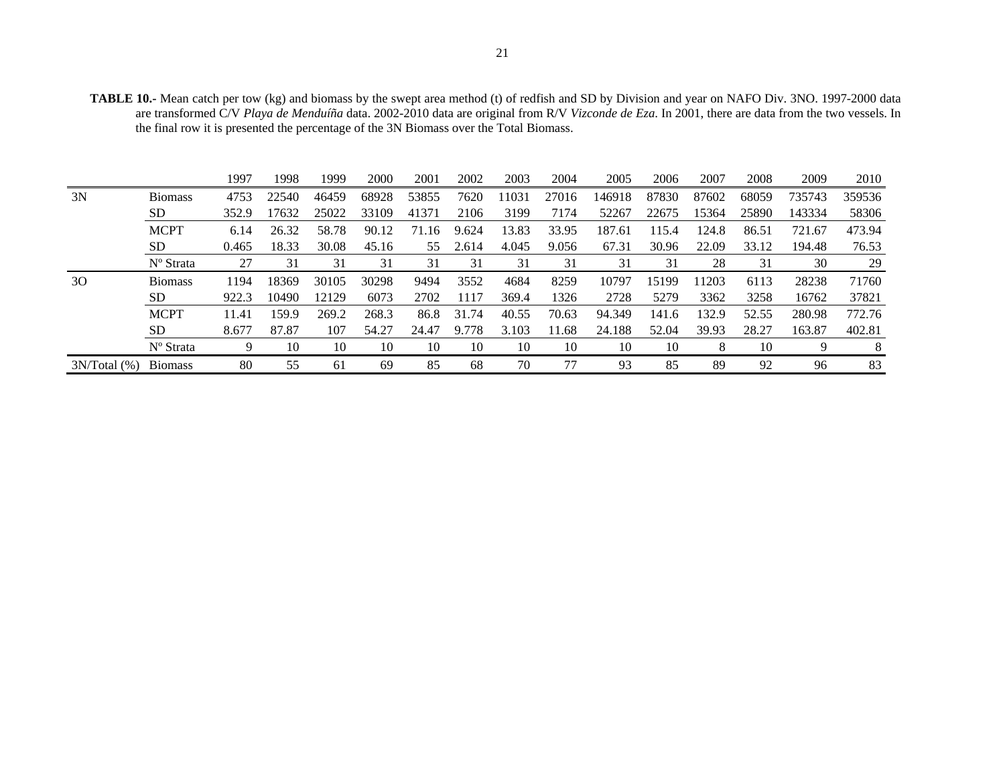| <b>TABLE 10.-</b> Mean catch per tow (kg) and biomass by the swept area method (t) of redfish and SD by Division and year on NAFO Div. 3NO. 1997-2000 data |  |
|------------------------------------------------------------------------------------------------------------------------------------------------------------|--|
| are transformed C/V Playa de Menduíña data. 2002-2010 data are original from R/V Vizconde de Eza. In 2001, there are data from the two vessels. In         |  |
| the final row it is presented the percentage of the 3N Biomass over the Total Biomass.                                                                     |  |

|    |                       | 1997  | 1998  | 1999  | 2000  | 2001  | 2002  | 2003  | 2004  | 2005   | 2006  | 2007  | 2008  | 2009   | 2010   |
|----|-----------------------|-------|-------|-------|-------|-------|-------|-------|-------|--------|-------|-------|-------|--------|--------|
| 3N | <b>Biomass</b>        | 4753  | 22540 | 46459 | 68928 | 53855 | 7620  | 11031 | 27016 | 146918 | 87830 | 87602 | 68059 | 735743 | 359536 |
|    | SD.                   | 352.9 | 7632  | 25022 | 33109 | 41371 | 2106  | 3199  | 7174  | 52267  | 22675 | 15364 | 25890 | 143334 | 58306  |
|    | <b>MCPT</b>           | 6.14  | 26.32 | 58.78 | 90.12 | 71.16 | 9.624 | 13.83 | 33.95 | 187.61 | 115.4 | 124.8 | 86.51 | 721.67 | 473.94 |
|    | SD.                   | 0.465 | 18.33 | 30.08 | 45.16 | 55    | 2.614 | 4.045 | 9.056 | 67.31  | 30.96 | 22.09 | 33.12 | 194.48 | 76.53  |
|    | N <sup>o</sup> Strata | 27    | 31    | 31    | 31    | 31    | 31    | 31    | 31    | 31     | 31    | 28    | 31    | 30     | 29     |
| 30 | <b>Biomass</b>        | 1194  | 18369 | 30105 | 30298 | 9494  | 3552  | 4684  | 8259  | 10797  | 15199 | 11203 | 6113  | 28238  | 71760  |
|    | SD.                   | 922.3 | 10490 | 12129 | 6073  | 2702  | 1117  | 369.4 | 1326  | 2728   | 5279  | 3362  | 3258  | 16762  | 37821  |
|    | <b>MCPT</b>           | 11.41 | 159.9 | 269.2 | 268.3 | 86.8  | 31.74 | 40.55 | 70.63 | 94.349 | 141.6 | 132.9 | 52.55 | 280.98 | 772.76 |
|    | SD.                   | 8.677 | 87.87 | 107   | 54.27 | 24.47 | 9.778 | 3.103 | 11.68 | 24.188 | 52.04 | 39.93 | 28.27 | 163.87 | 402.81 |
|    | Nº Strata             | 9     | 10    | 10    | 10    | 10    | 10    | 10    | 10    | 10     | 10    | 8     | 10    | 9      | 8      |
|    |                       |       |       |       |       |       |       |       |       |        |       |       |       |        |        |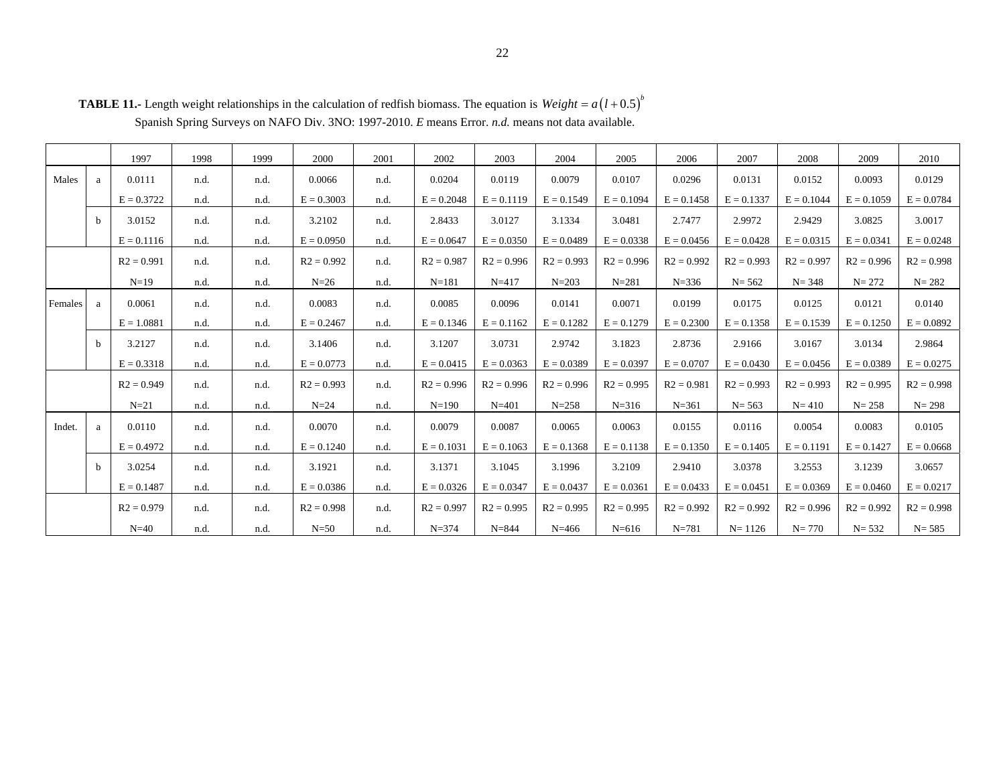|         |   | 1997         | 1998 | 1999 | 2000         | 2001 | 2002         | 2003         | 2004         | 2005         | 2006         | 2007         | 2008         | 2009         | 2010         |
|---------|---|--------------|------|------|--------------|------|--------------|--------------|--------------|--------------|--------------|--------------|--------------|--------------|--------------|
| Males   | a | 0.0111       | n.d. | n.d. | 0.0066       | n.d. | 0.0204       | 0.0119       | 0.0079       | 0.0107       | 0.0296       | 0.0131       | 0.0152       | 0.0093       | 0.0129       |
|         |   | $E = 0.3722$ | n.d. | n.d. | $E = 0.3003$ | n.d. | $E = 0.2048$ | $E = 0.1119$ | $E = 0.1549$ | $E = 0.1094$ | $E = 0.1458$ | $E = 0.1337$ | $E = 0.1044$ | $E = 0.1059$ | $E = 0.0784$ |
|         | b | 3.0152       | n.d. | n.d. | 3.2102       | n.d. | 2.8433       | 3.0127       | 3.1334       | 3.0481       | 2.7477       | 2.9972       | 2.9429       | 3.0825       | 3.0017       |
|         |   | $E = 0.1116$ | n.d. | n.d. | $E = 0.0950$ | n.d. | $E = 0.0647$ | $E = 0.0350$ | $E = 0.0489$ | $E = 0.0338$ | $E = 0.0456$ | $E = 0.0428$ | $E = 0.0315$ | $E = 0.0341$ | $E = 0.0248$ |
|         |   | $R2 = 0.991$ | n.d. | n.d. | $R2 = 0.992$ | n.d. | $R2 = 0.987$ | $R2 = 0.996$ | $R2 = 0.993$ | $R2 = 0.996$ | $R2 = 0.992$ | $R2 = 0.993$ | $R2 = 0.997$ | $R2 = 0.996$ | $R2 = 0.998$ |
|         |   | $N=19$       | n.d. | n.d. | $N=26$       | n.d. | $N = 181$    | $N = 417$    | $N = 203$    | $N = 281$    | $N = 336$    | $N = 562$    | $N = 348$    | $N = 272$    | $N = 282$    |
| Females | a | 0.0061       | n.d. | n.d. | 0.0083       | n.d. | 0.0085       | 0.0096       | 0.0141       | 0.0071       | 0.0199       | 0.0175       | 0.0125       | 0.0121       | 0.0140       |
|         |   | $E = 1.0881$ | n.d. | n.d. | $E = 0.2467$ | n.d. | $E = 0.1346$ | $E = 0.1162$ | $E = 0.1282$ | $E = 0.1279$ | $E = 0.2300$ | $E = 0.1358$ | $E = 0.1539$ | $E = 0.1250$ | $E = 0.0892$ |
|         | b | 3.2127       | n.d. | n.d. | 3.1406       | n.d. | 3.1207       | 3.0731       | 2.9742       | 3.1823       | 2.8736       | 2.9166       | 3.0167       | 3.0134       | 2.9864       |
|         |   | $E = 0.3318$ | n.d. | n.d. | $E = 0.0773$ | n.d. | $E = 0.0415$ | $E = 0.0363$ | $E = 0.0389$ | $E = 0.0397$ | $E = 0.0707$ | $E = 0.0430$ | $E = 0.0456$ | $E = 0.0389$ | $E = 0.0275$ |
|         |   | $R2 = 0.949$ | n.d. | n.d. | $R2 = 0.993$ | n.d. | $R2 = 0.996$ | $R2 = 0.996$ | $R2 = 0.996$ | $R2 = 0.995$ | $R2 = 0.981$ | $R2 = 0.993$ | $R2 = 0.993$ | $R2 = 0.995$ | $R2 = 0.998$ |
|         |   | $N=21$       | n.d. | n.d. | $N=24$       | n.d. | $N = 190$    | $N = 401$    | $N = 258$    | $N = 316$    | $N = 361$    | $N = 563$    | $N = 410$    | $N = 258$    | $N = 298$    |
| Indet.  | a | 0.0110       | n.d. | n.d. | 0.0070       | n.d. | 0.0079       | 0.0087       | 0.0065       | 0.0063       | 0.0155       | 0.0116       | 0.0054       | 0.0083       | 0.0105       |
|         |   | $E = 0.4972$ | n.d. | n.d. | $E = 0.1240$ | n.d. | $E = 0.1031$ | $E = 0.1063$ | $E = 0.1368$ | $E = 0.1138$ | $E = 0.1350$ | $E = 0.1405$ | $E = 0.1191$ | $E = 0.1427$ | $E = 0.0668$ |
|         | b | 3.0254       | n.d. | n.d. | 3.1921       | n.d. | 3.1371       | 3.1045       | 3.1996       | 3.2109       | 2.9410       | 3.0378       | 3.2553       | 3.1239       | 3.0657       |
|         |   | $E = 0.1487$ | n.d. | n.d. | $E = 0.0386$ | n.d. | $E = 0.0326$ | $E = 0.0347$ | $E = 0.0437$ | $E = 0.0361$ | $E = 0.0433$ | $E = 0.0451$ | $E = 0.0369$ | $E = 0.0460$ | $E = 0.0217$ |
|         |   | $R2 = 0.979$ | n.d. | n.d. | $R2 = 0.998$ | n.d. | $R2 = 0.997$ | $R2 = 0.995$ | $R2 = 0.995$ | $R2 = 0.995$ | $R2 = 0.992$ | $R2 = 0.992$ | $R2 = 0.996$ | $R2 = 0.992$ | $R2 = 0.998$ |
|         |   | $N=40$       | n.d. | n.d. | $N=50$       | n.d. | $N = 374$    | $N = 844$    | $N = 466$    | $N = 616$    | $N = 781$    | $N = 1126$   | $N = 770$    | $N = 532$    | $N = 585$    |

**TABLE 11.-** Length weight relationships in the calculation of redfish biomass. The equation is  $Weight = a(l + 0.5)^{b}$ Spanish Spring Surveys on NAFO Div. 3NO: 1997-2010. *E* means Error. *n.d.* means not data available.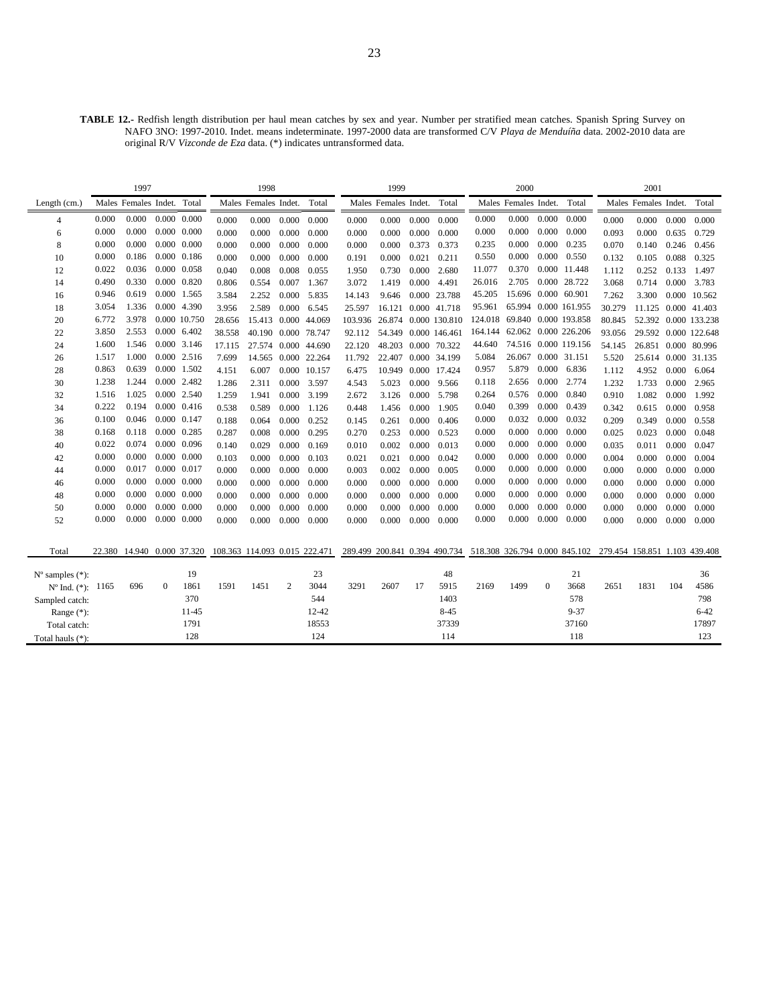**TABLE 12.-** Redfish length distribution per haul mean catches by sex and year. Number per stratified mean catches. Spanish Spring Survey on NAFO 3NO: 1997-2010. Indet. means indeterminate. 1997-2000 data are transformed C/V *Playa de Menduíña* data. 2002-2010 data are original R/V *Vizconde de Eza* data. (\*) indicates untransformed data.

|                                                           |       | 1997                       |              |                     |                               | 1998                 |       |              |         | 1999                 |       |                      |                                                                                           | 2000                         |              |                      |        | 2001                 |       |                      |
|-----------------------------------------------------------|-------|----------------------------|--------------|---------------------|-------------------------------|----------------------|-------|--------------|---------|----------------------|-------|----------------------|-------------------------------------------------------------------------------------------|------------------------------|--------------|----------------------|--------|----------------------|-------|----------------------|
| Length (cm.)                                              |       | Males Females Indet. Total |              |                     |                               | Males Females Indet. |       | Total        |         | Males Females Indet. |       | Total                |                                                                                           | Males Females Indet.         |              | Total                |        | Males Females Indet. |       | Total                |
| 4                                                         | 0.000 | 0.000                      |              | $0.000 \quad 0.000$ | 0.000                         | 0.000                | 0.000 | 0.000        | 0.000   | 0.000                | 0.000 | 0.000                | 0.000                                                                                     | 0.000                        | 0.000        | 0.000                | 0.000  | 0.000                | 0.000 | 0.000                |
| 6                                                         | 0.000 | 0.000                      |              | $0.000 \quad 0.000$ | 0.000                         | 0.000                | 0.000 | 0.000        | 0.000   | 0.000                | 0.000 | 0.000                | 0.000                                                                                     | 0.000                        | 0.000        | 0.000                | 0.093  | 0.000                | 0.635 | 0.729                |
| 8                                                         | 0.000 | 0.000                      |              | $0.000 \quad 0.000$ | 0.000                         | 0.000                | 0.000 | 0.000        | 0.000   | 0.000                | 0.373 | 0.373                | 0.235                                                                                     | 0.000                        | 0.000        | 0.235                | 0.070  | 0.140                | 0.246 | 0.456                |
| 10                                                        | 0.000 | 0.186                      |              | 0.000 0.186         | 0.000                         | 0.000                | 0.000 | 0.000        | 0.191   | 0.000                | 0.021 | 0.211                | 0.550                                                                                     | 0.000                        | 0.000        | 0.550                | 0.132  | 0.105                | 0.088 | 0.325                |
| 12                                                        | 0.022 | 0.036                      |              | $0.000 \quad 0.058$ | 0.040                         | 0.008                | 0.008 | 0.055        | 1.950   | 0.730                | 0.000 | 2.680                | 11.077                                                                                    | 0.370                        |              | 0.000 11.448         | 1.112  | 0.252                | 0.133 | 1.497                |
| 14                                                        | 0.490 | 0.330                      |              | 0.000 0.820         | 0.806                         | 0.554                | 0.007 | 1.367        | 3.072   | 1.419                | 0.000 | 4.491                | 26.016                                                                                    | 2.705                        |              | 0.000 28.722         | 3.068  | 0.714                | 0.000 | 3.783                |
| 16                                                        | 0.946 | 0.619                      |              | 0.000 1.565         | 3.584                         | 2.252                | 0.000 | 5.835        | 14.143  | 9.646                |       | 0.000 23.788         | 45.205                                                                                    | 15.696 0.000 60.901          |              |                      | 7.262  | 3.300                | 0.000 | 10.562               |
| 18                                                        | 3.054 | 1.336                      |              | 0.000 4.390         | 3.956                         | 2.589                | 0.000 | 6.545        | 25.597  | 16.121               |       | 0.000 41.718         | 95.961                                                                                    |                              |              | 65.994 0.000 161.955 | 30.279 |                      |       | 11.125 0.000 41.403  |
| 20                                                        | 6.772 | 3.978                      |              | 0.000 10.750        | 28.656                        | 15.413 0.000         |       | 44.069       | 103.936 |                      |       | 26.874 0.000 130.810 |                                                                                           | 124.018 69.840 0.000 193.858 |              |                      | 80.845 |                      |       | 52.392 0.000 133.238 |
| 22                                                        | 3.850 | 2.553                      |              | 0.000 6.402         | 38.558                        | 40.190 0.000 78.747  |       |              | 92.112  |                      |       | 54.349 0.000 146.461 |                                                                                           | 164.144 62.062 0.000 226.206 |              |                      | 93.056 |                      |       | 29.592 0.000 122.648 |
| 24                                                        | 1.600 | 1.546                      |              | 0.000 3.146         | 17.115                        | 27.574 0.000 44.690  |       |              | 22.120  |                      |       | 48.203 0.000 70.322  | 44.640                                                                                    |                              |              | 74.516 0.000 119.156 | 54.145 | 26.851 0.000 80.996  |       |                      |
| 26                                                        | 1.517 | 1.000                      |              | 0.000 2.516         | 7.699                         | 14.565               |       | 0.000 22.264 | 11.792  | 22.407 0.000 34.199  |       |                      | 5.084                                                                                     |                              |              | 26.067 0.000 31.151  | 5.520  |                      |       | 25.614 0.000 31.135  |
| 28                                                        | 0.863 | 0.639                      |              | 0.000 1.502         | 4.151                         | 6.007                |       | 0.000 10.157 | 6.475   | 10.949               |       | 0.000 17.424         | 0.957                                                                                     | 5.879                        | 0.000        | 6.836                | 1.112  | 4.952                | 0.000 | 6.064                |
| 30                                                        | 1.238 | 1.244                      |              | 0.000 2.482         | 1.286                         | 2.311                | 0.000 | 3.597        | 4.543   | 5.023                | 0.000 | 9.566                | 0.118                                                                                     | 2.656                        | 0.000        | 2.774                | 1.232  | 1.733                | 0.000 | 2.965                |
| 32                                                        | 1.516 | 1.025                      |              | 0.000 2.540         | 1.259                         | 1.941                | 0.000 | 3.199        | 2.672   | 3.126                | 0.000 | 5.798                | 0.264                                                                                     | 0.576                        | 0.000        | 0.840                | 0.910  | 1.082                | 0.000 | 1.992                |
| 34                                                        | 0.222 | 0.194                      |              | 0.000 0.416         | 0.538                         | 0.589                | 0.000 | 1.126        | 0.448   | 1.456                | 0.000 | 1.905                | 0.040                                                                                     | 0.399                        | 0.000        | 0.439                | 0.342  | 0.615                | 0.000 | 0.958                |
| 36                                                        | 0.100 | 0.046                      | 0.000        | 0.147               | 0.188                         | 0.064                | 0.000 | 0.252        | 0.145   | 0.261                | 0.000 | 0.406                | 0.000                                                                                     | 0.032                        | 0.000        | 0.032                | 0.209  | 0.349                | 0.000 | 0.558                |
| 38                                                        | 0.168 | 0.118                      | 0.000        | 0.285               | 0.287                         | 0.008                | 0.000 | 0.295        | 0.270   | 0.253                | 0.000 | 0.523                | 0.000                                                                                     | 0.000                        | 0.000        | 0.000                | 0.025  | 0.023                | 0.000 | 0.048                |
| 40                                                        | 0.022 | 0.074                      |              | 0.000 0.096         | 0.140                         | 0.029                | 0.000 | 0.169        | 0.010   | 0.002                | 0.000 | 0.013                | 0.000                                                                                     | 0.000                        | 0.000        | 0.000                | 0.035  | 0.011                | 0.000 | 0.047                |
| 42                                                        | 0.000 | 0.000                      |              | $0.000 \quad 0.000$ | 0.103                         | 0.000                | 0.000 | 0.103        | 0.021   | 0.021                | 0.000 | 0.042                | 0.000                                                                                     | 0.000                        | 0.000        | 0.000                | 0.004  | 0.000                | 0.000 | 0.004                |
| 44                                                        | 0.000 | 0.017                      |              | 0.000 0.017         | 0.000                         | 0.000                | 0.000 | 0.000        | 0.003   | 0.002                | 0.000 | 0.005                | 0.000                                                                                     | 0.000                        | 0.000        | 0.000                | 0.000  | 0.000                | 0.000 | 0.000                |
| 46                                                        | 0.000 | 0.000                      |              | $0.000 \quad 0.000$ | 0.000                         | 0.000                | 0.000 | 0.000        | 0.000   | 0.000                | 0.000 | 0.000                | 0.000                                                                                     | 0.000                        | 0.000        | 0.000                | 0.000  | 0.000                | 0.000 | 0.000                |
| 48                                                        | 0.000 | 0.000                      |              | $0.000 \quad 0.000$ | 0.000                         | 0.000                | 0.000 | 0.000        | 0.000   | 0.000                | 0.000 | 0.000                | 0.000                                                                                     | 0.000                        | 0.000        | 0.000                | 0.000  | 0.000                | 0.000 | 0.000                |
| 50                                                        | 0.000 | 0.000                      |              | $0.000 \quad 0.000$ | 0.000                         | 0.000                | 0.000 | 0.000        | 0.000   | 0.000                | 0.000 | 0.000                | 0.000                                                                                     | 0.000                        | 0.000        | 0.000                | 0.000  | 0.000                | 0.000 | 0.000                |
| 52                                                        | 0.000 | 0.000                      |              | $0.000 \quad 0.000$ | 0.000                         | 0.000                | 0.000 | 0.000        | 0.000   | 0.000                | 0.000 | 0.000                | 0.000                                                                                     | 0.000                        | 0.000        | 0.000                | 0.000  | 0.000                | 0.000 | 0.000                |
|                                                           |       |                            |              |                     |                               |                      |       |              |         |                      |       |                      |                                                                                           |                              |              |                      |        |                      |       |                      |
| Total                                                     |       | 22.380 14.940 0.000 37.320 |              |                     | 108.363 114.093 0.015 222.471 |                      |       |              |         |                      |       |                      | 289.499 200.841 0.394 490.734 518.308 326.794 0.000 845.102 279.454 158.851 1.103 439.408 |                              |              |                      |        |                      |       |                      |
|                                                           |       |                            |              | 19                  |                               |                      |       | 23           |         |                      |       | 48                   |                                                                                           |                              |              | 21                   |        |                      |       | 36                   |
| $N^{\circ}$ samples $(*)$ :<br>$N^{\circ}$ Ind. (*): 1165 |       | 696                        | $\mathbf{0}$ | 1861                | 1591                          | 1451                 | 2     | 3044         | 3291    | 2607                 | 17    | 5915                 | 2169                                                                                      | 1499                         | $\mathbf{0}$ | 3668                 | 2651   | 1831                 | 104   | 4586                 |
| Sampled catch:                                            |       |                            |              | 370                 |                               |                      |       | 544          |         |                      |       | 1403                 |                                                                                           |                              |              | 578                  |        |                      |       | 798                  |
| Range $(*)$ :                                             |       |                            |              | $11 - 45$           |                               |                      |       | $12 - 42$    |         |                      |       | $8 - 45$             |                                                                                           |                              |              | $9 - 37$             |        |                      |       | $6 - 42$             |
| Total catch:                                              |       |                            |              | 1791                |                               |                      |       | 18553        |         |                      |       | 37339                |                                                                                           |                              |              | 37160                |        |                      |       | 17897                |
| Total hauls (*):                                          |       |                            |              | 128                 |                               |                      |       | 124          |         |                      |       | 114                  |                                                                                           |                              |              | 118                  |        |                      |       | 123                  |
|                                                           |       |                            |              |                     |                               |                      |       |              |         |                      |       |                      |                                                                                           |                              |              |                      |        |                      |       |                      |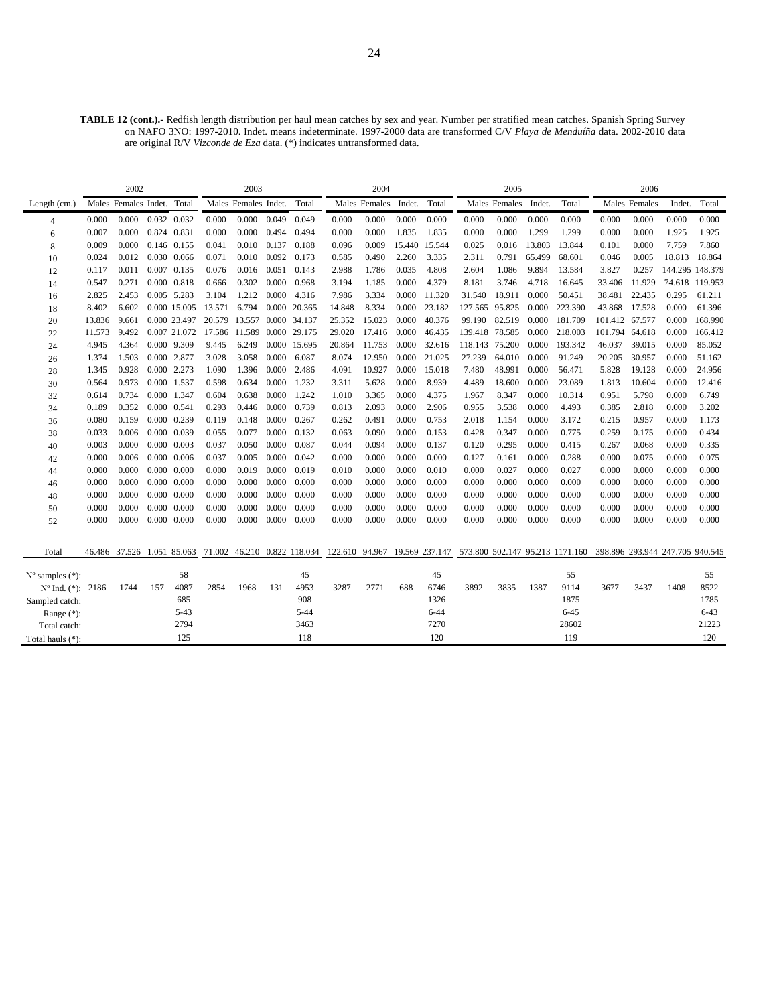**TABLE 12 (cont.).-** Redfish length distribution per haul mean catches by sex and year. Number per stratified mean catches. Spanish Spring Survey on NAFO 3NO: 1997-2010. Indet. means indeterminate. 1997-2000 data are transformed C/V *Playa de Menduíña* data. 2002-2010 data are original R/V *Vizconde de Eza* data. (\*) indicates untransformed data.

|                             |        | 2002                       |     |                     |        | 2003                 |       |              |                                                           | 2004          |        |          |                | 2005          |        |                                 |                                 | 2006          |        |                 |
|-----------------------------|--------|----------------------------|-----|---------------------|--------|----------------------|-------|--------------|-----------------------------------------------------------|---------------|--------|----------|----------------|---------------|--------|---------------------------------|---------------------------------|---------------|--------|-----------------|
| Length $(cm.)$              |        | Males Females Indet. Total |     |                     |        | Males Females Indet. |       | Total        |                                                           | Males Females | Indet. | Total    |                | Males Females | Indet. | Total                           |                                 | Males Females | Indet. | Total           |
| 4                           | 0.000  | 0.000                      |     | 0.032 0.032         | 0.000  | 0.000                | 0.049 | 0.049        | 0.000                                                     | 0.000         | 0.000  | 0.000    | 0.000          | 0.000         | 0.000  | 0.000                           | 0.000                           | 0.000         | 0.000  | 0.000           |
| 6                           | 0.007  | 0.000                      |     | 0.824 0.831         | 0.000  | 0.000                | 0.494 | 0.494        | 0.000                                                     | 0.000         | 1.835  | 1.835    | 0.000          | 0.000         | 1.299  | 1.299                           | 0.000                           | 0.000         | 1.925  | 1.925           |
| 8                           | 0.009  | 0.000                      |     | 0.146 0.155         | 0.041  | 0.010                | 0.137 | 0.188        | 0.096                                                     | 0.009         | 15.440 | 15.544   | 0.025          | 0.016         | 13.803 | 13.844                          | 0.101                           | 0.000         | 7.759  | 7.860           |
| 10                          | 0.024  | 0.012                      |     | 0.030 0.066         | 0.071  | 0.010                | 0.092 | 0.173        | 0.585                                                     | 0.490         | 2.260  | 3.335    | 2.311          | 0.791         | 65.499 | 68.601                          | 0.046                           | 0.005         | 18.813 | 18.864          |
| 12                          | 0.117  | 0.011                      |     | 0.007 0.135         | 0.076  | 0.016                | 0.051 | 0.143        | 2.988                                                     | 1.786         | 0.035  | 4.808    | 2.604          | 1.086         | 9.894  | 13.584                          | 3.827                           | 0.257         |        | 144.295 148.379 |
| 14                          | 0.547  | 0.271                      |     | $0.000 \quad 0.818$ | 0.666  | 0.302                | 0.000 | 0.968        | 3.194                                                     | 1.185         | 0.000  | 4.379    | 8.181          | 3.746         | 4.718  | 16.645                          | 33.406                          | 11.929        |        | 74.618 119.953  |
| 16                          | 2.825  | 2.453                      |     | 0.005 5.283         | 3.104  | 1.212                | 0.000 | 4.316        | 7.986                                                     | 3.334         | 0.000  | 11.320   | 31.540         | 18.911        | 0.000  | 50.451                          | 38.481                          | 22.435        | 0.295  | 61.211          |
| 18                          | 8.402  | 6.602                      |     | 0.000 15.005        | 13.571 | 6.794                | 0.000 | 20.365       | 14.848                                                    | 8.334         | 0.000  | 23.182   | 127.565 95.825 |               | 0.000  | 223.390                         | 43.868                          | 17.528        | 0.000  | 61.396          |
| 20                          | 13.836 | 9.661                      |     | 0.000 23.497        | 20.579 | 13.557 0.000 34.137  |       |              | 25.352                                                    | 15.023        | 0.000  | 40.376   | 99.190         | 82.519        | 0.000  | 181.709                         | 101.412 67.577                  |               | 0.000  | 168.990         |
| 22                          | 11.573 | 9.492                      |     | 0.007 21.072        | 17.586 | 11.589               |       | 0.000 29.175 | 29.020                                                    | 17.416        | 0.000  | 46.435   | 139.418        | 78.585        | 0.000  | 218,003                         | 101.794                         | 64.618        | 0.000  | 166.412         |
| 24                          | 4.945  | 4.364                      |     | 0.000 9.309         | 9.445  | 6.249                |       | 0.000 15.695 | 20.864                                                    | 11.753        | 0.000  | 32.616   | 118.143        | 75.200        | 0.000  | 193.342                         | 46.037                          | 39.015        | 0.000  | 85.052          |
| 26                          | 1.374  | 1.503                      |     | 0.000 2.877         | 3.028  | 3.058                | 0.000 | 6.087        | 8.074                                                     | 12.950        | 0.000  | 21.025   | 27.239         | 64.010        | 0.000  | 91.249                          | 20.205                          | 30.957        | 0.000  | 51.162          |
| 28                          | 1.345  | 0.928                      |     | 0.000 2.273         | 1.090  | 1.396                | 0.000 | 2.486        | 4.091                                                     | 10.927        | 0.000  | 15.018   | 7.480          | 48.991        | 0.000  | 56.471                          | 5.828                           | 19.128        | 0.000  | 24.956          |
| 30                          | 0.564  | 0.973                      |     | 0.000 1.537         | 0.598  | 0.634                | 0.000 | 1.232        | 3.311                                                     | 5.628         | 0.000  | 8.939    | 4.489          | 18.600        | 0.000  | 23.089                          | 1.813                           | 10.604        | 0.000  | 12.416          |
| 32                          | 0.614  | 0.734                      |     | 0.000 1.347         | 0.604  | 0.638                | 0.000 | 1.242        | 1.010                                                     | 3.365         | 0.000  | 4.375    | 1.967          | 8.347         | 0.000  | 10.314                          | 0.951                           | 5.798         | 0.000  | 6.749           |
| 34                          | 0.189  | 0.352                      |     | 0.000 0.541         | 0.293  | 0.446                | 0.000 | 0.739        | 0.813                                                     | 2.093         | 0.000  | 2.906    | 0.955          | 3.538         | 0.000  | 4.493                           | 0.385                           | 2.818         | 0.000  | 3.202           |
| 36                          | 0.080  | 0.159                      |     | 0.000 0.239         | 0.119  | 0.148                | 0.000 | 0.267        | 0.262                                                     | 0.491         | 0.000  | 0.753    | 2.018          | 1.154         | 0.000  | 3.172                           | 0.215                           | 0.957         | 0.000  | 1.173           |
| 38                          | 0.033  | 0.006                      |     | 0.000 0.039         | 0.055  | 0.077                | 0.000 | 0.132        | 0.063                                                     | 0.090         | 0.000  | 0.153    | 0.428          | 0.347         | 0.000  | 0.775                           | 0.259                           | 0.175         | 0.000  | 0.434           |
| 40                          | 0.003  | 0.000                      |     | 0.000 0.003         | 0.037  | 0.050                | 0.000 | 0.087        | 0.044                                                     | 0.094         | 0.000  | 0.137    | 0.120          | 0.295         | 0.000  | 0.415                           | 0.267                           | 0.068         | 0.000  | 0.335           |
| 42                          | 0.000  | 0.006                      |     | $0.000 \quad 0.006$ | 0.037  | 0.005                | 0.000 | 0.042        | 0.000                                                     | 0.000         | 0.000  | 0.000    | 0.127          | 0.161         | 0.000  | 0.288                           | 0.000                           | 0.075         | 0.000  | 0.075           |
| 44                          | 0.000  | 0.000                      |     | $0.000 \quad 0.000$ | 0.000  | 0.019                | 0.000 | 0.019        | 0.010                                                     | 0.000         | 0.000  | 0.010    | 0.000          | 0.027         | 0.000  | 0.027                           | 0.000                           | 0.000         | 0.000  | 0.000           |
| 46                          | 0.000  | 0.000                      |     | $0.000 \quad 0.000$ | 0.000  | 0.000                | 0.000 | 0.000        | 0.000                                                     | 0.000         | 0.000  | 0.000    | 0.000          | 0.000         | 0.000  | 0.000                           | 0.000                           | 0.000         | 0.000  | 0.000           |
| 48                          | 0.000  | 0.000                      |     | $0.000 \quad 0.000$ | 0.000  | 0.000                | 0.000 | 0.000        | 0.000                                                     | 0.000         | 0.000  | 0.000    | 0.000          | 0.000         | 0.000  | 0.000                           | 0.000                           | 0.000         | 0.000  | 0.000           |
| 50                          | 0.000  | 0.000                      |     | $0.000 \quad 0.000$ | 0.000  | 0.000                | 0.000 | 0.000        | 0.000                                                     | 0.000         | 0.000  | 0.000    | 0.000          | 0.000         | 0.000  | 0.000                           | 0.000                           | 0.000         | 0.000  | 0.000           |
| 52                          | 0.000  | 0.000                      |     | $0.000 \quad 0.000$ | 0.000  | 0.000                | 0.000 | 0.000        | 0.000                                                     | 0.000         | 0.000  | 0.000    | 0.000          | 0.000         | 0.000  | 0.000                           | 0.000                           | 0.000         | 0.000  | 0.000           |
|                             |        |                            |     |                     |        |                      |       |              |                                                           |               |        |          |                |               |        |                                 |                                 |               |        |                 |
| Total                       |        | 46.486 37.526 1.051 85.063 |     |                     |        |                      |       |              | 71.002 46.210 0.822 118.034 122.610 94.967 19.569 237.147 |               |        |          |                |               |        | 573.800 502.147 95.213 1171.160 | 398.896 293.944 247.705 940.545 |               |        |                 |
|                             |        |                            |     |                     |        |                      |       |              |                                                           |               |        |          |                |               |        |                                 |                                 |               |        |                 |
| $N^{\circ}$ samples $(*)$ : |        |                            |     | 58                  |        |                      |       | 45           |                                                           |               |        | 45       |                |               |        | 55                              |                                 |               |        | 55              |
| $N^{\circ}$ Ind. $(*)$ :    | 2186   | 1744                       | 157 | 4087                | 2854   | 1968                 | 131   | 4953         | 3287                                                      | 2771          | 688    | 6746     | 3892           | 3835          | 1387   | 9114                            | 3677                            | 3437          | 1408   | 8522            |
| Sampled catch:              |        |                            |     | 685                 |        |                      |       | 908          |                                                           |               |        | 1326     |                |               |        | 1875                            |                                 |               |        | 1785            |
| Range $(*)$ :               |        |                            |     | $5 - 43$            |        |                      |       | $5 - 44$     |                                                           |               |        | $6 - 44$ |                |               |        | $6 - 45$                        |                                 |               |        | $6 - 43$        |
| Total catch:                |        |                            |     | 2794                |        |                      |       | 3463         |                                                           |               |        | 7270     |                |               |        | 28602                           |                                 |               |        | 21223           |
| Total hauls (*):            |        |                            |     | 125                 |        |                      |       | 118          |                                                           |               |        | 120      |                |               |        | 119                             |                                 |               |        | 120             |
|                             |        |                            |     |                     |        |                      |       |              |                                                           |               |        |          |                |               |        |                                 |                                 |               |        |                 |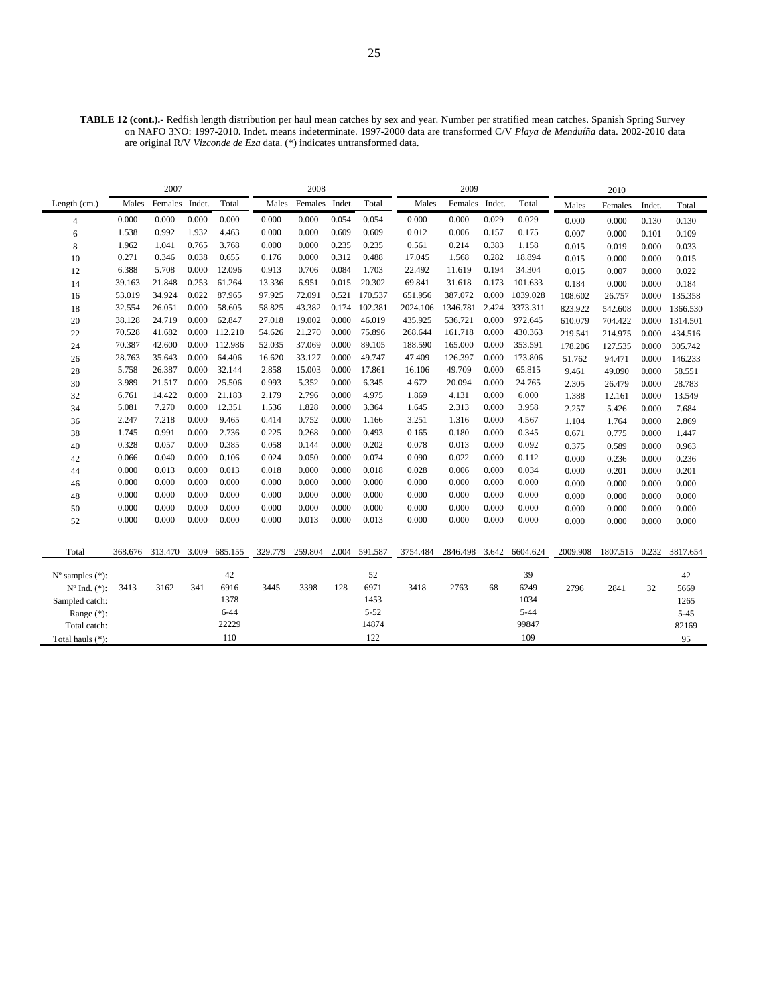**TABLE 12 (cont.).-** Redfish length distribution per haul mean catches by sex and year. Number per stratified mean catches. Spanish Spring Survey on NAFO 3NO: 1997-2010. Indet. means indeterminate. 1997-2000 data are transformed C/V *Playa de Menduíña* data. 2002-2010 data are original R/V *Vizconde de Eza* data. (\*) indicates untransformed data.

|                             |         | 2007           |       |          |         | 2008           |       |               |          | 2009           |       |          |          | 2010     |        |          |
|-----------------------------|---------|----------------|-------|----------|---------|----------------|-------|---------------|----------|----------------|-------|----------|----------|----------|--------|----------|
| Length (cm.)                | Males   | Females Indet. |       | Total    | Males   | Females Indet. |       | Total         | Males    | Females Indet. |       | Total    | Males    | Females  | Indet. | Total    |
| $\overline{4}$              | 0.000   | 0.000          | 0.000 | 0.000    | 0.000   | 0.000          | 0.054 | 0.054         | 0.000    | 0.000          | 0.029 | 0.029    | 0.000    | 0.000    | 0.130  | 0.130    |
| 6                           | 1.538   | 0.992          | 1.932 | 4.463    | 0.000   | 0.000          | 0.609 | 0.609         | 0.012    | 0.006          | 0.157 | 0.175    | 0.007    | 0.000    | 0.101  | 0.109    |
| 8                           | 1.962   | 1.041          | 0.765 | 3.768    | 0.000   | 0.000          | 0.235 | 0.235         | 0.561    | 0.214          | 0.383 | 1.158    | 0.015    | 0.019    | 0.000  | 0.033    |
| 10                          | 0.271   | 0.346          | 0.038 | 0.655    | 0.176   | 0.000          | 0.312 | 0.488         | 17.045   | 1.568          | 0.282 | 18.894   | 0.015    | 0.000    | 0.000  | 0.015    |
| 12                          | 6.388   | 5.708          | 0.000 | 12.096   | 0.913   | 0.706          | 0.084 | 1.703         | 22.492   | 11.619         | 0.194 | 34.304   | 0.015    | 0.007    | 0.000  | 0.022    |
| 14                          | 39.163  | 21.848         | 0.253 | 61.264   | 13.336  | 6.951          | 0.015 | 20.302        | 69.841   | 31.618         | 0.173 | 101.633  | 0.184    | 0.000    | 0.000  | 0.184    |
| 16                          | 53.019  | 34.924         | 0.022 | 87.965   | 97.925  | 72.091         | 0.521 | 170.537       | 651.956  | 387.072        | 0.000 | 1039.028 | 108.602  | 26.757   | 0.000  | 135.358  |
| 18                          | 32.554  | 26.051         | 0.000 | 58.605   | 58.825  | 43.382         | 0.174 | 102.381       | 2024.106 | 1346.781       | 2.424 | 3373.311 | 823.922  | 542.608  | 0.000  | 1366.530 |
| 20                          | 38.128  | 24.719         | 0.000 | 62.847   | 27.018  | 19.002         | 0.000 | 46.019        | 435.925  | 536.721        | 0.000 | 972.645  | 610.079  | 704.422  | 0.000  | 1314.501 |
| 22                          | 70.528  | 41.682         | 0.000 | 112.210  | 54.626  | 21.270         | 0.000 | 75.896        | 268.644  | 161.718        | 0.000 | 430.363  | 219.541  | 214.975  | 0.000  | 434.516  |
| 24                          | 70.387  | 42.600         | 0.000 | 112.986  | 52.035  | 37.069         | 0.000 | 89.105        | 188.590  | 165.000        | 0.000 | 353.591  | 178.206  | 127.535  | 0.000  | 305.742  |
| 26                          | 28.763  | 35.643         | 0.000 | 64.406   | 16.620  | 33.127         | 0.000 | 49.747        | 47.409   | 126.397        | 0.000 | 173.806  | 51.762   | 94.471   | 0.000  | 146.233  |
| 28                          | 5.758   | 26.387         | 0.000 | 32.144   | 2.858   | 15.003         | 0.000 | 17.861        | 16.106   | 49.709         | 0.000 | 65.815   | 9.461    | 49.090   | 0.000  | 58.551   |
| 30                          | 3.989   | 21.517         | 0.000 | 25.506   | 0.993   | 5.352          | 0.000 | 6.345         | 4.672    | 20.094         | 0.000 | 24.765   | 2.305    | 26.479   | 0.000  | 28.783   |
| 32                          | 6.761   | 14.422         | 0.000 | 21.183   | 2.179   | 2.796          | 0.000 | 4.975         | 1.869    | 4.131          | 0.000 | 6.000    | 1.388    | 12.161   | 0.000  | 13.549   |
| 34                          | 5.081   | 7.270          | 0.000 | 12.351   | 1.536   | 1.828          | 0.000 | 3.364         | 1.645    | 2.313          | 0.000 | 3.958    | 2.257    | 5.426    | 0.000  | 7.684    |
| 36                          | 2.247   | 7.218          | 0.000 | 9.465    | 0.414   | 0.752          | 0.000 | 1.166         | 3.251    | 1.316          | 0.000 | 4.567    | 1.104    | 1.764    | 0.000  | 2.869    |
| 38                          | 1.745   | 0.991          | 0.000 | 2.736    | 0.225   | 0.268          | 0.000 | 0.493         | 0.165    | 0.180          | 0.000 | 0.345    | 0.671    | 0.775    | 0.000  | 1.447    |
| 40                          | 0.328   | 0.057          | 0.000 | 0.385    | 0.058   | 0.144          | 0.000 | 0.202         | 0.078    | 0.013          | 0.000 | 0.092    | 0.375    | 0.589    | 0.000  | 0.963    |
| 42                          | 0.066   | 0.040          | 0.000 | 0.106    | 0.024   | 0.050          | 0.000 | 0.074         | 0.090    | 0.022          | 0.000 | 0.112    | 0.000    | 0.236    | 0.000  | 0.236    |
| 44                          | 0.000   | 0.013          | 0.000 | 0.013    | 0.018   | 0.000          | 0.000 | 0.018         | 0.028    | 0.006          | 0.000 | 0.034    | 0.000    | 0.201    | 0.000  | 0.201    |
| 46                          | 0.000   | 0.000          | 0.000 | 0.000    | 0.000   | 0.000          | 0.000 | 0.000         | 0.000    | 0.000          | 0.000 | 0.000    | 0.000    | 0.000    | 0.000  | 0.000    |
| 48                          | 0.000   | 0.000          | 0.000 | 0.000    | 0.000   | 0.000          | 0.000 | 0.000         | 0.000    | 0.000          | 0.000 | 0.000    | 0.000    | 0.000    | 0.000  | 0.000    |
| 50                          | 0.000   | 0.000          | 0.000 | 0.000    | 0.000   | 0.000          | 0.000 | 0.000         | 0.000    | 0.000          | 0.000 | 0.000    | 0.000    | 0.000    | 0.000  | 0.000    |
| 52                          | 0.000   | 0.000          | 0.000 | 0.000    | 0.000   | 0.013          | 0.000 | 0.013         | 0.000    | 0.000          | 0.000 | 0.000    | 0.000    | 0.000    | 0.000  | 0.000    |
|                             |         |                |       |          |         |                |       |               |          |                |       |          |          |          |        |          |
| Total                       | 368.676 | 313.470        | 3.009 | 685.155  | 329.779 | 259.804        |       | 2.004 591.587 | 3754.484 | 2846.498       | 3.642 | 6604.624 | 2009.908 | 1807.515 | 0.232  | 3817.654 |
|                             |         |                |       |          |         |                |       |               |          |                |       |          |          |          |        |          |
| $N^{\circ}$ samples $(*)$ : |         |                |       | 42       |         |                |       | 52            |          |                |       | 39       |          |          |        | 42       |
| $N^{\circ}$ Ind. $(*)$ :    | 3413    | 3162           | 341   | 6916     | 3445    | 3398           | 128   | 6971          | 3418     | 2763           | 68    | 6249     | 2796     | 2841     | 32     | 5669     |
| Sampled catch:              |         |                |       | 1378     |         |                |       | 1453          |          |                |       | 1034     |          |          |        | 1265     |
| Range $(*)$ :               |         |                |       | $6 - 44$ |         |                |       | $5 - 52$      |          |                |       | $5 - 44$ |          |          |        | $5 - 45$ |
| Total catch:                |         |                |       | 22229    |         |                |       | 14874         |          |                |       | 99847    |          |          |        | 82169    |
| Total hauls (*):            |         |                |       | 110      |         |                |       | 122           |          |                |       | 109      |          |          |        | 95       |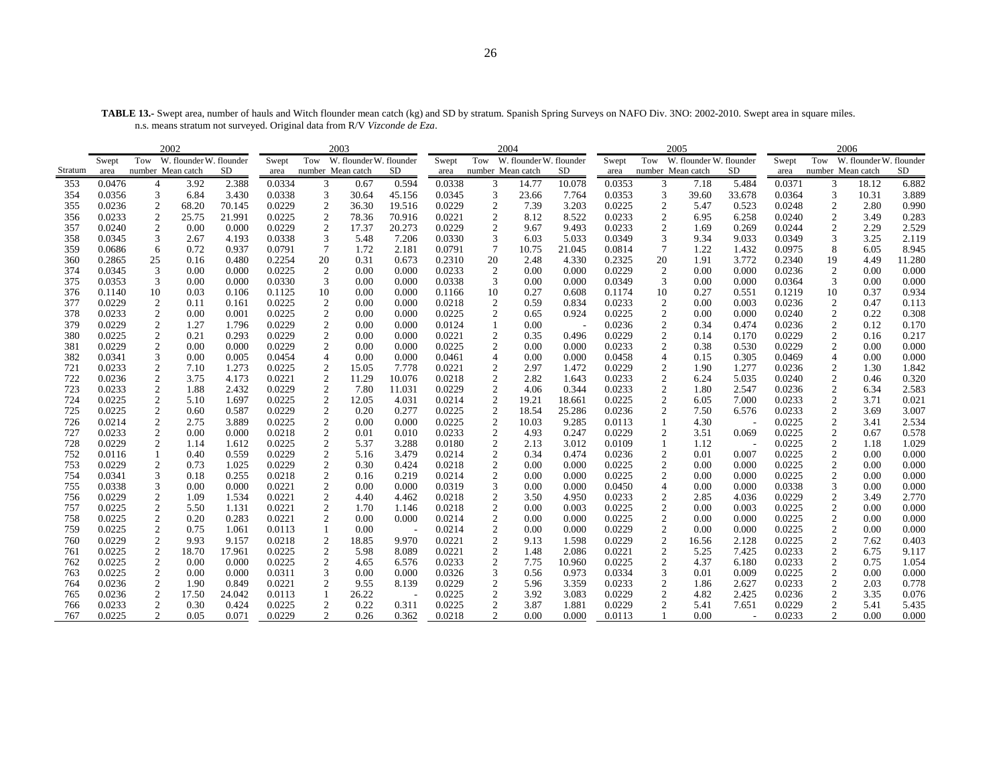**TABLE 13.-** Swept area, number of hauls and Witch flounder mean catch (kg) and SD by stratum. Spanish Spring Surveys on NAFO Div. 3NO: 2002-2010. Swept area in square miles. n.s. means stratum not surveyed. Original data from R/V *Vizconde de Eza*.

|         |                                                                            |                  | 2002  |        |        |                         | 2003                    |        |        | 2004                    |                         |        |        |                         | 2005                    |        |        |                  | 2006                    |        |
|---------|----------------------------------------------------------------------------|------------------|-------|--------|--------|-------------------------|-------------------------|--------|--------|-------------------------|-------------------------|--------|--------|-------------------------|-------------------------|--------|--------|------------------|-------------------------|--------|
|         | W. flounder W. flounder<br>Tow<br>Swept<br>number Mean catch<br>SD<br>area |                  |       |        | Swept  | Tow                     | W. flounder W. flounder |        | Swept  | Tow                     | W. flounder W. flounder |        | Swept  | Tow                     | W. flounder W. flounder |        | Swept  | Tow              | W. flounder W. flounder |        |
| Stratum |                                                                            |                  |       |        | area   | number Mean catch       |                         | SD     | area   | number Mean catch       |                         | SD     | area   | number Mean catch       |                         | SD     | area   |                  | number Mean catch       | SD     |
| 353     | 0.0476                                                                     | 4                | 3.92  | 2.388  | 0.0334 | 3                       | 0.67                    | 0.594  | 0.0338 | 3                       | 14.77                   | 10.078 | 0.0353 | 3                       | 7.18                    | 5.484  | 0.0371 | 3                | 18.12                   | 6.882  |
| 354     | 0.0356                                                                     | 3                | 6.84  | 3.430  | 0.0338 | 3                       | 30.64                   | 45.156 | 0.0345 | 3                       | 23.66                   | 7.764  | 0.0353 | 3                       | 39.60                   | 33.678 | 0.0364 | 3                | 10.31                   | 3.889  |
| 355     | 0.0236                                                                     | 2                | 68.20 | 70.145 | 0.0229 | $\boldsymbol{2}$        | 36.30                   | 19.516 | 0.0229 | $\overline{c}$          | 7.39                    | 3.203  | 0.0225 | $\overline{\mathbf{c}}$ | 5.47                    | 0.523  | 0.0248 | 2                | 2.80                    | 0.990  |
| 356     | 0.0233                                                                     | $\overline{c}$   | 25.75 | 21.991 | 0.0225 | $\overline{2}$          | 78.36                   | 70.916 | 0.0221 | $\boldsymbol{2}$        | 8.12                    | 8.522  | 0.0233 | $\overline{c}$          | 6.95                    | 6.258  | 0.0240 | 2                | 3.49                    | 0.283  |
| 357     | 0.0240                                                                     | $\boldsymbol{2}$ | 0.00  | 0.000  | 0.0229 | $\overline{2}$          | 17.37                   | 20.273 | 0.0229 | $\overline{c}$          | 9.67                    | 9.493  | 0.0233 | $\boldsymbol{2}$        | 1.69                    | 0.269  | 0.0244 | $\boldsymbol{2}$ | 2.29                    | 2.529  |
| 358     | 0.0345                                                                     | 3                | 2.67  | 4.193  | 0.0338 | 3                       | 5.48                    | 7.206  | 0.0330 | 3                       | 6.03                    | 5.033  | 0.0349 | 3                       | 9.34                    | 9.033  | 0.0349 | 3                | 3.25                    | 2.119  |
| 359     | 0.0686                                                                     | 6                | 0.72  | 0.937  | 0.0791 | 7                       | 1.72                    | 2.181  | 0.0791 | $\overline{7}$          | 10.75                   | 21.045 | 0.0814 | 7                       | 1.22                    | 1.432  | 0.0975 | 8                | 6.05                    | 8.945  |
| 360     | 0.2865                                                                     | 25               | 0.16  | 0.480  | 0.2254 | 20                      | 0.31                    | 0.673  | 0.2310 | 20                      | 2.48                    | 4.330  | 0.2325 | 20                      | 1.91                    | 3.772  | 0.2340 | 19               | 4.49                    | 11.280 |
| 374     | 0.0345                                                                     | 3                | 0.00  | 0.000  | 0.0225 | $\overline{2}$          | 0.00                    | 0.000  | 0.0233 | 2                       | 0.00                    | 0.000  | 0.0229 | $\overline{2}$          | 0.00                    | 0.000  | 0.0236 | $\sqrt{2}$       | 0.00                    | 0.000  |
| 375     | 0.0353                                                                     | 3                | 0.00  | 0.000  | 0.0330 | 3                       | 0.00                    | 0.000  | 0.0338 | 3                       | 0.00                    | 0.000  | 0.0349 | 3                       | 0.00                    | 0.000  | 0.0364 | 3                | 0.00                    | 0.000  |
| 376     | 0.1140                                                                     | 10               | 0.03  | 0.106  | 0.1125 | 10                      | 0.00                    | 0.000  | 0.1166 | 10                      | 0.27                    | 0.608  | 0.1174 | 10                      | 0.27                    | 0.551  | 0.1219 | 10               | 0.37                    | 0.934  |
| 377     | 0.0229                                                                     | $\overline{c}$   | 0.11  | 0.161  | 0.0225 | $\overline{2}$          | 0.00                    | 0.000  | 0.0218 | 2                       | 0.59                    | 0.834  | 0.0233 | $\overline{c}$          | 0.00                    | 0.003  | 0.0236 | 2                | 0.47                    | 0.113  |
| 378     | 0.0233                                                                     | $\overline{c}$   | 0.00  | 0.001  | 0.0225 | $\overline{\mathbf{c}}$ | 0.00                    | 0.000  | 0.0225 | $\boldsymbol{2}$        | 0.65                    | 0.924  | 0.0225 | $\overline{c}$          | 0.00                    | 0.000  | 0.0240 | $\overline{c}$   | 0.22                    | 0.308  |
| 379     | 0.0229                                                                     | $\mathfrak{2}$   | 1.27  | 1.796  | 0.0229 | $\sqrt{2}$              | 0.00                    | 0.000  | 0.0124 | $\mathbf{1}$            | 0.00                    |        | 0.0236 | $\mathfrak{2}$          | 0.34                    | 0.474  | 0.0236 | $\boldsymbol{2}$ | 0.12                    | 0.170  |
| 380     | 0.0225                                                                     | $\overline{c}$   | 0.21  | 0.293  | 0.0229 | $\overline{c}$          | 0.00                    | 0.000  | 0.0221 | $\overline{2}$          | 0.35                    | 0.496  | 0.0229 | $\boldsymbol{2}$        | 0.14                    | 0.170  | 0.0229 | $\overline{c}$   | 0.16                    | 0.217  |
| 381     | 0.0229                                                                     | $\overline{c}$   | 0.00  | 0.000  | 0.0229 | $\overline{c}$          | 0.00                    | 0.000  | 0.0225 | $\sqrt{2}$              | 0.00                    | 0.000  | 0.0233 | $\overline{c}$          | 0.38                    | 0.530  | 0.0229 | $\overline{c}$   | 0.00                    | 0.000  |
| 382     | 0.0341                                                                     | 3                | 0.00  | 0.005  | 0.0454 |                         | 0.00                    | 0.000  | 0.0461 | $\overline{4}$          | 0.00                    | 0.000  | 0.0458 | $\overline{4}$          | 0.15                    | 0.305  | 0.0469 | $\overline{4}$   | 0.00                    | 0.000  |
| 721     | 0.0233                                                                     | $\overline{c}$   | 7.10  | 1.273  | 0.0225 | $\boldsymbol{2}$        | 15.05                   | 7.778  | 0.0221 | $\boldsymbol{2}$        | 2.97                    | 1.472  | 0.0229 | $\mathfrak{2}$          | 1.90                    | 1.277  | 0.0236 | $\overline{c}$   | 1.30                    | 1.842  |
| 722     | 0.0236                                                                     | $\overline{c}$   | 3.75  | 4.173  | 0.0221 | $\overline{2}$          | 11.29                   | 10.076 | 0.0218 | $\sqrt{2}$              | 2.82                    | 1.643  | 0.0233 | $\sqrt{2}$              | 6.24                    | 5.035  | 0.0240 | $\boldsymbol{2}$ | 0.46                    | 0.320  |
| 723     | 0.0233                                                                     | $\mathfrak{2}$   | 1.88  | 2.432  | 0.0229 | $\overline{2}$          | 7.80                    | 11.031 | 0.0229 | $\mathfrak{2}$          | 4.06                    | 0.344  | 0.0233 | $\overline{c}$          | 1.80                    | 2.547  | 0.0236 | 2                | 6.34                    | 2.583  |
| 724     | 0.0225                                                                     | $\overline{2}$   | 5.10  | 1.697  | 0.0225 | $\boldsymbol{2}$        | 12.05                   | 4.031  | 0.0214 | $\overline{c}$          | 19.21                   | 18.661 | 0.0225 | 2                       | 6.05                    | 7.000  | 0.0233 | $\overline{c}$   | 3.71                    | 0.021  |
| 725     | 0.0225                                                                     | $\overline{c}$   | 0.60  | 0.587  | 0.0229 | $\overline{c}$          | 0.20                    | 0.277  | 0.0225 | $\overline{2}$          | 18.54                   | 25.286 | 0.0236 | $\overline{c}$          | 7.50                    | 6.576  | 0.0233 | $\sqrt{2}$       | 3.69                    | 3.007  |
| 726     | 0.0214                                                                     | $\overline{c}$   | 2.75  | 3.889  | 0.0225 | $\overline{c}$          | 0.00                    | 0.000  | 0.0225 | $\overline{2}$          | 10.03                   | 9.285  | 0.0113 | $\mathbf{1}$            | 4.30                    |        | 0.0225 | $\overline{c}$   | 3.41                    | 2.534  |
| 727     | 0.0233                                                                     | $\overline{c}$   | 0.00  | 0.000  | 0.0218 | $\boldsymbol{2}$        | 0.01                    | 0.010  | 0.0233 | $\overline{\mathbf{c}}$ | 4.93                    | 0.247  | 0.0229 | 2                       | 3.51                    | 0.069  | 0.0225 | $\sqrt{2}$       | 0.67                    | 0.578  |
| 728     | 0.0229                                                                     | $\overline{c}$   | 1.14  | 1.612  | 0.0225 | $\sqrt{2}$              | 5.37                    | 3.288  | 0.0180 | $\sqrt{2}$              | 2.13                    | 3.012  | 0.0109 | $\mathbf{1}$            | 1.12                    |        | 0.0225 | $\overline{c}$   | 1.18                    | 1.029  |
| 752     | 0.0116                                                                     | $\mathbf{1}$     | 0.40  | 0.559  | 0.0229 | $\boldsymbol{2}$        | 5.16                    | 3.479  | 0.0214 | $\boldsymbol{2}$        | 0.34                    | 0.474  | 0.0236 | $\boldsymbol{2}$        | 0.01                    | 0.007  | 0.0225 | $\overline{c}$   | 0.00                    | 0.000  |
| 753     | 0.0229                                                                     | $\mathfrak{2}$   | 0.73  | 1.025  | 0.0229 | $\boldsymbol{2}$        | 0.30                    | 0.424  | 0.0218 | $\overline{c}$          | 0.00                    | 0.000  | 0.0225 | $\mathfrak{2}$          | 0.00                    | 0.000  | 0.0225 | $\overline{c}$   | 0.00                    | 0.000  |
| 754     | 0.0341                                                                     | 3                | 0.18  | 0.255  | 0.0218 | $\boldsymbol{2}$        | 0.16                    | 0.219  | 0.0214 | $\boldsymbol{2}$        | 0.00                    | 0.000  | 0.0225 | $\mathfrak{2}$          | 0.00                    | 0.000  | 0.0225 | $\overline{c}$   | 0.00                    | 0.000  |
| 755     | 0.0338                                                                     | 3                | 0.00  | 0.000  | 0.0221 | $\sqrt{2}$              | 0.00                    | 0.000  | 0.0319 | 3                       | 0.00                    | 0.000  | 0.0450 | $\overline{4}$          | 0.00                    | 0.000  | 0.0338 | 3                | 0.00                    | 0.000  |
| 756     | 0.0229                                                                     | $\boldsymbol{2}$ | 1.09  | 1.534  | 0.0221 | $\overline{c}$          | 4.40                    | 4.462  | 0.0218 | $\overline{2}$          | 3.50                    | 4.950  | 0.0233 | 2                       | 2.85                    | 4.036  | 0.0229 | $\boldsymbol{2}$ | 3.49                    | 2.770  |
| 757     | 0.0225                                                                     | $\boldsymbol{2}$ | 5.50  | 1.131  | 0.0221 | $\boldsymbol{2}$        | 1.70                    | 1.146  | 0.0218 | $\boldsymbol{2}$        | 0.00                    | 0.003  | 0.0225 | $\overline{c}$          | 0.00                    | 0.003  | 0.0225 | $\overline{c}$   | 0.00                    | 0.000  |
| 758     | 0.0225                                                                     | $\overline{c}$   | 0.20  | 0.283  | 0.0221 | $\boldsymbol{2}$        | 0.00                    | 0.000  | 0.0214 | $\boldsymbol{2}$        | 0.00                    | 0.000  | 0.0225 | $\boldsymbol{2}$        | 0.00                    | 0.000  | 0.0225 | $\overline{c}$   | 0.00                    | 0.000  |
| 759     | 0.0225                                                                     | $\sqrt{2}$       | 0.75  | 1.061  | 0.0113 |                         | 0.00                    |        | 0.0214 | $\overline{\mathbf{c}}$ | 0.00                    | 0.000  | 0.0229 | $\overline{c}$          | 0.00                    | 0.000  | 0.0225 | $\sqrt{2}$       | 0.00                    | 0.000  |
| 760     | 0.0229                                                                     | $\mathfrak{2}$   | 9.93  | 9.157  | 0.0218 | $\boldsymbol{2}$        | 18.85                   | 9.970  | 0.0221 | $\boldsymbol{2}$        | 9.13                    | 1.598  | 0.0229 | $\overline{c}$          | 16.56                   | 2.128  | 0.0225 | $\overline{c}$   | 7.62                    | 0.403  |
| 761     | 0.0225                                                                     | $\overline{c}$   | 18.70 | 17.961 | 0.0225 | $\overline{c}$          | 5.98                    | 8.089  | 0.0221 | $\sqrt{2}$              | 1.48                    | 2.086  | 0.0221 | $\boldsymbol{2}$        | 5.25                    | 7.425  | 0.0233 | $\overline{c}$   | 6.75                    | 9.117  |
| 762     | 0.0225                                                                     | $\mathfrak{2}$   | 0.00  | 0.000  | 0.0225 | $\overline{c}$          | 4.65                    | 6.576  | 0.0233 | $\boldsymbol{2}$        | 7.75                    | 10.960 | 0.0225 | $\overline{c}$          | 4.37                    | 6.180  | 0.0233 | $\mathfrak{2}$   | 0.75                    | 1.054  |
| 763     | 0.0225                                                                     | $\mathfrak{2}$   | 0.00  | 0.000  | 0.0311 | 3                       | 0.00                    | 0.000  | 0.0326 | 3                       | 0.56                    | 0.973  | 0.0334 | 3                       | 0.01                    | 0.009  | 0.0225 | 2                | 0.00                    | 0.000  |
| 764     | 0.0236                                                                     | 2                | 1.90  | 0.849  | 0.0221 | $\boldsymbol{2}$        | 9.55                    | 8.139  | 0.0229 | $\sqrt{2}$              | 5.96                    | 3.359  | 0.0233 | $\boldsymbol{2}$        | 1.86                    | 2.627  | 0.0233 | $\overline{c}$   | 2.03                    | 0.778  |
| 765     | 0.0236                                                                     | $\mathfrak{2}$   | 17.50 | 24.042 | 0.0113 | 1                       | 26.22                   |        | 0.0225 | $\sqrt{2}$              | 3.92                    | 3.083  | 0.0229 | $\mathfrak{2}$          | 4.82                    | 2.425  | 0.0236 | $\boldsymbol{2}$ | 3.35                    | 0.076  |
| 766     | 0.0233                                                                     | 2                | 0.30  | 0.424  | 0.0225 | $\overline{c}$          | 0.22                    | 0.311  | 0.0225 | $\boldsymbol{2}$        | 3.87                    | 1.881  | 0.0229 |                         | 5.41                    | 7.651  | 0.0229 | 2                | 5.41                    | 5.435  |
| 767     | 0.0225                                                                     | 2                | 0.05  | 0.071  | 0.0229 | $\overline{c}$          | 0.26                    | 0.362  | 0.0218 | 2                       | 0.00                    | 0.000  | 0.0113 |                         | 0.00                    |        | 0.0233 | 2                | 0.00                    | 0.000  |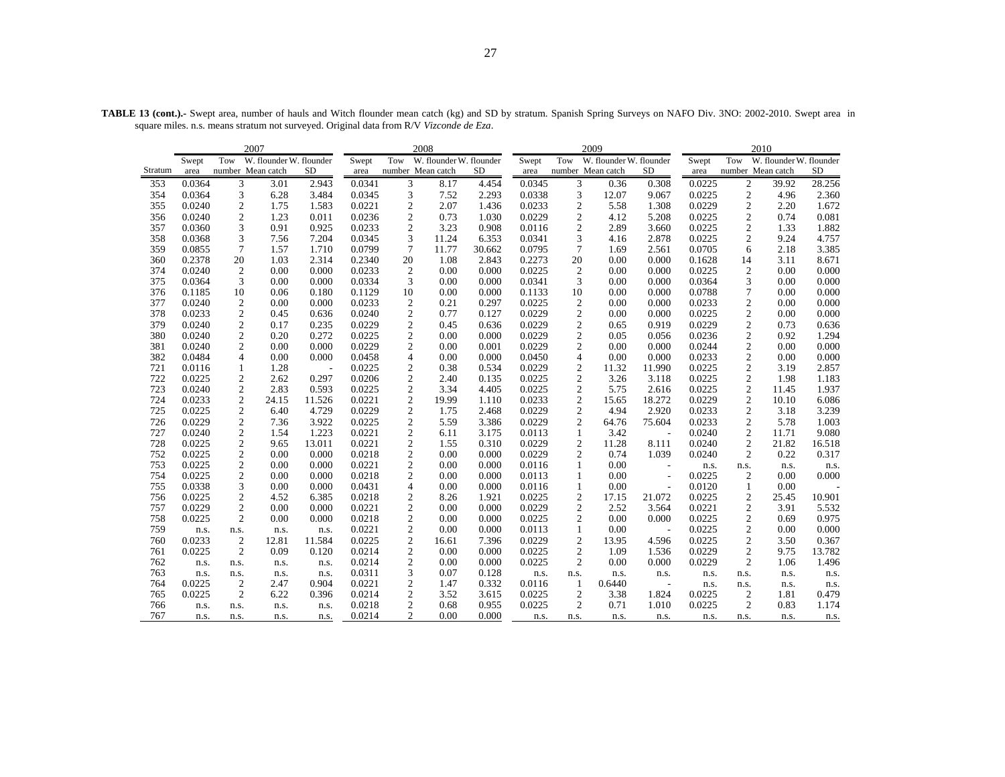|         |        |                  | 2007                    |                          |        | 2008             |                         |        |        | 2009             |                         | 2010                     |        |                  |                         |           |
|---------|--------|------------------|-------------------------|--------------------------|--------|------------------|-------------------------|--------|--------|------------------|-------------------------|--------------------------|--------|------------------|-------------------------|-----------|
|         | Swept  | Tow              | W. flounder W. flounder |                          | Swept  | Tow              | W. flounder W. flounder |        | Swept  | Tow              | W. flounder W. flounder |                          | Swept  | Tow              | W. flounder W. flounder |           |
| Stratum | area   |                  | number Mean catch       | <b>SD</b>                | area   |                  | number Mean catch       | SD.    | area   |                  | number Mean catch       | SD.                      | area   |                  | number Mean catch       | <b>SD</b> |
| 353     | 0.0364 | 3                | 3.01                    | 2.943                    | 0.0341 | 3                | 8.17                    | 4.454  | 0.0345 | 3                | 0.36                    | 0.308                    | 0.0225 | $\overline{2}$   | 39.92                   | 28.256    |
| 354     | 0.0364 | 3                | 6.28                    | 3.484                    | 0.0345 | 3                | 7.52                    | 2.293  | 0.0338 | 3                | 12.07                   | 9.067                    | 0.0225 | $\overline{c}$   | 4.96                    | 2.360     |
| 355     | 0.0240 | 2                | 1.75                    | 1.583                    | 0.0221 | 2                | 2.07                    | 1.436  | 0.0233 | $\boldsymbol{2}$ | 5.58                    | 1.308                    | 0.0229 | $\overline{c}$   | 2.20                    | 1.672     |
| 356     | 0.0240 | $\overline{c}$   | 1.23                    | 0.011                    | 0.0236 | $\sqrt{2}$       | 0.73                    | 1.030  | 0.0229 | $\sqrt{2}$       | 4.12                    | 5.208                    | 0.0225 | $\sqrt{2}$       | 0.74                    | 0.081     |
| 357     | 0.0360 | 3                | 0.91                    | 0.925                    | 0.0233 | 2                | 3.23                    | 0.908  | 0.0116 | $\mathfrak{2}$   | 2.89                    | 3.660                    | 0.0225 | $\mathfrak{2}$   | 1.33                    | 1.882     |
| 358     | 0.0368 | 3                | 7.56                    | 7.204                    | 0.0345 | 3                | 11.24                   | 6.353  | 0.0341 | 3                | 4.16                    | 2.878                    | 0.0225 | $\boldsymbol{2}$ | 9.24                    | 4.757     |
| 359     | 0.0855 | $\tau$           | 1.57                    | 1.710                    | 0.0799 | $\tau$           | 11.77                   | 30.662 | 0.0795 | 7                | 1.69                    | 2.561                    | 0.0705 | 6                | 2.18                    | 3.385     |
| 360     | 0.2378 | 20               | 1.03                    | 2.314                    | 0.2340 | 20               | 1.08                    | 2.843  | 0.2273 | 20               | 0.00                    | 0.000                    | 0.1628 | 14               | 3.11                    | 8.671     |
| 374     | 0.0240 | $\overline{2}$   | 0.00                    | 0.000                    | 0.0233 | $\mathfrak{2}$   | 0.00                    | 0.000  | 0.0225 | $\overline{c}$   | 0.00                    | 0.000                    | 0.0225 | $\overline{2}$   | 0.00                    | 0.000     |
| 375     | 0.0364 | 3                | 0.00                    | 0.000                    | 0.0334 | 3                | 0.00                    | 0.000  | 0.0341 | 3                | 0.00                    | 0.000                    | 0.0364 | 3                | 0.00                    | 0.000     |
| 376     | 0.1185 | 10               | 0.06                    | 0.180                    | 0.1129 | 10               | 0.00                    | 0.000  | 0.1133 | 10               | 0.00                    | 0.000                    | 0.0788 | $\overline{7}$   | 0.00                    | 0.000     |
| 377     | 0.0240 | $\overline{c}$   | 0.00                    | 0.000                    | 0.0233 | $\boldsymbol{2}$ | 0.21                    | 0.297  | 0.0225 | $\overline{2}$   | 0.00                    | 0.000                    | 0.0233 | $\sqrt{2}$       | 0.00                    | 0.000     |
| 378     | 0.0233 | 2                | 0.45                    | 0.636                    | 0.0240 | $\sqrt{2}$       | 0.77                    | 0.127  | 0.0229 | $\sqrt{2}$       | 0.00                    | 0.000                    | 0.0225 | $\sqrt{2}$       | 0.00                    | 0.000     |
| 379     | 0.0240 | $\overline{c}$   | 0.17                    | 0.235                    | 0.0229 | $\overline{2}$   | 0.45                    | 0.636  | 0.0229 | $\mathfrak{2}$   | 0.65                    | 0.919                    | 0.0229 | $\mathfrak{2}$   | 0.73                    | 0.636     |
| 380     | 0.0240 | 2                | 0.20                    | 0.272                    | 0.0225 | $\boldsymbol{2}$ | 0.00                    | 0.000  | 0.0229 | $\sqrt{2}$       | 0.05                    | 0.056                    | 0.0236 | $\sqrt{2}$       | 0.92                    | 1.294     |
| 381     | 0.0240 | $\overline{c}$   | 0.00                    | 0.000                    | 0.0229 | $\sqrt{2}$       | 0.00                    | 0.001  | 0.0229 | $\sqrt{2}$       | 0.00                    | 0.000                    | 0.0244 | $\sqrt{2}$       | 0.00                    | 0.000     |
| 382     | 0.0484 | $\overline{4}$   | 0.00                    | 0.000                    | 0.0458 | $\overline{4}$   | 0.00                    | 0.000  | 0.0450 | $\overline{4}$   | 0.00                    | 0.000                    | 0.0233 | $\mathfrak{2}$   | 0.00                    | 0.000     |
| 721     | 0.0116 | 1                | 1.28                    | $\overline{\phantom{a}}$ | 0.0225 | 2                | 0.38                    | 0.534  | 0.0229 | $\overline{c}$   | 11.32                   | 11.990                   | 0.0225 | $\overline{2}$   | 3.19                    | 2.857     |
| 722     | 0.0225 | 2                | 2.62                    | 0.297                    | 0.0206 | $\sqrt{2}$       | 2.40                    | 0.135  | 0.0225 | $\sqrt{2}$       | 3.26                    | 3.118                    | 0.0225 | $\sqrt{2}$       | 1.98                    | 1.183     |
| 723     | 0.0240 | 2                | 2.83                    | 0.593                    | 0.0225 | $\overline{2}$   | 3.34                    | 4.405  | 0.0225 | $\mathfrak{2}$   | 5.75                    | 2.616                    | 0.0225 | $\overline{2}$   | 11.45                   | 1.937     |
| 724     | 0.0233 | 2                | 24.15                   | 11.526                   | 0.0221 | $\boldsymbol{2}$ | 19.99                   | 1.110  | 0.0233 | $\boldsymbol{2}$ | 15.65                   | 18.272                   | 0.0229 | $\sqrt{2}$       | 10.10                   | 6.086     |
| 725     | 0.0225 | 2                | 6.40                    | 4.729                    | 0.0229 | $\sqrt{2}$       | 1.75                    | 2.468  | 0.0229 | $\sqrt{2}$       | 4.94                    | 2.920                    | 0.0233 | $\sqrt{2}$       | 3.18                    | 3.239     |
| 726     | 0.0229 | $\overline{c}$   | 7.36                    | 3.922                    | 0.0225 | 2                | 5.59                    | 3.386  | 0.0229 | $\mathfrak{2}$   | 64.76                   | 75.604                   | 0.0233 | $\mathfrak{2}$   | 5.78                    | 1.003     |
| 727     | 0.0240 | 2                | 1.54                    | 1.223                    | 0.0221 | $\mathfrak{2}$   | 6.11                    | 3.175  | 0.0113 | $\mathbf{1}$     | 3.42                    | $\overline{\phantom{a}}$ | 0.0240 | $\overline{c}$   | 11.71                   | 9.080     |
| 728     | 0.0225 | 2                | 9.65                    | 13.011                   | 0.0221 | $\boldsymbol{2}$ | 1.55                    | 0.310  | 0.0229 | $\boldsymbol{2}$ | 11.28                   | 8.111                    | 0.0240 | $\mathfrak{2}$   | 21.82                   | 16.518    |
| 752     | 0.0225 | $\overline{c}$   | 0.00                    | 0.000                    | 0.0218 | 2                | 0.00                    | 0.000  | 0.0229 | 2                | 0.74                    | 1.039                    | 0.0240 | $\overline{c}$   | 0.22                    | 0.317     |
| 753     | 0.0225 | $\overline{c}$   | 0.00                    | 0.000                    | 0.0221 | $\sqrt{2}$       | 0.00                    | 0.000  | 0.0116 | $\mathbf{1}$     | 0.00                    | $\overline{\phantom{a}}$ | n.s.   | n.s.             | n.s.                    | n.s.      |
| 754     | 0.0225 | 2                | 0.00                    | 0.000                    | 0.0218 | $\mathfrak{2}$   | 0.00                    | 0.000  | 0.0113 | 1                | 0.00                    | $\overline{\phantom{a}}$ | 0.0225 | $\mathfrak{2}$   | 0.00                    | 0.000     |
| 755     | 0.0338 | 3                | 0.00                    | 0.000                    | 0.0431 | $\overline{4}$   | 0.00                    | 0.000  | 0.0116 | $\mathbf{1}$     | 0.00                    | $\overline{a}$           | 0.0120 | $\mathbf{1}$     | 0.00                    |           |
| 756     | 0.0225 | 2                | 4.52                    | 6.385                    | 0.0218 | $\boldsymbol{2}$ | 8.26                    | 1.921  | 0.0225 | $\boldsymbol{2}$ | 17.15                   | 21.072                   | 0.0225 | $\boldsymbol{2}$ | 25.45                   | 10.901    |
| 757     | 0.0229 | 2                | 0.00                    | 0.000                    | 0.0221 | $\sqrt{2}$       | 0.00                    | 0.000  | 0.0229 | $\sqrt{2}$       | 2.52                    | 3.564                    | 0.0221 | $\sqrt{2}$       | 3.91                    | 5.532     |
| 758     | 0.0225 | $\overline{c}$   | 0.00                    | 0.000                    | 0.0218 | $\mathbf{2}$     | 0.00                    | 0.000  | 0.0225 | $\overline{2}$   | 0.00                    | 0.000                    | 0.0225 | $\sqrt{2}$       | 0.69                    | 0.975     |
| 759     | n.s.   | n.s.             | n.s.                    | n.s.                     | 0.0221 | $\sqrt{2}$       | 0.00                    | 0.000  | 0.0113 | $\mathbf{1}$     | 0.00                    | $\sim$                   | 0.0225 | $\sqrt{2}$       | 0.00                    | 0.000     |
| 760     | 0.0233 | $\boldsymbol{2}$ | 12.81                   | 11.584                   | 0.0225 | $\sqrt{2}$       | 16.61                   | 7.396  | 0.0229 | $\overline{2}$   | 13.95                   | 4.596                    | 0.0225 | $\sqrt{2}$       | 3.50                    | 0.367     |
| 761     | 0.0225 | $\overline{2}$   | 0.09                    | 0.120                    | 0.0214 | $\mathbf{2}$     | 0.00                    | 0.000  | 0.0225 | $\sqrt{2}$       | 1.09                    | 1.536                    | 0.0229 | $\sqrt{2}$       | 9.75                    | 13.782    |
| 762     | n.s.   | n.s.             | n.s.                    | n.s.                     | 0.0214 | $\overline{2}$   | 0.00                    | 0.000  | 0.0225 | $\overline{2}$   | 0.00                    | 0.000                    | 0.0229 | $\mathfrak{2}$   | 1.06                    | 1.496     |
| 763     | n.s.   | n.s.             | n.s.                    | n.s.                     | 0.0311 | 3                | 0.07                    | 0.128  | n.s.   | n.s.             | n.s.                    | n.s.                     | n.s.   | n.s.             | n.s.                    | n.s.      |
| 764     | 0.0225 | $\boldsymbol{2}$ | 2.47                    | 0.904                    | 0.0221 | $\boldsymbol{2}$ | 1.47                    | 0.332  | 0.0116 | 1                | 0.6440                  | $\overline{\phantom{a}}$ | n.s.   | n.s.             | n.s.                    | n.s.      |
| 765     | 0.0225 | $\mathbf{2}$     | 6.22                    | 0.396                    | 0.0214 | $\boldsymbol{2}$ | 3.52                    | 3.615  | 0.0225 | $\overline{2}$   | 3.38                    | 1.824                    | 0.0225 | $\overline{2}$   | 1.81                    | 0.479     |
| 766     | n.s.   | n.s.             | n.s.                    | n.s.                     | 0.0218 | 2                | 0.68                    | 0.955  | 0.0225 | 2                | 0.71                    | 1.010                    | 0.0225 | 2                | 0.83                    | 1.174     |
| 767     | n.s.   | n.s.             | n.s.                    | n.s.                     | 0.0214 | 2                | 0.00                    | 0.000  | n.s.   | n.s.             | n.s.                    | n.s.                     | n.s.   | n.s.             | n.s.                    | n.s.      |

**TABLE 13 (cont.).-** Swept area, number of hauls and Witch flounder mean catch (kg) and SD by stratum. Spanish Spring Surveys on NAFO Div. 3NO: 2002-2010. Swept area in square miles. n.s. means stratum not surveyed. Original data from R/V *Vizconde de Eza*.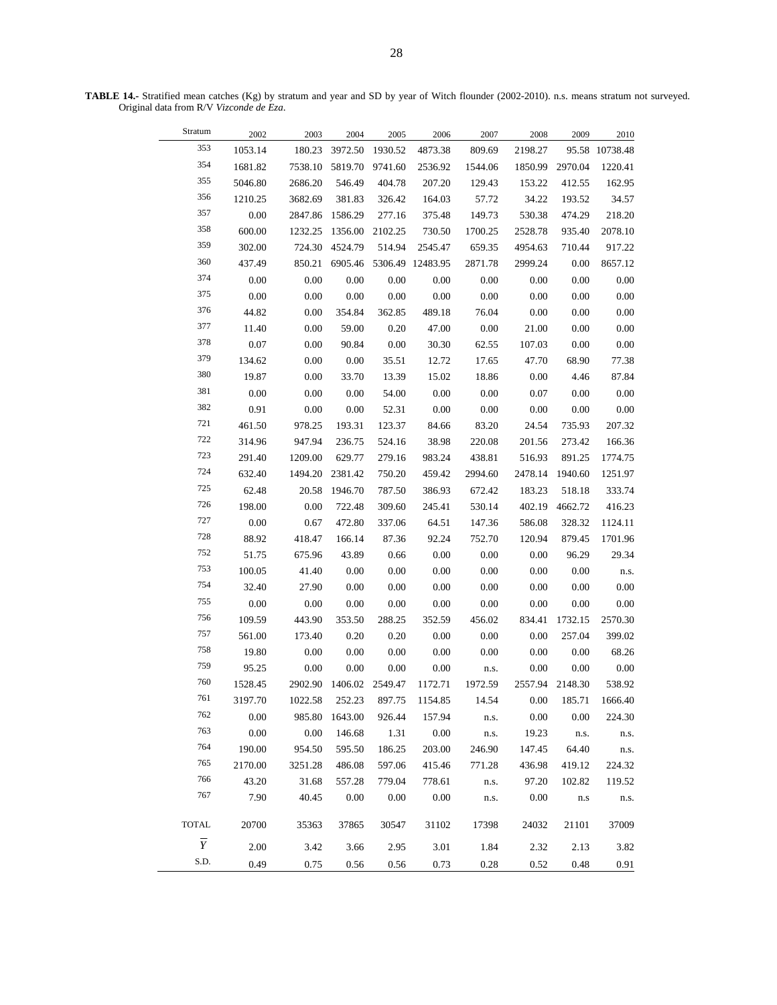**TABLE 14.-** Stratified mean catches (Kg) by stratum and year and SD by year of Witch flounder (2002-2010). n.s. means stratum not surveyed. Original data from R/V *Vizconde de Eza*.

| Stratum        | 2002    | 2003     | 2004            | 2005     | 2006             | 2007     | 2008     | 2009            | 2010           |
|----------------|---------|----------|-----------------|----------|------------------|----------|----------|-----------------|----------------|
| 353            | 1053.14 | 180.23   | 3972.50         | 1930.52  | 4873.38          | 809.69   | 2198.27  |                 | 95.58 10738.48 |
| 354            | 1681.82 | 7538.10  | 5819.70         | 9741.60  | 2536.92          | 1544.06  | 1850.99  | 2970.04         | 1220.41        |
| 355            | 5046.80 | 2686.20  | 546.49          | 404.78   | 207.20           | 129.43   | 153.22   | 412.55          | 162.95         |
| 356            | 1210.25 | 3682.69  | 381.83          | 326.42   | 164.03           | 57.72    | 34.22    | 193.52          | 34.57          |
| 357            | 0.00    | 2847.86  | 1586.29         | 277.16   | 375.48           | 149.73   | 530.38   | 474.29          | 218.20         |
| 358            | 600.00  | 1232.25  | 1356.00         | 2102.25  | 730.50           | 1700.25  | 2528.78  | 935.40          | 2078.10        |
| 359            | 302.00  | 724.30   | 4524.79         | 514.94   | 2545.47          | 659.35   | 4954.63  | 710.44          | 917.22         |
| 360            | 437.49  | 850.21   | 6905.46         |          | 5306.49 12483.95 | 2871.78  | 2999.24  | 0.00            | 8657.12        |
| 374            | 0.00    | 0.00     | $0.00\,$        | 0.00     | 0.00             | 0.00     | 0.00     | 0.00            | $0.00\,$       |
| 375            | 0.00    | 0.00     | 0.00            | 0.00     | $0.00\,$         | 0.00     | 0.00     | 0.00            | $0.00\,$       |
| 376            | 44.82   | 0.00     | 354.84          | 362.85   | 489.18           | 76.04    | 0.00     | 0.00            | $0.00\,$       |
| 377            | 11.40   | 0.00     | 59.00           | 0.20     | 47.00            | 0.00     | 21.00    | 0.00            | $0.00\,$       |
| 378            | 0.07    | 0.00     | 90.84           | 0.00     | 30.30            | 62.55    | 107.03   | 0.00            | $0.00\,$       |
| 379            | 134.62  | 0.00     | 0.00            | 35.51    | 12.72            | 17.65    | 47.70    | 68.90           | 77.38          |
| 380            | 19.87   | 0.00     | 33.70           | 13.39    | 15.02            | 18.86    | 0.00     | 4.46            | 87.84          |
| 381            | 0.00    | 0.00     | $0.00\,$        | 54.00    | 0.00             | 0.00     | 0.07     | 0.00            | 0.00           |
| 382            | 0.91    | $0.00\,$ | $0.00\,$        | 52.31    | $0.00\,$         | $0.00\,$ | 0.00     | 0.00            | $0.00\,$       |
| 721            | 461.50  | 978.25   | 193.31          | 123.37   | 84.66            | 83.20    | 24.54    | 735.93          | 207.32         |
| 722            | 314.96  | 947.94   | 236.75          | 524.16   | 38.98            | 220.08   | 201.56   | 273.42          | 166.36         |
| 723            | 291.40  | 1209.00  | 629.77          | 279.16   | 983.24           | 438.81   | 516.93   | 891.25          | 1774.75        |
| 724            | 632.40  | 1494.20  | 2381.42         | 750.20   | 459.42           | 2994.60  | 2478.14  | 1940.60         | 1251.97        |
| 725            | 62.48   | 20.58    | 1946.70         | 787.50   | 386.93           | 672.42   | 183.23   | 518.18          | 333.74         |
| 726            | 198.00  | 0.00     | 722.48          | 309.60   | 245.41           | 530.14   | 402.19   | 4662.72         | 416.23         |
| $727\,$        | 0.00    | 0.67     | 472.80          | 337.06   | 64.51            | 147.36   | 586.08   | 328.32          | 1124.11        |
| 728            | 88.92   | 418.47   | 166.14          | 87.36    | 92.24            | 752.70   | 120.94   | 879.45          | 1701.96        |
| 752            | 51.75   | 675.96   | 43.89           | 0.66     | 0.00             | 0.00     | 0.00     | 96.29           | 29.34          |
| 753            | 100.05  | 41.40    | 0.00            | 0.00     | 0.00             | 0.00     | 0.00     | 0.00            | n.s.           |
| 754            | 32.40   | 27.90    | 0.00            | 0.00     | 0.00             | 0.00     | 0.00     | 0.00            | $0.00\,$       |
| 755            | 0.00    | 0.00     | 0.00            | $0.00\,$ | $0.00\,$         | $0.00\,$ | 0.00     | 0.00            | 0.00           |
| 756            | 109.59  | 443.90   | 353.50          | 288.25   | 352.59           | 456.02   | 834.41   | 1732.15         | 2570.30        |
| 757            | 561.00  | 173.40   | 0.20            | 0.20     | 0.00             | 0.00     | 0.00     | 257.04          | 399.02         |
| 758            | 19.80   | 0.00     | $0.00\,$        | $0.00\,$ | $0.00\,$         | 0.00     | 0.00     | 0.00            | 68.26          |
| 759            | 95.25   | $0.00\,$ | $0.00\,$        | $0.00\,$ | $0.00\,$         | n.s.     | $0.00\,$ | $0.00\,$        | $0.00\,$       |
| 760            | 1528.45 | 2902.90  | 1406.02 2549.47 |          | 1172.71          | 1972.59  |          | 2557.94 2148.30 | 538.92         |
| 761            | 3197.70 | 1022.58  | 252.23          | 897.75   | 1154.85          | 14.54    | $0.00\,$ | 185.71          | 1666.40        |
| 762            | 0.00    | 985.80   | 1643.00         | 926.44   | 157.94           | n.s.     | 0.00     | 0.00            | 224.30         |
| 763            | 0.00    | $0.00\,$ | 146.68          | 1.31     | $0.00\,$         | n.s.     | 19.23    | n.s.            | n.s.           |
| 764            | 190.00  | 954.50   | 595.50          | 186.25   | 203.00           | 246.90   | 147.45   | 64.40           | n.s.           |
| 765            | 2170.00 | 3251.28  | 486.08          | 597.06   | 415.46           | 771.28   | 436.98   | 419.12          | 224.32         |
| 766            | 43.20   | 31.68    | 557.28          | 779.04   | 778.61           | n.s.     | 97.20    | 102.82          | 119.52         |
| 767            | 7.90    | 40.45    | $0.00\,$        | 0.00     | $0.00\,$         | n.s.     | 0.00     | n.s             | n.s.           |
|                |         |          |                 |          |                  |          |          |                 |                |
| <b>TOTAL</b>   | 20700   | 35363    | 37865           | 30547    | 31102            | 17398    | 24032    | 21101           | 37009          |
| $\overline{Y}$ | 2.00    | 3.42     | 3.66            | 2.95     | 3.01             | 1.84     | 2.32     | 2.13            | 3.82           |
| S.D.           | 0.49    | 0.75     | 0.56            | 0.56     | 0.73             | 0.28     | 0.52     | 0.48            | 0.91           |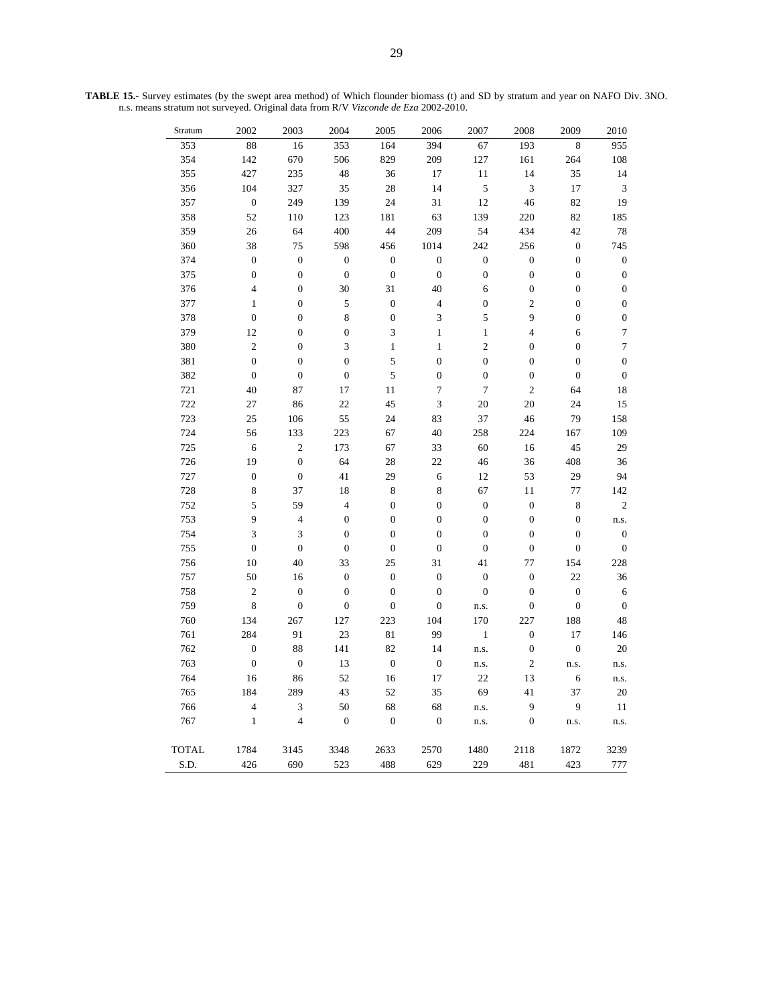| Stratum      | 2002             | 2003                    | 2004             | 2005             | 2006                     | 2007             | 2008             | 2009             | 2010             |
|--------------|------------------|-------------------------|------------------|------------------|--------------------------|------------------|------------------|------------------|------------------|
| 353          | 88               | 16                      | 353              | 164              | 394                      | 67               | 193              | 8                | $\overline{955}$ |
| 354          | 142              | 670                     | 506              | 829              | 209                      | $127\,$          | 161              | 264              | $108\,$          |
| 355          | 427              | 235                     | 48               | 36               | 17                       | 11               | 14               | 35               | 14               |
| 356          | 104              | 327                     | 35               | 28               | 14                       | 5                | 3                | 17               | $\mathfrak{Z}$   |
| 357          | $\boldsymbol{0}$ | 249                     | 139              | 24               | 31                       | 12               | 46               | 82               | 19               |
| 358          | 52               | 110                     | 123              | 181              | 63                       | 139              | 220              | 82               | 185              |
| 359          | 26               | 64                      | 400              | 44               | 209                      | 54               | 434              | 42               | $78\,$           |
| 360          | 38               | $75\,$                  | 598              | 456              | 1014                     | 242              | 256              | $\boldsymbol{0}$ | 745              |
| 374          | $\boldsymbol{0}$ | $\boldsymbol{0}$        | $\boldsymbol{0}$ | $\boldsymbol{0}$ | $\boldsymbol{0}$         | $\boldsymbol{0}$ | $\boldsymbol{0}$ | $\boldsymbol{0}$ | $\boldsymbol{0}$ |
| 375          | $\boldsymbol{0}$ | $\boldsymbol{0}$        | $\boldsymbol{0}$ | $\boldsymbol{0}$ | $\boldsymbol{0}$         | $\boldsymbol{0}$ | $\boldsymbol{0}$ | $\boldsymbol{0}$ | $\boldsymbol{0}$ |
| 376          | $\overline{4}$   | $\boldsymbol{0}$        | 30               | 31               | 40                       | 6                | $\boldsymbol{0}$ | $\boldsymbol{0}$ | $\boldsymbol{0}$ |
| 377          | $\,1$            | $\boldsymbol{0}$        | 5                | $\boldsymbol{0}$ | $\overline{\mathcal{L}}$ | $\boldsymbol{0}$ | $\overline{c}$   | $\boldsymbol{0}$ | $\boldsymbol{0}$ |
| 378          | $\boldsymbol{0}$ | $\boldsymbol{0}$        | $\overline{8}$   | $\boldsymbol{0}$ | 3                        | 5                | 9                | $\boldsymbol{0}$ | $\boldsymbol{0}$ |
| 379          | 12               | $\boldsymbol{0}$        | $\boldsymbol{0}$ | 3                | $\mathbf{1}$             | $\mathbf{1}$     | $\overline{4}$   | $\overline{6}$   | $\tau$           |
| 380          | $\overline{c}$   | $\boldsymbol{0}$        | $\mathfrak{Z}$   | $\,1$            | $\,1\,$                  | $\overline{c}$   | $\boldsymbol{0}$ | $\boldsymbol{0}$ | $\boldsymbol{7}$ |
| 381          | $\boldsymbol{0}$ | $\boldsymbol{0}$        | $\boldsymbol{0}$ | 5                | $\boldsymbol{0}$         | $\overline{0}$   | $\boldsymbol{0}$ | $\boldsymbol{0}$ | $\boldsymbol{0}$ |
| 382          | $\boldsymbol{0}$ | $\boldsymbol{0}$        | $\boldsymbol{0}$ | 5                | $\boldsymbol{0}$         | $\boldsymbol{0}$ | $\boldsymbol{0}$ | $\boldsymbol{0}$ | $\boldsymbol{0}$ |
| 721          | 40               | 87                      | $17\,$           | 11               | $\sqrt{ }$               | $\boldsymbol{7}$ | $\overline{c}$   | 64               | 18               |
| 722          | 27               | 86                      | 22               | 45               | $\overline{\mathbf{3}}$  | 20               | 20               | 24               | 15               |
| 723          | 25               | 106                     | 55               | 24               | 83                       | 37               | 46               | 79               | 158              |
| 724          | 56               | 133                     | 223              | 67               | 40                       | 258              | 224              | 167              | 109              |
| 725          | 6                | $\overline{c}$          | 173              | 67               | 33                       | 60               | 16               | 45               | 29               |
| 726          | 19               | $\boldsymbol{0}$        | 64               | $28\,$           | 22                       | 46               | 36               | 408              | 36               |
| 727          | $\boldsymbol{0}$ | $\boldsymbol{0}$        | 41               | 29               | $\overline{6}$           | 12               | 53               | 29               | 94               |
| 728          | 8                | 37                      | 18               | 8                | 8                        | 67               | 11               | 77               | 142              |
| 752          | 5                | 59                      | $\overline{4}$   | $\boldsymbol{0}$ | $\boldsymbol{0}$         | $\boldsymbol{0}$ | $\boldsymbol{0}$ | $\,$ 8 $\,$      | $\overline{c}$   |
| 753          | 9                | $\overline{4}$          | $\boldsymbol{0}$ | $\boldsymbol{0}$ | $\boldsymbol{0}$         | $\boldsymbol{0}$ | $\boldsymbol{0}$ | $\boldsymbol{0}$ | n.s.             |
| 754          | 3                | 3                       | $\boldsymbol{0}$ | $\boldsymbol{0}$ | $\boldsymbol{0}$         | $\boldsymbol{0}$ | $\boldsymbol{0}$ | $\boldsymbol{0}$ | $\boldsymbol{0}$ |
| 755          | $\boldsymbol{0}$ | $\boldsymbol{0}$        | $\boldsymbol{0}$ | $\boldsymbol{0}$ | $\boldsymbol{0}$         | $\boldsymbol{0}$ | $\boldsymbol{0}$ | $\boldsymbol{0}$ | $\boldsymbol{0}$ |
| 756          | 10               | 40                      | 33               | 25               | 31                       | 41               | 77               | 154              | 228              |
| 757          | 50               | 16                      | $\boldsymbol{0}$ | $\boldsymbol{0}$ | $\boldsymbol{0}$         | $\boldsymbol{0}$ | $\boldsymbol{0}$ | 22               | 36               |
| 758          | $\mathbf{2}$     | $\boldsymbol{0}$        | $\boldsymbol{0}$ | $\boldsymbol{0}$ | $\boldsymbol{0}$         | $\boldsymbol{0}$ | $\boldsymbol{0}$ | $\boldsymbol{0}$ | 6                |
| 759          | $\,8\,$          | $\boldsymbol{0}$        | $\boldsymbol{0}$ | $\boldsymbol{0}$ | $\boldsymbol{0}$         | n.s.             | $\boldsymbol{0}$ | $\boldsymbol{0}$ | $\boldsymbol{0}$ |
| 760          | 134              | 267                     | 127              | 223              | 104                      | 170              | 227              | 188              | 48               |
| 761          | 284              | 91                      | 23               | $81\,$           | 99                       | $\,1$            | $\boldsymbol{0}$ | 17               | 146              |
| 762          | $\boldsymbol{0}$ | 88                      | 141              | 82               | 14                       | n.s.             | $\boldsymbol{0}$ | $\boldsymbol{0}$ | 20               |
| 763          | $\boldsymbol{0}$ | $\boldsymbol{0}$        | 13               | $\boldsymbol{0}$ | $\boldsymbol{0}$         | n.s.             | $\mathbf{2}$     | n.s.             | n.s.             |
| 764          | 16               | 86                      | 52               | 16               | 17                       | 22               | 13               | 6                | n.s.             |
| 765          | 184              | 289                     | 43               | 52               | 35                       | 69               | 41               | 37               | 20               |
| 766          | 4                | 3                       | 50               | 68               | 68                       | n.s.             | 9                | $\overline{9}$   | 11               |
| 767          | $\,1$            | $\overline{\mathbf{4}}$ | $\boldsymbol{0}$ | $\boldsymbol{0}$ | $\boldsymbol{0}$         | n.s.             | $\boldsymbol{0}$ | n.s.             | n.s.             |
|              |                  |                         |                  |                  |                          |                  |                  |                  |                  |
| <b>TOTAL</b> | 1784             | 3145                    | 3348             | 2633             | 2570                     | 1480             | 2118             | 1872             | 3239             |
| S.D.         | 426              | 690                     | 523              | 488              | 629                      | 229              | 481              | 423              | 777              |

**TABLE 15.-** Survey estimates (by the swept area method) of Which flounder biomass (t) and SD by stratum and year on NAFO Div. 3NO. n.s. means stratum not surveyed. Original data from R/V *Vizconde de Eza* 2002-2010.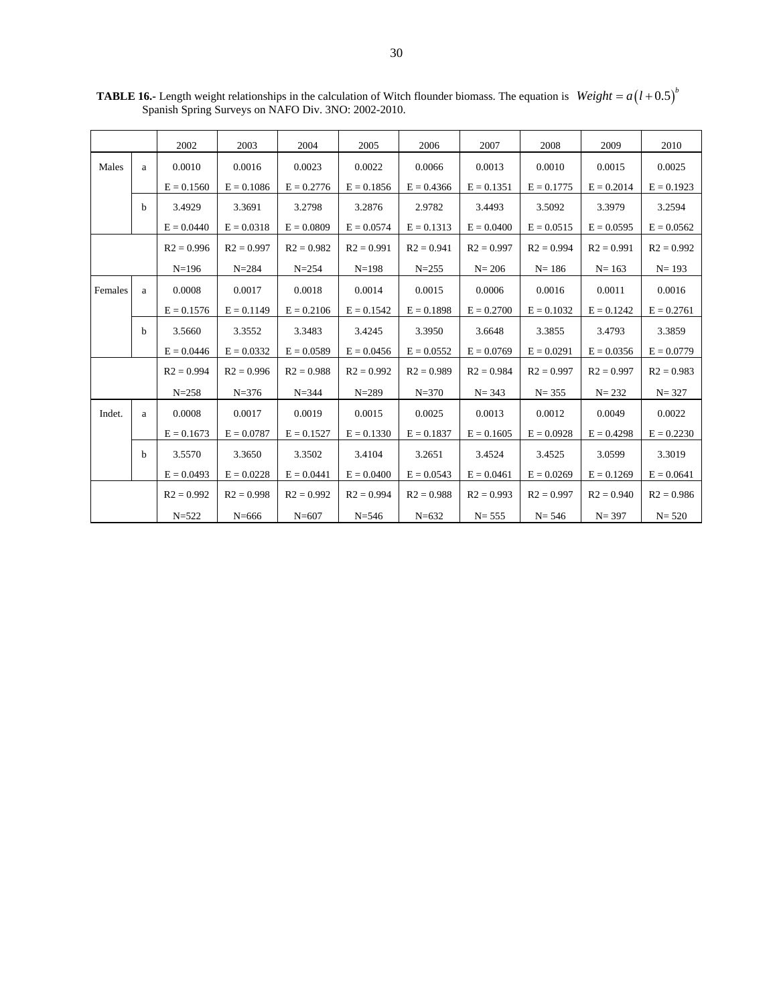|         |   | 2002         | 2003         | 2004         | 2005         | 2006         | 2007         | 2008         | 2009         | 2010         |
|---------|---|--------------|--------------|--------------|--------------|--------------|--------------|--------------|--------------|--------------|
| Males   | a | 0.0010       | 0.0016       | 0.0023       | 0.0022       | 0.0066       | 0.0013       | 0.0010       | 0.0015       | 0.0025       |
|         |   | $E = 0.1560$ | $E = 0.1086$ | $E = 0.2776$ | $E = 0.1856$ | $E = 0.4366$ | $E = 0.1351$ | $E = 0.1775$ | $E = 0.2014$ | $E = 0.1923$ |
|         | b | 3.4929       | 3.3691       | 3.2798       | 3.2876       | 2.9782       | 3.4493       | 3.5092       | 3.3979       | 3.2594       |
|         |   | $E = 0.0440$ | $E = 0.0318$ | $E = 0.0809$ | $E = 0.0574$ | $E = 0.1313$ | $E = 0.0400$ | $E = 0.0515$ | $E = 0.0595$ | $E = 0.0562$ |
|         |   | $R2 = 0.996$ | $R2 = 0.997$ | $R2 = 0.982$ | $R2 = 0.991$ | $R2 = 0.941$ | $R2 = 0.997$ | $R2 = 0.994$ | $R2 = 0.991$ | $R2 = 0.992$ |
|         |   | $N=196$      | $N = 284$    | $N = 254$    | $N=198$      | $N = 255$    | $N = 206$    | $N = 186$    | $N = 163$    | $N = 193$    |
| Females | a | 0.0008       | 0.0017       | 0.0018       | 0.0014       | 0.0015       | 0.0006       | 0.0016       | 0.0011       | 0.0016       |
|         |   | $E = 0.1576$ | $E = 0.1149$ | $E = 0.2106$ | $E = 0.1542$ | $E = 0.1898$ | $E = 0.2700$ | $E = 0.1032$ | $E = 0.1242$ | $E = 0.2761$ |
|         | h | 3.5660       | 3.3552       | 3.3483       | 3.4245       | 3.3950       | 3.6648       | 3.3855       | 3.4793       | 3.3859       |
|         |   | $E = 0.0446$ | $E = 0.0332$ | $E = 0.0589$ | $E = 0.0456$ | $E = 0.0552$ | $E = 0.0769$ | $E = 0.0291$ | $E = 0.0356$ | $E = 0.0779$ |
|         |   | $R2 = 0.994$ | $R2 = 0.996$ | $R2 = 0.988$ | $R2 = 0.992$ | $R2 = 0.989$ | $R2 = 0.984$ | $R2 = 0.997$ | $R2 = 0.997$ | $R2 = 0.983$ |
|         |   | $N = 258$    | $N = 376$    | $N = 344$    | $N = 289$    | $N = 370$    | $N = 343$    | $N = 355$    | $N = 232$    | $N = 327$    |
| Indet.  | a | 0.0008       | 0.0017       | 0.0019       | 0.0015       | 0.0025       | 0.0013       | 0.0012       | 0.0049       | 0.0022       |
|         |   | $E = 0.1673$ | $E = 0.0787$ | $E = 0.1527$ | $E = 0.1330$ | $E = 0.1837$ | $E = 0.1605$ | $E = 0.0928$ | $E = 0.4298$ | $E = 0.2230$ |
|         | b | 3.5570       | 3.3650       | 3.3502       | 3.4104       | 3.2651       | 3.4524       | 3.4525       | 3.0599       | 3.3019       |
|         |   | $E = 0.0493$ | $E = 0.0228$ | $E = 0.0441$ | $E = 0.0400$ | $E = 0.0543$ | $E = 0.0461$ | $E = 0.0269$ | $E = 0.1269$ | $E = 0.0641$ |
|         |   | $R2 = 0.992$ | $R2 = 0.998$ | $R2 = 0.992$ | $R2 = 0.994$ | $R2 = 0.988$ | $R2 = 0.993$ | $R2 = 0.997$ | $R2 = 0.940$ | $R2 = 0.986$ |
|         |   | $N = 522$    | $N = 666$    | $N = 607$    | $N = 546$    | $N = 632$    | $N = 555$    | $N = 546$    | $N = 397$    | $N = 520$    |

**TABLE 16.-** Length weight relationships in the calculation of Witch flounder biomass. The equation is Spanish Spring Surveys on NAFO Div. 3NO: 2002-2010.  $Weight = a(l+0.5)^b$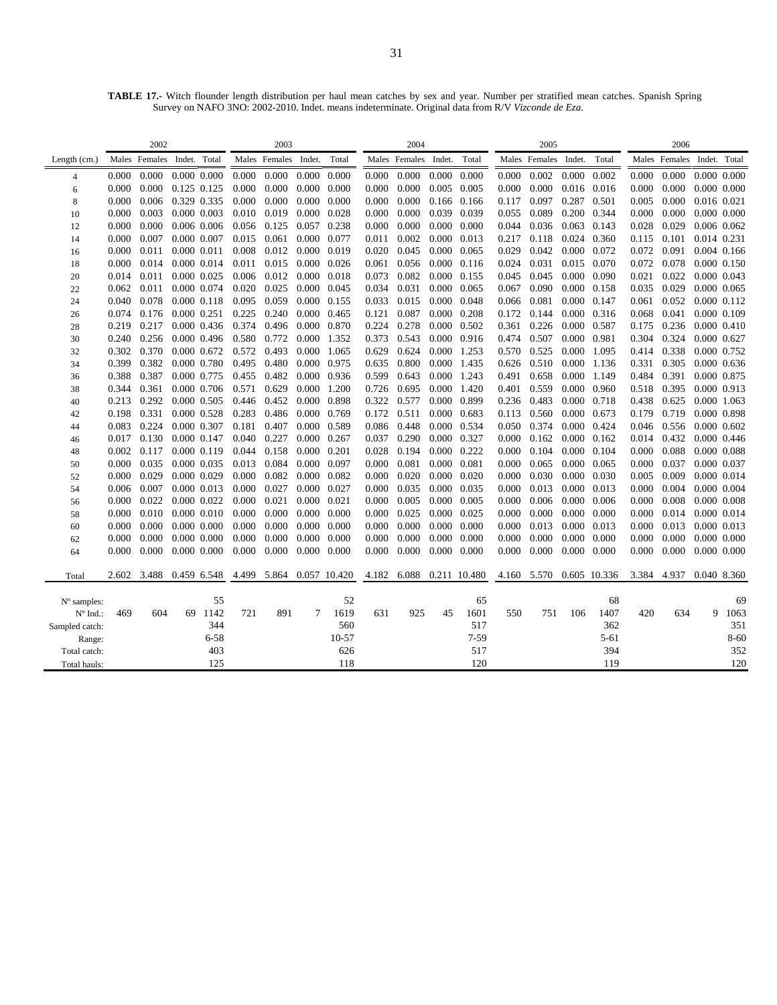**TABLE 17.-** Witch flounder length distribution per haul mean catches by sex and year. Number per stratified mean catches. Spanish Spring Survey on NAFO 3NO: 2002-2010. Indet. means indeterminate. Original data from R/V *Vizconde de Eza*.

|                   |                | 2002                       |    |                            | 2003           |                      |                            |              |                | 2004                 |                            |              | 2005      |                      |                     |              | 2006           |                            |                            |                     |
|-------------------|----------------|----------------------------|----|----------------------------|----------------|----------------------|----------------------------|--------------|----------------|----------------------|----------------------------|--------------|-----------|----------------------|---------------------|--------------|----------------|----------------------------|----------------------------|---------------------|
| Length (cm.)      |                | Males Females Indet. Total |    |                            |                | Males Females Indet. |                            | Total        |                | Males Females Indet. |                            | Total        |           | Males Females Indet. |                     | Total        |                | Males Females Indet. Total |                            |                     |
| $\overline{4}$    | 0.000          | 0.000                      |    | 0.000 0.000                | 0.000          | 0.000                | 0.000 0.000                |              | 0.000          | 0.000                | $0.000 \quad 0.000$        |              | 0.000     | 0.002                | 0.000               | 0.002        | 0.000          | 0.000                      |                            | 0.000 0.000         |
| 6                 | 0.000          | 0.000                      |    | 0.125 0.125                | 0.000          | 0.000                | $0.000 \quad 0.000$        |              | 0.000          | 0.000                | 0.005 0.005                |              | 0.000     | 0.000                | 0.016 0.016         |              | 0.000          | 0.000                      |                            | $0.000$ $0.000$     |
| 8                 | 0.000          | 0.006                      |    | 0.329 0.335                | 0.000          | 0.000                | $0.000 \quad 0.000$        |              | 0.000          | 0.000                | 0.166 0.166                |              | 0.117     | 0.097                | 0.287               | 0.501        | 0.005          | 0.000                      | 0.016 0.021                |                     |
| 10                | 0.000          | 0.003                      |    | 0.000 0.003                | 0.010          | 0.019                | $0.000 \quad 0.028$        |              | 0.000          | 0.000                | 0.039 0.039                |              | 0.055     | 0.089                | 0.200               | 0.344        | 0.000          | 0.000                      |                            | 0.000 0.000         |
| 12                | 0.000          | 0.000                      |    | 0.006 0.006                | 0.056          | 0.125                | 0.057 0.238                |              | 0.000          | 0.000                | 0.000 0.000                |              | 0.044     | 0.036                | 0.063 0.143         |              | 0.028          | 0.029                      |                            | 0.006 0.062         |
| 14                | 0.000          | 0.007                      |    | 0.000 0.007                | 0.015          | 0.061                | 0.000 0.077                |              | 0.011          | 0.002                | 0.000 0.013                |              | 0.217     | 0.118                | 0.024 0.360         |              | 0.115          | 0.101                      | 0.014 0.231                |                     |
| 16                | 0.000          | 0.011                      |    | 0.000 0.011                | 0.008          | 0.012                | 0.000 0.019                |              | 0.020          | 0.045                | $0.000 \quad 0.065$        |              | 0.029     | 0.042                | 0.000 0.072         |              | 0.072          | 0.091                      |                            | 0.004 0.166         |
| 18                | 0.000          | 0.014                      |    | 0.000 0.014                | 0.011          | 0.015                | $0.000 \quad 0.026$        |              | 0.061          | 0.056                | $0.000 \quad 0.116$        |              | 0.024     | 0.031                | 0.015               | 0.070        | 0.072          | 0.078                      |                            | 0.000 0.150         |
| 20                | 0.014          | 0.011                      |    | 0.000 0.025                | 0.006          | 0.012                | 0.000 0.018                |              | 0.073          | 0.082                | 0.000 0.155                |              | 0.045     | 0.045                | 0.000 0.090         |              | 0.021          | 0.022                      |                            | 0.000 0.043         |
| 22                | 0.062          | 0.011                      |    | 0.000 0.074                | 0.020          | 0.025                | 0.000 0.045                |              | 0.034          | 0.031                | 0.000 0.065                |              | 0.067     | 0.090                | 0.000 0.158         |              | 0.035          | 0.029                      |                            | 0.000 0.065         |
| 24                | 0.040          | 0.078                      |    | 0.000 0.118                | 0.095          | 0.059                | 0.000 0.155                |              | 0.033          | 0.015                | 0.000 0.048                |              | 0.066     | 0.081                | 0.000 0.147         |              | 0.061          | 0.052                      |                            | 0.000 0.112         |
| 26                | 0.074          | 0.176                      |    | 0.000 0.251                | 0.225          | 0.240                | 0.000 0.465                |              | 0.121          | 0.087                | $0.000 \quad 0.208$        |              | 0.172     | 0.144                |                     | 0.000 0.316  | 0.068          | 0.041                      |                            | 0.000 0.109         |
| 28                | 0.219          | 0.217                      |    | 0.000 0.436                | 0.374          | 0.496                | 0.000 0.870                |              | 0.224          | 0.278                | 0.000 0.502                |              | 0.361     | 0.226                | 0.000 0.587         |              | 0.175          | 0.236                      |                            | 0.000 0.410         |
| 30                | 0.240          | 0.256                      |    | 0.000 0.496                | 0.580          | 0.772                | 0.000 1.352                |              | 0.373          | 0.543                | 0.000 0.916                |              | 0.474     | 0.507                | 0.000 0.981         |              | 0.304          | 0.324                      |                            | 0.000 0.627         |
| 32                | 0.302          | 0.370                      |    | 0.000 0.672                | 0.572          | 0.493                | 0.000                      | 1.065        | 0.629          | 0.624                | 0.000 1.253                |              |           | 0.570 0.525          | 0.000               | 1.095        |                | 0.414 0.338                |                            | 0.000 0.752         |
| 34                | 0.399          | 0.382                      |    | 0.000 0.780                | 0.495          | 0.480                | 0.000 0.975                |              | 0.635          | 0.800                | 0.000 1.435                |              | 0.626     | 0.510                |                     | 0.000 1.136  | 0.331          | 0.305                      |                            | $0.000 \quad 0.636$ |
| 36                | 0.388<br>0.344 | 0.387<br>0.361             |    | 0.000 0.775<br>0.000 0.706 | 0.455<br>0.571 | 0.482<br>0.629       | 0.000 0.936<br>0.000 1.200 |              | 0.599<br>0.726 | 0.643<br>0.695       | 0.000 1.243<br>0.000 1.420 |              | 0.401     | 0.491 0.658<br>0.559 | 0.000 1.149         | 0.000 0.960  | 0.484<br>0.518 | 0.391<br>0.395             | 0.000 0.875<br>0.000 0.913 |                     |
| 38                | 0.213          | 0.292                      |    | 0.000 0.505                | 0.446          | 0.452                | 0.000 0.898                |              | 0.322          | 0.577                | 0.000 0.899                |              | 0.236     | 0.483                | 0.000 0.718         |              | 0.438          | 0.625                      | 0.000 1.063                |                     |
| 40<br>42          | 0.198          | 0.331                      |    | 0.000 0.528                | 0.283          | 0.486                | 0.000 0.769                |              | 0.172          | 0.511                | 0.000 0.683                |              | 0.113     | 0.560                | 0.000 0.673         |              | 0.179          | 0.719                      |                            | 0.000 0.898         |
| 44                | 0.083          | 0.224                      |    | 0.000 0.307                | 0.181          | 0.407                | 0.000 0.589                |              | 0.086          | 0.448                | 0.000 0.534                |              |           | 0.050 0.374          | 0.000 0.424         |              | 0.046          | 0.556                      |                            | 0.000 0.602         |
| 46                | 0.017          | 0.130                      |    | 0.000 0.147                | 0.040          | 0.227                | 0.000 0.267                |              | 0.037          | 0.290                | 0.000 0.327                |              | 0.000     | 0.162                | $0.000 \quad 0.162$ |              | 0.014          | 0.432                      |                            | 0.000 0.446         |
| 48                | 0.002          | 0.117                      |    | 0.000 0.119                | 0.044          | 0.158                | 0.000 0.201                |              | 0.028          | 0.194                | 0.000 0.222                |              | 0.000     | 0.104                | 0.000 0.104         |              | 0.000          | 0.088                      |                            | 0.000 0.088         |
| 50                | 0.000          | 0.035                      |    | 0.000 0.035                | 0.013          | 0.084                | 0.000 0.097                |              | 0.000          | 0.081                | 0.000 0.081                |              | 0.000     | 0.065                | 0.000 0.065         |              | 0.000          | 0.037                      |                            | 0.000 0.037         |
| 52                | 0.000          | 0.029                      |    | 0.000 0.029                | 0.000          | 0.082                | 0.000 0.082                |              | 0.000          | 0.020                | $0.000 \quad 0.020$        |              | $0.000\,$ | 0.030                | 0.000 0.030         |              | 0.005          | 0.009                      |                            | 0.000 0.014         |
| 54                | 0.006          | 0.007                      |    | 0.000 0.013                | 0.000          | 0.027                | 0.000 0.027                |              | 0.000          | 0.035                | 0.000 0.035                |              | 0.000     | 0.013                | 0.000 0.013         |              | 0.000          | 0.004                      |                            | 0.000 0.004         |
| 56                | 0.000          | 0.022                      |    | 0.000 0.022                | 0.000          | 0.021                | 0.000 0.021                |              | 0.000          | 0.005                | 0.000 0.005                |              | 0.000     | 0.006                | $0.000 \quad 0.006$ |              | 0.000          | 0.008                      |                            | 0.000 0.008         |
| 58                | 0.000          | 0.010                      |    | 0.000 0.010                | 0.000          | 0.000                | 0.000 0.000                |              | 0.000          | 0.025                | 0.000 0.025                |              | 0.000     | 0.000                | $0.000 \quad 0.000$ |              | 0.000          | 0.014                      |                            | 0.000 0.014         |
| 60                | 0.000          | 0.000                      |    | 0.000 0.000                | 0.000          | 0.000                | $0.000 \quad 0.000$        |              | 0.000          | 0.000                | $0.000 \quad 0.000$        |              | 0.000     | 0.013                | 0.000 0.013         |              | 0.000          | 0.013                      |                            | 0.000 0.013         |
| 62                | 0.000          | 0.000                      |    | 0.000 0.000                | 0.000          | 0.000                | 0.000                      | 0.000        | 0.000          | 0.000                | 0.000                      | 0.000        | 0.000     | 0.000                | 0.000               | 0.000        | 0.000          | 0.000                      |                            | 0.000 0.000         |
| 64                | 0.000          | 0.000                      |    | 0.000 0.000                | 0.000          | 0.000                | $0.000 \quad 0.000$        |              | 0.000          | 0.000                | $0.000 \quad 0.000$        |              | 0.000     | 0.000                | $0.000 \quad 0.000$ |              | 0.000          | 0.000                      |                            | 0.000 0.000         |
|                   |                |                            |    |                            |                |                      |                            |              |                |                      |                            |              |           |                      |                     |              |                |                            |                            |                     |
| Total             | 2.602          | 3.488                      |    | 0.459 6.548                | 4.499 5.864    |                      |                            | 0.057 10.420 | 4.182          | 6.088                |                            | 0.211 10.480 |           | 4.160 5.570          |                     | 0.605 10.336 | 3.384          | 4.937                      |                            | 0.040 8.360         |
| $No$ samples:     |                |                            |    | 55                         |                |                      |                            | 52           |                |                      |                            | 65           |           |                      |                     | 68           |                |                            |                            | 69                  |
| $N^{\circ}$ Ind.: | 469            | 604                        | 69 | 1142                       | 721            | 891                  | 7                          | 1619         | 631            | 925                  | 45                         | 1601         | 550       | 751                  | 106                 | 1407         | 420            | 634                        | 9                          | 1063                |
| Sampled catch:    |                |                            |    | 344                        |                |                      |                            | 560          |                |                      |                            | 517          |           |                      |                     | 362          |                |                            |                            | 351                 |
| Range:            |                |                            |    | $6 - 58$                   |                |                      |                            | $10 - 57$    |                |                      |                            | $7-59$       |           |                      |                     | $5 - 61$     |                |                            |                            | $8 - 60$            |
| Total catch:      |                |                            |    | 403                        |                |                      |                            | 626          |                |                      |                            | 517          |           |                      |                     | 394          |                |                            |                            | 352                 |
| Total hauls:      |                |                            |    | 125                        |                |                      |                            | 118          |                |                      |                            | 120          |           |                      |                     | 119          |                |                            |                            | 120                 |
|                   |                |                            |    |                            |                |                      |                            |              |                |                      |                            |              |           |                      |                     |              |                |                            |                            |                     |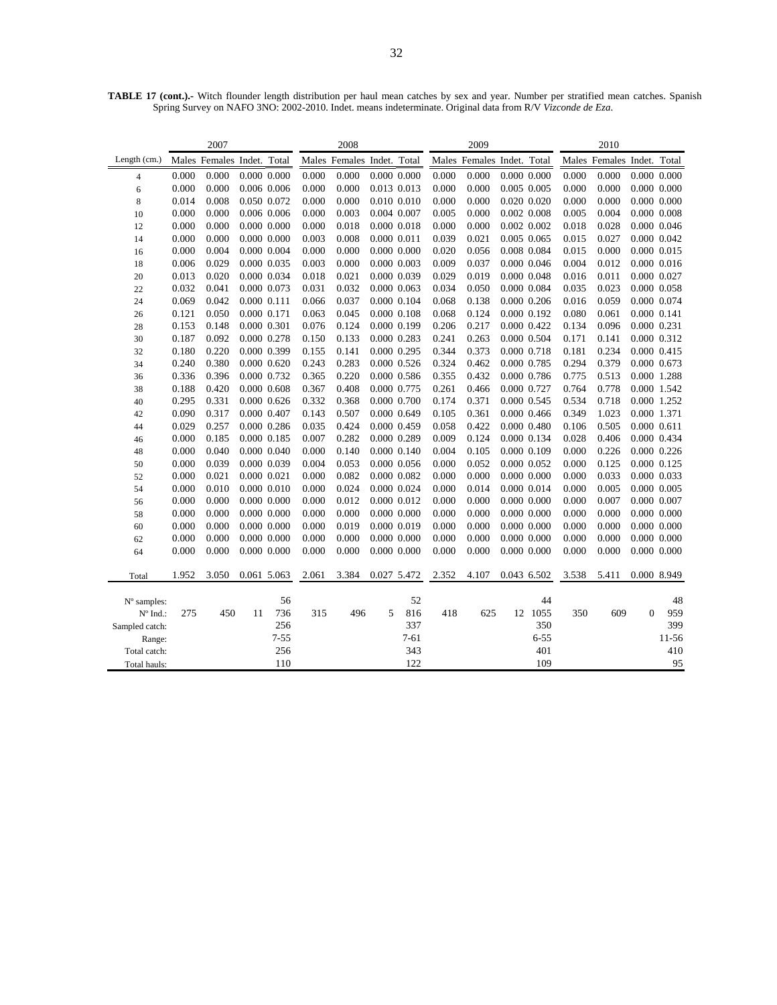|                |       | 2007                       |                 |          |       | 2008                       |                 |                 | 2009  |                            |                 |                 | 2010  |                            |                 |                 |
|----------------|-------|----------------------------|-----------------|----------|-------|----------------------------|-----------------|-----------------|-------|----------------------------|-----------------|-----------------|-------|----------------------------|-----------------|-----------------|
| Length $(cm.)$ |       | Males Females Indet. Total |                 |          |       | Males Females Indet. Total |                 |                 |       | Males Females Indet. Total |                 |                 |       | Males Females Indet. Total |                 |                 |
| 4              | 0.000 | 0.000                      | $0.000$ $0.000$ |          | 0.000 | 0.000                      |                 | $0.000$ $0.000$ | 0.000 | 0.000                      |                 | $0.000$ $0.000$ | 0.000 | 0.000                      |                 | 0.000 0.000     |
| 6              | 0.000 | 0.000                      | 0.006 0.006     |          | 0.000 | 0.000                      | 0.013 0.013     |                 | 0.000 | 0.000                      | $0.005$ $0.005$ |                 | 0.000 | 0.000                      | $0.000$ $0.000$ |                 |
| 8              | 0.014 | 0.008                      | 0.050 0.072     |          | 0.000 | 0.000                      |                 | 0.010 0.010     | 0.000 | 0.000                      |                 | 0.020 0.020     | 0.000 | 0.000                      | $0.000$ $0.000$ |                 |
| 10             | 0.000 | 0.000                      | 0.006 0.006     |          | 0.000 | 0.003                      | 0.004 0.007     |                 | 0.005 | 0.000                      |                 | 0.002 0.008     | 0.005 | 0.004                      | 0.000 0.008     |                 |
| 12             | 0.000 | 0.000                      | $0.000$ $0.000$ |          | 0.000 | 0.018                      |                 | 0.000 0.018     | 0.000 | 0.000                      |                 | $0.002$ $0.002$ | 0.018 | 0.028                      | 0.000 0.046     |                 |
| 14             | 0.000 | 0.000                      | 0.000 0.000     |          | 0.003 | 0.008                      | 0.000 0.011     |                 | 0.039 | 0.021                      | $0.005$ $0.065$ |                 | 0.015 | 0.027                      |                 | 0.000 0.042     |
| 16             | 0.000 | 0.004                      | 0.000 0.004     |          | 0.000 | 0.000                      | 0.000 0.000     |                 | 0.020 | 0.056                      |                 | 0.008 0.084     | 0.015 | 0.000                      | 0.000 0.015     |                 |
| 18             | 0.006 | 0.029                      | 0.000 0.035     |          | 0.003 | 0.000                      | 0.000 0.003     |                 | 0.009 | 0.037                      |                 | 0.000 0.046     | 0.004 | 0.012                      | 0.000 0.016     |                 |
| 20             | 0.013 | 0.020                      | 0.000 0.034     |          | 0.018 | 0.021                      | 0.000 0.039     |                 | 0.029 | 0.019                      |                 | $0.000$ $0.048$ | 0.016 | 0.011                      | 0.000 0.027     |                 |
| 22             | 0.032 | 0.041                      | 0.000 0.073     |          | 0.031 | 0.032                      | 0.000 0.063     |                 | 0.034 | 0.050                      |                 | 0.000 0.084     | 0.035 | 0.023                      |                 | 0.000 0.058     |
| 24             | 0.069 | 0.042                      | 0.000 0.111     |          | 0.066 | 0.037                      |                 | 0.000 0.104     | 0.068 | 0.138                      |                 | $0.000$ $0.206$ | 0.016 | 0.059                      | 0.000 0.074     |                 |
| 26             | 0.121 | 0.050                      | 0.000 0.171     |          | 0.063 | 0.045                      |                 | 0.000 0.108     | 0.068 | 0.124                      |                 | 0.000 0.192     | 0.080 | 0.061                      | 0.000 0.141     |                 |
| 28             | 0.153 | 0.148                      | 0.000 0.301     |          | 0.076 | 0.124                      |                 | 0.000 0.199     | 0.206 | 0.217                      |                 | 0.000 0.422     | 0.134 | 0.096                      | 0.000 0.231     |                 |
| 30             | 0.187 | 0.092                      | 0.000 0.278     |          | 0.150 | 0.133                      | 0.000 0.283     |                 | 0.241 | 0.263                      |                 | 0.000 0.504     | 0.171 | 0.141                      | 0.000 0.312     |                 |
| 32             | 0.180 | 0.220                      | 0.000 0.399     |          | 0.155 | 0.141                      | 0.000 0.295     |                 | 0.344 | 0.373                      |                 | 0.000 0.718     | 0.181 | 0.234                      | 0.000 0.415     |                 |
| 34             | 0.240 | 0.380                      | $0.000$ $0.620$ |          | 0.243 | 0.283                      |                 | 0.000 0.526     | 0.324 | 0.462                      |                 | 0.000 0.785     | 0.294 | 0.379                      | 0.000 0.673     |                 |
| 36             | 0.336 | 0.396                      | 0.000 0.732     |          | 0.365 | 0.220                      |                 | 0.000 0.586     | 0.355 | 0.432                      |                 | 0.000 0.786     | 0.775 | 0.513                      | 0.000 1.288     |                 |
| 38             | 0.188 | 0.420                      | 0.000 0.608     |          | 0.367 | 0.408                      | 0.000 0.775     |                 | 0.261 | 0.466                      | 0.000 0.727     |                 | 0.764 | 0.778                      | 0.000 1.542     |                 |
| 40             | 0.295 | 0.331                      | 0.000 0.626     |          | 0.332 | 0.368                      | 0.000 0.700     |                 | 0.174 | 0.371                      | 0.000 0.545     |                 | 0.534 | 0.718                      | 0.000 1.252     |                 |
| 42             | 0.090 | 0.317                      | 0.000 0.407     |          | 0.143 | 0.507                      |                 | 0.000 0.649     | 0.105 | 0.361                      |                 | 0.000 0.466     | 0.349 | 1.023                      | 0.000 1.371     |                 |
| 44             | 0.029 | 0.257                      | $0.000$ $0.286$ |          | 0.035 | 0.424                      | 0.000 0.459     |                 | 0.058 | 0.422                      |                 | 0.000 0.480     | 0.106 | 0.505                      | 0.000 0.611     |                 |
| 46             | 0.000 | 0.185                      | 0.000 0.185     |          | 0.007 | 0.282                      | 0.000 0.289     |                 | 0.009 | 0.124                      |                 | 0.000 0.134     | 0.028 | 0.406                      | 0.000 0.434     |                 |
| 48             | 0.000 | 0.040                      | 0.000 0.040     |          | 0.000 | 0.140                      |                 | 0.000 0.140     | 0.004 | 0.105                      |                 | 0.000 0.109     | 0.000 | 0.226                      | $0.000$ $0.226$ |                 |
| 50             | 0.000 | 0.039                      | 0.000 0.039     |          | 0.004 | 0.053                      |                 | 0.000 0.056     | 0.000 | 0.052                      |                 | $0.000$ $0.052$ | 0.000 | 0.125                      | 0.000 0.125     |                 |
| 52             | 0.000 | 0.021                      | 0.000 0.021     |          | 0.000 | 0.082                      | 0.000 0.082     |                 | 0.000 | 0.000                      |                 | 0.000 0.000     | 0.000 | 0.033                      | 0.000 0.033     |                 |
| 54             | 0.000 | 0.010                      | 0.000 0.010     |          | 0.000 | 0.024                      |                 | 0.000 0.024     | 0.000 | 0.014                      |                 | 0.000 0.014     | 0.000 | 0.005                      | 0.000 0.005     |                 |
| 56             | 0.000 | 0.000                      | $0.000$ $0.000$ |          | 0.000 | 0.012                      |                 | 0.000 0.012     | 0.000 | 0.000                      |                 | $0.000$ $0.000$ | 0.000 | 0.007                      | 0.000 0.007     |                 |
| 58             | 0.000 | 0.000                      | $0.000$ $0.000$ |          | 0.000 | 0.000                      | $0.000$ $0.000$ |                 | 0.000 | 0.000                      |                 | $0.000$ $0.000$ | 0.000 | 0.000                      | $0.000$ $0.000$ |                 |
| 60             | 0.000 | 0.000                      | 0.000 0.000     |          | 0.000 | 0.019                      | 0.000 0.019     |                 | 0.000 | 0.000                      |                 | $0.000$ $0.000$ | 0.000 | 0.000                      | $0.000$ $0.000$ |                 |
| 62             | 0.000 | 0.000                      | $0.000$ $0.000$ |          | 0.000 | 0.000                      | $0.000$ $0.000$ |                 | 0.000 | 0.000                      |                 | $0.000$ $0.000$ | 0.000 | 0.000                      |                 | $0.000$ $0.000$ |
| 64             | 0.000 | 0.000                      | $0.000$ $0.000$ |          | 0.000 | 0.000                      | $0.000$ $0.000$ |                 | 0.000 | 0.000                      |                 | $0.000$ $0.000$ | 0.000 | 0.000                      | $0.000$ $0.000$ |                 |
| Total          | 1.952 | 3.050                      | 0.061 5.063     |          | 2.061 | 3.384                      |                 | 0.027 5.472     | 2.352 | 4.107                      |                 | 0.043 6.502     | 3.538 | 5.411                      |                 | 0.000 8.949     |
|                |       |                            |                 |          |       |                            |                 |                 |       |                            |                 |                 |       |                            |                 |                 |
| $No$ samples:  |       |                            |                 | 56       |       |                            |                 | 52              |       |                            |                 | 44              |       |                            |                 | 48              |
| N° Ind.:       | 275   | 450                        | 11              | 736      | 315   | 496                        | 5               | 816             | 418   | 625                        |                 | 12 1055         | 350   | 609                        | $\mathbf{0}$    | 959             |
| Sampled catch: |       |                            |                 | 256      |       |                            |                 | 337             |       |                            |                 | 350             |       |                            |                 | 399             |
| Range:         |       |                            |                 | $7 - 55$ |       |                            |                 | $7 - 61$        |       |                            |                 | $6 - 55$        |       |                            |                 | 11-56           |
| Total catch:   |       |                            |                 | 256      |       |                            |                 | 343             |       |                            |                 | 401             |       |                            |                 | 410             |
| Total hauls:   |       |                            |                 | 110      |       |                            |                 | 122             |       |                            |                 | 109             |       |                            |                 | 95              |

**TABLE 17 (cont.).-** Witch flounder length distribution per haul mean catches by sex and year. Number per stratified mean catches. Spanish Spring Survey on NAFO 3NO: 2002-2010. Indet. means indeterminate. Original data from R/V *Vizconde de Eza*.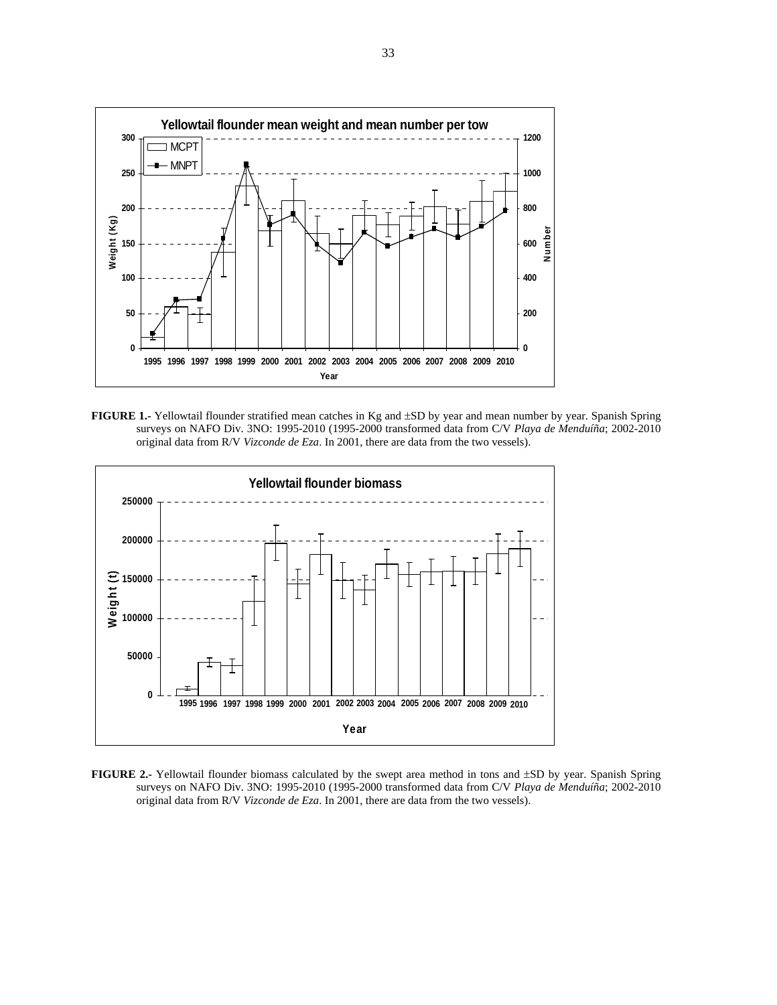

**FIGURE 1.-** Yellowtail flounder stratified mean catches in Kg and ±SD by year and mean number by year. Spanish Spring surveys on NAFO Div. 3NO: 1995-2010 (1995-2000 transformed data from C/V *Playa de Menduíña*; 2002-2010 original data from R/V *Vizconde de Eza*. In 2001, there are data from the two vessels).



**FIGURE 2.-** Yellowtail flounder biomass calculated by the swept area method in tons and ±SD by year. Spanish Spring surveys on NAFO Div. 3NO: 1995-2010 (1995-2000 transformed data from C/V *Playa de Menduíña*; 2002-2010 original data from R/V *Vizconde de Eza*. In 2001, there are data from the two vessels).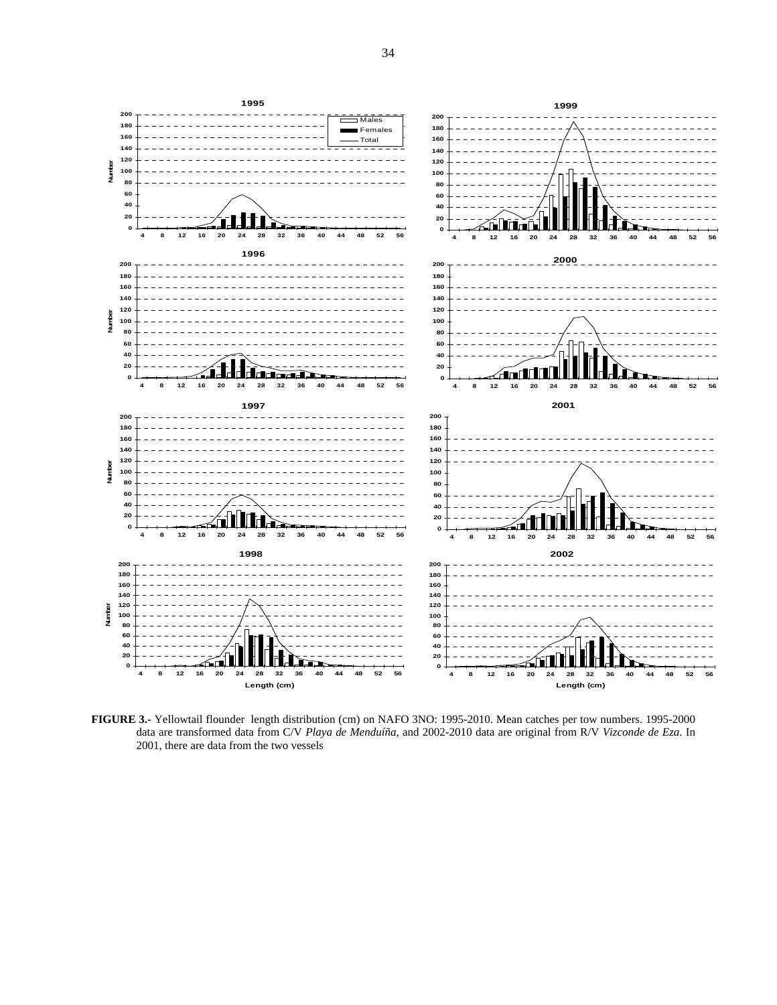

**FIGURE 3.-** Yellowtail flounder length distribution (cm) on NAFO 3NO: 1995-2010. Mean catches per tow numbers. 1995-2000 data are transformed data from C/V *Playa de Menduíña*, and 2002-2010 data are original from R/V *Vizconde de Eza*. In 2001, there are data from the two vessels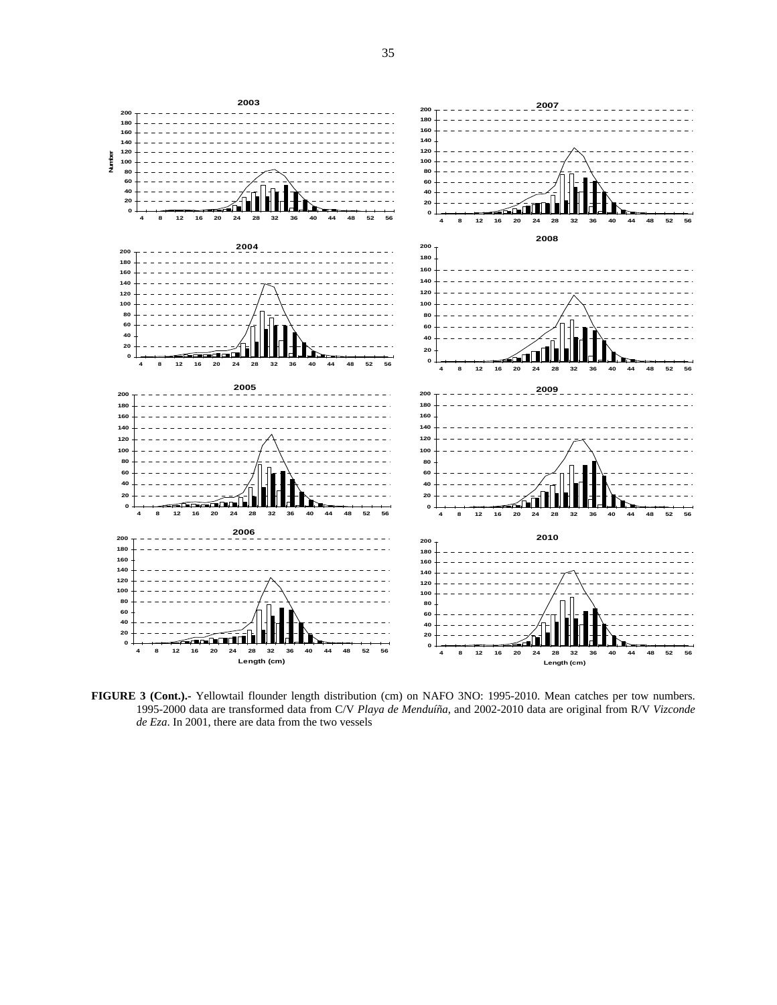

**FIGURE 3 (Cont.).-** Yellowtail flounder length distribution (cm) on NAFO 3NO: 1995-2010. Mean catches per tow numbers. 1995-2000 data are transformed data from C/V *Playa de Menduíña*, and 2002-2010 data are original from R/V *Vizconde de Eza*. In 2001, there are data from the two vessels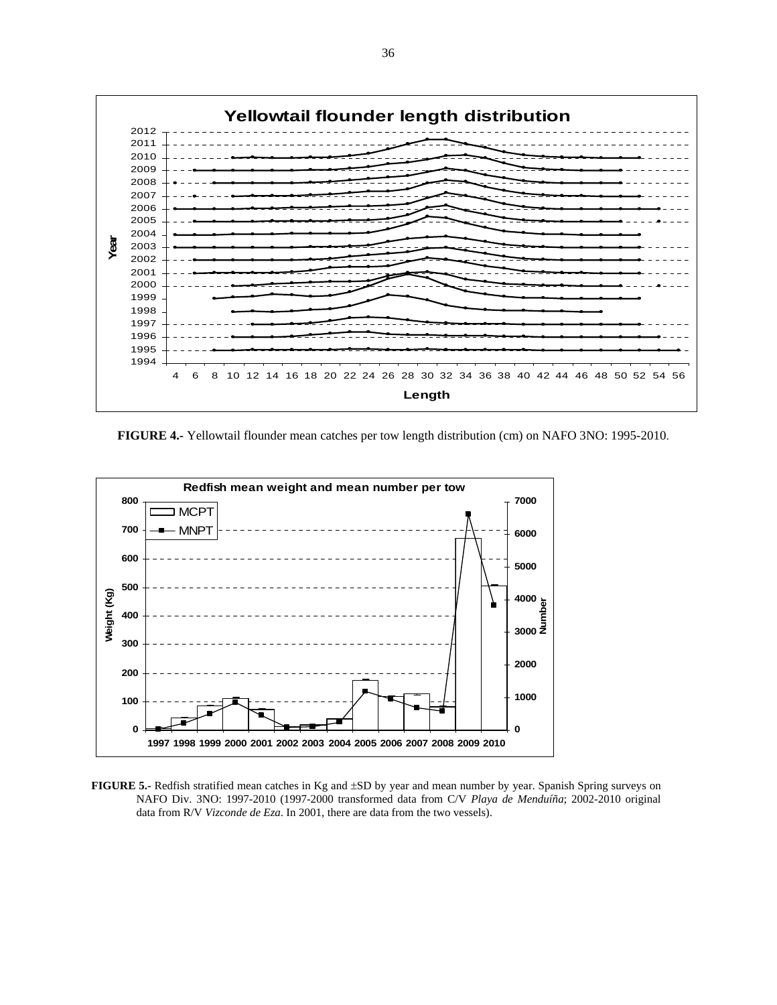

**FIGURE 4.-** Yellowtail flounder mean catches per tow length distribution (cm) on NAFO 3NO: 1995-2010.



**FIGURE 5.-** Redfish stratified mean catches in Kg and  $\pm$ SD by year and mean number by year. Spanish Spring surveys on NAFO Div. 3NO: 1997-2010 (1997-2000 transformed data from C/V *Playa de Menduíña*; 2002-2010 original data from R/V *Vizconde de Eza*. In 2001, there are data from the two vessels).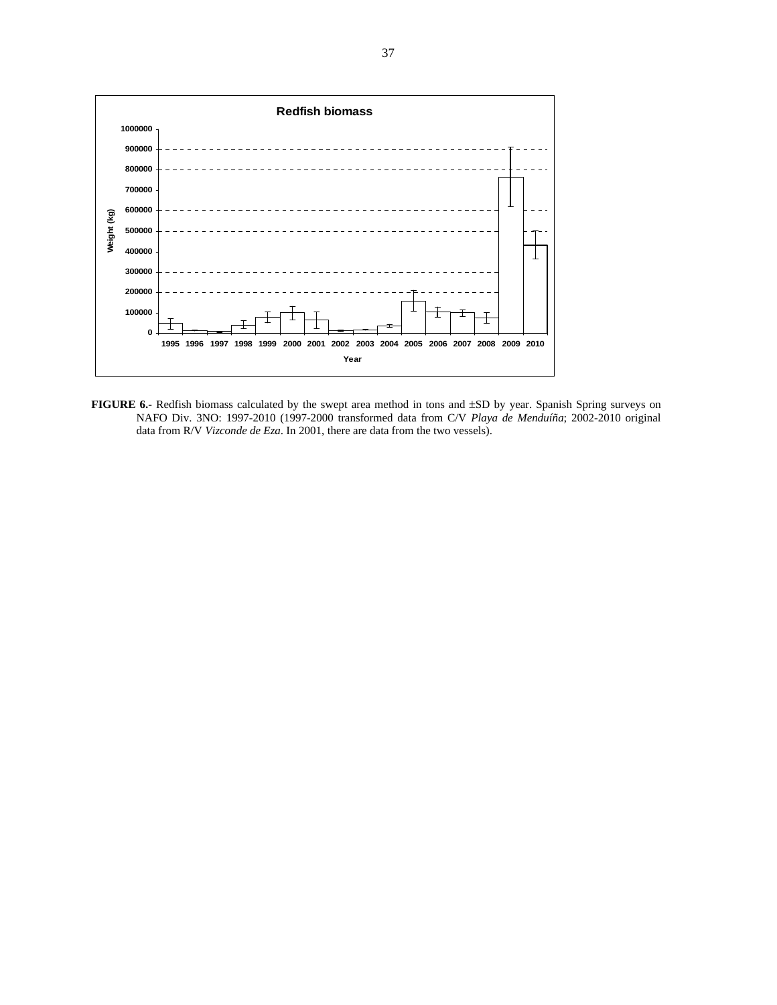

**FIGURE 6.-** Redfish biomass calculated by the swept area method in tons and ±SD by year. Spanish Spring surveys on NAFO Div. 3NO: 1997-2010 (1997-2000 transformed data from C/V *Playa de Menduíña*; 2002-2010 original data from R/V *Vizconde de Eza*. In 2001, there are data from the two vessels).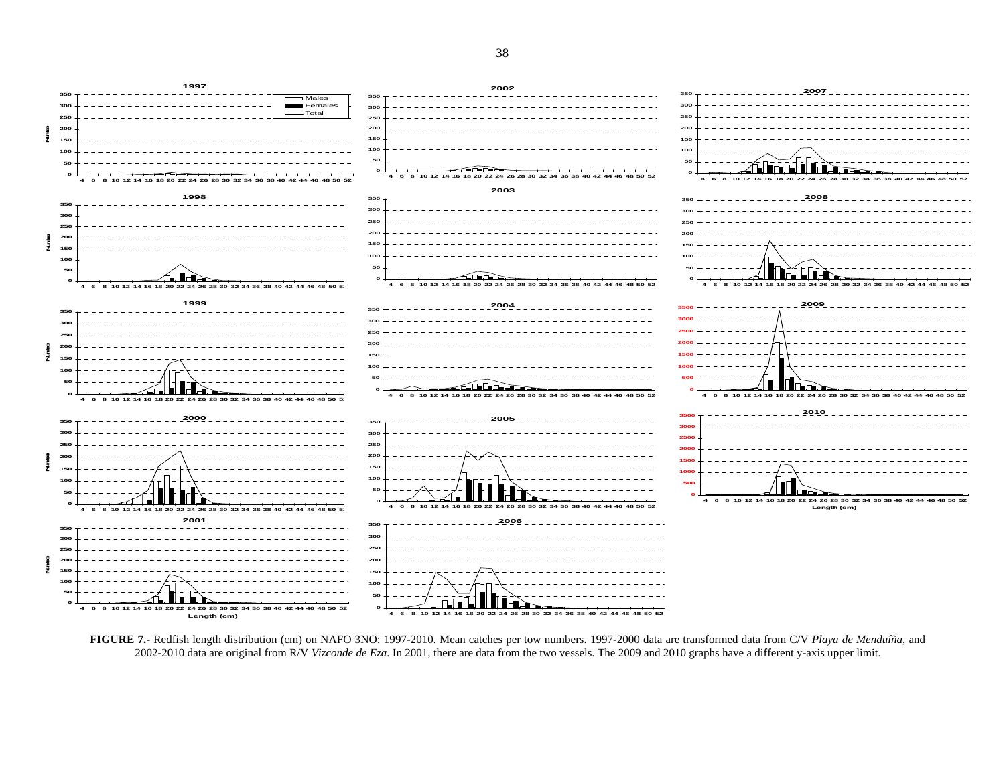$\overline{\square}$ Mal FemalesTotal**Number** ž 10 12 14 16 18 20 4 6 8 10 12 14 16 18 20 22 24 26 28 30 32 34 36 4 6 8 10 12 14 16 18 20 22 24 26 28 30 32 34 36 38 40 42 44 46 48 50 52 **Number**  $\frac{5}{2}$  ∕⊾∏∟े≥ تمكك 14 16 18 20 22 24 26 28 30 32 34 36 38 40 42 44 46 48 50 52 12 14 16 18 20 22 24 26 4 6 8 10 12 14 16 18 20 22 24 26 28 30 32 34 36 38 40 42 44 **Number** ž. ≪n Do 4 6 8 10 12 14 16 18 20 22 24 26 28 30 32 34 36 38 40 42 44 46 48 50 52 4 6 8 10 12 14 16 18 20 22 24 26 28 30 32 34 36 38 40 42 44 4 6 8 10 12 14 16 18 20 22 24 26 28 30 32 34 36 38 40 42 44 46 48 50 52 **Number** £ 4 6 8 10 12 14 16 18 20 22 24 26 28 30 32 34  **6 8 10 12 14 16 18 20 22 24 26 28 30 32 34 36 38 40 42 44 46 48 50 52Length (cm)**16 18 20 22 24 26 28 30 32 34 36 38 40 42 44 46 48 50 5 **Number** ž 布 П., 4 6 8 10 12 14 16 18 20 22 24 26 28 30 32 34 36 38 40 42 44 46 48 50 52 **Length (cm)** 4 6 8 10 12 14 16 18 20 22 24 26 28 30 32 34 36 38 40 42 44 46 48 50 52

**FIGURE 7.-** Redfish length distribution (cm) on NAFO 3NO: 1997-2010. Mean catches per tow numbers. 1997-2000 data are transformed data from C/V *Playa de Menduíña*, and 2002-2010 data are original from R/V *Vizconde de Eza*. In 2001, there are data from the two vessels. The 2009 and 2010 graphs have a different y-axis upper limit.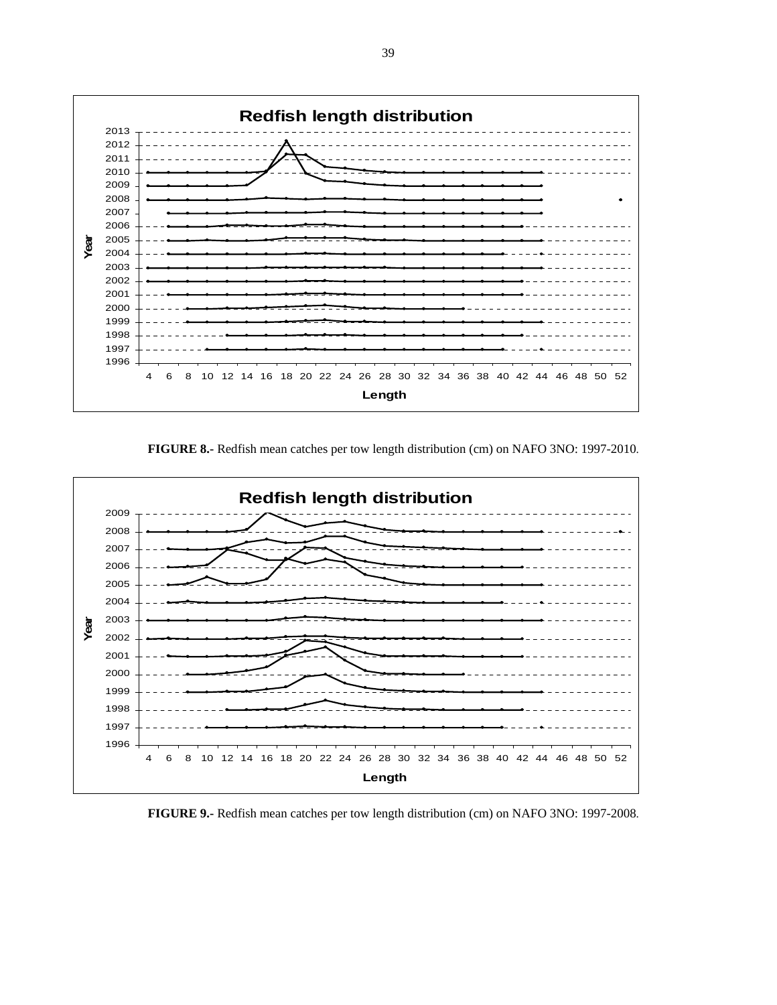

**FIGURE 8.-** Redfish mean catches per tow length distribution (cm) on NAFO 3NO: 1997-2010.



**FIGURE 9.-** Redfish mean catches per tow length distribution (cm) on NAFO 3NO: 1997-2008.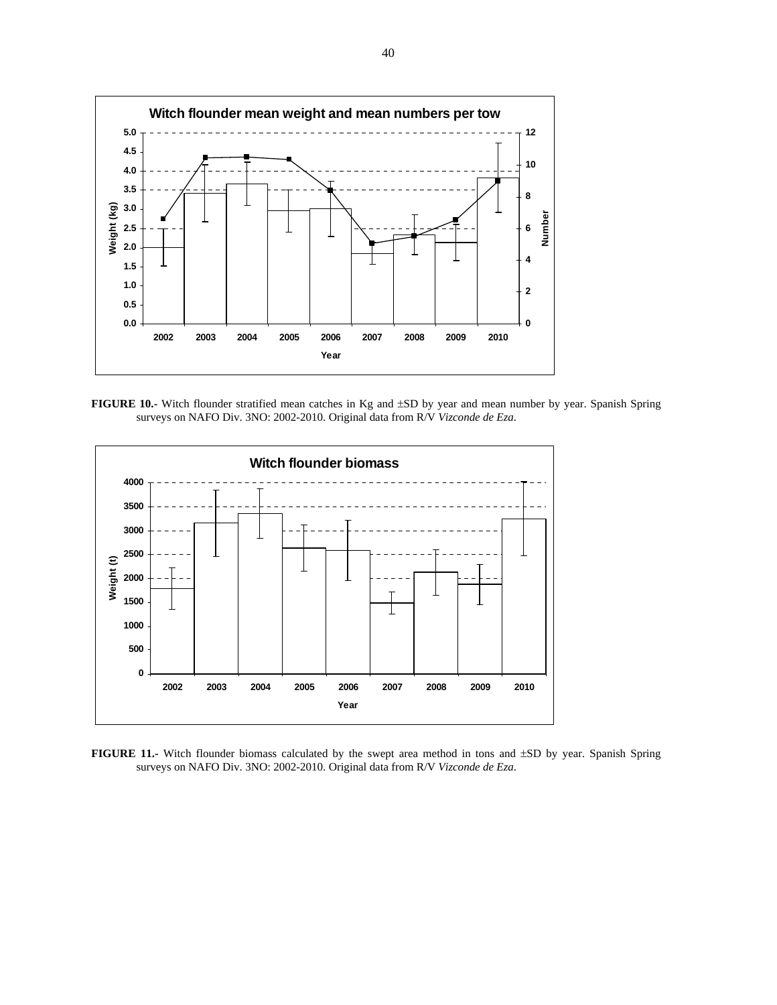

**FIGURE 10.-** Witch flounder stratified mean catches in Kg and ±SD by year and mean number by year. Spanish Spring surveys on NAFO Div. 3NO: 2002-2010. Original data from R/V *Vizconde de Eza*.



**FIGURE 11.-** Witch flounder biomass calculated by the swept area method in tons and ±SD by year. Spanish Spring surveys on NAFO Div. 3NO: 2002-2010. Original data from R/V *Vizconde de Eza*.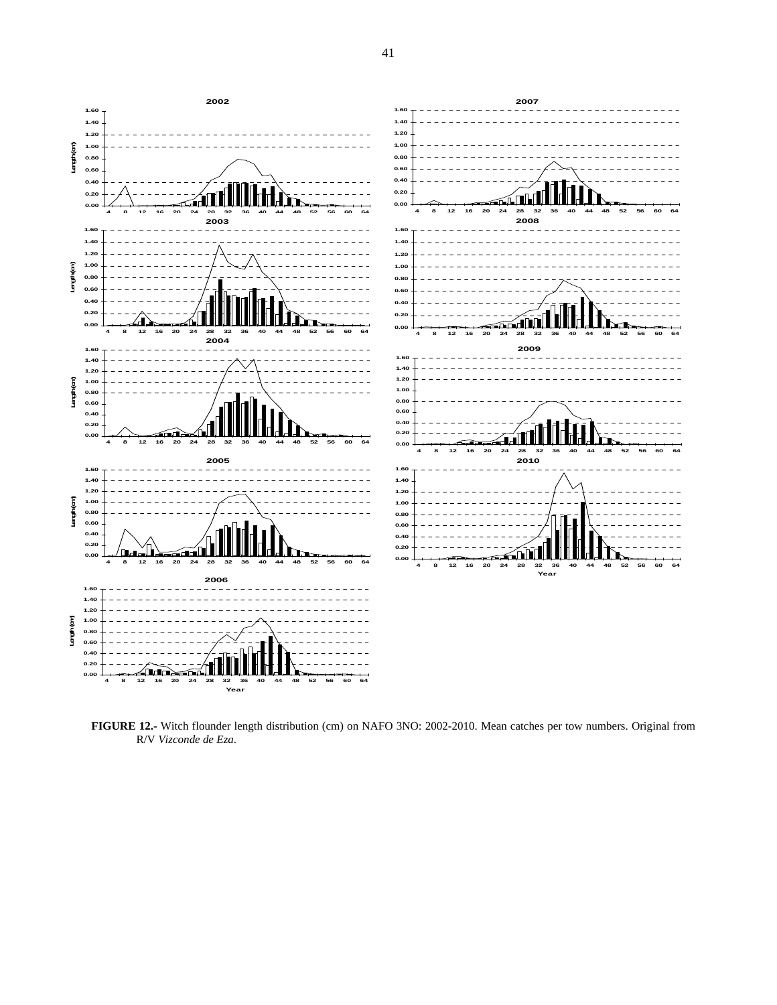

**FIGURE 12.-** Witch flounder length distribution (cm) on NAFO 3NO: 2002-2010. Mean catches per tow numbers. Original from R/V *Vizconde de Eza*.